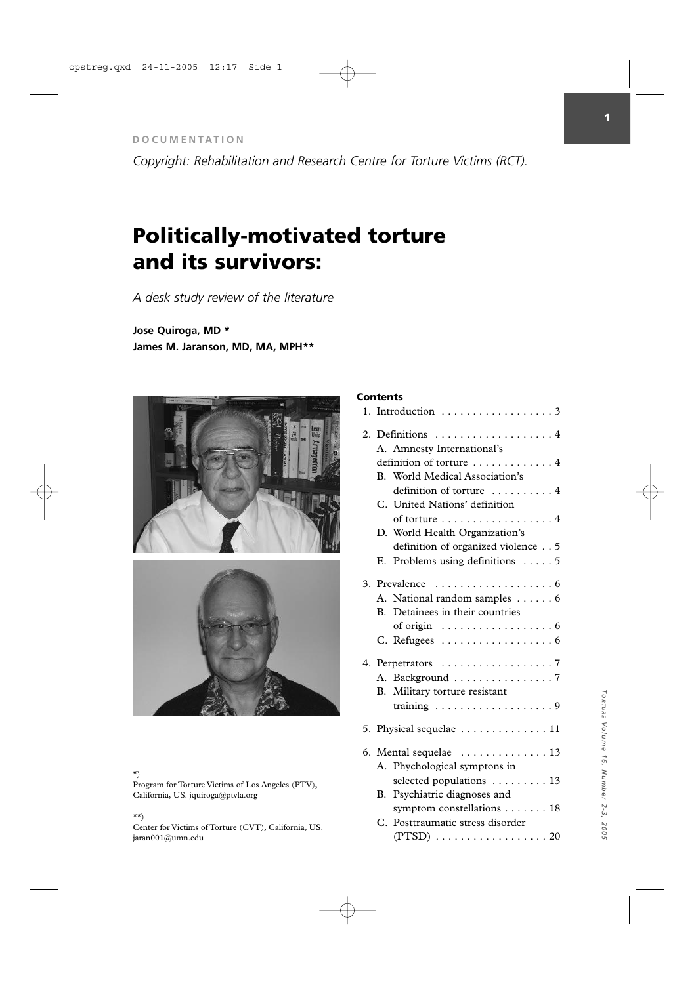*Copyright: Rehabilitation and Research Centre for Torture Victims (RCT).*

# **Politically-motivated torture and its survivors:**

*A desk study review of the literature* 

**Jose Quiroga, MD \* James M. Jaranson, MD, MA, MPH\*\***





# \*)

Program for Torture Victims of Los Angeles (PTV), California, US. jquiroga@ptvla.org

# \*\*)

Center for Victims of Torture (CVT), California, US. jaran001@umn.edu

# **Contents**

|    |                          | 1. Introduction $\ldots \ldots \ldots \ldots \ldots$ .    |  |  |  |  |
|----|--------------------------|-----------------------------------------------------------|--|--|--|--|
|    |                          | 2. Definitions  4                                         |  |  |  |  |
|    |                          | A. Amnesty International's                                |  |  |  |  |
|    | definition of torture  4 |                                                           |  |  |  |  |
|    |                          | B. World Medical Association's                            |  |  |  |  |
|    |                          | definition of torture  4                                  |  |  |  |  |
|    |                          | C. United Nations' definition                             |  |  |  |  |
|    |                          | of torture 4                                              |  |  |  |  |
|    |                          | D. World Health Organization's                            |  |  |  |  |
|    |                          | definition of organized violence 5                        |  |  |  |  |
|    |                          | E. Problems using definitions $\dots$ 5                   |  |  |  |  |
|    |                          |                                                           |  |  |  |  |
| 3. |                          | Prevalence<br>. 6                                         |  |  |  |  |
|    |                          | A. National random samples 6                              |  |  |  |  |
|    |                          | B. Detainees in their countries                           |  |  |  |  |
|    |                          | of origin $\dots \dots \dots \dots \dots \dots \dots$     |  |  |  |  |
|    |                          | C. Refugees $\ldots \ldots \ldots \ldots \ldots \ldots 6$ |  |  |  |  |
| 4. |                          |                                                           |  |  |  |  |
|    |                          | A. Background 7                                           |  |  |  |  |
|    |                          | B. Military torture resistant                             |  |  |  |  |
|    |                          | training $\ldots \ldots \ldots \ldots \ldots \ldots$ .    |  |  |  |  |
|    |                          |                                                           |  |  |  |  |
|    |                          | 5. Physical sequelae  11                                  |  |  |  |  |
| 6. |                          | Mental sequelae $\dots\dots\dots\dots\dots$ 13            |  |  |  |  |
|    |                          | A. Phychological symptons in                              |  |  |  |  |
|    |                          | selected populations $\dots \dots \dots 13$               |  |  |  |  |
|    | В.                       | Psychiatric diagnoses and                                 |  |  |  |  |
|    |                          | symptom constellations 18                                 |  |  |  |  |
|    |                          | C. Posttraumatic stress disorder                          |  |  |  |  |
|    |                          |                                                           |  |  |  |  |
|    |                          |                                                           |  |  |  |  |

# TORTURE Volume 16, Number 2-3, 2005 *TORTURE Volume 16, Number 2-3, 2005*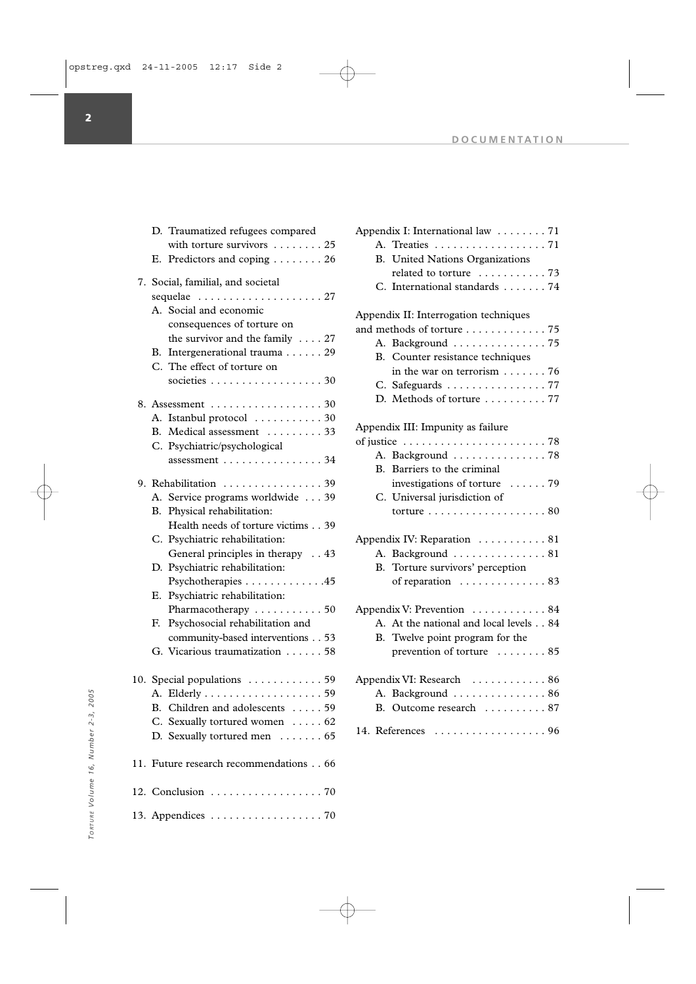$\oplus$ 

|     |                                                               | D. Traumatized refugees compared                   |  |  |  |  |
|-----|---------------------------------------------------------------|----------------------------------------------------|--|--|--|--|
|     |                                                               | with torture survivors $\dots \dots \dots 25$      |  |  |  |  |
|     | Е.                                                            | Predictors and coping 26                           |  |  |  |  |
|     | 7. Social, familial, and societal                             |                                                    |  |  |  |  |
|     | sequelae  27                                                  |                                                    |  |  |  |  |
|     | $A_{-}$                                                       | Social and economic                                |  |  |  |  |
|     |                                                               | consequences of torture on                         |  |  |  |  |
|     |                                                               | the survivor and the family $\ldots$ 27            |  |  |  |  |
|     |                                                               | B. Intergenerational trauma 29                     |  |  |  |  |
|     | C.                                                            | The effect of torture on                           |  |  |  |  |
|     |                                                               | societies 30                                       |  |  |  |  |
|     |                                                               | 8. Assessment 30                                   |  |  |  |  |
|     |                                                               | A. Istanbul protocol  30                           |  |  |  |  |
|     |                                                               | B. Medical assessment  33                          |  |  |  |  |
|     |                                                               | C. Psychiatric/psychological                       |  |  |  |  |
|     |                                                               | assessment $\ldots \ldots \ldots \ldots \ldots$ 34 |  |  |  |  |
|     |                                                               | 9. Rehabilitation  39                              |  |  |  |  |
|     |                                                               | A. Service programs worldwide 39                   |  |  |  |  |
|     | В.                                                            | Physical rehabilitation:                           |  |  |  |  |
|     |                                                               | Health needs of torture victims 39                 |  |  |  |  |
|     |                                                               | C. Psychiatric rehabilitation:                     |  |  |  |  |
|     |                                                               | General principles in therapy 43                   |  |  |  |  |
|     |                                                               | D. Psychiatric rehabilitation:                     |  |  |  |  |
|     |                                                               | Psychotherapies 45                                 |  |  |  |  |
|     | Е.                                                            | Psychiatric rehabilitation:                        |  |  |  |  |
|     |                                                               | Pharmacotherapy  50                                |  |  |  |  |
|     | F.                                                            | Psychosocial rehabilitation and                    |  |  |  |  |
|     |                                                               | community-based interventions 53                   |  |  |  |  |
|     |                                                               | G. Vicarious traumatization 58                     |  |  |  |  |
| 10. |                                                               | Special populations  59                            |  |  |  |  |
|     |                                                               |                                                    |  |  |  |  |
|     |                                                               | B. Children and adolescents  59                    |  |  |  |  |
|     |                                                               | C. Sexually tortured women 62                      |  |  |  |  |
|     |                                                               | D. Sexually tortured men  65                       |  |  |  |  |
|     |                                                               |                                                    |  |  |  |  |
|     |                                                               | 11. Future research recommendations 66             |  |  |  |  |
|     |                                                               | 12. Conclusion 70                                  |  |  |  |  |
|     | 13. Appendices $\ldots \ldots \ldots \ldots \ldots \ldots$ 70 |                                                    |  |  |  |  |

| Appendix I: International law 71                       |  |
|--------------------------------------------------------|--|
| A. Treaties 71                                         |  |
| B. United Nations Organizations                        |  |
| related to torture  73                                 |  |
| C. International standards 74                          |  |
|                                                        |  |
| Appendix II: Interrogation techniques                  |  |
| and methods of torture 75                              |  |
| A. Background  75                                      |  |
| B. Counter resistance techniques                       |  |
| in the war on terrorism $\dots \dots 76$               |  |
| C. Safeguards 77                                       |  |
| D. Methods of torture  77                              |  |
|                                                        |  |
| Appendix III: Impunity as failure                      |  |
|                                                        |  |
| A. Background  78                                      |  |
| Barriers to the criminal<br>$\mathbf{B}$ .             |  |
| investigations of torture  79                          |  |
| C. Universal jurisdiction of                           |  |
| torture $\ldots \ldots \ldots \ldots \ldots \ldots 80$ |  |
|                                                        |  |
| Appendix IV: Reparation  81                            |  |
| A. Background  81                                      |  |
| B. Torture survivors' perception                       |  |
| of reparation $\dots \dots \dots \dots \dots$ 83       |  |
|                                                        |  |
| Appendix V: Prevention 84                              |  |
| A. At the national and local levels 84                 |  |
| B. Twelve point program for the                        |  |
| prevention of torture  85                              |  |
|                                                        |  |
| Appendix VI: Research 86                               |  |
| A. Background  86                                      |  |
| B. Outcome research  87                                |  |
|                                                        |  |
|                                                        |  |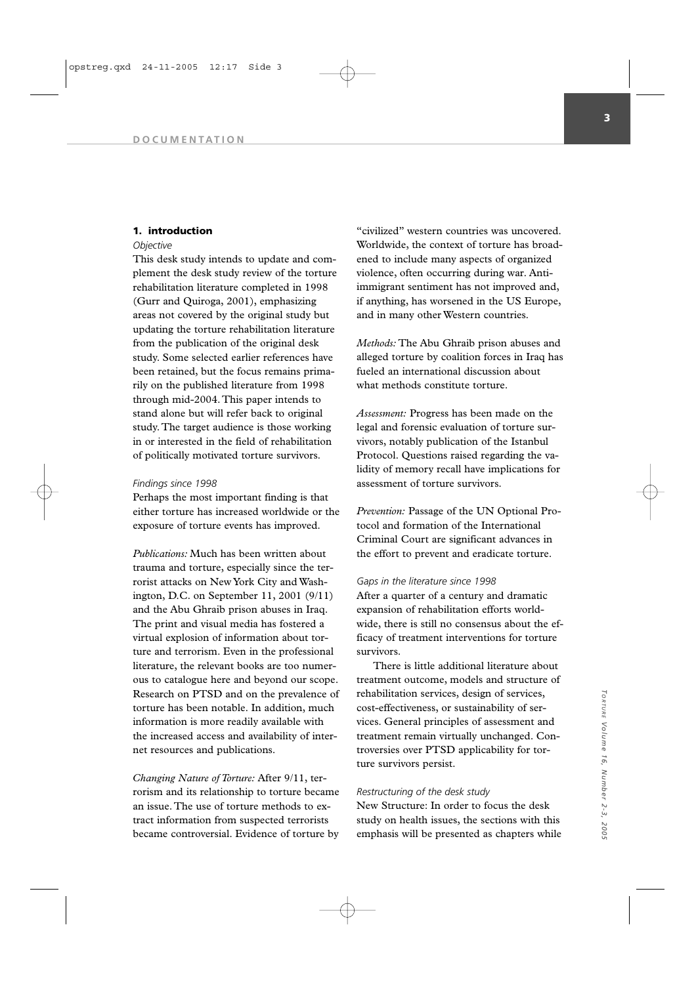# **1. introduction**

# *Objective*

This desk study intends to update and complement the desk study review of the torture rehabilitation literature completed in 1998 (Gurr and Quiroga, 2001), emphasizing areas not covered by the original study but updating the torture rehabilitation literature from the publication of the original desk study. Some selected earlier references have been retained, but the focus remains primarily on the published literature from 1998 through mid-2004. This paper intends to stand alone but will refer back to original study. The target audience is those working in or interested in the field of rehabilitation of politically motivated torture survivors.

### *Findings since 1998*

Perhaps the most important finding is that either torture has increased worldwide or the exposure of torture events has improved.

*Publications:* Much has been written about trauma and torture, especially since the terrorist attacks on New York City and Washington, D.C. on September 11, 2001 (9/11) and the Abu Ghraib prison abuses in Iraq. The print and visual media has fostered a virtual explosion of information about torture and terrorism. Even in the professional literature, the relevant books are too numerous to catalogue here and beyond our scope. Research on PTSD and on the prevalence of torture has been notable. In addition, much information is more readily available with the increased access and availability of internet resources and publications.

*Changing Nature of Torture:* After 9/11, terrorism and its relationship to torture became an issue. The use of torture methods to extract information from suspected terrorists became controversial. Evidence of torture by

"civilized" western countries was uncovered. Worldwide, the context of torture has broadened to include many aspects of organized violence, often occurring during war. Antiimmigrant sentiment has not improved and, if anything, has worsened in the US Europe, and in many other Western countries.

*Methods:* The Abu Ghraib prison abuses and alleged torture by coalition forces in Iraq has fueled an international discussion about what methods constitute torture.

*Assessment:* Progress has been made on the legal and forensic evaluation of torture survivors, notably publication of the Istanbul Protocol. Questions raised regarding the validity of memory recall have implications for assessment of torture survivors.

*Prevention:* Passage of the UN Optional Protocol and formation of the International Criminal Court are significant advances in the effort to prevent and eradicate torture.

## *Gaps in the literature since 1998*

After a quarter of a century and dramatic expansion of rehabilitation efforts worldwide, there is still no consensus about the efficacy of treatment interventions for torture survivors.

There is little additional literature about treatment outcome, models and structure of rehabilitation services, design of services, cost-effectiveness, or sustainability of services. General principles of assessment and treatment remain virtually unchanged. Controversies over PTSD applicability for torture survivors persist.

# *Restructuring of the desk study*

New Structure: In order to focus the desk study on health issues, the sections with this emphasis will be presented as chapters while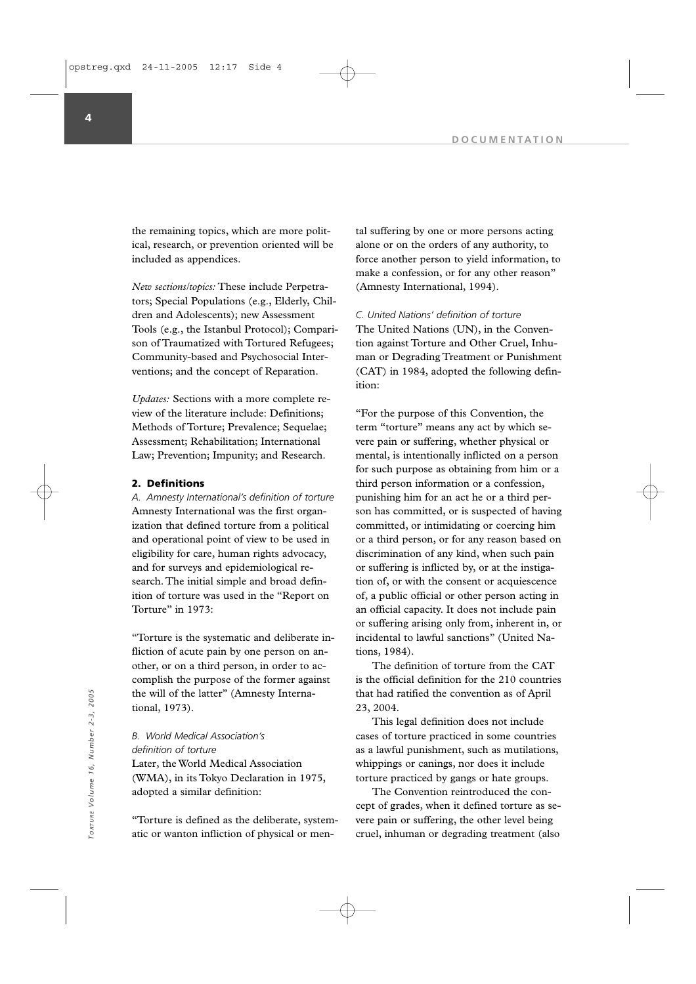the remaining topics, which are more political, research, or prevention oriented will be included as appendices.

*New sections/topics:* These include Perpetrators; Special Populations (e.g., Elderly, Children and Adolescents); new Assessment Tools (e.g., the Istanbul Protocol); Comparison of Traumatized with Tortured Refugees; Community-based and Psychosocial Interventions; and the concept of Reparation.

*Updates:* Sections with a more complete review of the literature include: Definitions; Methods of Torture; Prevalence; Sequelae; Assessment; Rehabilitation; International Law; Prevention; Impunity; and Research.

# **2. Definitions**

*A. Amnesty International's definition of torture* Amnesty International was the first organization that defined torture from a political and operational point of view to be used in eligibility for care, human rights advocacy, and for surveys and epidemiological research. The initial simple and broad definition of torture was used in the "Report on Torture" in 1973:

"Torture is the systematic and deliberate infliction of acute pain by one person on another, or on a third person, in order to accomplish the purpose of the former against the will of the latter" (Amnesty International, 1973).

*B. World Medical Association's definition of torture* Later, the World Medical Association (WMA), in its Tokyo Declaration in 1975, adopted a similar definition:

"Torture is defined as the deliberate, systematic or wanton infliction of physical or mental suffering by one or more persons acting alone or on the orders of any authority, to force another person to yield information, to make a confession, or for any other reason" (Amnesty International, 1994).

*C. United Nations' definition of torture* The United Nations (UN), in the Convention against Torture and Other Cruel, Inhuman or Degrading Treatment or Punishment (CAT) in 1984, adopted the following definition:

"For the purpose of this Convention, the term "torture" means any act by which severe pain or suffering, whether physical or mental, is intentionally inflicted on a person for such purpose as obtaining from him or a third person information or a confession, punishing him for an act he or a third person has committed, or is suspected of having committed, or intimidating or coercing him or a third person, or for any reason based on discrimination of any kind, when such pain or suffering is inflicted by, or at the instigation of, or with the consent or acquiescence of, a public official or other person acting in an official capacity. It does not include pain or suffering arising only from, inherent in, or incidental to lawful sanctions" (United Nations, 1984).

The definition of torture from the CAT is the official definition for the 210 countries that had ratified the convention as of April 23, 2004.

This legal definition does not include cases of torture practiced in some countries as a lawful punishment, such as mutilations, whippings or canings, nor does it include torture practiced by gangs or hate groups.

The Convention reintroduced the concept of grades, when it defined torture as severe pain or suffering, the other level being cruel, inhuman or degrading treatment (also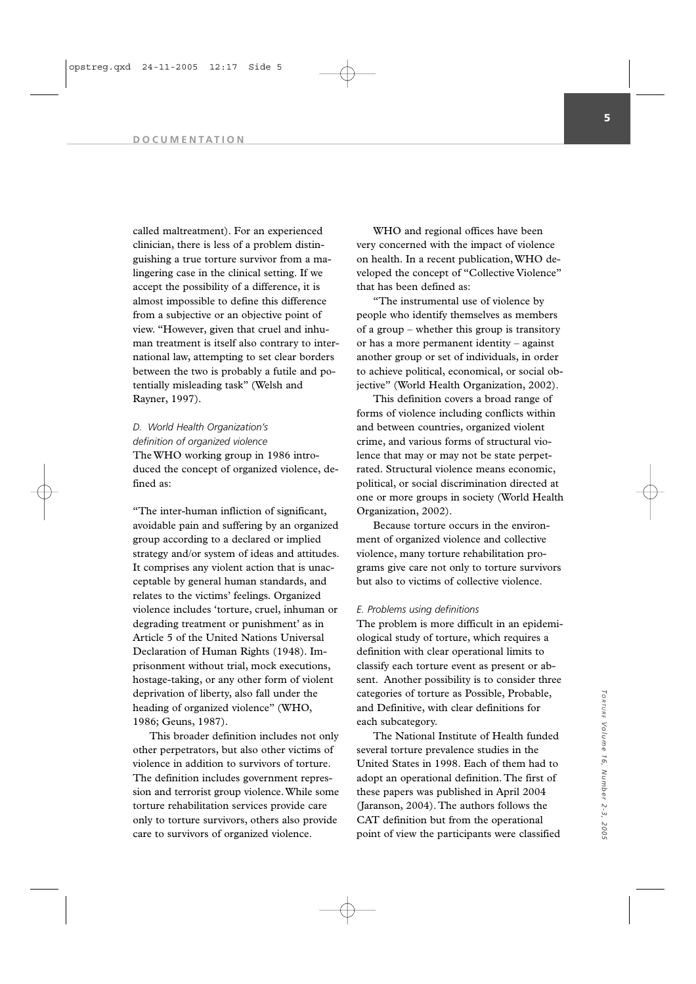called maltreatment). For an experienced clinician, there is less of a problem distinguishing a true torture survivor from a malingering case in the clinical setting. If we accept the possibility of a difference, it is almost impossible to define this difference from a subjective or an objective point of view. "However, given that cruel and inhuman treatment is itself also contrary to international law, attempting to set clear borders between the two is probably a futile and potentially misleading task" (Welsh and Rayner, 1997).

*D. World Health Organization's definition of organized violence* The WHO working group in 1986 introduced the concept of organized violence, defined as:

"The inter-human infliction of significant, avoidable pain and suffering by an organized group according to a declared or implied strategy and/or system of ideas and attitudes. It comprises any violent action that is unacceptable by general human standards, and relates to the victims' feelings. Organized violence includes 'torture, cruel, inhuman or degrading treatment or punishment' as in Article 5 of the United Nations Universal Declaration of Human Rights (1948). Imprisonment without trial, mock executions, hostage-taking, or any other form of violent deprivation of liberty, also fall under the heading of organized violence" (WHO, 1986; Geuns, 1987).

This broader definition includes not only other perpetrators, but also other victims of violence in addition to survivors of torture. The definition includes government repression and terrorist group violence.While some torture rehabilitation services provide care only to torture survivors, others also provide care to survivors of organized violence.

WHO and regional offices have been very concerned with the impact of violence on health. In a recent publication, WHO developed the concept of "Collective Violence" that has been defined as:

"The instrumental use of violence by people who identify themselves as members of a group – whether this group is transitory or has a more permanent identity – against another group or set of individuals, in order to achieve political, economical, or social objective" (World Health Organization, 2002).

This definition covers a broad range of forms of violence including conflicts within and between countries, organized violent crime, and various forms of structural violence that may or may not be state perpetrated. Structural violence means economic, political, or social discrimination directed at one or more groups in society (World Health Organization, 2002).

Because torture occurs in the environment of organized violence and collective violence, many torture rehabilitation programs give care not only to torture survivors but also to victims of collective violence.

### *E. Problems using definitions*

The problem is more difficult in an epidemiological study of torture, which requires a definition with clear operational limits to classify each torture event as present or absent. Another possibility is to consider three categories of torture as Possible, Probable, and Definitive, with clear definitions for each subcategory.

The National Institute of Health funded several torture prevalence studies in the United States in 1998. Each of them had to adopt an operational definition. The first of these papers was published in April 2004 (Jaranson, 2004). The authors follows the CAT definition but from the operational point of view the participants were classified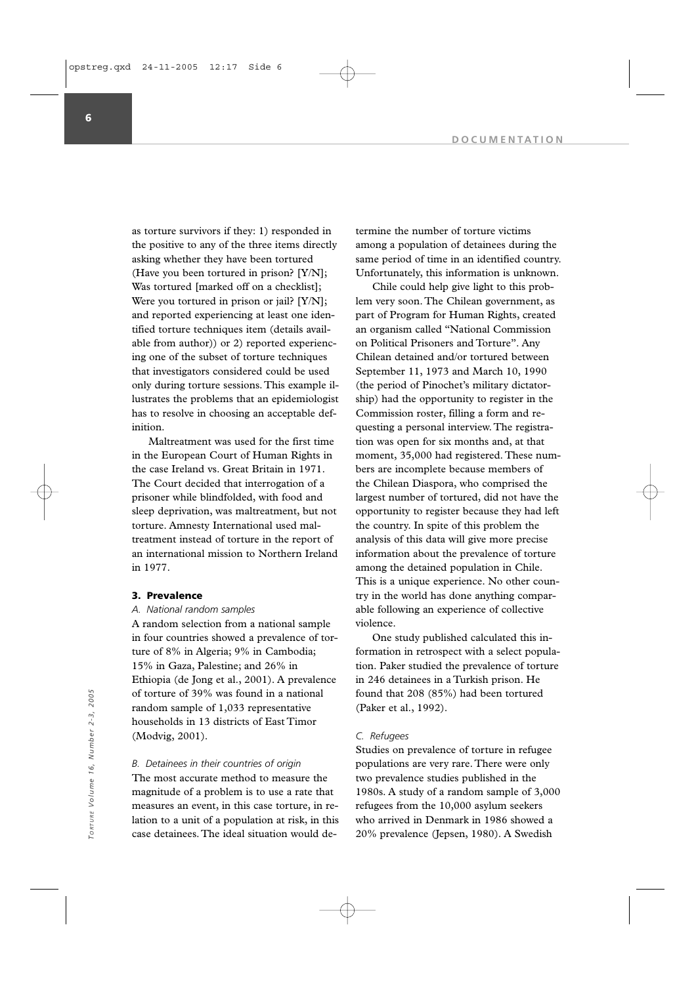as torture survivors if they: 1) responded in the positive to any of the three items directly asking whether they have been tortured (Have you been tortured in prison? [Y/N]; Was tortured [marked off on a checklist]; Were you tortured in prison or jail? [Y/N]; and reported experiencing at least one identified torture techniques item (details available from author)) or 2) reported experiencing one of the subset of torture techniques that investigators considered could be used only during torture sessions. This example illustrates the problems that an epidemiologist has to resolve in choosing an acceptable definition.

Maltreatment was used for the first time in the European Court of Human Rights in the case Ireland vs. Great Britain in 1971. The Court decided that interrogation of a prisoner while blindfolded, with food and sleep deprivation, was maltreatment, but not torture. Amnesty International used maltreatment instead of torture in the report of an international mission to Northern Ireland in 1977.

### **3. Prevalence**

# *A. National random samples*

A random selection from a national sample in four countries showed a prevalence of torture of 8% in Algeria; 9% in Cambodia; 15% in Gaza, Palestine; and 26% in Ethiopia (de Jong et al., 2001). A prevalence of torture of 39% was found in a national random sample of 1,033 representative households in 13 districts of East Timor (Modvig, 2001).

*B. Detainees in their countries of origin* The most accurate method to measure the magnitude of a problem is to use a rate that measures an event, in this case torture, in relation to a unit of a population at risk, in this case detainees. The ideal situation would determine the number of torture victims among a population of detainees during the same period of time in an identified country. Unfortunately, this information is unknown.

Chile could help give light to this problem very soon. The Chilean government, as part of Program for Human Rights, created an organism called "National Commission on Political Prisoners and Torture". Any Chilean detained and/or tortured between September 11, 1973 and March 10, 1990 (the period of Pinochet's military dictatorship) had the opportunity to register in the Commission roster, filling a form and requesting a personal interview. The registration was open for six months and, at that moment, 35,000 had registered. These numbers are incomplete because members of the Chilean Diaspora, who comprised the largest number of tortured, did not have the opportunity to register because they had left the country. In spite of this problem the analysis of this data will give more precise information about the prevalence of torture among the detained population in Chile. This is a unique experience. No other country in the world has done anything comparable following an experience of collective violence.

One study published calculated this information in retrospect with a select population. Paker studied the prevalence of torture in 246 detainees in a Turkish prison. He found that 208 (85%) had been tortured (Paker et al., 1992).

# *C. Refugees*

Studies on prevalence of torture in refugee populations are very rare. There were only two prevalence studies published in the 1980s. A study of a random sample of 3,000 refugees from the 10,000 asylum seekers who arrived in Denmark in 1986 showed a 20% prevalence (Jepsen, 1980). A Swedish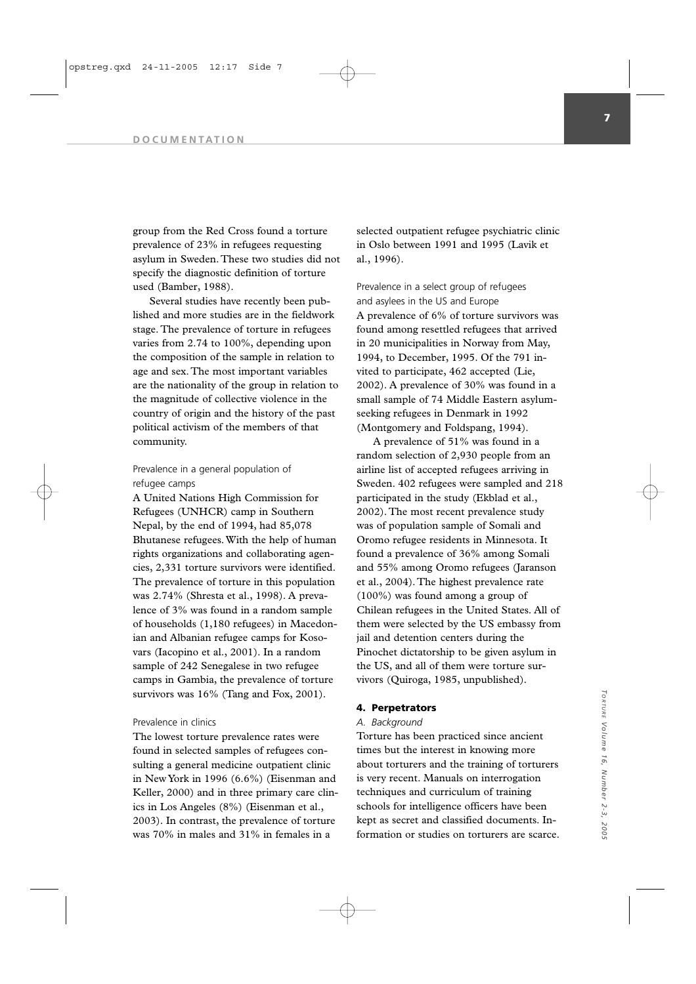group from the Red Cross found a torture prevalence of 23% in refugees requesting asylum in Sweden. These two studies did not specify the diagnostic definition of torture used (Bamber, 1988).

Several studies have recently been published and more studies are in the fieldwork stage. The prevalence of torture in refugees varies from 2.74 to 100%, depending upon the composition of the sample in relation to age and sex. The most important variables are the nationality of the group in relation to the magnitude of collective violence in the country of origin and the history of the past political activism of the members of that community.

# Prevalence in a general population of refugee camps

A United Nations High Commission for Refugees (UNHCR) camp in Southern Nepal, by the end of 1994, had 85,078 Bhutanese refugees. With the help of human rights organizations and collaborating agencies, 2,331 torture survivors were identified. The prevalence of torture in this population was 2.74% (Shresta et al., 1998). A prevalence of 3% was found in a random sample of households (1,180 refugees) in Macedonian and Albanian refugee camps for Kosovars (Iacopino et al., 2001). In a random sample of 242 Senegalese in two refugee camps in Gambia, the prevalence of torture survivors was 16% (Tang and Fox, 2001).

# Prevalence in clinics

The lowest torture prevalence rates were found in selected samples of refugees consulting a general medicine outpatient clinic in New York in 1996 (6.6%) (Eisenman and Keller, 2000) and in three primary care clinics in Los Angeles (8%) (Eisenman et al., 2003). In contrast, the prevalence of torture was 70% in males and 31% in females in a

selected outpatient refugee psychiatric clinic in Oslo between 1991 and 1995 (Lavik et al., 1996).

Prevalence in a select group of refugees and asylees in the US and Europe A prevalence of 6% of torture survivors was found among resettled refugees that arrived in 20 municipalities in Norway from May, 1994, to December, 1995. Of the 791 invited to participate, 462 accepted (Lie, 2002). A prevalence of 30% was found in a small sample of 74 Middle Eastern asylumseeking refugees in Denmark in 1992 (Montgomery and Foldspang, 1994).

A prevalence of 51% was found in a random selection of 2,930 people from an airline list of accepted refugees arriving in Sweden. 402 refugees were sampled and 218 participated in the study (Ekblad et al., 2002). The most recent prevalence study was of population sample of Somali and Oromo refugee residents in Minnesota. It found a prevalence of 36% among Somali and 55% among Oromo refugees (Jaranson et al., 2004). The highest prevalence rate (100%) was found among a group of Chilean refugees in the United States. All of them were selected by the US embassy from jail and detention centers during the Pinochet dictatorship to be given asylum in the US, and all of them were torture survivors (Quiroga, 1985, unpublished).

# **4. Perpetrators**

# *A. Background*

Torture has been practiced since ancient times but the interest in knowing more about torturers and the training of torturers is very recent. Manuals on interrogation techniques and curriculum of training schools for intelligence officers have been kept as secret and classified documents. Information or studies on torturers are scarce.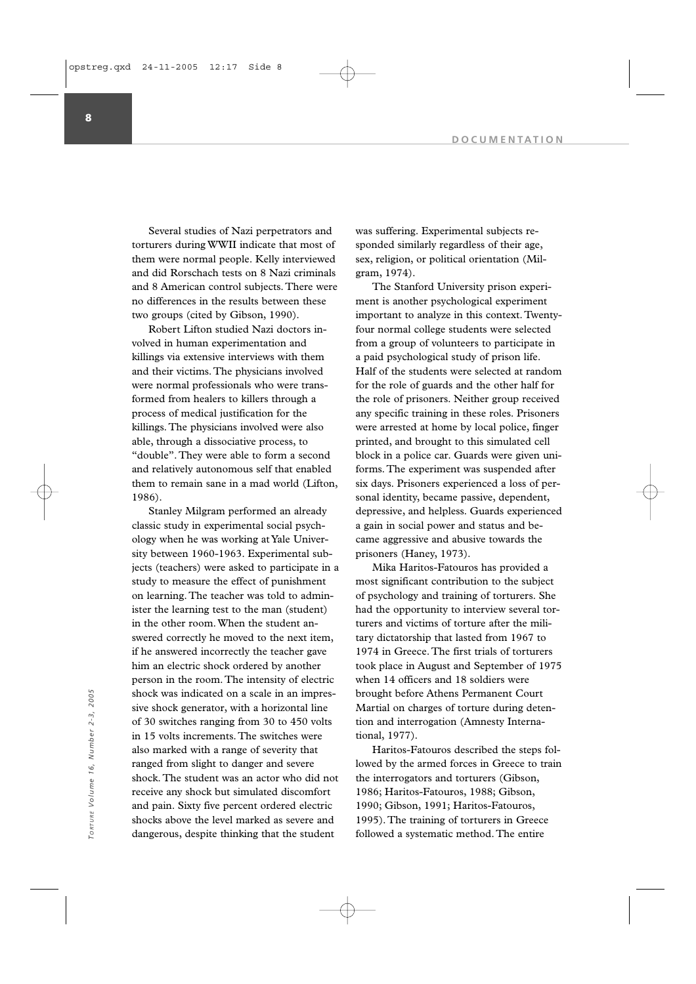Several studies of Nazi perpetrators and torturers during WWII indicate that most of them were normal people. Kelly interviewed and did Rorschach tests on 8 Nazi criminals and 8 American control subjects. There were no differences in the results between these two groups (cited by Gibson, 1990).

Robert Lifton studied Nazi doctors involved in human experimentation and killings via extensive interviews with them and their victims. The physicians involved were normal professionals who were transformed from healers to killers through a process of medical justification for the killings. The physicians involved were also able, through a dissociative process, to "double". They were able to form a second and relatively autonomous self that enabled them to remain sane in a mad world (Lifton, 1986).

Stanley Milgram performed an already classic study in experimental social psychology when he was working at Yale University between 1960-1963. Experimental subjects (teachers) were asked to participate in a study to measure the effect of punishment on learning. The teacher was told to administer the learning test to the man (student) in the other room. When the student answered correctly he moved to the next item, if he answered incorrectly the teacher gave him an electric shock ordered by another person in the room. The intensity of electric shock was indicated on a scale in an impressive shock generator, with a horizontal line of 30 switches ranging from 30 to 450 volts in 15 volts increments. The switches were also marked with a range of severity that ranged from slight to danger and severe shock. The student was an actor who did not receive any shock but simulated discomfort and pain. Sixty five percent ordered electric shocks above the level marked as severe and dangerous, despite thinking that the student shock was indicated on a scale in an impres-<br>
since shock generator, with a horizontal line<br>
of 30 switches ranging from 30 to 450 volts<br>
in and interrogation (Amnesty Interna-<br>
in 15 volts increments. The switches were<br>
s

was suffering. Experimental subjects responded similarly regardless of their age, sex, religion, or political orientation (Milgram, 1974).

The Stanford University prison experiment is another psychological experiment important to analyze in this context. Twentyfour normal college students were selected from a group of volunteers to participate in a paid psychological study of prison life. Half of the students were selected at random for the role of guards and the other half for the role of prisoners. Neither group received any specific training in these roles. Prisoners were arrested at home by local police, finger printed, and brought to this simulated cell block in a police car. Guards were given uniforms. The experiment was suspended after six days. Prisoners experienced a loss of personal identity, became passive, dependent, depressive, and helpless. Guards experienced a gain in social power and status and became aggressive and abusive towards the prisoners (Haney, 1973).

Mika Haritos-Fatouros has provided a most significant contribution to the subject of psychology and training of torturers. She had the opportunity to interview several torturers and victims of torture after the military dictatorship that lasted from 1967 to 1974 in Greece. The first trials of torturers took place in August and September of 1975 when 14 officers and 18 soldiers were brought before Athens Permanent Court Martial on charges of torture during detention and interrogation (Amnesty International, 1977).

Haritos-Fatouros described the steps followed by the armed forces in Greece to train the interrogators and torturers (Gibson, 1986; Haritos-Fatouros, 1988; Gibson, 1990; Gibson, 1991; Haritos-Fatouros, 1995). The training of torturers in Greece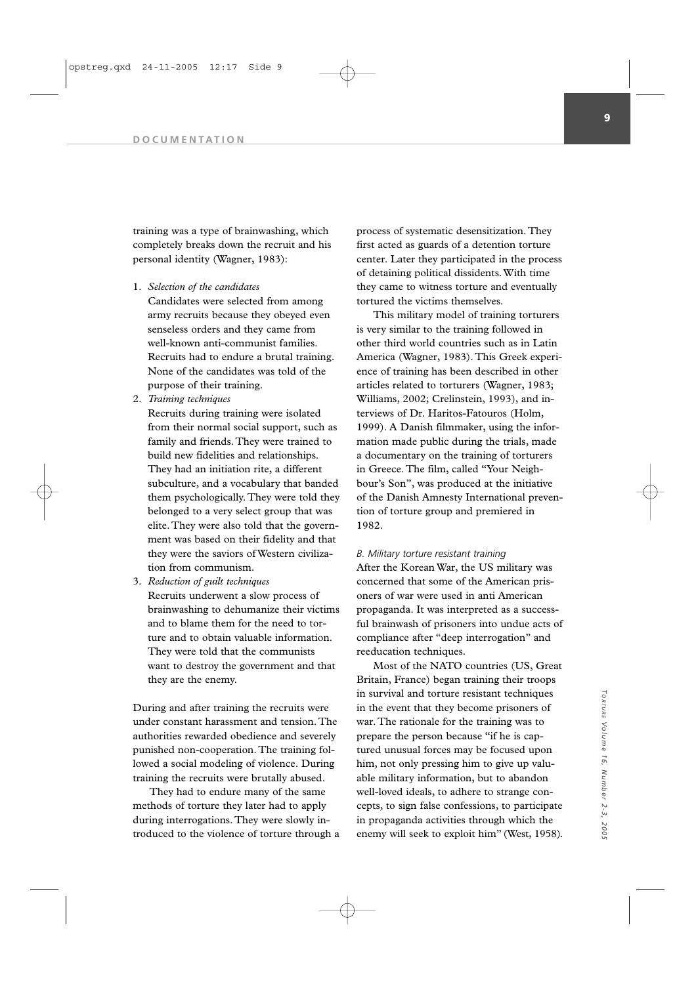training was a type of brainwashing, which completely breaks down the recruit and his personal identity (Wagner, 1983):

1. *Selection of the candidates*

Candidates were selected from among army recruits because they obeyed even senseless orders and they came from well-known anti-communist families. Recruits had to endure a brutal training. None of the candidates was told of the purpose of their training.

2. *Training techniques*

Recruits during training were isolated from their normal social support, such as family and friends. They were trained to build new fidelities and relationships. They had an initiation rite, a different subculture, and a vocabulary that banded them psychologically. They were told they belonged to a very select group that was elite. They were also told that the government was based on their fidelity and that they were the saviors of Western civilization from communism.

3. *Reduction of guilt techniques* Recruits underwent a slow process of brainwashing to dehumanize their victims and to blame them for the need to torture and to obtain valuable information. They were told that the communists want to destroy the government and that they are the enemy.

During and after training the recruits were under constant harassment and tension. The authorities rewarded obedience and severely punished non-cooperation. The training followed a social modeling of violence. During training the recruits were brutally abused.

They had to endure many of the same methods of torture they later had to apply during interrogations. They were slowly introduced to the violence of torture through a process of systematic desensitization. They first acted as guards of a detention torture center. Later they participated in the process of detaining political dissidents. With time they came to witness torture and eventually tortured the victims themselves.

This military model of training torturers is very similar to the training followed in other third world countries such as in Latin America (Wagner, 1983). This Greek experience of training has been described in other articles related to torturers (Wagner, 1983; Williams, 2002; Crelinstein, 1993), and interviews of Dr. Haritos-Fatouros (Holm, 1999). A Danish filmmaker, using the information made public during the trials, made a documentary on the training of torturers in Greece. The film, called "Your Neighbour's Son", was produced at the initiative of the Danish Amnesty International prevention of torture group and premiered in 1982.

# *B. Military torture resistant training*

After the Korean War, the US military was concerned that some of the American prisoners of war were used in anti American propaganda. It was interpreted as a successful brainwash of prisoners into undue acts of compliance after "deep interrogation" and reeducation techniques.

Most of the NATO countries (US, Great Britain, France) began training their troops in survival and torture resistant techniques in the event that they become prisoners of war. The rationale for the training was to prepare the person because "if he is captured unusual forces may be focused upon him, not only pressing him to give up valuable military information, but to abandon well-loved ideals, to adhere to strange concepts, to sign false confessions, to participate in propaganda activities through which the enemy will seek to exploit him" (West, 1958).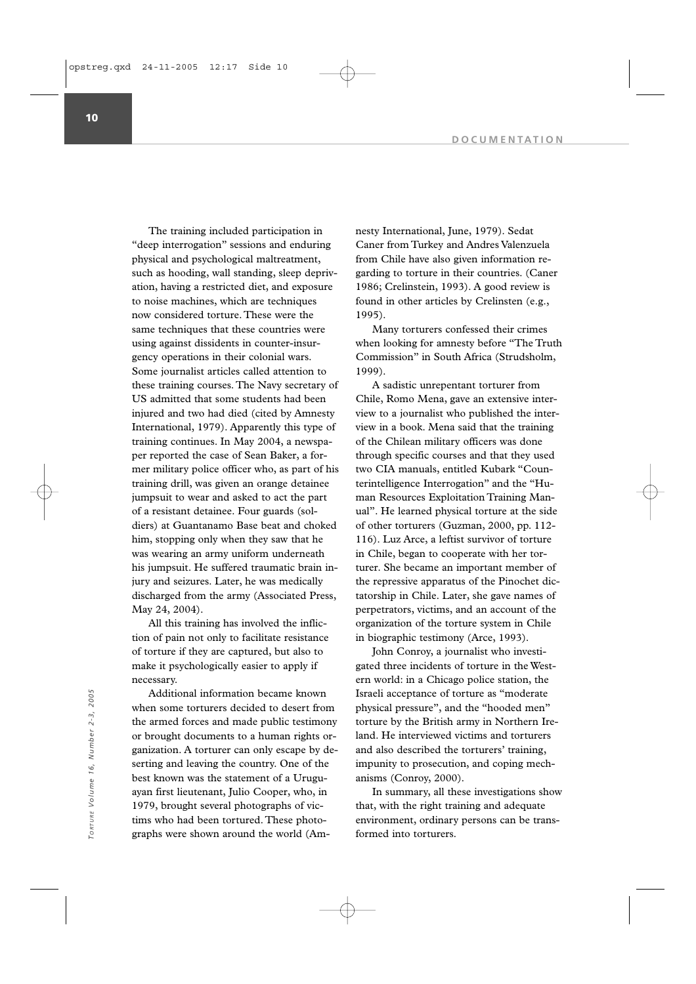The training included participation in "deep interrogation" sessions and enduring physical and psychological maltreatment, such as hooding, wall standing, sleep deprivation, having a restricted diet, and exposure to noise machines, which are techniques now considered torture. These were the same techniques that these countries were using against dissidents in counter-insurgency operations in their colonial wars. Some journalist articles called attention to these training courses. The Navy secretary of US admitted that some students had been injured and two had died (cited by Amnesty International, 1979). Apparently this type of training continues. In May 2004, a newspaper reported the case of Sean Baker, a former military police officer who, as part of his training drill, was given an orange detainee jumpsuit to wear and asked to act the part of a resistant detainee. Four guards (soldiers) at Guantanamo Base beat and choked him, stopping only when they saw that he was wearing an army uniform underneath his jumpsuit. He suffered traumatic brain injury and seizures. Later, he was medically discharged from the army (Associated Press, May 24, 2004).

All this training has involved the infliction of pain not only to facilitate resistance of torture if they are captured, but also to make it psychologically easier to apply if necessary.

Additional information became known when some torturers decided to desert from the armed forces and made public testimony or brought documents to a human rights organization. A torturer can only escape by deserting and leaving the country. One of the best known was the statement of a Uruguayan first lieutenant, Julio Cooper, who, in 1979, brought several photographs of victims who had been tortured. These photographs were shown around the world (Am-Additional information became known<br>
Forme into the physical pressure", an<br>
the armed forces and made public testimony<br>
or brought documents to a human rights or-<br>
ganization. A torturer can only escape by de-<br>
and also de

nesty International, June, 1979). Sedat Caner from Turkey and Andres Valenzuela from Chile have also given information regarding to torture in their countries. (Caner 1986; Crelinstein, 1993). A good review is found in other articles by Crelinsten (e.g., 1995).

Many torturers confessed their crimes when looking for amnesty before "The Truth Commission" in South Africa (Strudsholm, 1999).

A sadistic unrepentant torturer from Chile, Romo Mena, gave an extensive interview to a journalist who published the interview in a book. Mena said that the training of the Chilean military officers was done through specific courses and that they used two CIA manuals, entitled Kubark "Counterintelligence Interrogation" and the "Human Resources Exploitation Training Manual". He learned physical torture at the side of other torturers (Guzman, 2000, pp. 112- 116). Luz Arce, a leftist survivor of torture in Chile, began to cooperate with her torturer. She became an important member of the repressive apparatus of the Pinochet dictatorship in Chile. Later, she gave names of perpetrators, victims, and an account of the organization of the torture system in Chile in biographic testimony (Arce, 1993).

John Conroy, a journalist who investigated three incidents of torture in the Western world: in a Chicago police station, the Israeli acceptance of torture as "moderate physical pressure", and the "hooded men" torture by the British army in Northern Ireland. He interviewed victims and torturers and also described the torturers' training, impunity to prosecution, and coping mechanisms (Conroy, 2000).

In summary, all these investigations show that, with the right training and adequate environment, ordinary persons can be trans-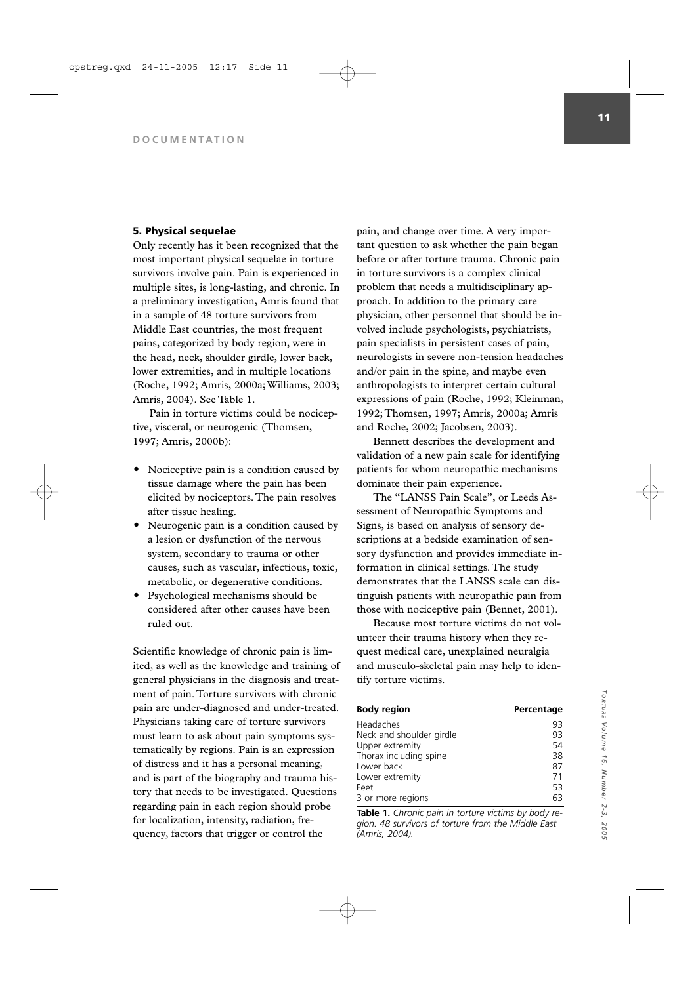### **5. Physical sequelae**

Only recently has it been recognized that the most important physical sequelae in torture survivors involve pain. Pain is experienced in multiple sites, is long-lasting, and chronic. In a preliminary investigation, Amris found that in a sample of 48 torture survivors from Middle East countries, the most frequent pains, categorized by body region, were in the head, neck, shoulder girdle, lower back, lower extremities, and in multiple locations (Roche, 1992; Amris, 2000a; Williams, 2003; Amris, 2004). See Table 1.

Pain in torture victims could be nociceptive, visceral, or neurogenic (Thomsen, 1997; Amris, 2000b):

- Nociceptive pain is a condition caused by tissue damage where the pain has been elicited by nociceptors. The pain resolves after tissue healing.
- Neurogenic pain is a condition caused by a lesion or dysfunction of the nervous system, secondary to trauma or other causes, such as vascular, infectious, toxic, metabolic, or degenerative conditions.
- Psychological mechanisms should be considered after other causes have been ruled out.

Scientific knowledge of chronic pain is limited, as well as the knowledge and training of general physicians in the diagnosis and treatment of pain. Torture survivors with chronic pain are under-diagnosed and under-treated. Physicians taking care of torture survivors must learn to ask about pain symptoms systematically by regions. Pain is an expression of distress and it has a personal meaning, and is part of the biography and trauma history that needs to be investigated. Questions regarding pain in each region should probe for localization, intensity, radiation, frequency, factors that trigger or control the

pain, and change over time. A very important question to ask whether the pain began before or after torture trauma. Chronic pain in torture survivors is a complex clinical problem that needs a multidisciplinary approach. In addition to the primary care physician, other personnel that should be involved include psychologists, psychiatrists, pain specialists in persistent cases of pain, neurologists in severe non-tension headaches and/or pain in the spine, and maybe even anthropologists to interpret certain cultural expressions of pain (Roche, 1992; Kleinman, 1992; Thomsen, 1997; Amris, 2000a; Amris and Roche, 2002; Jacobsen, 2003).

Bennett describes the development and validation of a new pain scale for identifying patients for whom neuropathic mechanisms dominate their pain experience.

The "LANSS Pain Scale", or Leeds Assessment of Neuropathic Symptoms and Signs, is based on analysis of sensory descriptions at a bedside examination of sensory dysfunction and provides immediate information in clinical settings. The study demonstrates that the LANSS scale can distinguish patients with neuropathic pain from those with nociceptive pain (Bennet, 2001).

Because most torture victims do not volunteer their trauma history when they request medical care, unexplained neuralgia and musculo-skeletal pain may help to identify torture victims.

| <b>Body region</b>       | Percentage |
|--------------------------|------------|
| Headaches                | 93         |
| Neck and shoulder girdle | 93         |
| Upper extremity          | 54         |
| Thorax including spine   | 38         |
| Lower back               | 87         |
| Lower extremity          | 71         |
| Feet                     | 53         |
| 3 or more regions        | 63         |

**Table 1.** *Chronic pain in torture victims by body region. 48 survivors of torture from the Middle East (Amris, 2004).*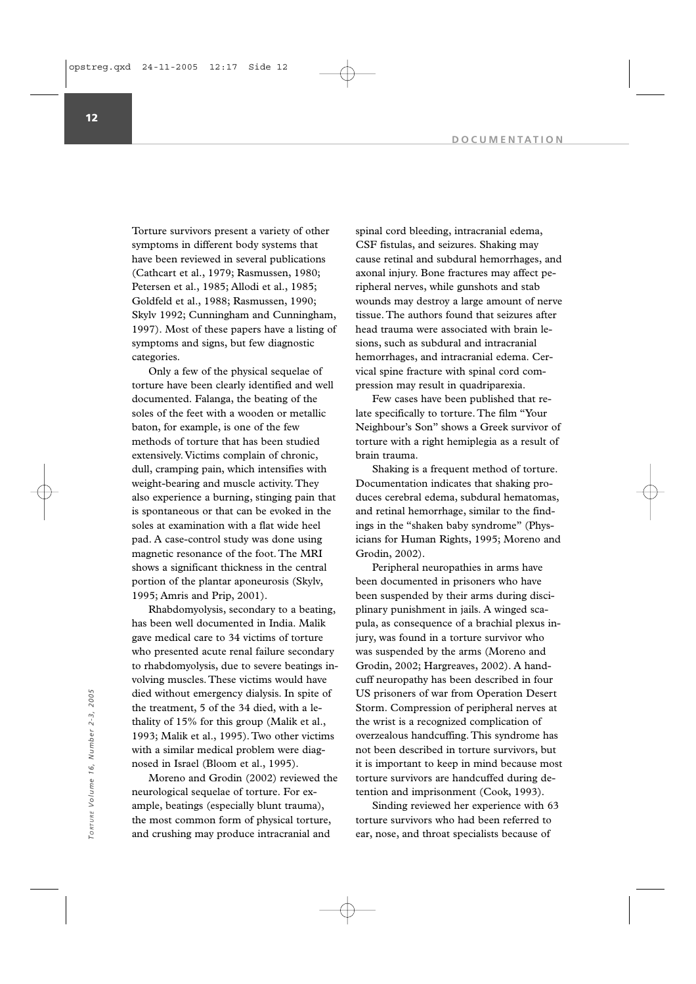Torture survivors present a variety of other symptoms in different body systems that have been reviewed in several publications (Cathcart et al., 1979; Rasmussen, 1980; Petersen et al., 1985; Allodi et al., 1985; Goldfeld et al., 1988; Rasmussen, 1990; Skylv 1992; Cunningham and Cunningham, 1997). Most of these papers have a listing of symptoms and signs, but few diagnostic categories.

Only a few of the physical sequelae of torture have been clearly identified and well documented. Falanga, the beating of the soles of the feet with a wooden or metallic baton, for example, is one of the few methods of torture that has been studied extensively. Victims complain of chronic, dull, cramping pain, which intensifies with weight-bearing and muscle activity. They also experience a burning, stinging pain that is spontaneous or that can be evoked in the soles at examination with a flat wide heel pad. A case-control study was done using magnetic resonance of the foot. The MRI shows a significant thickness in the central portion of the plantar aponeurosis (Skylv, 1995; Amris and Prip, 2001).

Rhabdomyolysis, secondary to a beating, has been well documented in India. Malik gave medical care to 34 victims of torture who presented acute renal failure secondary to rhabdomyolysis, due to severe beatings involving muscles. These victims would have died without emergency dialysis. In spite of the treatment, 5 of the 34 died, with a lethality of 15% for this group (Malik et al., 1993; Malik et al., 1995). Two other victims with a similar medical problem were diagnosed in Israel (Bloom et al., 1995).

Moreno and Grodin (2002) reviewed the neurological sequelae of torture. For example, beatings (especially blunt trauma), the most common form of physical torture, and crushing may produce intracranial and

spinal cord bleeding, intracranial edema, CSF fistulas, and seizures. Shaking may cause retinal and subdural hemorrhages, and axonal injury. Bone fractures may affect peripheral nerves, while gunshots and stab wounds may destroy a large amount of nerve tissue. The authors found that seizures after head trauma were associated with brain lesions, such as subdural and intracranial hemorrhages, and intracranial edema. Cervical spine fracture with spinal cord compression may result in quadriparexia.

Few cases have been published that relate specifically to torture. The film "Your Neighbour's Son" shows a Greek survivor of torture with a right hemiplegia as a result of brain trauma.

Shaking is a frequent method of torture. Documentation indicates that shaking produces cerebral edema, subdural hematomas, and retinal hemorrhage, similar to the findings in the "shaken baby syndrome" (Physicians for Human Rights, 1995; Moreno and Grodin, 2002).

Peripheral neuropathies in arms have been documented in prisoners who have been suspended by their arms during disciplinary punishment in jails. A winged scapula, as consequence of a brachial plexus injury, was found in a torture survivor who was suspended by the arms (Moreno and Grodin, 2002; Hargreaves, 2002). A handcuff neuropathy has been described in four US prisoners of war from Operation Desert Storm. Compression of peripheral nerves at the wrist is a recognized complication of overzealous handcuffing. This syndrome has not been described in torture survivors, but it is important to keep in mind because most torture survivors are handcuffed during detention and imprisonment (Cook, 1993). died without emergency dialysis. In spite of<br>
the treatment, 5 of the 34 died, with a le-<br>
thality of 15% for this group (Malik et al.,<br>
the wrist is a recognized complication of<br>
1993; Malik et al., 1995). Two other victi

Sinding reviewed her experience with 63 torture survivors who had been referred to

**12**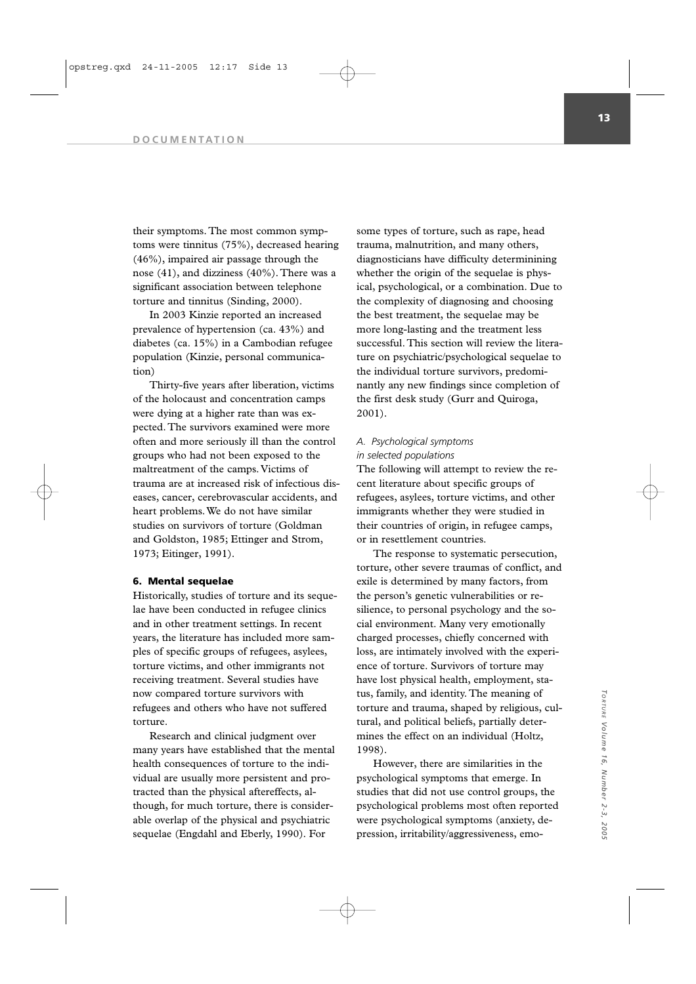their symptoms. The most common symptoms were tinnitus (75%), decreased hearing (46%), impaired air passage through the nose (41), and dizziness (40%). There was a significant association between telephone torture and tinnitus (Sinding, 2000).

In 2003 Kinzie reported an increased prevalence of hypertension (ca. 43%) and diabetes (ca. 15%) in a Cambodian refugee population (Kinzie, personal communication)

Thirty-five years after liberation, victims of the holocaust and concentration camps were dying at a higher rate than was expected. The survivors examined were more often and more seriously ill than the control groups who had not been exposed to the maltreatment of the camps. Victims of trauma are at increased risk of infectious diseases, cancer, cerebrovascular accidents, and heart problems. We do not have similar studies on survivors of torture (Goldman and Goldston, 1985; Ettinger and Strom, 1973; Eitinger, 1991).

## **6. Mental sequelae**

Historically, studies of torture and its sequelae have been conducted in refugee clinics and in other treatment settings. In recent years, the literature has included more samples of specific groups of refugees, asylees, torture victims, and other immigrants not receiving treatment. Several studies have now compared torture survivors with refugees and others who have not suffered torture.

Research and clinical judgment over many years have established that the mental health consequences of torture to the individual are usually more persistent and protracted than the physical aftereffects, although, for much torture, there is considerable overlap of the physical and psychiatric sequelae (Engdahl and Eberly, 1990). For

some types of torture, such as rape, head trauma, malnutrition, and many others, diagnosticians have difficulty determinining whether the origin of the sequelae is physical, psychological, or a combination. Due to the complexity of diagnosing and choosing the best treatment, the sequelae may be more long-lasting and the treatment less successful. This section will review the literature on psychiatric/psychological sequelae to the individual torture survivors, predominantly any new findings since completion of the first desk study (Gurr and Quiroga, 2001).

# *A. Psychological symptoms in selected populations*

The following will attempt to review the recent literature about specific groups of refugees, asylees, torture victims, and other immigrants whether they were studied in their countries of origin, in refugee camps, or in resettlement countries.

The response to systematic persecution, torture, other severe traumas of conflict, and exile is determined by many factors, from the person's genetic vulnerabilities or resilience, to personal psychology and the social environment. Many very emotionally charged processes, chiefly concerned with loss, are intimately involved with the experience of torture. Survivors of torture may have lost physical health, employment, status, family, and identity. The meaning of torture and trauma, shaped by religious, cultural, and political beliefs, partially determines the effect on an individual (Holtz, 1998).

However, there are similarities in the psychological symptoms that emerge. In studies that did not use control groups, the psychological problems most often reported were psychological symptoms (anxiety, depression, irritability/aggressiveness, emo-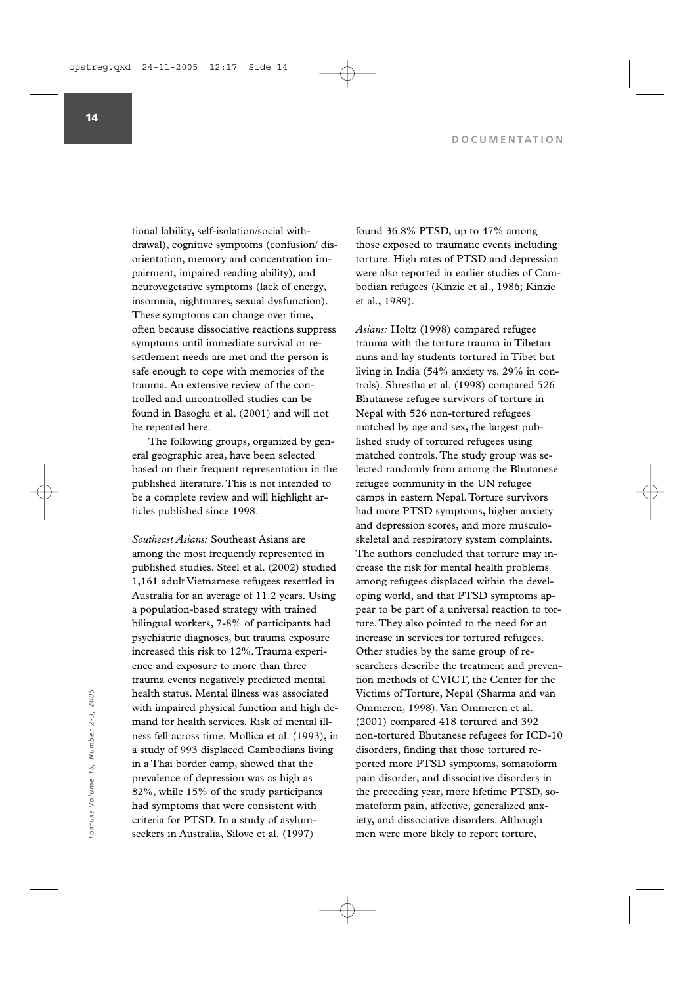tional lability, self-isolation/social withdrawal), cognitive symptoms (confusion/ disorientation, memory and concentration impairment, impaired reading ability), and neurovegetative symptoms (lack of energy, insomnia, nightmares, sexual dysfunction). These symptoms can change over time, often because dissociative reactions suppress symptoms until immediate survival or resettlement needs are met and the person is safe enough to cope with memories of the trauma. An extensive review of the controlled and uncontrolled studies can be found in Basoglu et al. (2001) and will not be repeated here.

The following groups, organized by general geographic area, have been selected based on their frequent representation in the published literature. This is not intended to be a complete review and will highlight articles published since 1998.

*Southeast Asians:* Southeast Asians are among the most frequently represented in published studies. Steel et al. (2002) studied 1,161 adult Vietnamese refugees resettled in Australia for an average of 11.2 years. Using a population-based strategy with trained bilingual workers, 7-8% of participants had psychiatric diagnoses, but trauma exposure increased this risk to 12%. Trauma experience and exposure to more than three trauma events negatively predicted mental health status. Mental illness was associated with impaired physical function and high demand for health services. Risk of mental illness fell across time. Mollica et al. (1993), in a study of 993 displaced Cambodians living in a Thai border camp, showed that the prevalence of depression was as high as 82%, while 15% of the study participants had symptoms that were consistent with criteria for PTSD. In a study of asylumseekers in Australia, Silove et al. (1997) mealth status. Mental illness was associated<br>
with impaired physical function and high de-<br>
mand for health services. Risk of mental ill-<br>
mand for health services. Risk of mental ill-<br>
a study of 993 displaced Cambodians

found 36.8% PTSD, up to 47% among those exposed to traumatic events including torture. High rates of PTSD and depression were also reported in earlier studies of Cambodian refugees (Kinzie et al., 1986; Kinzie et al., 1989).

*Asians:* Holtz (1998) compared refugee trauma with the torture trauma in Tibetan nuns and lay students tortured in Tibet but living in India (54% anxiety vs. 29% in controls). Shrestha et al. (1998) compared 526 Bhutanese refugee survivors of torture in Nepal with 526 non-tortured refugees matched by age and sex, the largest published study of tortured refugees using matched controls. The study group was selected randomly from among the Bhutanese refugee community in the UN refugee camps in eastern Nepal. Torture survivors had more PTSD symptoms, higher anxiety and depression scores, and more musculoskeletal and respiratory system complaints. The authors concluded that torture may increase the risk for mental health problems among refugees displaced within the developing world, and that PTSD symptoms appear to be part of a universal reaction to torture. They also pointed to the need for an increase in services for tortured refugees. Other studies by the same group of researchers describe the treatment and prevention methods of CVICT, the Center for the Victims of Torture, Nepal (Sharma and van Ommeren, 1998). Van Ommeren et al. (2001) compared 418 tortured and 392 non-tortured Bhutanese refugees for ICD-10 disorders, finding that those tortured reported more PTSD symptoms, somatoform pain disorder, and dissociative disorders in the preceding year, more lifetime PTSD, somatoform pain, affective, generalized anxiety, and dissociative disorders. Although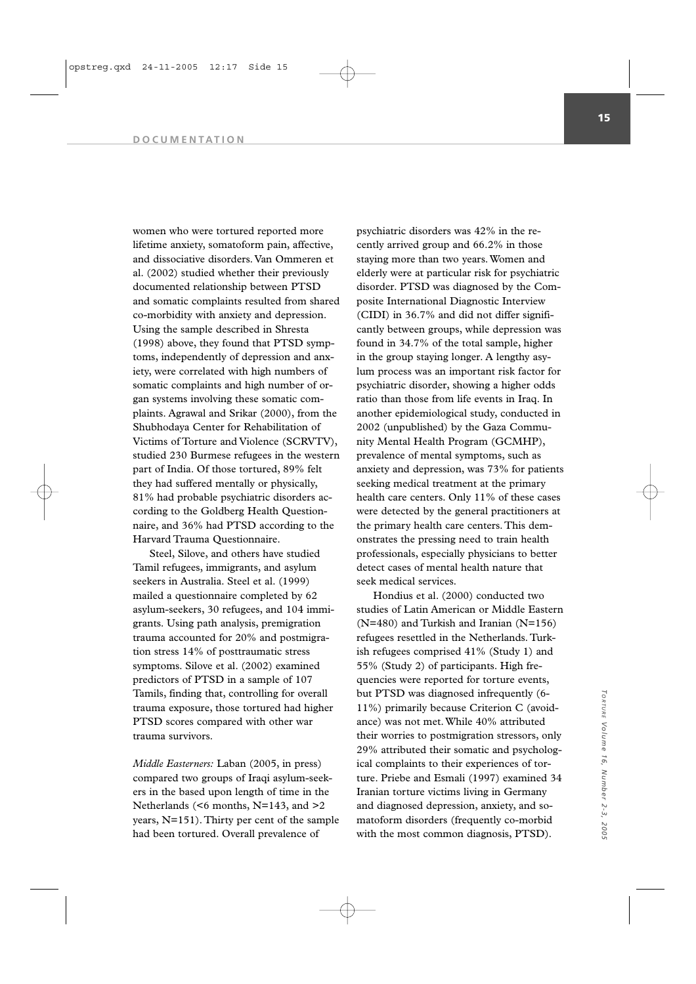women who were tortured reported more lifetime anxiety, somatoform pain, affective, and dissociative disorders. Van Ommeren et al. (2002) studied whether their previously documented relationship between PTSD and somatic complaints resulted from shared co-morbidity with anxiety and depression. Using the sample described in Shresta (1998) above, they found that PTSD symptoms, independently of depression and anxiety, were correlated with high numbers of somatic complaints and high number of organ systems involving these somatic complaints. Agrawal and Srikar (2000), from the Shubhodaya Center for Rehabilitation of Victims of Torture and Violence (SCRVTV), studied 230 Burmese refugees in the western part of India. Of those tortured, 89% felt they had suffered mentally or physically, 81% had probable psychiatric disorders according to the Goldberg Health Questionnaire, and 36% had PTSD according to the Harvard Trauma Questionnaire.

Steel, Silove, and others have studied Tamil refugees, immigrants, and asylum seekers in Australia. Steel et al. (1999) mailed a questionnaire completed by 62 asylum-seekers, 30 refugees, and 104 immigrants. Using path analysis, premigration trauma accounted for 20% and postmigration stress 14% of posttraumatic stress symptoms. Silove et al. (2002) examined predictors of PTSD in a sample of 107 Tamils, finding that, controlling for overall trauma exposure, those tortured had higher PTSD scores compared with other war trauma survivors.

*Middle Easterners:* Laban (2005, in press) compared two groups of Iraqi asylum-seekers in the based upon length of time in the Netherlands (<6 months, N=143, and >2 years, N=151). Thirty per cent of the sample had been tortured. Overall prevalence of

psychiatric disorders was 42% in the recently arrived group and 66.2% in those staying more than two years. Women and elderly were at particular risk for psychiatric disorder. PTSD was diagnosed by the Composite International Diagnostic Interview (CIDI) in 36.7% and did not differ significantly between groups, while depression was found in 34.7% of the total sample, higher in the group staying longer. A lengthy asylum process was an important risk factor for psychiatric disorder, showing a higher odds ratio than those from life events in Iraq. In another epidemiological study, conducted in 2002 (unpublished) by the Gaza Community Mental Health Program (GCMHP), prevalence of mental symptoms, such as anxiety and depression, was 73% for patients seeking medical treatment at the primary health care centers. Only 11% of these cases were detected by the general practitioners at the primary health care centers. This demonstrates the pressing need to train health professionals, especially physicians to better detect cases of mental health nature that seek medical services.

Hondius et al. (2000) conducted two studies of Latin American or Middle Eastern (N=480) and Turkish and Iranian (N=156) refugees resettled in the Netherlands. Turkish refugees comprised 41% (Study 1) and 55% (Study 2) of participants. High frequencies were reported for torture events, but PTSD was diagnosed infrequently (6- 11%) primarily because Criterion C (avoidance) was not met. While 40% attributed their worries to postmigration stressors, only 29% attributed their somatic and psychological complaints to their experiences of torture. Priebe and Esmali (1997) examined 34 Iranian torture victims living in Germany and diagnosed depression, anxiety, and somatoform disorders (frequently co-morbid with the most common diagnosis, PTSD).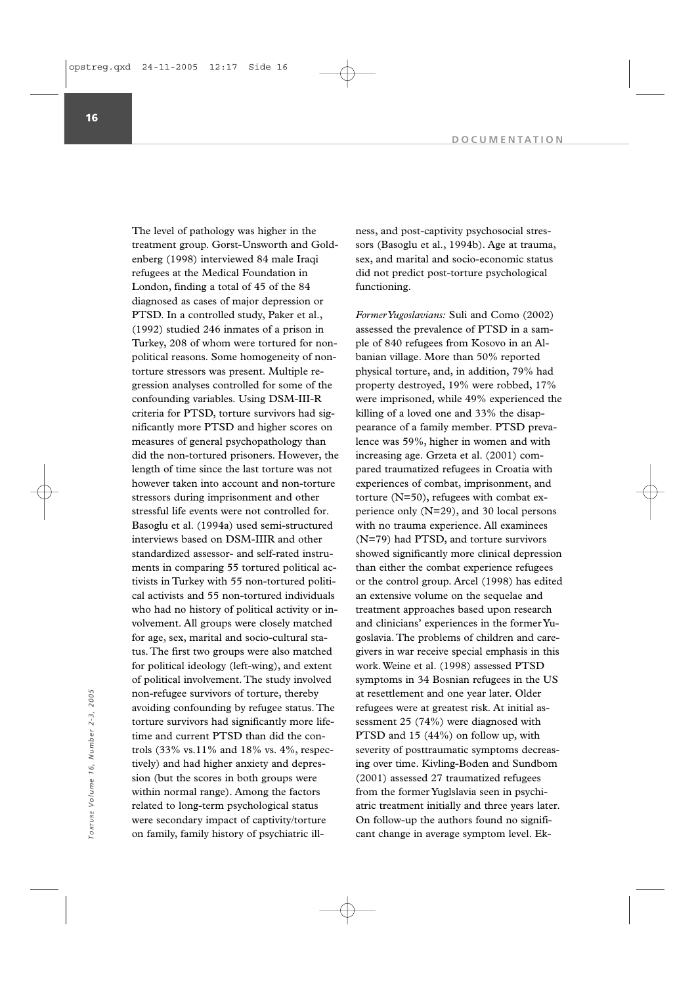The level of pathology was higher in the treatment group. Gorst-Unsworth and Goldenberg (1998) interviewed 84 male Iraqi refugees at the Medical Foundation in London, finding a total of 45 of the 84 diagnosed as cases of major depression or PTSD. In a controlled study, Paker et al., (1992) studied 246 inmates of a prison in Turkey, 208 of whom were tortured for nonpolitical reasons. Some homogeneity of nontorture stressors was present. Multiple regression analyses controlled for some of the confounding variables. Using DSM-III-R criteria for PTSD, torture survivors had significantly more PTSD and higher scores on measures of general psychopathology than did the non-tortured prisoners. However, the length of time since the last torture was not however taken into account and non-torture stressors during imprisonment and other stressful life events were not controlled for. Basoglu et al. (1994a) used semi-structured interviews based on DSM-IIIR and other standardized assessor- and self-rated instruments in comparing 55 tortured political activists in Turkey with 55 non-tortured political activists and 55 non-tortured individuals who had no history of political activity or involvement. All groups were closely matched for age, sex, marital and socio-cultural status. The first two groups were also matched for political ideology (left-wing), and extent of political involvement. The study involved non-refugee survivors of torture, thereby avoiding confounding by refugee status. The torture survivors had significantly more lifetime and current PTSD than did the controls (33% vs.11% and 18% vs. 4%, respectively) and had higher anxiety and depression (but the scores in both groups were within normal range). Among the factors related to long-term psychological status were secondary impact of captivity/torture on family, family history of psychiatric illnon-refugee survivors of torture, thereby<br>
a the refugees were at greatest risk. At initial as-<br>
torture survivors had significantly more life-<br>
in and current PTSD than did the con-<br>
TSD and 15 (44%) on follow up, with<br>
t

ness, and post-captivity psychosocial stressors (Basoglu et al., 1994b). Age at trauma, sex, and marital and socio-economic status did not predict post-torture psychological functioning.

*Former Yugoslavians:* Suli and Como (2002) assessed the prevalence of PTSD in a sample of 840 refugees from Kosovo in an Albanian village. More than 50% reported physical torture, and, in addition, 79% had property destroyed, 19% were robbed, 17% were imprisoned, while 49% experienced the killing of a loved one and 33% the disappearance of a family member. PTSD prevalence was 59%, higher in women and with increasing age. Grzeta et al. (2001) compared traumatized refugees in Croatia with experiences of combat, imprisonment, and torture (N=50), refugees with combat experience only (N=29), and 30 local persons with no trauma experience. All examinees (N=79) had PTSD, and torture survivors showed significantly more clinical depression than either the combat experience refugees or the control group. Arcel (1998) has edited an extensive volume on the sequelae and treatment approaches based upon research and clinicians' experiences in the former Yugoslavia. The problems of children and caregivers in war receive special emphasis in this work. Weine et al. (1998) assessed PTSD symptoms in 34 Bosnian refugees in the US at resettlement and one year later. Older refugees were at greatest risk. At initial assessment 25 (74%) were diagnosed with PTSD and 15 (44%) on follow up, with severity of posttraumatic symptoms decreasing over time. Kivling-Boden and Sundbom (2001) assessed 27 traumatized refugees from the former Yuglslavia seen in psychiatric treatment initially and three years later. On follow-up the authors found no signifi-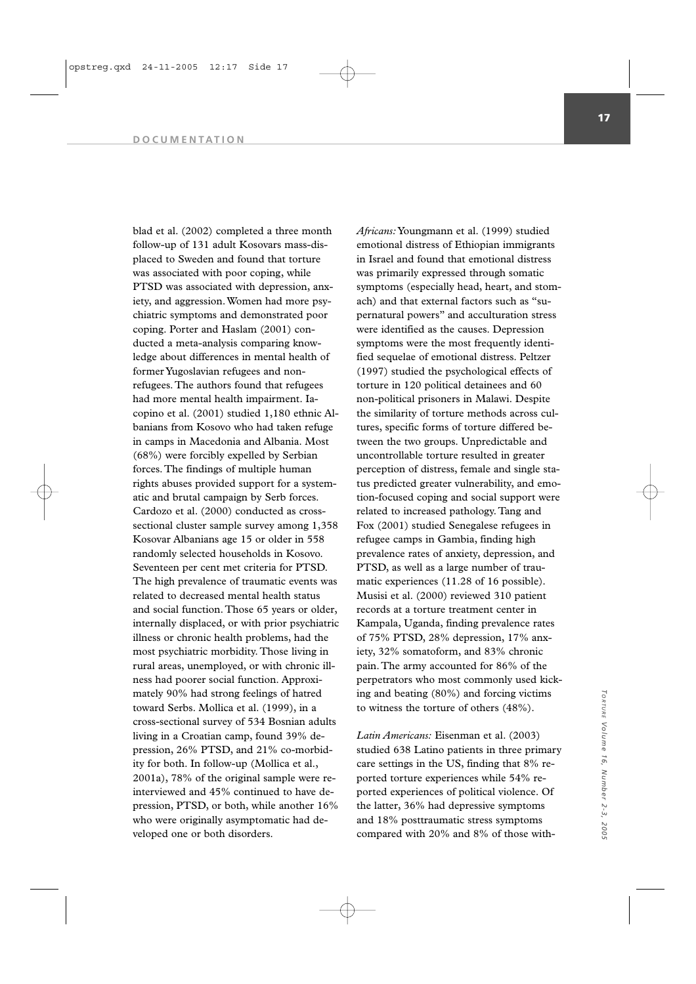blad et al. (2002) completed a three month follow-up of 131 adult Kosovars mass-displaced to Sweden and found that torture was associated with poor coping, while PTSD was associated with depression, anxiety, and aggression. Women had more psychiatric symptoms and demonstrated poor coping. Porter and Haslam (2001) conducted a meta-analysis comparing knowledge about differences in mental health of former Yugoslavian refugees and nonrefugees. The authors found that refugees had more mental health impairment. Iacopino et al. (2001) studied 1,180 ethnic Albanians from Kosovo who had taken refuge in camps in Macedonia and Albania. Most (68%) were forcibly expelled by Serbian forces. The findings of multiple human rights abuses provided support for a systematic and brutal campaign by Serb forces. Cardozo et al. (2000) conducted as crosssectional cluster sample survey among 1,358 Kosovar Albanians age 15 or older in 558 randomly selected households in Kosovo. Seventeen per cent met criteria for PTSD. The high prevalence of traumatic events was related to decreased mental health status and social function. Those 65 years or older, internally displaced, or with prior psychiatric illness or chronic health problems, had the most psychiatric morbidity. Those living in rural areas, unemployed, or with chronic illness had poorer social function. Approximately 90% had strong feelings of hatred toward Serbs. Mollica et al. (1999), in a cross-sectional survey of 534 Bosnian adults living in a Croatian camp, found 39% depression, 26% PTSD, and 21% co-morbidity for both. In follow-up (Mollica et al., 2001a), 78% of the original sample were reinterviewed and 45% continued to have depression, PTSD, or both, while another 16% who were originally asymptomatic had developed one or both disorders.

*Africans:*Youngmann et al. (1999) studied emotional distress of Ethiopian immigrants in Israel and found that emotional distress was primarily expressed through somatic symptoms (especially head, heart, and stomach) and that external factors such as "supernatural powers" and acculturation stress were identified as the causes. Depression symptoms were the most frequently identified sequelae of emotional distress. Peltzer (1997) studied the psychological effects of torture in 120 political detainees and 60 non-political prisoners in Malawi. Despite the similarity of torture methods across cultures, specific forms of torture differed between the two groups. Unpredictable and uncontrollable torture resulted in greater perception of distress, female and single status predicted greater vulnerability, and emotion-focused coping and social support were related to increased pathology. Tang and Fox (2001) studied Senegalese refugees in refugee camps in Gambia, finding high prevalence rates of anxiety, depression, and PTSD, as well as a large number of traumatic experiences (11.28 of 16 possible). Musisi et al. (2000) reviewed 310 patient records at a torture treatment center in Kampala, Uganda, finding prevalence rates of 75% PTSD, 28% depression, 17% anxiety, 32% somatoform, and 83% chronic pain. The army accounted for 86% of the perpetrators who most commonly used kicking and beating (80%) and forcing victims to witness the torture of others (48%).

*Latin Americans:* Eisenman et al. (2003) studied 638 Latino patients in three primary care settings in the US, finding that 8% reported torture experiences while 54% reported experiences of political violence. Of the latter, 36% had depressive symptoms and 18% posttraumatic stress symptoms compared with 20% and 8% of those with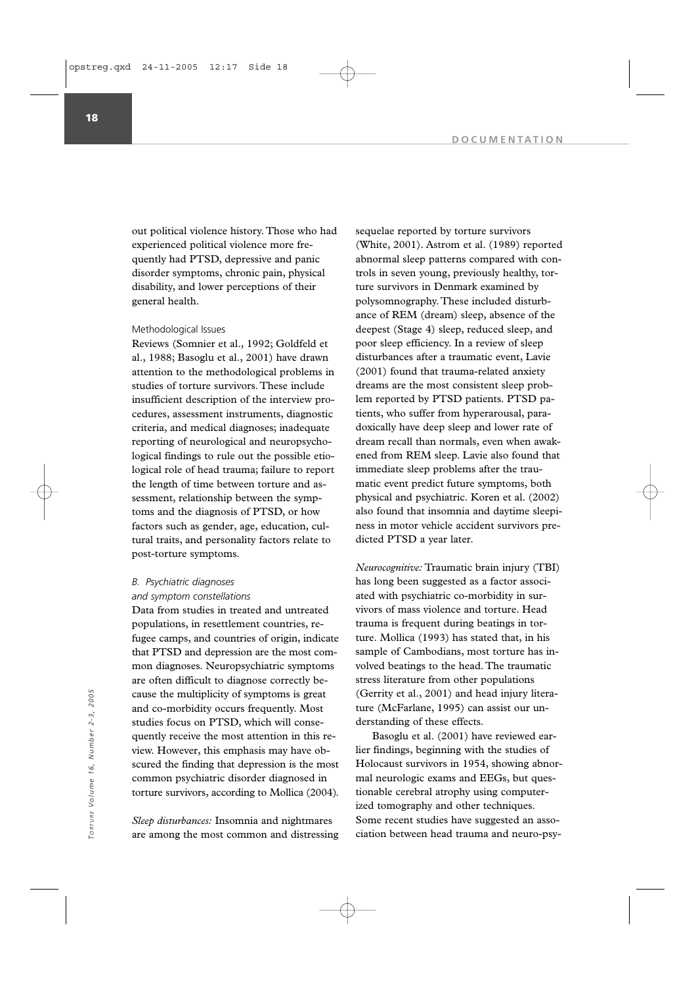out political violence history. Those who had experienced political violence more frequently had PTSD, depressive and panic disorder symptoms, chronic pain, physical disability, and lower perceptions of their general health.

# Methodological Issues

Reviews (Somnier et al., 1992; Goldfeld et al., 1988; Basoglu et al., 2001) have drawn attention to the methodological problems in studies of torture survivors. These include insufficient description of the interview procedures, assessment instruments, diagnostic criteria, and medical diagnoses; inadequate reporting of neurological and neuropsychological findings to rule out the possible etiological role of head trauma; failure to report the length of time between torture and assessment, relationship between the symptoms and the diagnosis of PTSD, or how factors such as gender, age, education, cultural traits, and personality factors relate to post-torture symptoms.

# *B. Psychiatric diagnoses and symptom constellations*

Data from studies in treated and untreated populations, in resettlement countries, refugee camps, and countries of origin, indicate that PTSD and depression are the most common diagnoses. Neuropsychiatric symptoms are often difficult to diagnose correctly because the multiplicity of symptoms is great and co-morbidity occurs frequently. Most studies focus on PTSD, which will consequently receive the most attention in this review. However, this emphasis may have obscured the finding that depression is the most common psychiatric disorder diagnosed in torture survivors, according to Mollica (2004).

*Sleep disturbances:* Insomnia and nightmares are among the most common and distressing sequelae reported by torture survivors (White, 2001). Astrom et al. (1989) reported abnormal sleep patterns compared with controls in seven young, previously healthy, torture survivors in Denmark examined by polysomnography. These included disturbance of REM (dream) sleep, absence of the deepest (Stage 4) sleep, reduced sleep, and poor sleep efficiency. In a review of sleep disturbances after a traumatic event, Lavie (2001) found that trauma-related anxiety dreams are the most consistent sleep problem reported by PTSD patients. PTSD patients, who suffer from hyperarousal, paradoxically have deep sleep and lower rate of dream recall than normals, even when awakened from REM sleep. Lavie also found that immediate sleep problems after the traumatic event predict future symptoms, both physical and psychiatric. Koren et al. (2002) also found that insomnia and daytime sleepiness in motor vehicle accident survivors predicted PTSD a year later.

*Neurocognitive:* Traumatic brain injury (TBI) has long been suggested as a factor associated with psychiatric co-morbidity in survivors of mass violence and torture. Head trauma is frequent during beatings in torture. Mollica (1993) has stated that, in his sample of Cambodians, most torture has involved beatings to the head. The traumatic stress literature from other populations (Gerrity et al., 2001) and head injury literature (McFarlane, 1995) can assist our understanding of these effects.

Basoglu et al. (2001) have reviewed earlier findings, beginning with the studies of Holocaust survivors in 1954, showing abnormal neurologic exams and EEGs, but questionable cerebral atrophy using computerized tomography and other techniques. Some recent studies have suggested an assocause the multiplicity of symptoms is great (Gerrity et al., 2001) and head injury litera-<br>and co-morbidity occurs frequently. Most ture (McFarlane, 1995) can assist our un-<br>studies focus on PTSD, which will conse-<br>derstan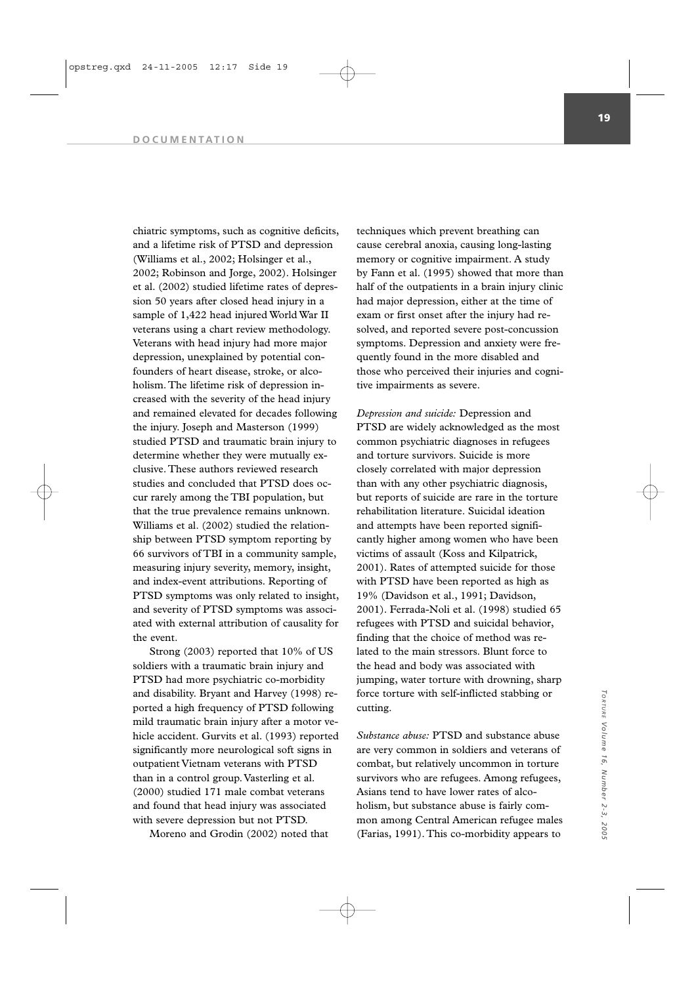chiatric symptoms, such as cognitive deficits, and a lifetime risk of PTSD and depression (Williams et al., 2002; Holsinger et al., 2002; Robinson and Jorge, 2002). Holsinger et al. (2002) studied lifetime rates of depression 50 years after closed head injury in a sample of 1,422 head injured World War II veterans using a chart review methodology. Veterans with head injury had more major depression, unexplained by potential confounders of heart disease, stroke, or alcoholism. The lifetime risk of depression increased with the severity of the head injury and remained elevated for decades following the injury. Joseph and Masterson (1999) studied PTSD and traumatic brain injury to determine whether they were mutually exclusive. These authors reviewed research studies and concluded that PTSD does occur rarely among the TBI population, but that the true prevalence remains unknown. Williams et al. (2002) studied the relationship between PTSD symptom reporting by 66 survivors of TBI in a community sample, measuring injury severity, memory, insight, and index-event attributions. Reporting of PTSD symptoms was only related to insight, and severity of PTSD symptoms was associated with external attribution of causality for the event.

Strong (2003) reported that 10% of US soldiers with a traumatic brain injury and PTSD had more psychiatric co-morbidity and disability. Bryant and Harvey (1998) reported a high frequency of PTSD following mild traumatic brain injury after a motor vehicle accident. Gurvits et al. (1993) reported significantly more neurological soft signs in outpatient Vietnam veterans with PTSD than in a control group. Vasterling et al. (2000) studied 171 male combat veterans and found that head injury was associated with severe depression but not PTSD.

Moreno and Grodin (2002) noted that

techniques which prevent breathing can cause cerebral anoxia, causing long-lasting memory or cognitive impairment. A study by Fann et al. (1995) showed that more than half of the outpatients in a brain injury clinic had major depression, either at the time of exam or first onset after the injury had resolved, and reported severe post-concussion symptoms. Depression and anxiety were frequently found in the more disabled and those who perceived their injuries and cognitive impairments as severe.

*Depression and suicide:* Depression and PTSD are widely acknowledged as the most common psychiatric diagnoses in refugees and torture survivors. Suicide is more closely correlated with major depression than with any other psychiatric diagnosis, but reports of suicide are rare in the torture rehabilitation literature. Suicidal ideation and attempts have been reported significantly higher among women who have been victims of assault (Koss and Kilpatrick, 2001). Rates of attempted suicide for those with PTSD have been reported as high as 19% (Davidson et al., 1991; Davidson, 2001). Ferrada-Noli et al. (1998) studied 65 refugees with PTSD and suicidal behavior, finding that the choice of method was related to the main stressors. Blunt force to the head and body was associated with jumping, water torture with drowning, sharp force torture with self-inflicted stabbing or cutting.

*Substance abuse:* PTSD and substance abuse are very common in soldiers and veterans of combat, but relatively uncommon in torture survivors who are refugees. Among refugees, Asians tend to have lower rates of alcoholism, but substance abuse is fairly common among Central American refugee males (Farias, 1991). This co-morbidity appears to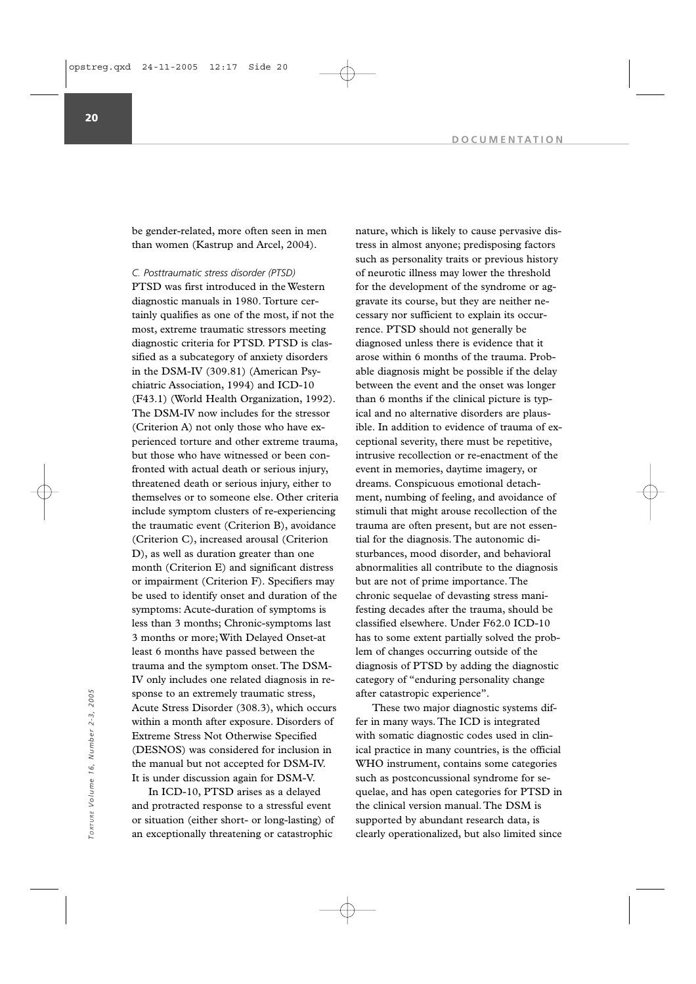be gender-related, more often seen in men than women (Kastrup and Arcel, 2004).

*C. Posttraumatic stress disorder (PTSD)* 

PTSD was first introduced in the Western diagnostic manuals in 1980. Torture certainly qualifies as one of the most, if not the most, extreme traumatic stressors meeting diagnostic criteria for PTSD. PTSD is classified as a subcategory of anxiety disorders in the DSM-IV (309.81) (American Psychiatric Association, 1994) and ICD-10 (F43.1) (World Health Organization, 1992). The DSM-IV now includes for the stressor (Criterion A) not only those who have experienced torture and other extreme trauma, but those who have witnessed or been confronted with actual death or serious injury, threatened death or serious injury, either to themselves or to someone else. Other criteria include symptom clusters of re-experiencing the traumatic event (Criterion B), avoidance (Criterion C), increased arousal (Criterion D), as well as duration greater than one month (Criterion E) and significant distress or impairment (Criterion F). Specifiers may be used to identify onset and duration of the symptoms: Acute-duration of symptoms is less than 3 months; Chronic-symptoms last 3 months or more; With Delayed Onset-at least 6 months have passed between the trauma and the symptom onset. The DSM-IV only includes one related diagnosis in response to an extremely traumatic stress, Acute Stress Disorder (308.3), which occurs within a month after exposure. Disorders of Extreme Stress Not Otherwise Specified (DESNOS) was considered for inclusion in the manual but not accepted for DSM-IV. It is under discussion again for DSM-V.

In ICD-10, PTSD arises as a delayed and protracted response to a stressful event or situation (either short- or long-lasting) of an exceptionally threatening or catastrophic

nature, which is likely to cause pervasive distress in almost anyone; predisposing factors such as personality traits or previous history of neurotic illness may lower the threshold for the development of the syndrome or aggravate its course, but they are neither necessary nor sufficient to explain its occurrence. PTSD should not generally be diagnosed unless there is evidence that it arose within 6 months of the trauma. Probable diagnosis might be possible if the delay between the event and the onset was longer than 6 months if the clinical picture is typical and no alternative disorders are plausible. In addition to evidence of trauma of exceptional severity, there must be repetitive, intrusive recollection or re-enactment of the event in memories, daytime imagery, or dreams. Conspicuous emotional detachment, numbing of feeling, and avoidance of stimuli that might arouse recollection of the trauma are often present, but are not essential for the diagnosis. The autonomic disturbances, mood disorder, and behavioral abnormalities all contribute to the diagnosis but are not of prime importance. The chronic sequelae of devasting stress manifesting decades after the trauma, should be classified elsewhere. Under F62.0 ICD-10 has to some extent partially solved the problem of changes occurring outside of the diagnosis of PTSD by adding the diagnostic category of "enduring personality change after catastropic experience".

These two major diagnostic systems differ in many ways. The ICD is integrated with somatic diagnostic codes used in clinical practice in many countries, is the official WHO instrument, contains some categories such as postconcussional syndrome for sequelae, and has open categories for PTSD in the clinical version manual. The DSM is supported by abundant research data, is sponse to an extremely traumatic stress,<br>
Acute Stress Disorder (308.3), which occurs<br>
These two major diagnostic systems dif-<br>
within a month after exposure. Disorders of<br>
Extreme Stress Not Otherwise Specified<br>
Extreme S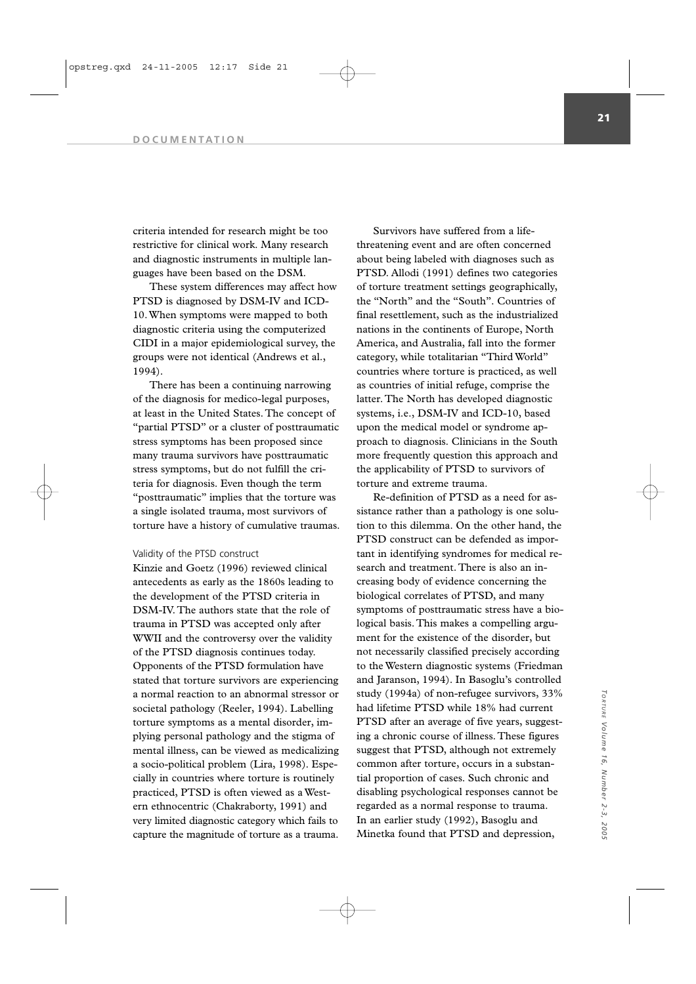criteria intended for research might be too restrictive for clinical work. Many research and diagnostic instruments in multiple languages have been based on the DSM.

These system differences may affect how PTSD is diagnosed by DSM-IV and ICD-10. When symptoms were mapped to both diagnostic criteria using the computerized CIDI in a major epidemiological survey, the groups were not identical (Andrews et al., 1994).

There has been a continuing narrowing of the diagnosis for medico-legal purposes, at least in the United States. The concept of "partial PTSD" or a cluster of posttraumatic stress symptoms has been proposed since many trauma survivors have posttraumatic stress symptoms, but do not fulfill the criteria for diagnosis. Even though the term "posttraumatic" implies that the torture was a single isolated trauma, most survivors of torture have a history of cumulative traumas.

# Validity of the PTSD construct

Kinzie and Goetz (1996) reviewed clinical antecedents as early as the 1860s leading to the development of the PTSD criteria in DSM-IV. The authors state that the role of trauma in PTSD was accepted only after WWII and the controversy over the validity of the PTSD diagnosis continues today. Opponents of the PTSD formulation have stated that torture survivors are experiencing a normal reaction to an abnormal stressor or societal pathology (Reeler, 1994). Labelling torture symptoms as a mental disorder, implying personal pathology and the stigma of mental illness, can be viewed as medicalizing a socio-political problem (Lira, 1998). Especially in countries where torture is routinely practiced, PTSD is often viewed as a Western ethnocentric (Chakraborty, 1991) and very limited diagnostic category which fails to capture the magnitude of torture as a trauma.

Survivors have suffered from a lifethreatening event and are often concerned about being labeled with diagnoses such as PTSD. Allodi (1991) defines two categories of torture treatment settings geographically, the "North" and the "South". Countries of final resettlement, such as the industrialized nations in the continents of Europe, North America, and Australia, fall into the former category, while totalitarian "Third World" countries where torture is practiced, as well as countries of initial refuge, comprise the latter. The North has developed diagnostic systems, i.e., DSM-IV and ICD-10, based upon the medical model or syndrome approach to diagnosis. Clinicians in the South more frequently question this approach and the applicability of PTSD to survivors of torture and extreme trauma.

Re-definition of PTSD as a need for assistance rather than a pathology is one solution to this dilemma. On the other hand, the PTSD construct can be defended as important in identifying syndromes for medical research and treatment. There is also an increasing body of evidence concerning the biological correlates of PTSD, and many symptoms of posttraumatic stress have a biological basis. This makes a compelling argument for the existence of the disorder, but not necessarily classified precisely according to the Western diagnostic systems (Friedman and Jaranson, 1994). In Basoglu's controlled study (1994a) of non-refugee survivors, 33% had lifetime PTSD while 18% had current PTSD after an average of five years, suggesting a chronic course of illness. These figures suggest that PTSD, although not extremely common after torture, occurs in a substantial proportion of cases. Such chronic and disabling psychological responses cannot be regarded as a normal response to trauma. In an earlier study (1992), Basoglu and Minetka found that PTSD and depression,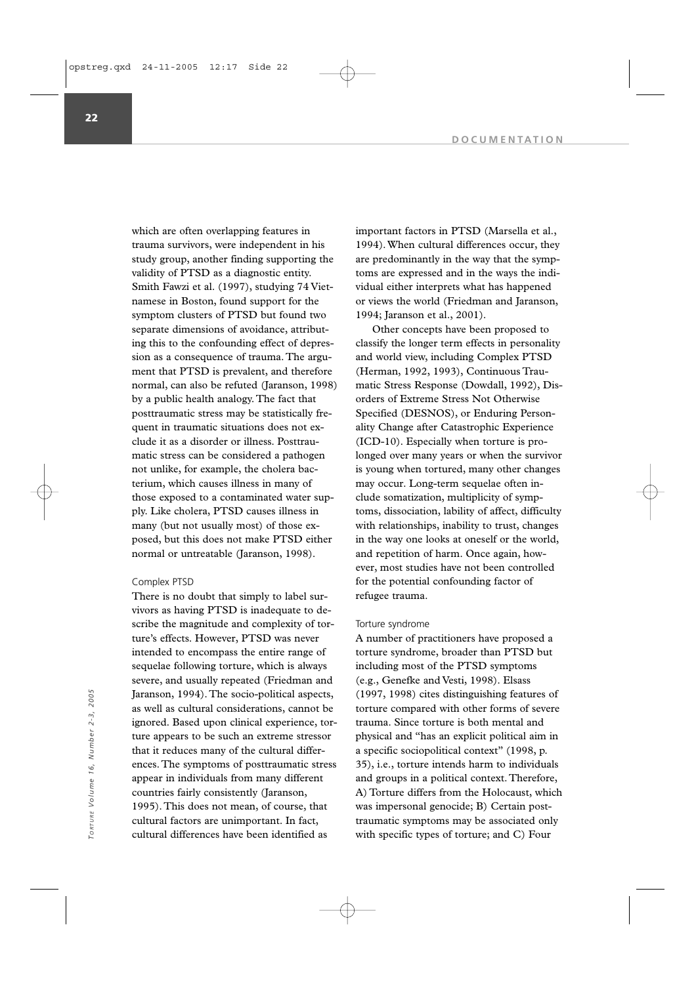which are often overlapping features in trauma survivors, were independent in his study group, another finding supporting the validity of PTSD as a diagnostic entity. Smith Fawzi et al. (1997), studying 74 Vietnamese in Boston, found support for the symptom clusters of PTSD but found two separate dimensions of avoidance, attributing this to the confounding effect of depression as a consequence of trauma. The argument that PTSD is prevalent, and therefore normal, can also be refuted (Jaranson, 1998) by a public health analogy. The fact that posttraumatic stress may be statistically frequent in traumatic situations does not exclude it as a disorder or illness. Posttraumatic stress can be considered a pathogen not unlike, for example, the cholera bacterium, which causes illness in many of those exposed to a contaminated water supply. Like cholera, PTSD causes illness in many (but not usually most) of those exposed, but this does not make PTSD either normal or untreatable (Jaranson, 1998).

### Complex PTSD

There is no doubt that simply to label survivors as having PTSD is inadequate to describe the magnitude and complexity of torture's effects. However, PTSD was never intended to encompass the entire range of sequelae following torture, which is always severe, and usually repeated (Friedman and Jaranson, 1994). The socio-political aspects, as well as cultural considerations, cannot be ignored. Based upon clinical experience, torture appears to be such an extreme stressor that it reduces many of the cultural differences. The symptoms of posttraumatic stress appear in individuals from many different countries fairly consistently (Jaranson, 1995). This does not mean, of course, that cultural factors are unimportant. In fact, cultural differences have been identified as Jaranson, 1994). The socio-political aspects, (1997, 1998) cites distinguishing features of an explored. Based upon clinical experience, tor-<br>  $\frac{1}{2}$   $\frac{1}{2}$   $\frac{1}{2}$   $\frac{1}{2}$  and  $\frac{1}{2}$  that it reduces many of

important factors in PTSD (Marsella et al., 1994). When cultural differences occur, they are predominantly in the way that the symptoms are expressed and in the ways the individual either interprets what has happened or views the world (Friedman and Jaranson, 1994; Jaranson et al., 2001).

Other concepts have been proposed to classify the longer term effects in personality and world view, including Complex PTSD (Herman, 1992, 1993), Continuous Traumatic Stress Response (Dowdall, 1992), Disorders of Extreme Stress Not Otherwise Specified (DESNOS), or Enduring Personality Change after Catastrophic Experience (ICD-10). Especially when torture is prolonged over many years or when the survivor is young when tortured, many other changes may occur. Long-term sequelae often include somatization, multiplicity of symptoms, dissociation, lability of affect, difficulty with relationships, inability to trust, changes in the way one looks at oneself or the world, and repetition of harm. Once again, however, most studies have not been controlled for the potential confounding factor of refugee trauma.

#### Torture syndrome

A number of practitioners have proposed a torture syndrome, broader than PTSD but including most of the PTSD symptoms (e.g., Genefke and Vesti, 1998). Elsass (1997, 1998) cites distinguishing features of torture compared with other forms of severe trauma. Since torture is both mental and physical and "has an explicit political aim in a specific sociopolitical context" (1998, p. 35), i.e., torture intends harm to individuals and groups in a political context. Therefore, A) Torture differs from the Holocaust, which was impersonal genocide; B) Certain posttraumatic symptoms may be associated only

**22**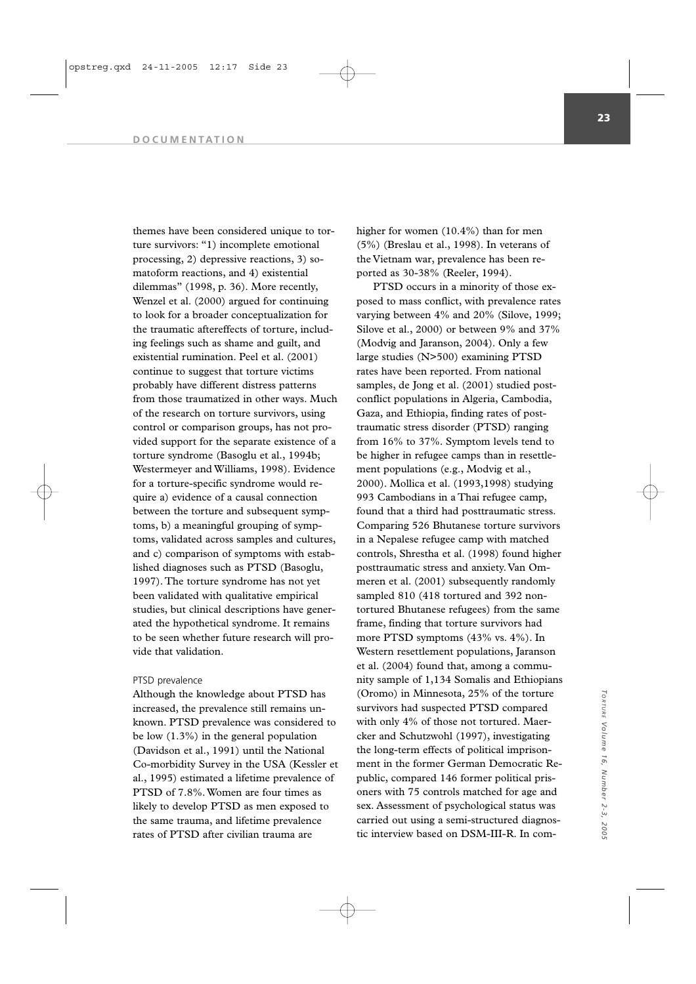themes have been considered unique to torture survivors: "1) incomplete emotional processing, 2) depressive reactions, 3) somatoform reactions, and 4) existential dilemmas" (1998, p. 36). More recently, Wenzel et al. (2000) argued for continuing to look for a broader conceptualization for the traumatic aftereffects of torture, including feelings such as shame and guilt, and existential rumination. Peel et al. (2001) continue to suggest that torture victims probably have different distress patterns from those traumatized in other ways. Much of the research on torture survivors, using control or comparison groups, has not provided support for the separate existence of a torture syndrome (Basoglu et al., 1994b; Westermeyer and Williams, 1998). Evidence for a torture-specific syndrome would require a) evidence of a causal connection between the torture and subsequent symptoms, b) a meaningful grouping of symptoms, validated across samples and cultures, and c) comparison of symptoms with established diagnoses such as PTSD (Basoglu, 1997). The torture syndrome has not yet been validated with qualitative empirical studies, but clinical descriptions have generated the hypothetical syndrome. It remains to be seen whether future research will provide that validation.

### PTSD prevalence

Although the knowledge about PTSD has increased, the prevalence still remains unknown. PTSD prevalence was considered to be low (1.3%) in the general population (Davidson et al., 1991) until the National Co-morbidity Survey in the USA (Kessler et al., 1995) estimated a lifetime prevalence of PTSD of 7.8%. Women are four times as likely to develop PTSD as men exposed to the same trauma, and lifetime prevalence rates of PTSD after civilian trauma are

higher for women (10.4%) than for men (5%) (Breslau et al., 1998). In veterans of the Vietnam war, prevalence has been reported as 30-38% (Reeler, 1994).

PTSD occurs in a minority of those exposed to mass conflict, with prevalence rates varying between 4% and 20% (Silove, 1999; Silove et al., 2000) or between 9% and 37% (Modvig and Jaranson, 2004). Only a few large studies (N>500) examining PTSD rates have been reported. From national samples, de Jong et al. (2001) studied postconflict populations in Algeria, Cambodia, Gaza, and Ethiopia, finding rates of posttraumatic stress disorder (PTSD) ranging from 16% to 37%. Symptom levels tend to be higher in refugee camps than in resettlement populations (e.g., Modvig et al., 2000). Mollica et al. (1993,1998) studying 993 Cambodians in a Thai refugee camp, found that a third had posttraumatic stress. Comparing 526 Bhutanese torture survivors in a Nepalese refugee camp with matched controls, Shrestha et al. (1998) found higher posttraumatic stress and anxiety. Van Ommeren et al. (2001) subsequently randomly sampled 810 (418 tortured and 392 nontortured Bhutanese refugees) from the same frame, finding that torture survivors had more PTSD symptoms (43% vs. 4%). In Western resettlement populations, Jaranson et al. (2004) found that, among a community sample of 1,134 Somalis and Ethiopians (Oromo) in Minnesota, 25% of the torture survivors had suspected PTSD compared with only 4% of those not tortured. Maercker and Schutzwohl (1997), investigating the long-term effects of political imprisonment in the former German Democratic Republic, compared 146 former political prisoners with 75 controls matched for age and sex. Assessment of psychological status was carried out using a semi-structured diagnostic interview based on DSM-III-R. In com-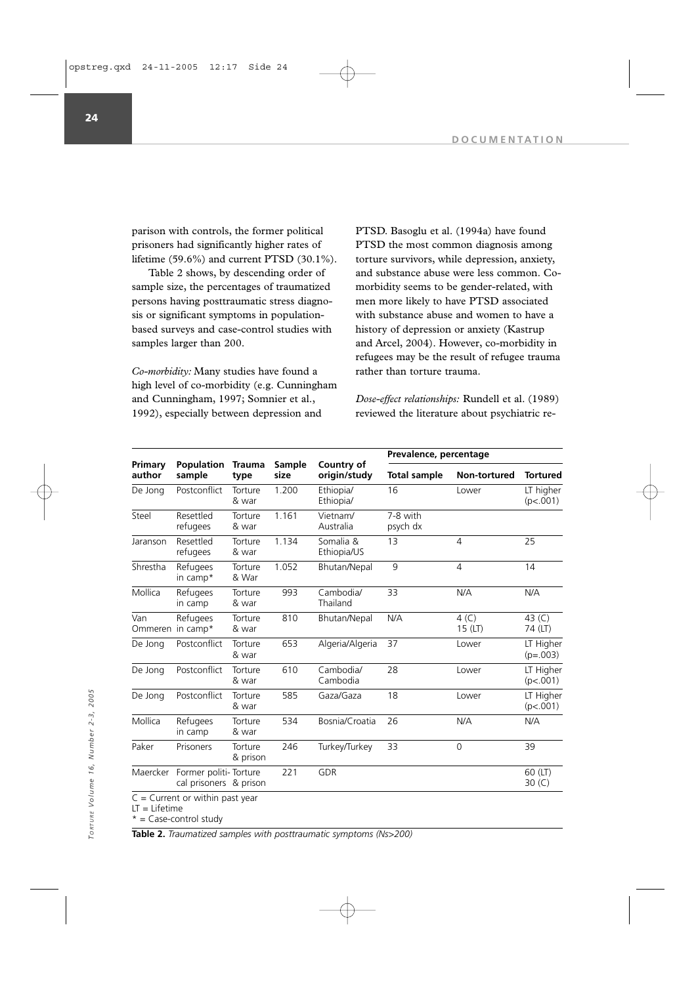parison with controls, the former political prisoners had significantly higher rates of lifetime (59.6%) and current PTSD (30.1%).

Table 2 shows, by descending order of sample size, the percentages of traumatized persons having posttraumatic stress diagnosis or significant symptoms in populationbased surveys and case-control studies with samples larger than 200.

*Co-morbidity:* Many studies have found a high level of co-morbidity (e.g. Cunningham and Cunningham, 1997; Somnier et al., 1992), especially between depression and

PTSD. Basoglu et al. (1994a) have found PTSD the most common diagnosis among torture survivors, while depression, anxiety, and substance abuse were less common. Comorbidity seems to be gender-related, with men more likely to have PTSD associated with substance abuse and women to have a history of depression or anxiety (Kastrup and Arcel, 2004). However, co-morbidity in refugees may be the result of refugee trauma rather than torture trauma.

*Dose-effect relationships:* Rundell et al. (1989) reviewed the literature about psychiatric re-

|                         |                                                 |                       |                |                            | Prevalence, percentage |                   |                         |
|-------------------------|-------------------------------------------------|-----------------------|----------------|----------------------------|------------------------|-------------------|-------------------------|
| Primary<br>author       | <b>Population</b><br>sample                     | <b>Trauma</b><br>type | Sample<br>size | Country of<br>origin/study | <b>Total sample</b>    | Non-tortured      | <b>Tortured</b>         |
| De Jong                 | Postconflict                                    | Torture<br>& war      | 1.200          | Ethiopia/<br>Ethiopia/     | 16                     | Lower             | LT higher<br>(p<.001)   |
| Steel                   | Resettled<br>refugees                           | Torture<br>& war      | 1.161          | Vietnam/<br>Australia      | 7-8 with<br>psych dx   |                   |                         |
| Jaranson                | Resettled<br>refugees                           | Torture<br>& war      | 1.134          | Somalia &<br>Ethiopia/US   | 13                     | $\overline{4}$    | 25                      |
| Shrestha                | Refugees<br>in camp*                            | Torture<br>& War      | 1.052          | Bhutan/Nepal               | 9                      | $\overline{4}$    | 14                      |
| Mollica                 | Refugees<br>in camp                             | Torture<br>& war      | 993            | Cambodia/<br>Thailand      | 33                     | N/A               | N/A                     |
| Van<br>Ommeren in camp* | Refugees                                        | Torture<br>& war      | 810            | Bhutan/Nepal               | N/A                    | 4(C)<br>$15$ (LT) | 43 $(C)$<br>74 (LT)     |
| De Jong                 | Postconflict                                    | Torture<br>& war      | 653            | Algeria/Algeria            | 37                     | Lower             | LT Higher<br>$(p=.003)$ |
| De Jong                 | Postconflict                                    | Torture<br>& war      | 610            | Cambodia/<br>Cambodia      | 28                     | Lower             | LT Higher<br>(p<.001)   |
| De Jong                 | Postconflict                                    | Torture<br>& war      | 585            | Gaza/Gaza                  | 18                     | Lower             | LT Higher<br>(p<.001)   |
| Mollica                 | Refugees<br>in camp                             | Torture<br>& war      | 534            | Bosnia/Croatia             | 26                     | N/A               | N/A                     |
| Paker                   | Prisoners                                       | Torture<br>& prison   | 246            | Turkey/Turkey              | 33                     | $\Omega$          | 39                      |
| Maercker                | Former politi-Torture<br>cal prisoners & prison |                       | 221            | <b>GDR</b>                 |                        |                   | 60 (LT)<br>30 $(C)$     |

LT = Lifetime

 $* =$  Case-control study

**Table 2.** *Traumatized samples with posttraumatic symptoms (Ns>200)*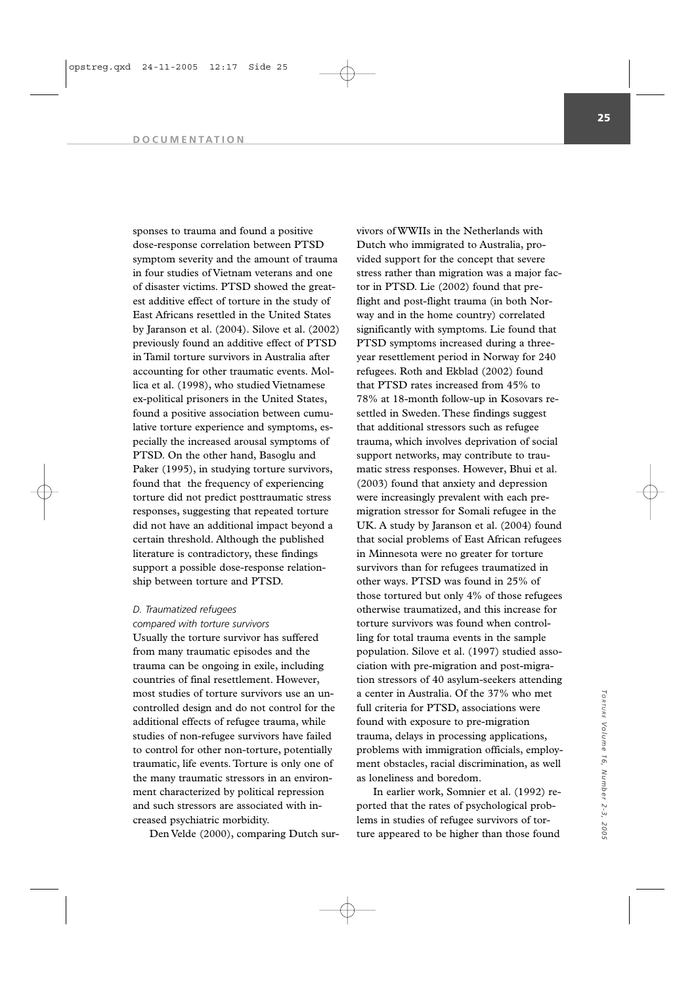sponses to trauma and found a positive dose-response correlation between PTSD symptom severity and the amount of trauma in four studies of Vietnam veterans and one of disaster victims. PTSD showed the greatest additive effect of torture in the study of East Africans resettled in the United States by Jaranson et al. (2004). Silove et al. (2002) previously found an additive effect of PTSD in Tamil torture survivors in Australia after accounting for other traumatic events. Mollica et al. (1998), who studied Vietnamese ex-political prisoners in the United States, found a positive association between cumulative torture experience and symptoms, especially the increased arousal symptoms of PTSD. On the other hand, Basoglu and Paker (1995), in studying torture survivors, found that the frequency of experiencing torture did not predict posttraumatic stress responses, suggesting that repeated torture did not have an additional impact beyond a certain threshold. Although the published literature is contradictory, these findings support a possible dose-response relationship between torture and PTSD.

# *D. Traumatized refugees*

*compared with torture survivors* Usually the torture survivor has suffered from many traumatic episodes and the trauma can be ongoing in exile, including countries of final resettlement. However, most studies of torture survivors use an uncontrolled design and do not control for the additional effects of refugee trauma, while studies of non-refugee survivors have failed to control for other non-torture, potentially traumatic, life events. Torture is only one of the many traumatic stressors in an environment characterized by political repression and such stressors are associated with increased psychiatric morbidity.

Den Velde (2000), comparing Dutch sur-

vivors of WWIIs in the Netherlands with Dutch who immigrated to Australia, provided support for the concept that severe stress rather than migration was a major factor in PTSD. Lie (2002) found that preflight and post-flight trauma (in both Norway and in the home country) correlated significantly with symptoms. Lie found that PTSD symptoms increased during a threeyear resettlement period in Norway for 240 refugees. Roth and Ekblad (2002) found that PTSD rates increased from 45% to 78% at 18-month follow-up in Kosovars resettled in Sweden. These findings suggest that additional stressors such as refugee trauma, which involves deprivation of social support networks, may contribute to traumatic stress responses. However, Bhui et al. (2003) found that anxiety and depression were increasingly prevalent with each premigration stressor for Somali refugee in the UK. A study by Jaranson et al. (2004) found that social problems of East African refugees in Minnesota were no greater for torture survivors than for refugees traumatized in other ways. PTSD was found in 25% of those tortured but only 4% of those refugees otherwise traumatized, and this increase for torture survivors was found when controlling for total trauma events in the sample population. Silove et al. (1997) studied association with pre-migration and post-migration stressors of 40 asylum-seekers attending a center in Australia. Of the 37% who met full criteria for PTSD, associations were found with exposure to pre-migration trauma, delays in processing applications, problems with immigration officials, employment obstacles, racial discrimination, as well as loneliness and boredom.

In earlier work, Somnier et al. (1992) reported that the rates of psychological problems in studies of refugee survivors of torture appeared to be higher than those found

*Volume 16, Number 2-3, 2005*

2005

Torrure Volume 16, Number 2-3,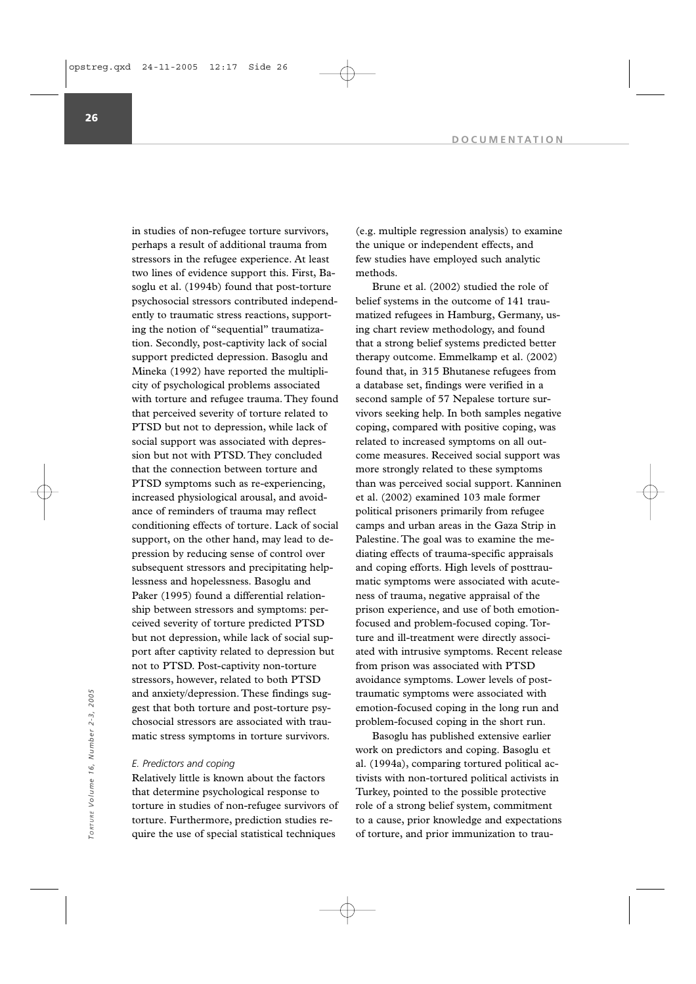in studies of non-refugee torture survivors, perhaps a result of additional trauma from stressors in the refugee experience. At least two lines of evidence support this. First, Basoglu et al. (1994b) found that post-torture psychosocial stressors contributed independently to traumatic stress reactions, supporting the notion of "sequential" traumatization. Secondly, post-captivity lack of social support predicted depression. Basoglu and Mineka (1992) have reported the multiplicity of psychological problems associated with torture and refugee trauma. They found that perceived severity of torture related to PTSD but not to depression, while lack of social support was associated with depression but not with PTSD. They concluded that the connection between torture and PTSD symptoms such as re-experiencing, increased physiological arousal, and avoidance of reminders of trauma may reflect conditioning effects of torture. Lack of social support, on the other hand, may lead to depression by reducing sense of control over subsequent stressors and precipitating helplessness and hopelessness. Basoglu and Paker (1995) found a differential relationship between stressors and symptoms: perceived severity of torture predicted PTSD but not depression, while lack of social support after captivity related to depression but not to PTSD. Post-captivity non-torture stressors, however, related to both PTSD and anxiety/depression. These findings suggest that both torture and post-torture psychosocial stressors are associated with traumatic stress symptoms in torture survivors.

#### *E. Predictors and coping*

Relatively little is known about the factors that determine psychological response to torture in studies of non-refugee survivors of torture. Furthermore, prediction studies require the use of special statistical techniques

(e.g. multiple regression analysis) to examine the unique or independent effects, and few studies have employed such analytic methods.

Brune et al. (2002) studied the role of belief systems in the outcome of 141 traumatized refugees in Hamburg, Germany, using chart review methodology, and found that a strong belief systems predicted better therapy outcome. Emmelkamp et al. (2002) found that, in 315 Bhutanese refugees from a database set, findings were verified in a second sample of 57 Nepalese torture survivors seeking help. In both samples negative coping, compared with positive coping, was related to increased symptoms on all outcome measures. Received social support was more strongly related to these symptoms than was perceived social support. Kanninen et al. (2002) examined 103 male former political prisoners primarily from refugee camps and urban areas in the Gaza Strip in Palestine. The goal was to examine the mediating effects of trauma-specific appraisals and coping efforts. High levels of posttraumatic symptoms were associated with acuteness of trauma, negative appraisal of the prison experience, and use of both emotionfocused and problem-focused coping. Torture and ill-treatment were directly associated with intrusive symptoms. Recent release from prison was associated with PTSD avoidance symptoms. Lower levels of posttraumatic symptoms were associated with emotion-focused coping in the long run and problem-focused coping in the short run.

Basoglu has published extensive earlier work on predictors and coping. Basoglu et al. (1994a), comparing tortured political activists with non-tortured political activists in Turkey, pointed to the possible protective role of a strong belief system, commitment to a cause, prior knowledge and expectations of torture, and prior immunization of transfer to a cause, prior knowledge and expectation<br>
to the use of special stressors are associated with trau-<br>
tors of the stress symptoms in torture survivors.<br>
The sace of the stre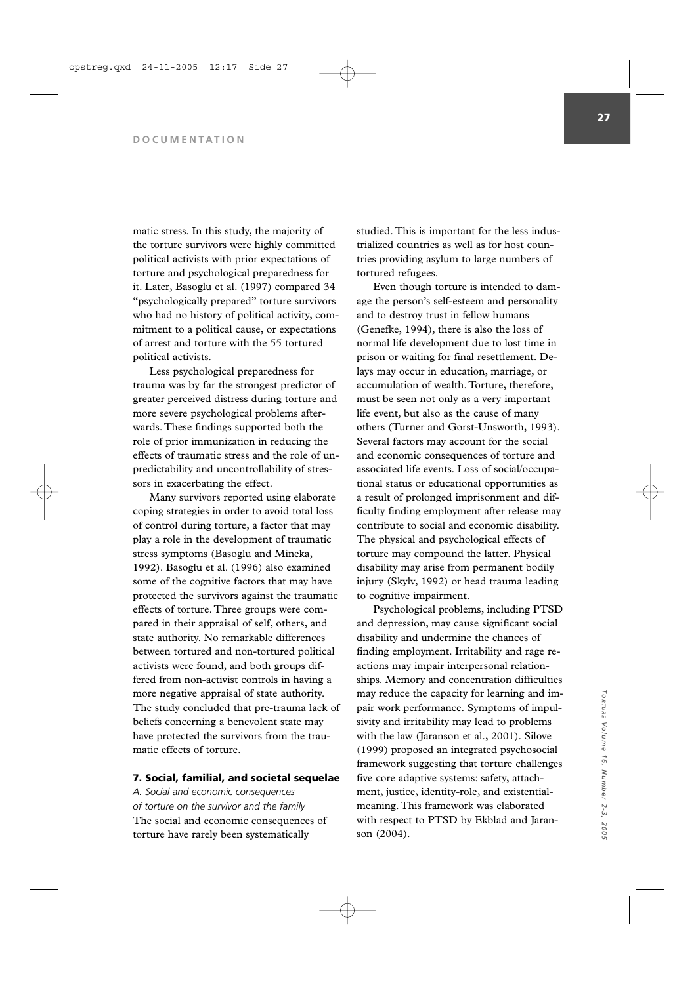matic stress. In this study, the majority of the torture survivors were highly committed political activists with prior expectations of torture and psychological preparedness for it. Later, Basoglu et al. (1997) compared 34 "psychologically prepared" torture survivors who had no history of political activity, commitment to a political cause, or expectations of arrest and torture with the 55 tortured political activists.

Less psychological preparedness for trauma was by far the strongest predictor of greater perceived distress during torture and more severe psychological problems afterwards. These findings supported both the role of prior immunization in reducing the effects of traumatic stress and the role of unpredictability and uncontrollability of stressors in exacerbating the effect.

Many survivors reported using elaborate coping strategies in order to avoid total loss of control during torture, a factor that may play a role in the development of traumatic stress symptoms (Basoglu and Mineka, 1992). Basoglu et al. (1996) also examined some of the cognitive factors that may have protected the survivors against the traumatic effects of torture. Three groups were compared in their appraisal of self, others, and state authority. No remarkable differences between tortured and non-tortured political activists were found, and both groups differed from non-activist controls in having a more negative appraisal of state authority. The study concluded that pre-trauma lack of beliefs concerning a benevolent state may have protected the survivors from the traumatic effects of torture.

# **7. Social, familial, and societal sequelae**

*A. Social and economic consequences of torture on the survivor and the family* The social and economic consequences of torture have rarely been systematically

studied. This is important for the less industrialized countries as well as for host countries providing asylum to large numbers of tortured refugees.

Even though torture is intended to damage the person's self-esteem and personality and to destroy trust in fellow humans (Genefke, 1994), there is also the loss of normal life development due to lost time in prison or waiting for final resettlement. Delays may occur in education, marriage, or accumulation of wealth. Torture, therefore, must be seen not only as a very important life event, but also as the cause of many others (Turner and Gorst-Unsworth, 1993). Several factors may account for the social and economic consequences of torture and associated life events. Loss of social/occupational status or educational opportunities as a result of prolonged imprisonment and difficulty finding employment after release may contribute to social and economic disability. The physical and psychological effects of torture may compound the latter. Physical disability may arise from permanent bodily injury (Skylv, 1992) or head trauma leading to cognitive impairment.

Psychological problems, including PTSD and depression, may cause significant social disability and undermine the chances of finding employment. Irritability and rage reactions may impair interpersonal relationships. Memory and concentration difficulties may reduce the capacity for learning and impair work performance. Symptoms of impulsivity and irritability may lead to problems with the law (Jaranson et al., 2001). Silove (1999) proposed an integrated psychosocial framework suggesting that torture challenges five core adaptive systems: safety, attachment, justice, identity-role, and existentialmeaning. This framework was elaborated with respect to PTSD by Ekblad and Jaranson (2004).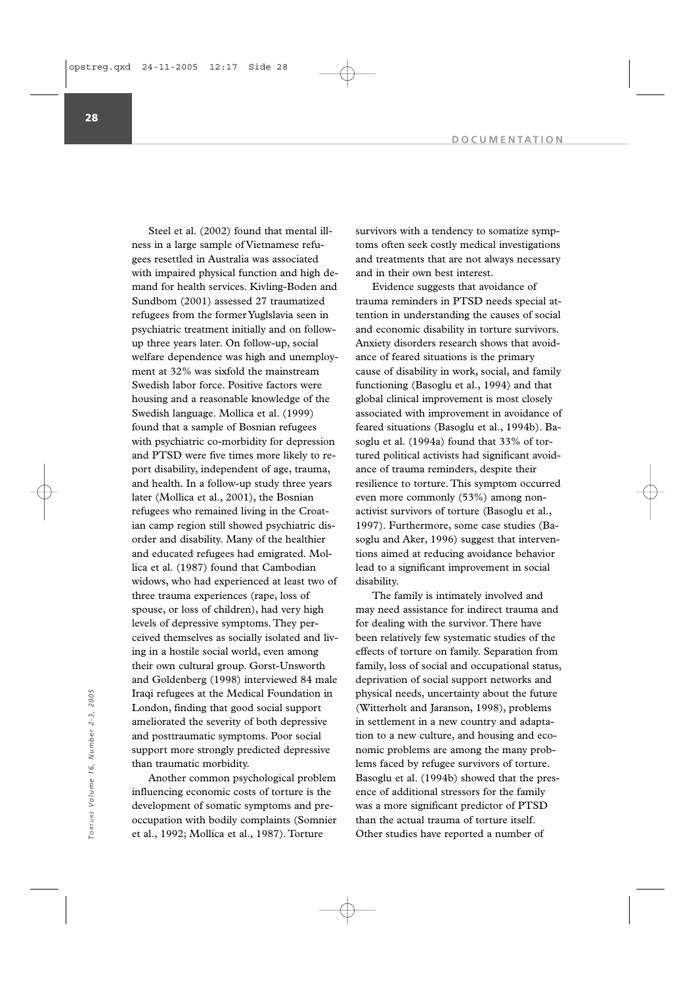Steel et al. (2002) found that mental illness in a large sample of Vietnamese refugees resettled in Australia was associated with impaired physical function and high demand for health services. Kivling-Boden and Sundbom (2001) assessed 27 traumatized refugees from the former Yuglslavia seen in psychiatric treatment initially and on followup three years later. On follow-up, social welfare dependence was high and unemployment at 32% was sixfold the mainstream Swedish labor force. Positive factors were housing and a reasonable knowledge of the Swedish language. Mollica et al. (1999) found that a sample of Bosnian refugees with psychiatric co-morbidity for depression and PTSD were five times more likely to report disability, independent of age, trauma, and health. In a follow-up study three years later (Mollica et al., 2001), the Bosnian refugees who remained living in the Croatian camp region still showed psychiatric disorder and disability. Many of the healthier and educated refugees had emigrated. Mollica et al. (1987) found that Cambodian widows, who had experienced at least two of three trauma experiences (rape, loss of spouse, or loss of children), had very high levels of depressive symptoms. They perceived themselves as socially isolated and living in a hostile social world, even among their own cultural group. Gorst-Unsworth and Goldenberg (1998) interviewed 84 male Iraqi refugees at the Medical Foundation in London, finding that good social support ameliorated the severity of both depressive and posttraumatic symptoms. Poor social support more strongly predicted depressive than traumatic morbidity.

Another common psychological problem influencing economic costs of torture is the development of somatic symptoms and preoccupation with bodily complaints (Somnier et al., 1992; Mollica et al., 1987). Torture

survivors with a tendency to somatize symptoms often seek costly medical investigations and treatments that are not always necessary and in their own best interest.

Evidence suggests that avoidance of trauma reminders in PTSD needs special attention in understanding the causes of social and economic disability in torture survivors. Anxiety disorders research shows that avoidance of feared situations is the primary cause of disability in work, social, and family functioning (Basoglu et al., 1994) and that global clinical improvement is most closely associated with improvement in avoidance of feared situations (Basoglu et al., 1994b). Basoglu et al. (1994a) found that 33% of tortured political activists had significant avoidance of trauma reminders, despite their resilience to torture. This symptom occurred even more commonly (53%) among nonactivist survivors of torture (Basoglu et al., 1997). Furthermore, some case studies (Basoglu and Aker, 1996) suggest that interventions aimed at reducing avoidance behavior lead to a significant improvement in social disability.

The family is intimately involved and may need assistance for indirect trauma and for dealing with the survivor. There have been relatively few systematic studies of the effects of torture on family. Separation from family, loss of social and occupational status, deprivation of social support networks and physical needs, uncertainty about the future (Witterholt and Jaranson, 1998), problems in settlement in a new country and adaptation to a new culture, and housing and economic problems are among the many problems faced by refugee survivors of torture. Basoglu et al. (1994b) showed that the presence of additional stressors for the family was a more significant predictor of PTSD than the actual trauma of torture itself. Iraqi refugees at the Medical Foundation in<br>
London, finding that good social support (Witterholt and Jaranson, 1998), problem<br>
ameliorated the severity of both depressive in settlement in a new country and adapt<br>
and post

**28**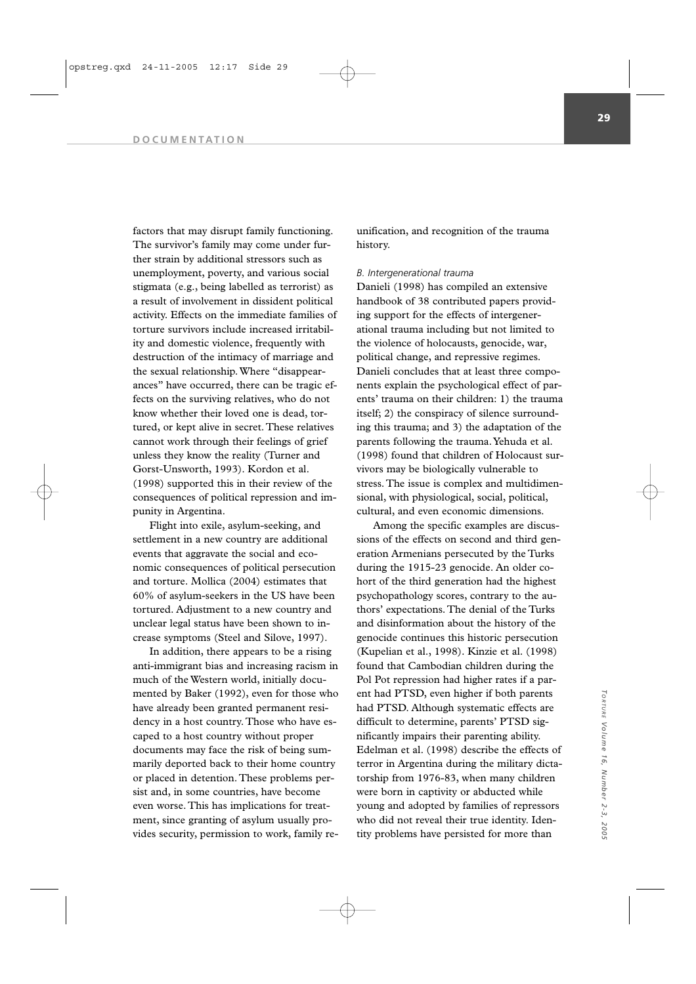factors that may disrupt family functioning. The survivor's family may come under further strain by additional stressors such as unemployment, poverty, and various social stigmata (e.g., being labelled as terrorist) as a result of involvement in dissident political activity. Effects on the immediate families of torture survivors include increased irritability and domestic violence, frequently with destruction of the intimacy of marriage and the sexual relationship. Where "disappearances" have occurred, there can be tragic effects on the surviving relatives, who do not know whether their loved one is dead, tortured, or kept alive in secret. These relatives cannot work through their feelings of grief unless they know the reality (Turner and Gorst-Unsworth, 1993). Kordon et al. (1998) supported this in their review of the consequences of political repression and impunity in Argentina.

Flight into exile, asylum-seeking, and settlement in a new country are additional events that aggravate the social and economic consequences of political persecution and torture. Mollica (2004) estimates that 60% of asylum-seekers in the US have been tortured. Adjustment to a new country and unclear legal status have been shown to increase symptoms (Steel and Silove, 1997).

In addition, there appears to be a rising anti-immigrant bias and increasing racism in much of the Western world, initially documented by Baker (1992), even for those who have already been granted permanent residency in a host country. Those who have escaped to a host country without proper documents may face the risk of being summarily deported back to their home country or placed in detention. These problems persist and, in some countries, have become even worse. This has implications for treatment, since granting of asylum usually provides security, permission to work, family re-

unification, and recognition of the trauma history.

# *B. Intergenerational trauma*

Danieli (1998) has compiled an extensive handbook of 38 contributed papers providing support for the effects of intergenerational trauma including but not limited to the violence of holocausts, genocide, war, political change, and repressive regimes. Danieli concludes that at least three components explain the psychological effect of parents' trauma on their children: 1) the trauma itself; 2) the conspiracy of silence surrounding this trauma; and 3) the adaptation of the parents following the trauma.Yehuda et al. (1998) found that children of Holocaust survivors may be biologically vulnerable to stress. The issue is complex and multidimensional, with physiological, social, political, cultural, and even economic dimensions.

Among the specific examples are discussions of the effects on second and third generation Armenians persecuted by the Turks during the 1915-23 genocide. An older cohort of the third generation had the highest psychopathology scores, contrary to the authors' expectations. The denial of the Turks and disinformation about the history of the genocide continues this historic persecution (Kupelian et al., 1998). Kinzie et al. (1998) found that Cambodian children during the Pol Pot repression had higher rates if a parent had PTSD, even higher if both parents had PTSD. Although systematic effects are difficult to determine, parents' PTSD significantly impairs their parenting ability. Edelman et al. (1998) describe the effects of terror in Argentina during the military dictatorship from 1976-83, when many children were born in captivity or abducted while young and adopted by families of repressors who did not reveal their true identity. Identity problems have persisted for more than

*TORTURE*

*Volume 16, Number 2-3, 2005*

Torrure Volume 16, Number 2-3, 200: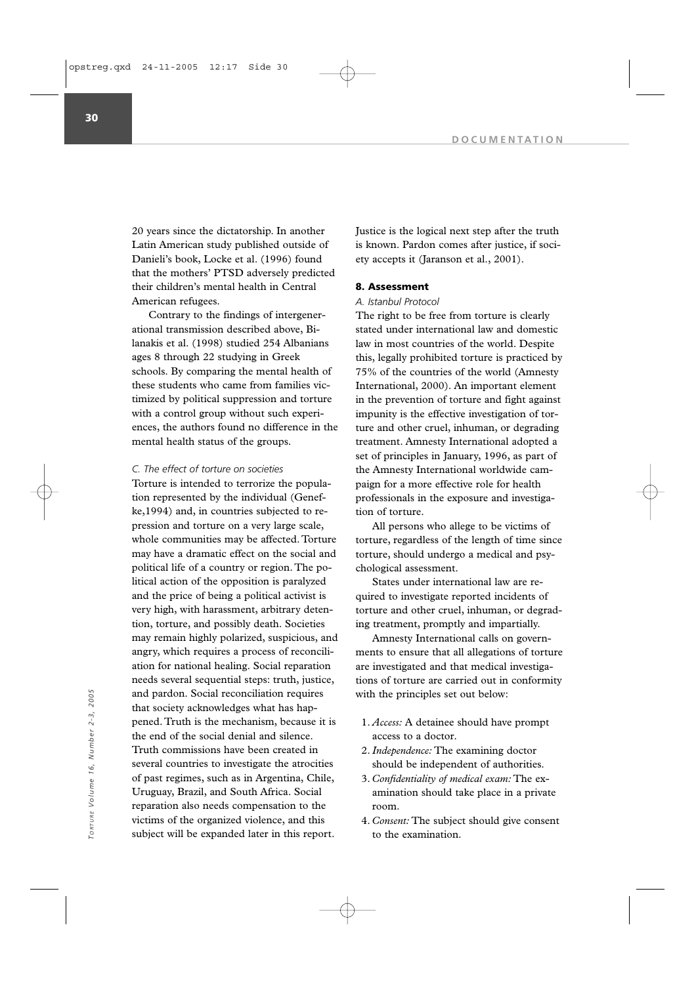20 years since the dictatorship. In another Latin American study published outside of Danieli's book, Locke et al. (1996) found that the mothers' PTSD adversely predicted their children's mental health in Central American refugees.

Contrary to the findings of intergenerational transmission described above, Bilanakis et al. (1998) studied 254 Albanians ages 8 through 22 studying in Greek schools. By comparing the mental health of these students who came from families victimized by political suppression and torture with a control group without such experiences, the authors found no difference in the mental health status of the groups.

# *C. The effect of torture on societies*

Torture is intended to terrorize the population represented by the individual (Genefke,1994) and, in countries subjected to repression and torture on a very large scale, whole communities may be affected. Torture may have a dramatic effect on the social and political life of a country or region. The political action of the opposition is paralyzed and the price of being a political activist is very high, with harassment, arbitrary detention, torture, and possibly death. Societies may remain highly polarized, suspicious, and angry, which requires a process of reconciliation for national healing. Social reparation needs several sequential steps: truth, justice, and pardon. Social reconciliation requires that society acknowledges what has happened. Truth is the mechanism, because it is the end of the social denial and silence. Truth commissions have been created in several countries to investigate the atrocities of past regimes, such as in Argentina, Chile, Uruguay, Brazil, and South Africa. Social reparation also needs compensation to the victims of the organized violence, and this subject will be expanded later in this report.

Justice is the logical next step after the truth is known. Pardon comes after justice, if society accepts it (Jaranson et al., 2001).

# **8. Assessment**

# *A. Istanbul Protocol*

The right to be free from torture is clearly stated under international law and domestic law in most countries of the world. Despite this, legally prohibited torture is practiced by 75% of the countries of the world (Amnesty International, 2000). An important element in the prevention of torture and fight against impunity is the effective investigation of torture and other cruel, inhuman, or degrading treatment. Amnesty International adopted a set of principles in January, 1996, as part of the Amnesty International worldwide campaign for a more effective role for health professionals in the exposure and investigation of torture.

All persons who allege to be victims of torture, regardless of the length of time since torture, should undergo a medical and psychological assessment.

States under international law are required to investigate reported incidents of torture and other cruel, inhuman, or degrading treatment, promptly and impartially.

Amnesty International calls on governments to ensure that all allegations of torture are investigated and that medical investigations of torture are carried out in conformity with the principles set out below:

- 1. *Access:* A detainee should have prompt access to a doctor.
- 2.*Independence:* The examining doctor should be independent of authorities.
- 3. *Confidentiality of medical exam:* The examination should take place in a private room.
- 4. *Consent:* The subject should give consent to the examination.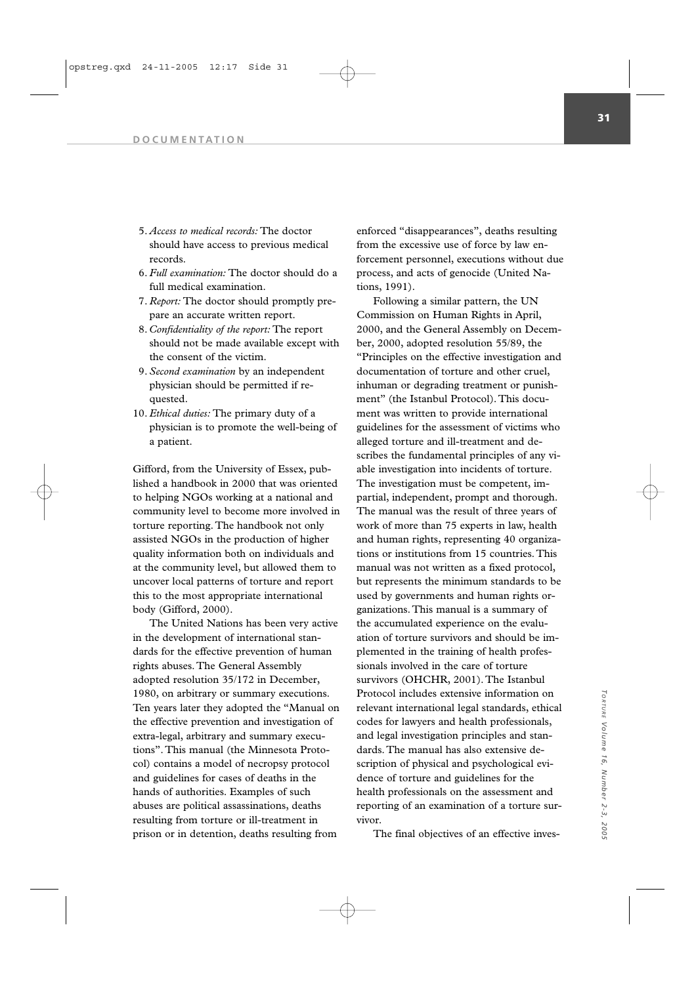- 5. *Access to medical records:* The doctor should have access to previous medical records.
- 6. *Full examination:* The doctor should do a full medical examination.
- 7. *Report:* The doctor should promptly prepare an accurate written report.
- 8. *Confidentiality of the report:* The report should not be made available except with the consent of the victim.
- 9. *Second examination* by an independent physician should be permitted if requested.
- 10. *Ethical duties:* The primary duty of a physician is to promote the well-being of a patient.

Gifford, from the University of Essex, published a handbook in 2000 that was oriented to helping NGOs working at a national and community level to become more involved in torture reporting. The handbook not only assisted NGOs in the production of higher quality information both on individuals and at the community level, but allowed them to uncover local patterns of torture and report this to the most appropriate international body (Gifford, 2000).

The United Nations has been very active in the development of international standards for the effective prevention of human rights abuses. The General Assembly adopted resolution 35/172 in December, 1980, on arbitrary or summary executions. Ten years later they adopted the "Manual on the effective prevention and investigation of extra-legal, arbitrary and summary executions". This manual (the Minnesota Protocol) contains a model of necropsy protocol and guidelines for cases of deaths in the hands of authorities. Examples of such abuses are political assassinations, deaths resulting from torture or ill-treatment in prison or in detention, deaths resulting from

enforced "disappearances", deaths resulting from the excessive use of force by law enforcement personnel, executions without due process, and acts of genocide (United Nations, 1991).

Following a similar pattern, the UN Commission on Human Rights in April, 2000, and the General Assembly on December, 2000, adopted resolution 55/89, the "Principles on the effective investigation and documentation of torture and other cruel, inhuman or degrading treatment or punishment" (the Istanbul Protocol). This document was written to provide international guidelines for the assessment of victims who alleged torture and ill-treatment and describes the fundamental principles of any viable investigation into incidents of torture. The investigation must be competent, impartial, independent, prompt and thorough. The manual was the result of three years of work of more than 75 experts in law, health and human rights, representing 40 organizations or institutions from 15 countries. This manual was not written as a fixed protocol, but represents the minimum standards to be used by governments and human rights organizations. This manual is a summary of the accumulated experience on the evaluation of torture survivors and should be implemented in the training of health professionals involved in the care of torture survivors (OHCHR, 2001). The Istanbul Protocol includes extensive information on relevant international legal standards, ethical codes for lawyers and health professionals, and legal investigation principles and standards. The manual has also extensive description of physical and psychological evidence of torture and guidelines for the health professionals on the assessment and reporting of an examination of a torture survivor.

The final objectives of an effective inves-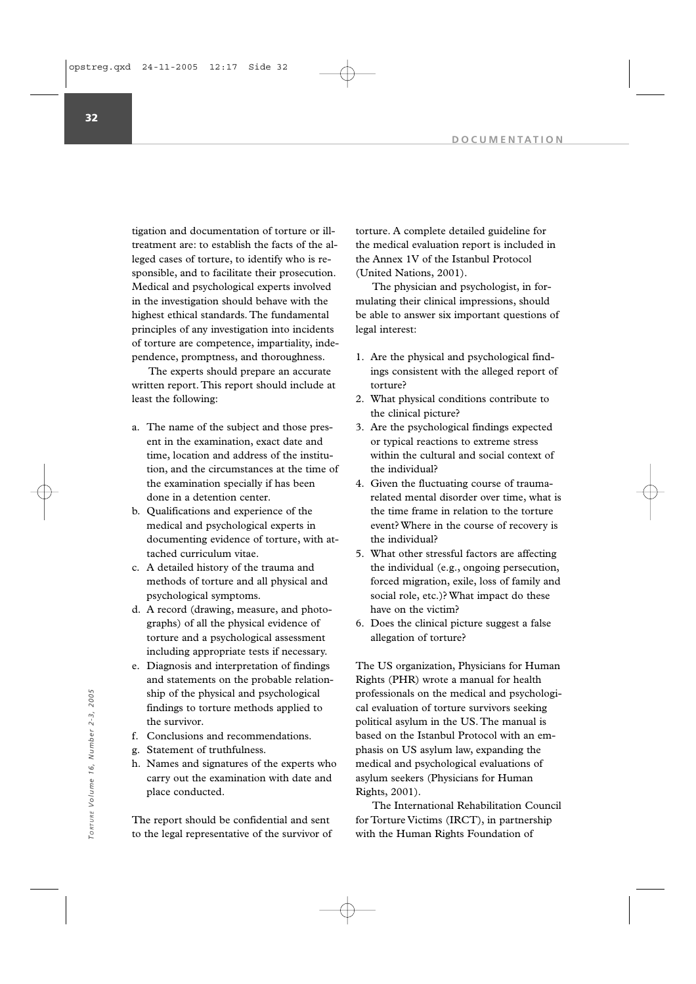tigation and documentation of torture or illtreatment are: to establish the facts of the alleged cases of torture, to identify who is responsible, and to facilitate their prosecution. Medical and psychological experts involved in the investigation should behave with the highest ethical standards. The fundamental principles of any investigation into incidents of torture are competence, impartiality, independence, promptness, and thoroughness.

The experts should prepare an accurate written report. This report should include at least the following:

- a. The name of the subject and those present in the examination, exact date and time, location and address of the institution, and the circumstances at the time of the examination specially if has been done in a detention center.
- b. Qualifications and experience of the medical and psychological experts in documenting evidence of torture, with attached curriculum vitae.
- c. A detailed history of the trauma and methods of torture and all physical and psychological symptoms.
- d. A record (drawing, measure, and photographs) of all the physical evidence of torture and a psychological assessment including appropriate tests if necessary.
- e. Diagnosis and interpretation of findings and statements on the probable relationship of the physical and psychological findings to torture methods applied to the survivor.
- f. Conclusions and recommendations.
- g. Statement of truthfulness.
- h. Names and signatures of the experts who carry out the examination with date and place conducted.

The report should be confidential and sent to the legal representative of the survivor of torture. A complete detailed guideline for the medical evaluation report is included in the Annex 1V of the Istanbul Protocol (United Nations, 2001).

The physician and psychologist, in formulating their clinical impressions, should be able to answer six important questions of legal interest:

- 1. Are the physical and psychological findings consistent with the alleged report of torture?
- 2. What physical conditions contribute to the clinical picture?
- 3. Are the psychological findings expected or typical reactions to extreme stress within the cultural and social context of the individual?
- 4. Given the fluctuating course of traumarelated mental disorder over time, what is the time frame in relation to the torture event? Where in the course of recovery is the individual?
- 5. What other stressful factors are affecting the individual (e.g., ongoing persecution, forced migration, exile, loss of family and social role, etc.)? What impact do these have on the victim?
- 6. Does the clinical picture suggest a false allegation of torture?

The US organization, Physicians for Human Rights (PHR) wrote a manual for health professionals on the medical and psychological evaluation of torture survivors seeking political asylum in the US. The manual is based on the Istanbul Protocol with an emphasis on US asylum law, expanding the medical and psychological evaluations of asylum seekers (Physicians for Human Rights, 2001). whip of the physical and psychological<br>
findings to torture methods applied to<br>
the survivor.<br>
the survivor.<br>  $\frac{1}{2}$ <br>  $\frac{2}{3}$ <br>
f. Conclusions and recommendations.<br>
g. Statement of truthfulness.<br>
h. Names and signature

The International Rehabilitation Council for Torture Victims (IRCT), in partnership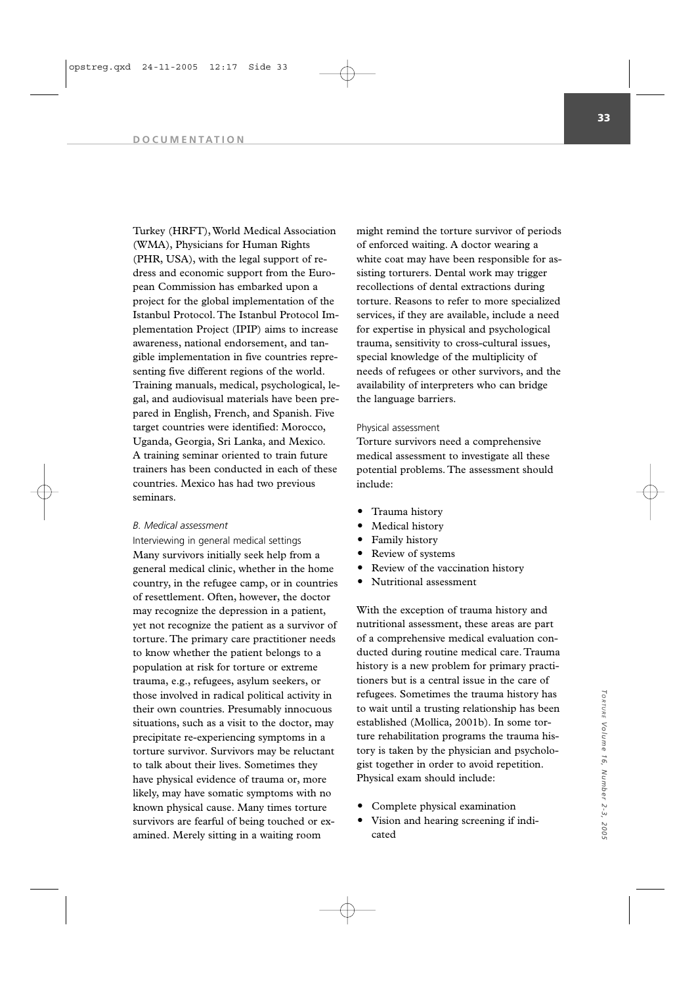Turkey (HRFT), World Medical Association (WMA), Physicians for Human Rights (PHR, USA), with the legal support of redress and economic support from the European Commission has embarked upon a project for the global implementation of the Istanbul Protocol. The Istanbul Protocol Implementation Project (IPIP) aims to increase awareness, national endorsement, and tangible implementation in five countries representing five different regions of the world. Training manuals, medical, psychological, legal, and audiovisual materials have been prepared in English, French, and Spanish. Five target countries were identified: Morocco, Uganda, Georgia, Sri Lanka, and Mexico. A training seminar oriented to train future trainers has been conducted in each of these countries. Mexico has had two previous seminars.

#### *B. Medical assessment*

Interviewing in general medical settings Many survivors initially seek help from a general medical clinic, whether in the home country, in the refugee camp, or in countries of resettlement. Often, however, the doctor may recognize the depression in a patient, yet not recognize the patient as a survivor of torture. The primary care practitioner needs to know whether the patient belongs to a population at risk for torture or extreme trauma, e.g., refugees, asylum seekers, or those involved in radical political activity in their own countries. Presumably innocuous situations, such as a visit to the doctor, may precipitate re-experiencing symptoms in a torture survivor. Survivors may be reluctant to talk about their lives. Sometimes they have physical evidence of trauma or, more likely, may have somatic symptoms with no known physical cause. Many times torture survivors are fearful of being touched or examined. Merely sitting in a waiting room

might remind the torture survivor of periods of enforced waiting. A doctor wearing a white coat may have been responsible for assisting torturers. Dental work may trigger recollections of dental extractions during torture. Reasons to refer to more specialized services, if they are available, include a need for expertise in physical and psychological trauma, sensitivity to cross-cultural issues, special knowledge of the multiplicity of needs of refugees or other survivors, and the availability of interpreters who can bridge the language barriers.

# Physical assessment

Torture survivors need a comprehensive medical assessment to investigate all these potential problems. The assessment should include:

- Trauma history
- Medical history
- Family history
- Review of systems
- Review of the vaccination history
- Nutritional assessment

With the exception of trauma history and nutritional assessment, these areas are part of a comprehensive medical evaluation conducted during routine medical care. Trauma history is a new problem for primary practitioners but is a central issue in the care of refugees. Sometimes the trauma history has to wait until a trusting relationship has been established (Mollica, 2001b). In some torture rehabilitation programs the trauma history is taken by the physician and psychologist together in order to avoid repetition. Physical exam should include:

- Complete physical examination
- Vision and hearing screening if indicated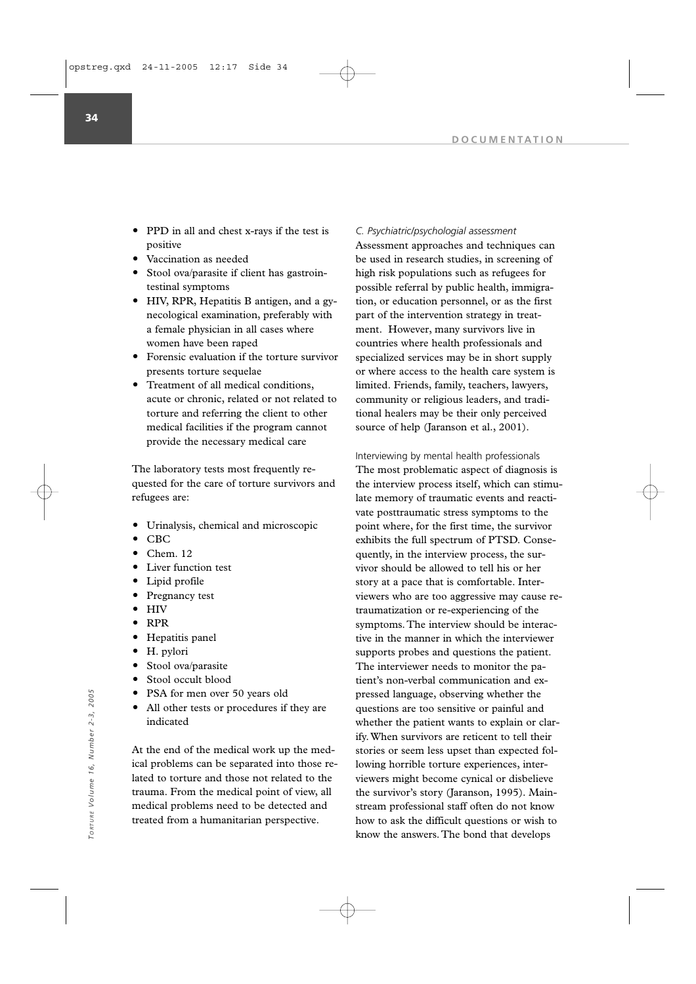- PPD in all and chest x-rays if the test is positive
- Vaccination as needed
- Stool ova/parasite if client has gastrointestinal symptoms
- HIV, RPR, Hepatitis B antigen, and a gynecological examination, preferably with a female physician in all cases where women have been raped
- Forensic evaluation if the torture survivor presents torture sequelae
- Treatment of all medical conditions, acute or chronic, related or not related to torture and referring the client to other medical facilities if the program cannot provide the necessary medical care

The laboratory tests most frequently requested for the care of torture survivors and refugees are:

- Urinalysis, chemical and microscopic
- CBC
- Chem. 12
- Liver function test
- Lipid profile
- Pregnancy test
- HIV
- RPR
- Hepatitis panel
- H. pylori
- Stool ova/parasite
- Stool occult blood
- PSA for men over 50 years old
- All other tests or procedures if they are indicated

At the end of the medical work up the medical problems can be separated into those related to torture and those not related to the trauma. From the medical point of view, all medical problems need to be detected and treated from a humanitarian perspective.

# *C. Psychiatric/psychologial assessment*

Assessment approaches and techniques can be used in research studies, in screening of high risk populations such as refugees for possible referral by public health, immigration, or education personnel, or as the first part of the intervention strategy in treatment. However, many survivors live in countries where health professionals and specialized services may be in short supply or where access to the health care system is limited. Friends, family, teachers, lawyers, community or religious leaders, and traditional healers may be their only perceived source of help (Jaranson et al., 2001).

Interviewing by mental health professionals The most problematic aspect of diagnosis is the interview process itself, which can stimulate memory of traumatic events and reactivate posttraumatic stress symptoms to the point where, for the first time, the survivor exhibits the full spectrum of PTSD. Consequently, in the interview process, the survivor should be allowed to tell his or her story at a pace that is comfortable. Interviewers who are too aggressive may cause retraumatization or re-experiencing of the symptoms. The interview should be interactive in the manner in which the interviewer supports probes and questions the patient. The interviewer needs to monitor the patient's non-verbal communication and expressed language, observing whether the questions are too sensitive or painful and whether the patient wants to explain or clarify. When survivors are reticent to tell their stories or seem less upset than expected following horrible torture experiences, interviewers might become cynical or disbelieve the survivor's story (Jaranson, 1995). Mainstream professional staff often do not know how to ask the difficult questions or wish to know the answers. The bond that develops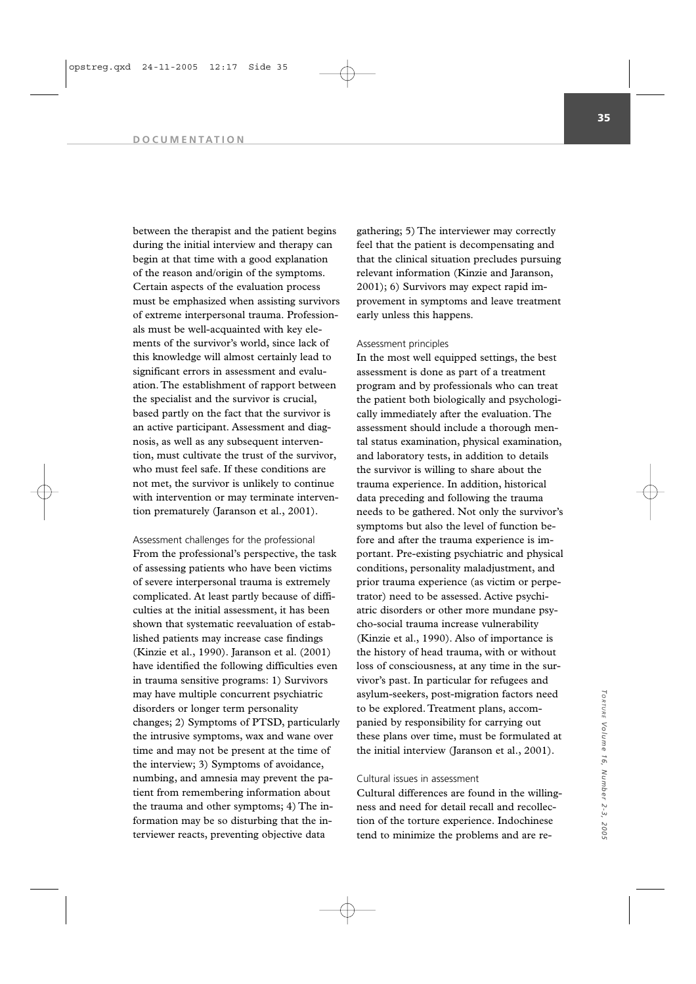between the therapist and the patient begins during the initial interview and therapy can begin at that time with a good explanation of the reason and/origin of the symptoms. Certain aspects of the evaluation process must be emphasized when assisting survivors of extreme interpersonal trauma. Professionals must be well-acquainted with key elements of the survivor's world, since lack of this knowledge will almost certainly lead to significant errors in assessment and evaluation. The establishment of rapport between the specialist and the survivor is crucial, based partly on the fact that the survivor is an active participant. Assessment and diagnosis, as well as any subsequent intervention, must cultivate the trust of the survivor, who must feel safe. If these conditions are not met, the survivor is unlikely to continue with intervention or may terminate intervention prematurely (Jaranson et al., 2001).

Assessment challenges for the professional From the professional's perspective, the task of assessing patients who have been victims of severe interpersonal trauma is extremely complicated. At least partly because of difficulties at the initial assessment, it has been shown that systematic reevaluation of established patients may increase case findings (Kinzie et al., 1990). Jaranson et al. (2001) have identified the following difficulties even in trauma sensitive programs: 1) Survivors may have multiple concurrent psychiatric disorders or longer term personality changes; 2) Symptoms of PTSD, particularly the intrusive symptoms, wax and wane over time and may not be present at the time of the interview; 3) Symptoms of avoidance, numbing, and amnesia may prevent the patient from remembering information about the trauma and other symptoms; 4) The information may be so disturbing that the interviewer reacts, preventing objective data

gathering; 5) The interviewer may correctly feel that the patient is decompensating and that the clinical situation precludes pursuing relevant information (Kinzie and Jaranson, 2001); 6) Survivors may expect rapid improvement in symptoms and leave treatment early unless this happens.

# Assessment principles

In the most well equipped settings, the best assessment is done as part of a treatment program and by professionals who can treat the patient both biologically and psychologically immediately after the evaluation. The assessment should include a thorough mental status examination, physical examination, and laboratory tests, in addition to details the survivor is willing to share about the trauma experience. In addition, historical data preceding and following the trauma needs to be gathered. Not only the survivor's symptoms but also the level of function before and after the trauma experience is important. Pre-existing psychiatric and physical conditions, personality maladjustment, and prior trauma experience (as victim or perpetrator) need to be assessed. Active psychiatric disorders or other more mundane psycho-social trauma increase vulnerability (Kinzie et al., 1990). Also of importance is the history of head trauma, with or without loss of consciousness, at any time in the survivor's past. In particular for refugees and asylum-seekers, post-migration factors need to be explored. Treatment plans, accompanied by responsibility for carrying out these plans over time, must be formulated at the initial interview (Jaranson et al., 2001).

# Cultural issues in assessment

Cultural differences are found in the willingness and need for detail recall and recollection of the torture experience. Indochinese tend to minimize the problems and are re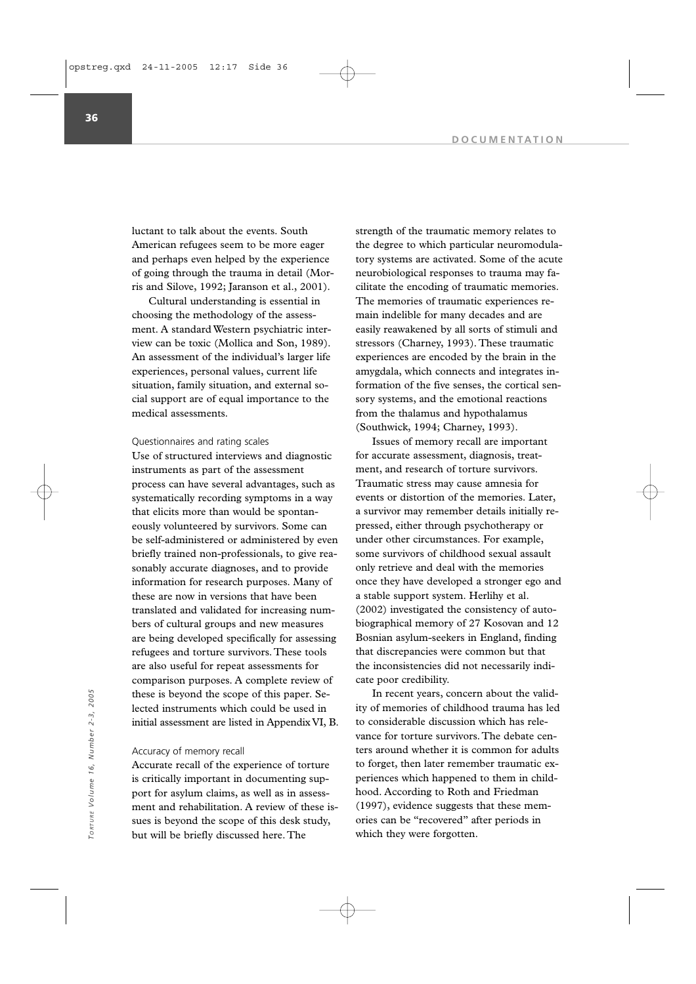luctant to talk about the events. South American refugees seem to be more eager and perhaps even helped by the experience of going through the trauma in detail (Morris and Silove, 1992; Jaranson et al., 2001).

Cultural understanding is essential in choosing the methodology of the assessment. A standard Western psychiatric interview can be toxic (Mollica and Son, 1989). An assessment of the individual's larger life experiences, personal values, current life situation, family situation, and external social support are of equal importance to the medical assessments.

### Questionnaires and rating scales

Use of structured interviews and diagnostic instruments as part of the assessment process can have several advantages, such as systematically recording symptoms in a way that elicits more than would be spontaneously volunteered by survivors. Some can be self-administered or administered by even briefly trained non-professionals, to give reasonably accurate diagnoses, and to provide information for research purposes. Many of these are now in versions that have been translated and validated for increasing numbers of cultural groups and new measures are being developed specifically for assessing refugees and torture survivors. These tools are also useful for repeat assessments for comparison purposes. A complete review of these is beyond the scope of this paper. Selected instruments which could be used in initial assessment are listed in Appendix VI, B.

#### Accuracy of memory recall

Accurate recall of the experience of torture is critically important in documenting support for asylum claims, as well as in assessment and rehabilitation. A review of these issues is beyond the scope of this desk study, but will be briefly discussed here. The

strength of the traumatic memory relates to the degree to which particular neuromodulatory systems are activated. Some of the acute neurobiological responses to trauma may facilitate the encoding of traumatic memories. The memories of traumatic experiences remain indelible for many decades and are easily reawakened by all sorts of stimuli and stressors (Charney, 1993). These traumatic experiences are encoded by the brain in the amygdala, which connects and integrates information of the five senses, the cortical sensory systems, and the emotional reactions from the thalamus and hypothalamus (Southwick, 1994; Charney, 1993).

Issues of memory recall are important for accurate assessment, diagnosis, treatment, and research of torture survivors. Traumatic stress may cause amnesia for events or distortion of the memories. Later, a survivor may remember details initially repressed, either through psychotherapy or under other circumstances. For example, some survivors of childhood sexual assault only retrieve and deal with the memories once they have developed a stronger ego and a stable support system. Herlihy et al. (2002) investigated the consistency of autobiographical memory of 27 Kosovan and 12 Bosnian asylum-seekers in England, finding that discrepancies were common but that the inconsistencies did not necessarily indicate poor credibility.

In recent years, concern about the validity of memories of childhood trauma has led to considerable discussion which has relevance for torture survivors. The debate centers around whether it is common for adults to forget, then later remember traumatic experiences which happened to them in childhood. According to Roth and Friedman (1997), evidence suggests that these memories can be "recovered" after periods in The recent years, concern<br>
lected instruments which could be used in<br>
initial assessment are listed in Appendix VI, B.<br>  $\frac{5}{10}$ <br>
Accuracy of memory recall<br>
Accuracy of memory recall<br>
Accuracy of memory recall<br>
Accurace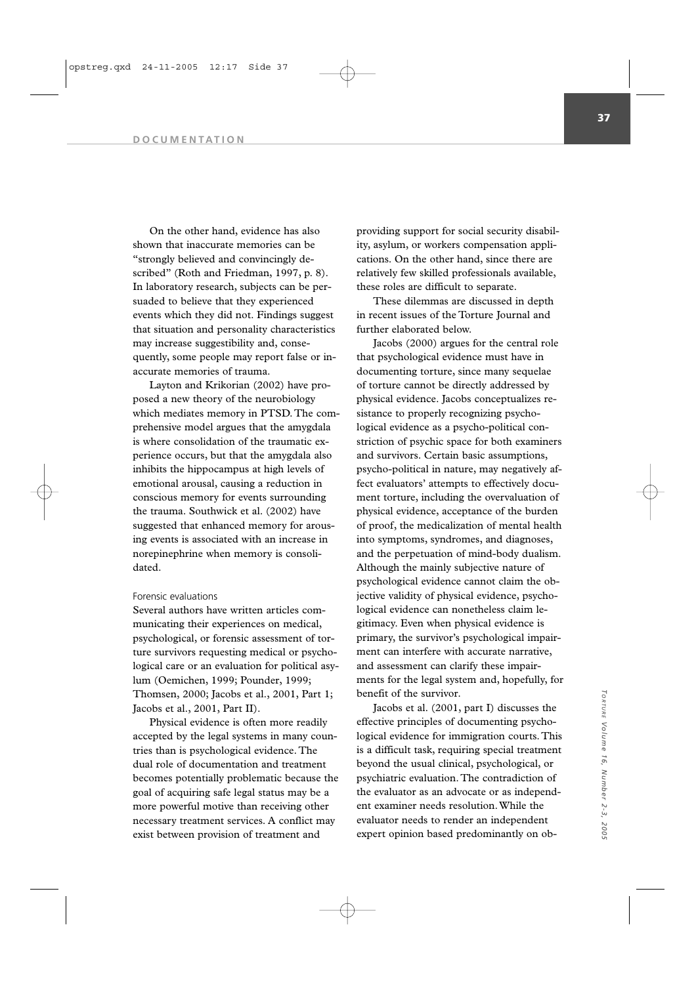On the other hand, evidence has also shown that inaccurate memories can be "strongly believed and convincingly described" (Roth and Friedman, 1997, p. 8). In laboratory research, subjects can be persuaded to believe that they experienced events which they did not. Findings suggest that situation and personality characteristics may increase suggestibility and, consequently, some people may report false or inaccurate memories of trauma.

Layton and Krikorian (2002) have proposed a new theory of the neurobiology which mediates memory in PTSD. The comprehensive model argues that the amygdala is where consolidation of the traumatic experience occurs, but that the amygdala also inhibits the hippocampus at high levels of emotional arousal, causing a reduction in conscious memory for events surrounding the trauma. Southwick et al. (2002) have suggested that enhanced memory for arousing events is associated with an increase in norepinephrine when memory is consolidated.

### Forensic evaluations

Several authors have written articles communicating their experiences on medical, psychological, or forensic assessment of torture survivors requesting medical or psychological care or an evaluation for political asylum (Oemichen, 1999; Pounder, 1999; Thomsen, 2000; Jacobs et al., 2001, Part 1; Jacobs et al., 2001, Part II).

Physical evidence is often more readily accepted by the legal systems in many countries than is psychological evidence. The dual role of documentation and treatment becomes potentially problematic because the goal of acquiring safe legal status may be a more powerful motive than receiving other necessary treatment services. A conflict may exist between provision of treatment and

providing support for social security disability, asylum, or workers compensation applications. On the other hand, since there are relatively few skilled professionals available, these roles are difficult to separate.

These dilemmas are discussed in depth in recent issues of the Torture Journal and further elaborated below.

Jacobs (2000) argues for the central role that psychological evidence must have in documenting torture, since many sequelae of torture cannot be directly addressed by physical evidence. Jacobs conceptualizes resistance to properly recognizing psychological evidence as a psycho-political constriction of psychic space for both examiners and survivors. Certain basic assumptions, psycho-political in nature, may negatively affect evaluators' attempts to effectively document torture, including the overvaluation of physical evidence, acceptance of the burden of proof, the medicalization of mental health into symptoms, syndromes, and diagnoses, and the perpetuation of mind-body dualism. Although the mainly subjective nature of psychological evidence cannot claim the objective validity of physical evidence, psychological evidence can nonetheless claim legitimacy. Even when physical evidence is primary, the survivor's psychological impairment can interfere with accurate narrative, and assessment can clarify these impairments for the legal system and, hopefully, for benefit of the survivor.

Jacobs et al. (2001, part I) discusses the effective principles of documenting psychological evidence for immigration courts. This is a difficult task, requiring special treatment beyond the usual clinical, psychological, or psychiatric evaluation. The contradiction of the evaluator as an advocate or as independent examiner needs resolution. While the evaluator needs to render an independent expert opinion based predominantly on ob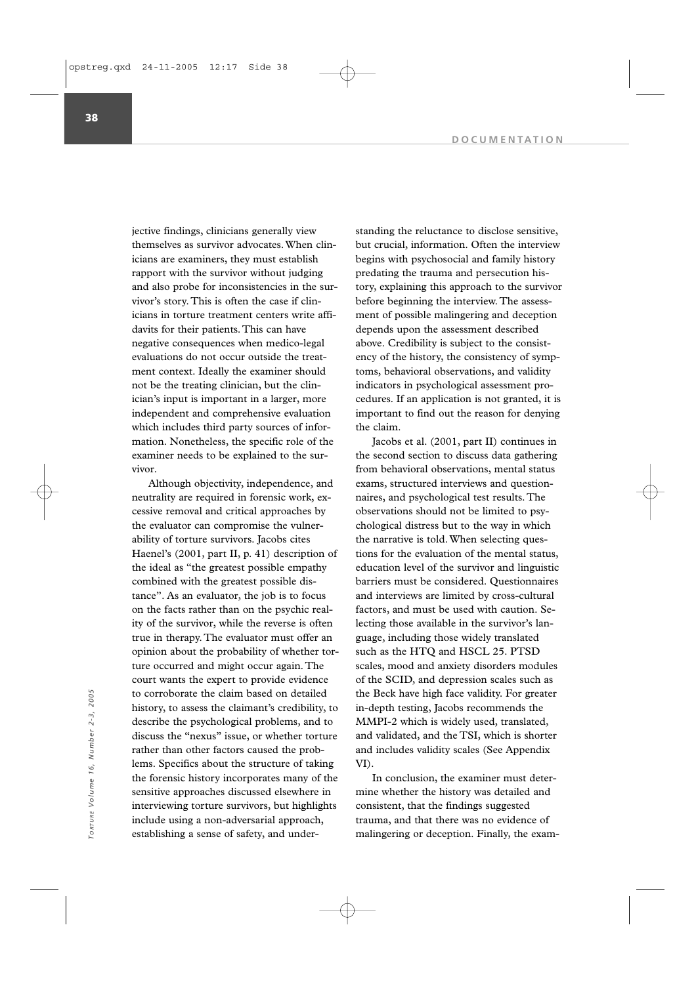jective findings, clinicians generally view themselves as survivor advocates. When clinicians are examiners, they must establish rapport with the survivor without judging and also probe for inconsistencies in the survivor's story. This is often the case if clinicians in torture treatment centers write affidavits for their patients. This can have negative consequences when medico-legal evaluations do not occur outside the treatment context. Ideally the examiner should not be the treating clinician, but the clinician's input is important in a larger, more independent and comprehensive evaluation which includes third party sources of information. Nonetheless, the specific role of the examiner needs to be explained to the survivor.

Although objectivity, independence, and neutrality are required in forensic work, excessive removal and critical approaches by the evaluator can compromise the vulnerability of torture survivors. Jacobs cites Haenel's (2001, part II, p. 41) description of the ideal as "the greatest possible empathy combined with the greatest possible distance". As an evaluator, the job is to focus on the facts rather than on the psychic reality of the survivor, while the reverse is often true in therapy. The evaluator must offer an opinion about the probability of whether torture occurred and might occur again. The court wants the expert to provide evidence to corroborate the claim based on detailed history, to assess the claimant's credibility, to describe the psychological problems, and to discuss the "nexus" issue, or whether torture rather than other factors caused the problems. Specifics about the structure of taking the forensic history incorporates many of the sensitive approaches discussed elsewhere in interviewing torture survivors, but highlights include using a non-adversarial approach, establishing a sense of safety, and underto corroborate the claim based on detailed<br>
The Beck have high face validity. For greater<br>
history, to assess the claimant's credibility, to<br>
describe the psychological problems, and to<br>
describe the psychological problems

standing the reluctance to disclose sensitive, but crucial, information. Often the interview begins with psychosocial and family history predating the trauma and persecution history, explaining this approach to the survivor before beginning the interview. The assessment of possible malingering and deception depends upon the assessment described above. Credibility is subject to the consistency of the history, the consistency of symptoms, behavioral observations, and validity indicators in psychological assessment procedures. If an application is not granted, it is important to find out the reason for denying the claim.

Jacobs et al. (2001, part II) continues in the second section to discuss data gathering from behavioral observations, mental status exams, structured interviews and questionnaires, and psychological test results. The observations should not be limited to psychological distress but to the way in which the narrative is told. When selecting questions for the evaluation of the mental status, education level of the survivor and linguistic barriers must be considered. Questionnaires and interviews are limited by cross-cultural factors, and must be used with caution. Selecting those available in the survivor's language, including those widely translated such as the HTQ and HSCL 25. PTSD scales, mood and anxiety disorders modules of the SCID, and depression scales such as the Beck have high face validity. For greater in-depth testing, Jacobs recommends the MMPI-2 which is widely used, translated, and validated, and the TSI, which is shorter and includes validity scales (See Appendix VI).

In conclusion, the examiner must determine whether the history was detailed and consistent, that the findings suggested trauma, and that there was no evidence of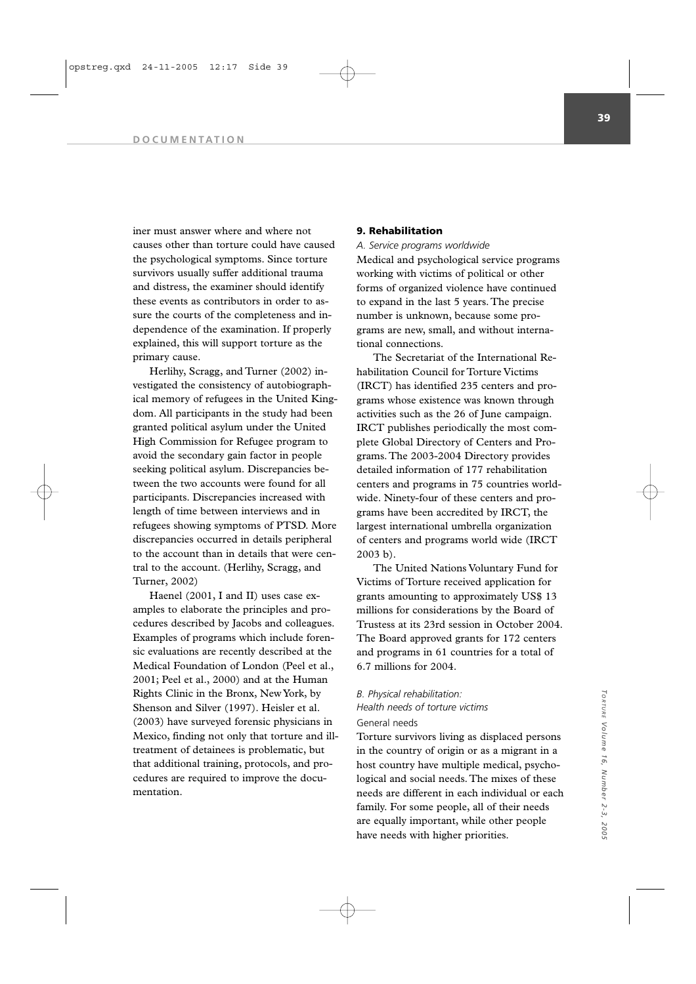iner must answer where and where not causes other than torture could have caused the psychological symptoms. Since torture survivors usually suffer additional trauma and distress, the examiner should identify these events as contributors in order to assure the courts of the completeness and independence of the examination. If properly explained, this will support torture as the primary cause.

Herlihy, Scragg, and Turner (2002) investigated the consistency of autobiographical memory of refugees in the United Kingdom. All participants in the study had been granted political asylum under the United High Commission for Refugee program to avoid the secondary gain factor in people seeking political asylum. Discrepancies between the two accounts were found for all participants. Discrepancies increased with length of time between interviews and in refugees showing symptoms of PTSD. More discrepancies occurred in details peripheral to the account than in details that were central to the account. (Herlihy, Scragg, and Turner, 2002)

Haenel (2001, I and II) uses case examples to elaborate the principles and procedures described by Jacobs and colleagues. Examples of programs which include forensic evaluations are recently described at the Medical Foundation of London (Peel et al., 2001; Peel et al., 2000) and at the Human Rights Clinic in the Bronx, New York, by Shenson and Silver (1997). Heisler et al. (2003) have surveyed forensic physicians in Mexico, finding not only that torture and illtreatment of detainees is problematic, but that additional training, protocols, and procedures are required to improve the documentation.

## **9. Rehabilitation**

*A. Service programs worldwide* 

Medical and psychological service programs working with victims of political or other forms of organized violence have continued to expand in the last 5 years. The precise number is unknown, because some programs are new, small, and without international connections.

The Secretariat of the International Rehabilitation Council for Torture Victims (IRCT) has identified 235 centers and programs whose existence was known through activities such as the 26 of June campaign. IRCT publishes periodically the most complete Global Directory of Centers and Programs. The 2003-2004 Directory provides detailed information of 177 rehabilitation centers and programs in 75 countries worldwide. Ninety-four of these centers and programs have been accredited by IRCT, the largest international umbrella organization of centers and programs world wide (IRCT 2003 b).

The United Nations Voluntary Fund for Victims of Torture received application for grants amounting to approximately US\$ 13 millions for considerations by the Board of Trustess at its 23rd session in October 2004. The Board approved grants for 172 centers and programs in 61 countries for a total of 6.7 millions for 2004.

# *B. Physical rehabilitation: Health needs of torture victims*

# General needs

Torture survivors living as displaced persons in the country of origin or as a migrant in a host country have multiple medical, psychological and social needs. The mixes of these needs are different in each individual or each family. For some people, all of their needs are equally important, while other people have needs with higher priorities.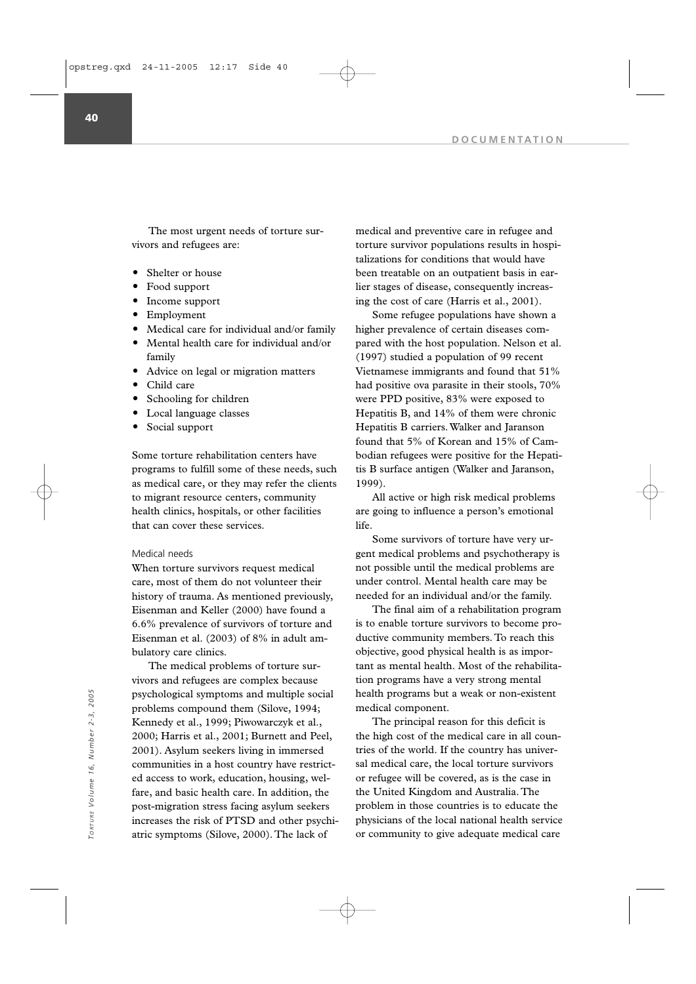The most urgent needs of torture survivors and refugees are:

- Shelter or house
- Food support
- Income support
- Employment
- Medical care for individual and/or family
- Mental health care for individual and/or family
- Advice on legal or migration matters
- Child care
- Schooling for children
- Local language classes
- Social support

Some torture rehabilitation centers have programs to fulfill some of these needs, such as medical care, or they may refer the clients to migrant resource centers, community health clinics, hospitals, or other facilities that can cover these services.

### Medical needs

When torture survivors request medical care, most of them do not volunteer their history of trauma. As mentioned previously, Eisenman and Keller (2000) have found a 6.6% prevalence of survivors of torture and Eisenman et al. (2003) of 8% in adult ambulatory care clinics.

The medical problems of torture survivors and refugees are complex because psychological symptoms and multiple social problems compound them (Silove, 1994; Kennedy et al., 1999; Piwowarczyk et al., 2000; Harris et al., 2001; Burnett and Peel, 2001). Asylum seekers living in immersed communities in a host country have restricted access to work, education, housing, welfare, and basic health care. In addition, the post-migration stress facing asylum seekers increases the risk of PTSD and other psychiatric symptoms (Silove, 2000). The lack of psychological symptoms and multiple social<br>
problems compound them (Silove, 1994; medical component.<br>
Kennedy et al., 1999; Piwowarczyk et al., The principal reason for this deficit is<br>
2000; Harris et al., 2001; Burnett a

medical and preventive care in refugee and torture survivor populations results in hospitalizations for conditions that would have been treatable on an outpatient basis in earlier stages of disease, consequently increasing the cost of care (Harris et al., 2001).

Some refugee populations have shown a higher prevalence of certain diseases compared with the host population. Nelson et al. (1997) studied a population of 99 recent Vietnamese immigrants and found that 51% had positive ova parasite in their stools, 70% were PPD positive, 83% were exposed to Hepatitis B, and 14% of them were chronic Hepatitis B carriers. Walker and Jaranson found that 5% of Korean and 15% of Cambodian refugees were positive for the Hepatitis B surface antigen (Walker and Jaranson, 1999).

All active or high risk medical problems are going to influence a person's emotional life.

Some survivors of torture have very urgent medical problems and psychotherapy is not possible until the medical problems are under control. Mental health care may be needed for an individual and/or the family.

The final aim of a rehabilitation program is to enable torture survivors to become productive community members. To reach this objective, good physical health is as important as mental health. Most of the rehabilitation programs have a very strong mental health programs but a weak or non-existent medical component.

The principal reason for this deficit is the high cost of the medical care in all countries of the world. If the country has universal medical care, the local torture survivors or refugee will be covered, as is the case in the United Kingdom and Australia. The problem in those countries is to educate the physicians of the local national health service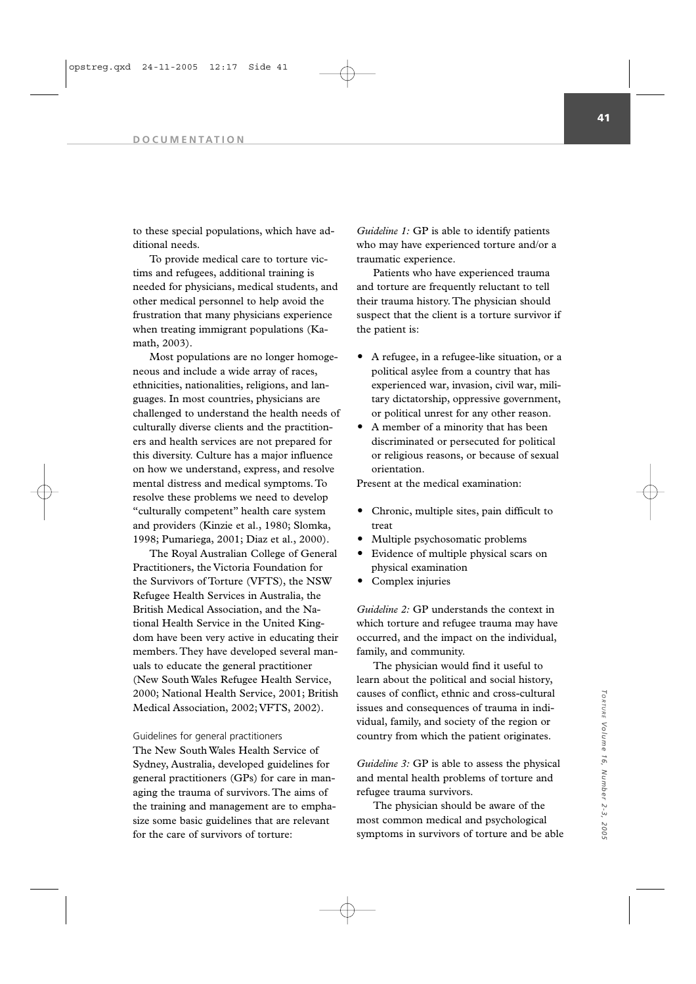#### **DOCUMENTATION**

to these special populations, which have additional needs.

To provide medical care to torture victims and refugees, additional training is needed for physicians, medical students, and other medical personnel to help avoid the frustration that many physicians experience when treating immigrant populations (Kamath, 2003).

Most populations are no longer homogeneous and include a wide array of races, ethnicities, nationalities, religions, and languages. In most countries, physicians are challenged to understand the health needs of culturally diverse clients and the practitioners and health services are not prepared for this diversity. Culture has a major influence on how we understand, express, and resolve mental distress and medical symptoms. To resolve these problems we need to develop "culturally competent" health care system and providers (Kinzie et al., 1980; Slomka, 1998; Pumariega, 2001; Diaz et al., 2000).

The Royal Australian College of General Practitioners, the Victoria Foundation for the Survivors of Torture (VFTS), the NSW Refugee Health Services in Australia, the British Medical Association, and the National Health Service in the United Kingdom have been very active in educating their members. They have developed several manuals to educate the general practitioner (New South Wales Refugee Health Service, 2000; National Health Service, 2001; British Medical Association, 2002; VFTS, 2002).

### Guidelines for general practitioners

The New South Wales Health Service of Sydney, Australia, developed guidelines for general practitioners (GPs) for care in managing the trauma of survivors. The aims of the training and management are to emphasize some basic guidelines that are relevant for the care of survivors of torture:

*Guideline 1:* GP is able to identify patients who may have experienced torture and/or a traumatic experience.

Patients who have experienced trauma and torture are frequently reluctant to tell their trauma history. The physician should suspect that the client is a torture survivor if the patient is:

- A refugee, in a refugee-like situation, or a political asylee from a country that has experienced war, invasion, civil war, military dictatorship, oppressive government, or political unrest for any other reason.
- A member of a minority that has been discriminated or persecuted for political or religious reasons, or because of sexual orientation.

Present at the medical examination:

- Chronic, multiple sites, pain difficult to treat
- Multiple psychosomatic problems
- Evidence of multiple physical scars on physical examination
- Complex injuries

*Guideline 2:* GP understands the context in which torture and refugee trauma may have occurred, and the impact on the individual, family, and community.

The physician would find it useful to learn about the political and social history, causes of conflict, ethnic and cross-cultural issues and consequences of trauma in individual, family, and society of the region or country from which the patient originates.

*Guideline 3:* GP is able to assess the physical and mental health problems of torture and refugee trauma survivors.

The physician should be aware of the most common medical and psychological symptoms in survivors of torture and be able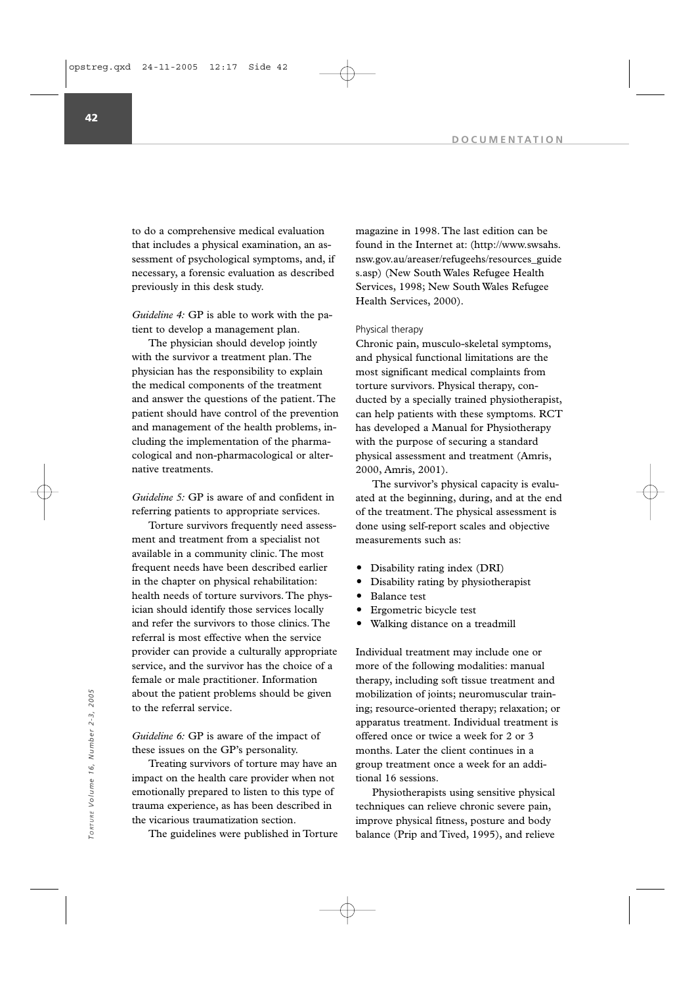to do a comprehensive medical evaluation that includes a physical examination, an assessment of psychological symptoms, and, if necessary, a forensic evaluation as described previously in this desk study.

*Guideline 4:* GP is able to work with the patient to develop a management plan.

The physician should develop jointly with the survivor a treatment plan. The physician has the responsibility to explain the medical components of the treatment and answer the questions of the patient. The patient should have control of the prevention and management of the health problems, including the implementation of the pharmacological and non-pharmacological or alternative treatments.

*Guideline 5:* GP is aware of and confident in referring patients to appropriate services.

Torture survivors frequently need assessment and treatment from a specialist not available in a community clinic. The most frequent needs have been described earlier in the chapter on physical rehabilitation: health needs of torture survivors. The physician should identify those services locally and refer the survivors to those clinics. The referral is most effective when the service provider can provide a culturally appropriate service, and the survivor has the choice of a female or male practitioner. Information about the patient problems should be given to the referral service.

*Guideline 6:* GP is aware of the impact of these issues on the GP's personality.

Treating survivors of torture may have an impact on the health care provider when not emotionally prepared to listen to this type of trauma experience, as has been described in the vicarious traumatization section.

The guidelines were published in Torture

magazine in 1998. The last edition can be found in the Internet at: (http://www.swsahs. nsw.gov.au/areaser/refugeehs/resources\_guide s.asp) (New South Wales Refugee Health Services, 1998; New South Wales Refugee Health Services, 2000).

### Physical therapy

Chronic pain, musculo-skeletal symptoms, and physical functional limitations are the most significant medical complaints from torture survivors. Physical therapy, conducted by a specially trained physiotherapist, can help patients with these symptoms. RCT has developed a Manual for Physiotherapy with the purpose of securing a standard physical assessment and treatment (Amris, 2000, Amris, 2001).

The survivor's physical capacity is evaluated at the beginning, during, and at the end of the treatment. The physical assessment is done using self-report scales and objective measurements such as:

- Disability rating index (DRI)
- Disability rating by physiotherapist
- Balance test
- Ergometric bicycle test
- Walking distance on a treadmill

Individual treatment may include one or more of the following modalities: manual therapy, including soft tissue treatment and mobilization of joints; neuromuscular training; resource-oriented therapy; relaxation; or apparatus treatment. Individual treatment is offered once or twice a week for 2 or 3 months. Later the client continues in a group treatment once a week for an additional 16 sessions.

Physiotherapists using sensitive physical techniques can relieve chronic severe pain, improve physical fitness, posture and body balance (Prip and Tived, 1995), and relieve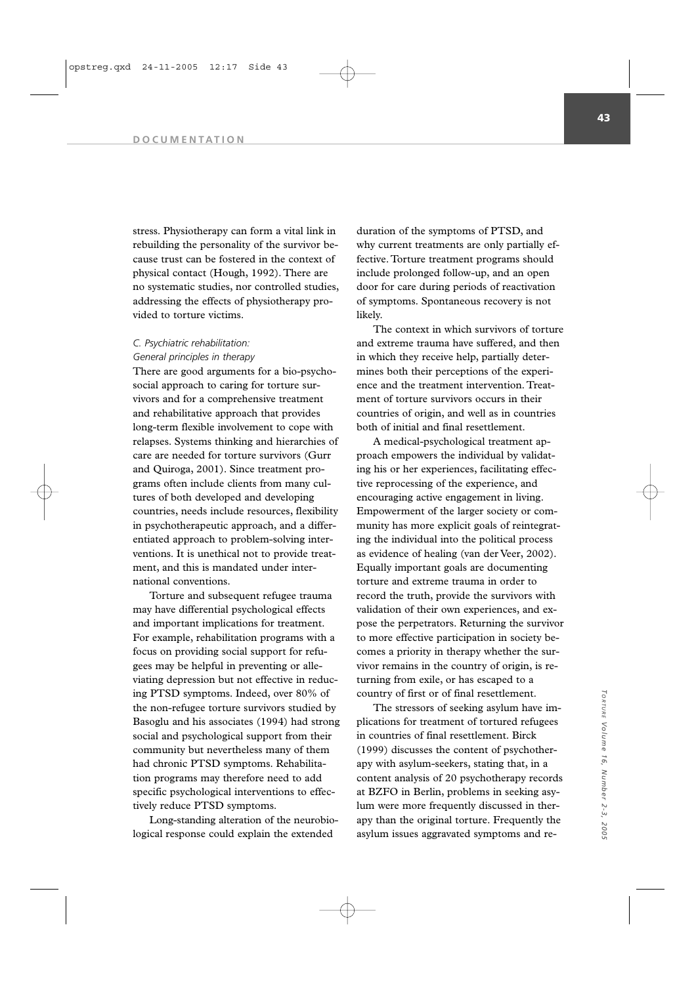#### **DOCUMENTATION**

stress. Physiotherapy can form a vital link in rebuilding the personality of the survivor because trust can be fostered in the context of physical contact (Hough, 1992). There are no systematic studies, nor controlled studies, addressing the effects of physiotherapy provided to torture victims.

## *C. Psychiatric rehabilitation: General principles in therapy*

There are good arguments for a bio-psychosocial approach to caring for torture survivors and for a comprehensive treatment and rehabilitative approach that provides long-term flexible involvement to cope with relapses. Systems thinking and hierarchies of care are needed for torture survivors (Gurr and Quiroga, 2001). Since treatment programs often include clients from many cultures of both developed and developing countries, needs include resources, flexibility in psychotherapeutic approach, and a differentiated approach to problem-solving interventions. It is unethical not to provide treatment, and this is mandated under international conventions.

Torture and subsequent refugee trauma may have differential psychological effects and important implications for treatment. For example, rehabilitation programs with a focus on providing social support for refugees may be helpful in preventing or alleviating depression but not effective in reducing PTSD symptoms. Indeed, over 80% of the non-refugee torture survivors studied by Basoglu and his associates (1994) had strong social and psychological support from their community but nevertheless many of them had chronic PTSD symptoms. Rehabilitation programs may therefore need to add specific psychological interventions to effectively reduce PTSD symptoms.

Long-standing alteration of the neurobiological response could explain the extended

duration of the symptoms of PTSD, and why current treatments are only partially effective. Torture treatment programs should include prolonged follow-up, and an open door for care during periods of reactivation of symptoms. Spontaneous recovery is not likely.

The context in which survivors of torture and extreme trauma have suffered, and then in which they receive help, partially determines both their perceptions of the experience and the treatment intervention. Treatment of torture survivors occurs in their countries of origin, and well as in countries both of initial and final resettlement.

A medical-psychological treatment approach empowers the individual by validating his or her experiences, facilitating effective reprocessing of the experience, and encouraging active engagement in living. Empowerment of the larger society or community has more explicit goals of reintegrating the individual into the political process as evidence of healing (van der Veer, 2002). Equally important goals are documenting torture and extreme trauma in order to record the truth, provide the survivors with validation of their own experiences, and expose the perpetrators. Returning the survivor to more effective participation in society becomes a priority in therapy whether the survivor remains in the country of origin, is returning from exile, or has escaped to a country of first or of final resettlement.

The stressors of seeking asylum have implications for treatment of tortured refugees in countries of final resettlement. Birck (1999) discusses the content of psychotherapy with asylum-seekers, stating that, in a content analysis of 20 psychotherapy records at BZFO in Berlin, problems in seeking asylum were more frequently discussed in therapy than the original torture. Frequently the asylum issues aggravated symptoms and re-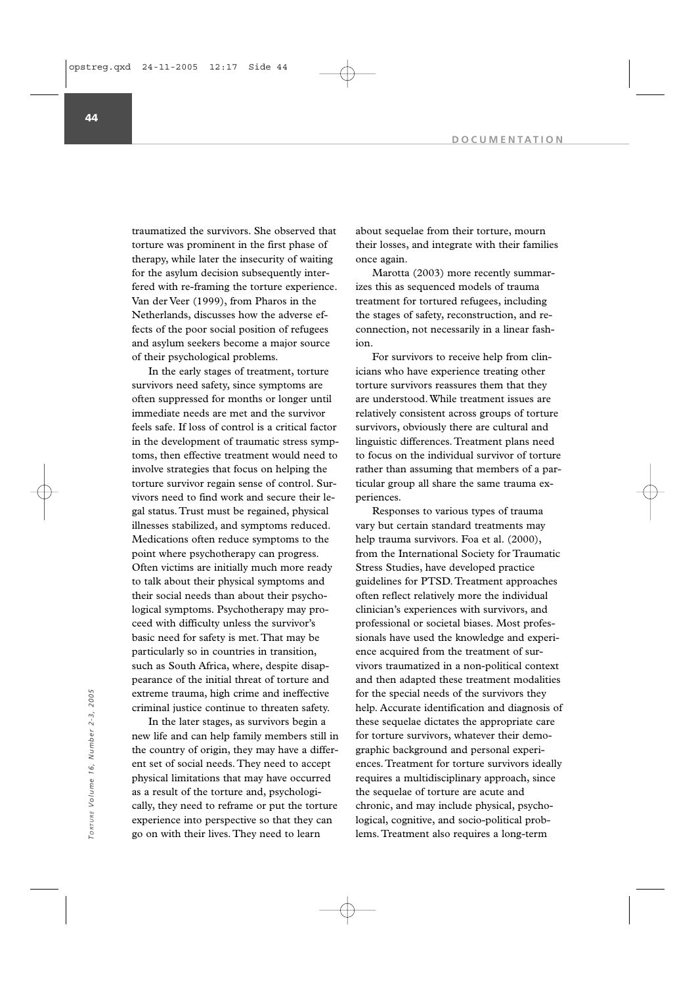traumatized the survivors. She observed that torture was prominent in the first phase of therapy, while later the insecurity of waiting for the asylum decision subsequently interfered with re-framing the torture experience. Van der Veer (1999), from Pharos in the Netherlands, discusses how the adverse effects of the poor social position of refugees and asylum seekers become a major source of their psychological problems.

In the early stages of treatment, torture survivors need safety, since symptoms are often suppressed for months or longer until immediate needs are met and the survivor feels safe. If loss of control is a critical factor in the development of traumatic stress symptoms, then effective treatment would need to involve strategies that focus on helping the torture survivor regain sense of control. Survivors need to find work and secure their legal status. Trust must be regained, physical illnesses stabilized, and symptoms reduced. Medications often reduce symptoms to the point where psychotherapy can progress. Often victims are initially much more ready to talk about their physical symptoms and their social needs than about their psychological symptoms. Psychotherapy may proceed with difficulty unless the survivor's basic need for safety is met. That may be particularly so in countries in transition, such as South Africa, where, despite disappearance of the initial threat of torture and extreme trauma, high crime and ineffective criminal justice continue to threaten safety.

In the later stages, as survivors begin a new life and can help family members still in the country of origin, they may have a different set of social needs. They need to accept physical limitations that may have occurred as a result of the torture and, psychologically, they need to reframe or put the torture experience into perspective so that they can go on with their lives. They need to learn

about sequelae from their torture, mourn their losses, and integrate with their families once again.

Marotta (2003) more recently summarizes this as sequenced models of trauma treatment for tortured refugees, including the stages of safety, reconstruction, and reconnection, not necessarily in a linear fashion.

For survivors to receive help from clinicians who have experience treating other torture survivors reassures them that they are understood. While treatment issues are relatively consistent across groups of torture survivors, obviously there are cultural and linguistic differences. Treatment plans need to focus on the individual survivor of torture rather than assuming that members of a particular group all share the same trauma experiences.

Responses to various types of trauma vary but certain standard treatments may help trauma survivors. Foa et al. (2000), from the International Society for Traumatic Stress Studies, have developed practice guidelines for PTSD. Treatment approaches often reflect relatively more the individual clinician's experiences with survivors, and professional or societal biases. Most professionals have used the knowledge and experience acquired from the treatment of survivors traumatized in a non-political context and then adapted these treatment modalities for the special needs of the survivors they help. Accurate identification and diagnosis of these sequelae dictates the appropriate care for torture survivors, whatever their demographic background and personal experiences. Treatment for torture survivors ideally requires a multidisciplinary approach, since the sequelae of torture are acute and chronic, and may include physical, psychological, cognitive, and socio-political problems. Treatment also requires a long-term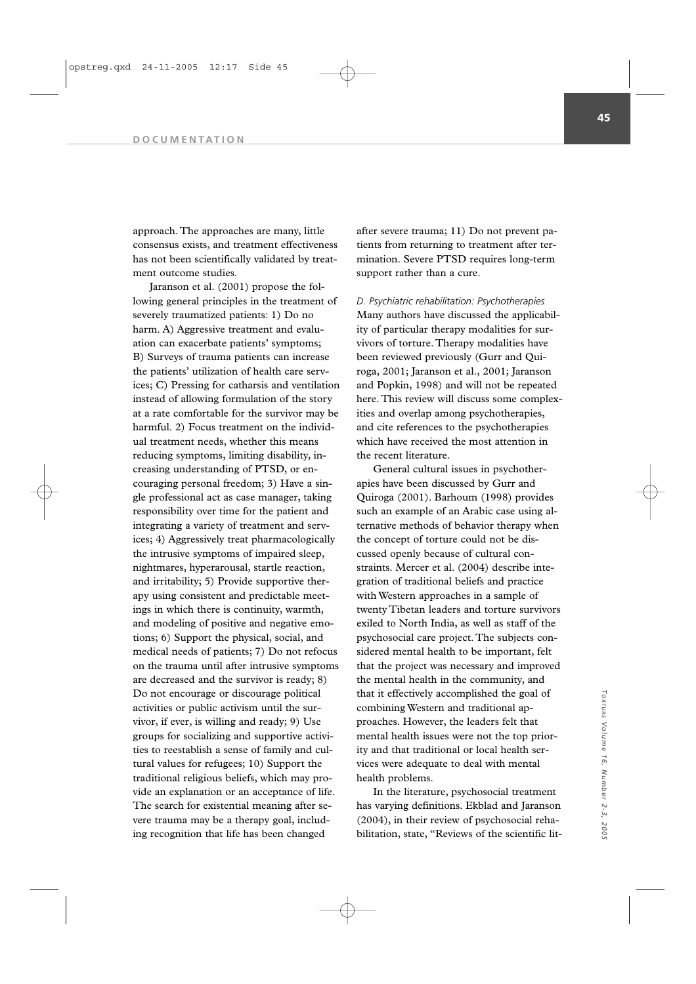approach. The approaches are many, little consensus exists, and treatment effectiveness has not been scientifically validated by treatment outcome studies.

Jaranson et al. (2001) propose the following general principles in the treatment of severely traumatized patients: 1) Do no harm. A) Aggressive treatment and evaluation can exacerbate patients' symptoms; B) Surveys of trauma patients can increase the patients' utilization of health care services; C) Pressing for catharsis and ventilation instead of allowing formulation of the story at a rate comfortable for the survivor may be harmful. 2) Focus treatment on the individual treatment needs, whether this means reducing symptoms, limiting disability, increasing understanding of PTSD, or encouraging personal freedom; 3) Have a single professional act as case manager, taking responsibility over time for the patient and integrating a variety of treatment and services; 4) Aggressively treat pharmacologically the intrusive symptoms of impaired sleep, nightmares, hyperarousal, startle reaction, and irritability; 5) Provide supportive therapy using consistent and predictable meetings in which there is continuity, warmth, and modeling of positive and negative emotions; 6) Support the physical, social, and medical needs of patients; 7) Do not refocus on the trauma until after intrusive symptoms are decreased and the survivor is ready; 8) Do not encourage or discourage political activities or public activism until the survivor, if ever, is willing and ready; 9) Use groups for socializing and supportive activities to reestablish a sense of family and cultural values for refugees; 10) Support the traditional religious beliefs, which may provide an explanation or an acceptance of life. The search for existential meaning after severe trauma may be a therapy goal, including recognition that life has been changed

after severe trauma; 11) Do not prevent patients from returning to treatment after termination. Severe PTSD requires long-term support rather than a cure.

*D. Psychiatric rehabilitation: Psychotherapies* Many authors have discussed the applicability of particular therapy modalities for survivors of torture. Therapy modalities have been reviewed previously (Gurr and Quiroga, 2001; Jaranson et al., 2001; Jaranson and Popkin, 1998) and will not be repeated here. This review will discuss some complexities and overlap among psychotherapies, and cite references to the psychotherapies which have received the most attention in the recent literature.

General cultural issues in psychotherapies have been discussed by Gurr and Quiroga (2001). Barhoum (1998) provides such an example of an Arabic case using alternative methods of behavior therapy when the concept of torture could not be discussed openly because of cultural constraints. Mercer et al. (2004) describe integration of traditional beliefs and practice with Western approaches in a sample of twenty Tibetan leaders and torture survivors exiled to North India, as well as staff of the psychosocial care project. The subjects considered mental health to be important, felt that the project was necessary and improved the mental health in the community, and that it effectively accomplished the goal of combining Western and traditional approaches. However, the leaders felt that mental health issues were not the top priority and that traditional or local health services were adequate to deal with mental health problems.

In the literature, psychosocial treatment has varying definitions. Ekblad and Jaranson (2004), in their review of psychosocial rehabilitation, state, "Reviews of the scientific lit-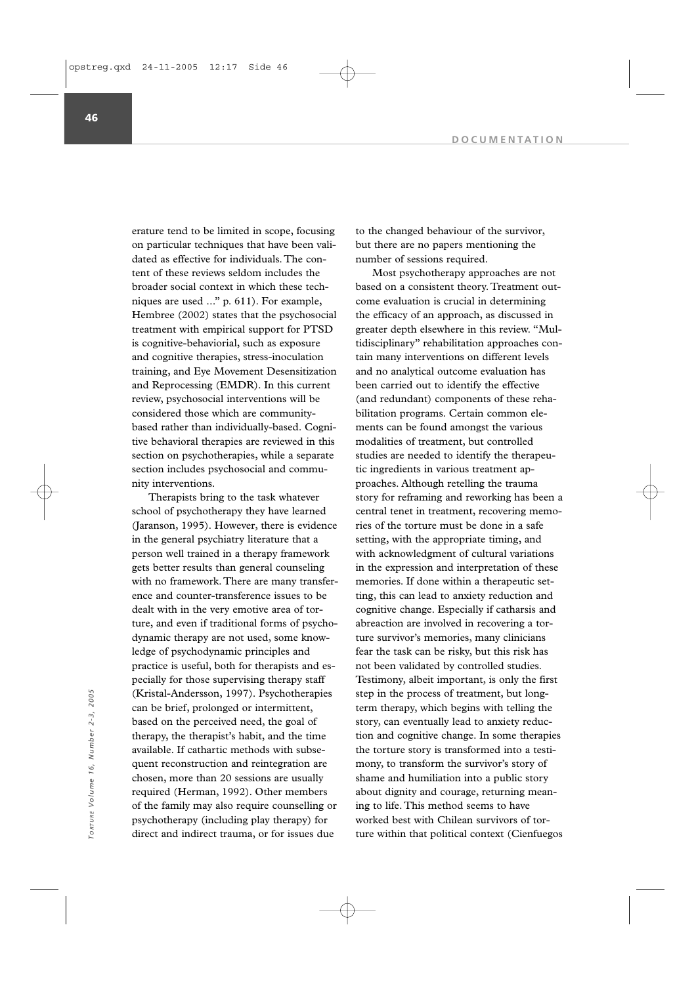erature tend to be limited in scope, focusing on particular techniques that have been validated as effective for individuals. The content of these reviews seldom includes the broader social context in which these techniques are used ..." p. 611). For example, Hembree (2002) states that the psychosocial treatment with empirical support for PTSD is cognitive-behaviorial, such as exposure and cognitive therapies, stress-inoculation training, and Eye Movement Desensitization and Reprocessing (EMDR). In this current review, psychosocial interventions will be considered those which are communitybased rather than individually-based. Cognitive behavioral therapies are reviewed in this section on psychotherapies, while a separate section includes psychosocial and community interventions.

Therapists bring to the task whatever school of psychotherapy they have learned (Jaranson, 1995). However, there is evidence in the general psychiatry literature that a person well trained in a therapy framework gets better results than general counseling with no framework. There are many transference and counter-transference issues to be dealt with in the very emotive area of torture, and even if traditional forms of psychodynamic therapy are not used, some knowledge of psychodynamic principles and practice is useful, both for therapists and especially for those supervising therapy staff (Kristal-Andersson, 1997). Psychotherapies can be brief, prolonged or intermittent, based on the perceived need, the goal of therapy, the therapist's habit, and the time available. If cathartic methods with subsequent reconstruction and reintegration are chosen, more than 20 sessions are usually required (Herman, 1992). Other members of the family may also require counselling or psychotherapy (including play therapy) for direct and indirect trauma, or for issues due

to the changed behaviour of the survivor, but there are no papers mentioning the number of sessions required.

Most psychotherapy approaches are not based on a consistent theory. Treatment outcome evaluation is crucial in determining the efficacy of an approach, as discussed in greater depth elsewhere in this review. "Multidisciplinary" rehabilitation approaches contain many interventions on different levels and no analytical outcome evaluation has been carried out to identify the effective (and redundant) components of these rehabilitation programs. Certain common elements can be found amongst the various modalities of treatment, but controlled studies are needed to identify the therapeutic ingredients in various treatment approaches. Although retelling the trauma story for reframing and reworking has been a central tenet in treatment, recovering memories of the torture must be done in a safe setting, with the appropriate timing, and with acknowledgment of cultural variations in the expression and interpretation of these memories. If done within a therapeutic setting, this can lead to anxiety reduction and cognitive change. Especially if catharsis and abreaction are involved in recovering a torture survivor's memories, many clinicians fear the task can be risky, but this risk has not been validated by controlled studies. Testimony, albeit important, is only the first step in the process of treatment, but longterm therapy, which begins with telling the story, can eventually lead to anxiety reduction and cognitive change. In some therapies the torture story is transformed into a testimony, to transform the survivor's story of shame and humiliation into a public story about dignity and courage, returning meaning to life. This method seems to have worked best with Chilean survivors of tor-The process of treatment, but long-<br>
Context (Cienfuegos and be brief, prolonged or intermittent,<br>
term therapy, which begins with telling the<br>
based on the perceived need, the goal of<br>
term therapy, which begins with tell

**46**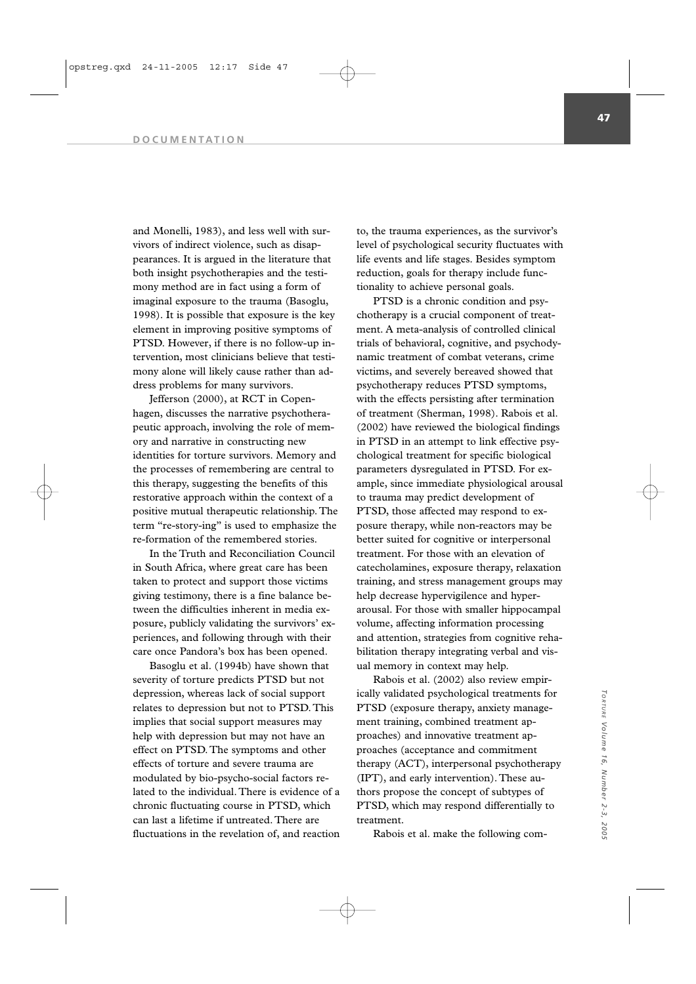#### **DOCUMENTATION**

and Monelli, 1983), and less well with survivors of indirect violence, such as disappearances. It is argued in the literature that both insight psychotherapies and the testimony method are in fact using a form of imaginal exposure to the trauma (Basoglu, 1998). It is possible that exposure is the key element in improving positive symptoms of PTSD. However, if there is no follow-up intervention, most clinicians believe that testimony alone will likely cause rather than address problems for many survivors.

Jefferson (2000), at RCT in Copenhagen, discusses the narrative psychotherapeutic approach, involving the role of memory and narrative in constructing new identities for torture survivors. Memory and the processes of remembering are central to this therapy, suggesting the benefits of this restorative approach within the context of a positive mutual therapeutic relationship. The term "re-story-ing" is used to emphasize the re-formation of the remembered stories.

In the Truth and Reconciliation Council in South Africa, where great care has been taken to protect and support those victims giving testimony, there is a fine balance between the difficulties inherent in media exposure, publicly validating the survivors' experiences, and following through with their care once Pandora's box has been opened.

Basoglu et al. (1994b) have shown that severity of torture predicts PTSD but not depression, whereas lack of social support relates to depression but not to PTSD. This implies that social support measures may help with depression but may not have an effect on PTSD. The symptoms and other effects of torture and severe trauma are modulated by bio-psycho-social factors related to the individual. There is evidence of a chronic fluctuating course in PTSD, which can last a lifetime if untreated. There are fluctuations in the revelation of, and reaction

to, the trauma experiences, as the survivor's level of psychological security fluctuates with life events and life stages. Besides symptom reduction, goals for therapy include functionality to achieve personal goals.

PTSD is a chronic condition and psychotherapy is a crucial component of treatment. A meta-analysis of controlled clinical trials of behavioral, cognitive, and psychodynamic treatment of combat veterans, crime victims, and severely bereaved showed that psychotherapy reduces PTSD symptoms, with the effects persisting after termination of treatment (Sherman, 1998). Rabois et al. (2002) have reviewed the biological findings in PTSD in an attempt to link effective psychological treatment for specific biological parameters dysregulated in PTSD. For example, since immediate physiological arousal to trauma may predict development of PTSD, those affected may respond to exposure therapy, while non-reactors may be better suited for cognitive or interpersonal treatment. For those with an elevation of catecholamines, exposure therapy, relaxation training, and stress management groups may help decrease hypervigilence and hyperarousal. For those with smaller hippocampal volume, affecting information processing and attention, strategies from cognitive rehabilitation therapy integrating verbal and visual memory in context may help.

Rabois et al. (2002) also review empirically validated psychological treatments for PTSD (exposure therapy, anxiety management training, combined treatment approaches) and innovative treatment approaches (acceptance and commitment therapy (ACT), interpersonal psychotherapy (IPT), and early intervention). These authors propose the concept of subtypes of PTSD, which may respond differentially to treatment.

Rabois et al. make the following com-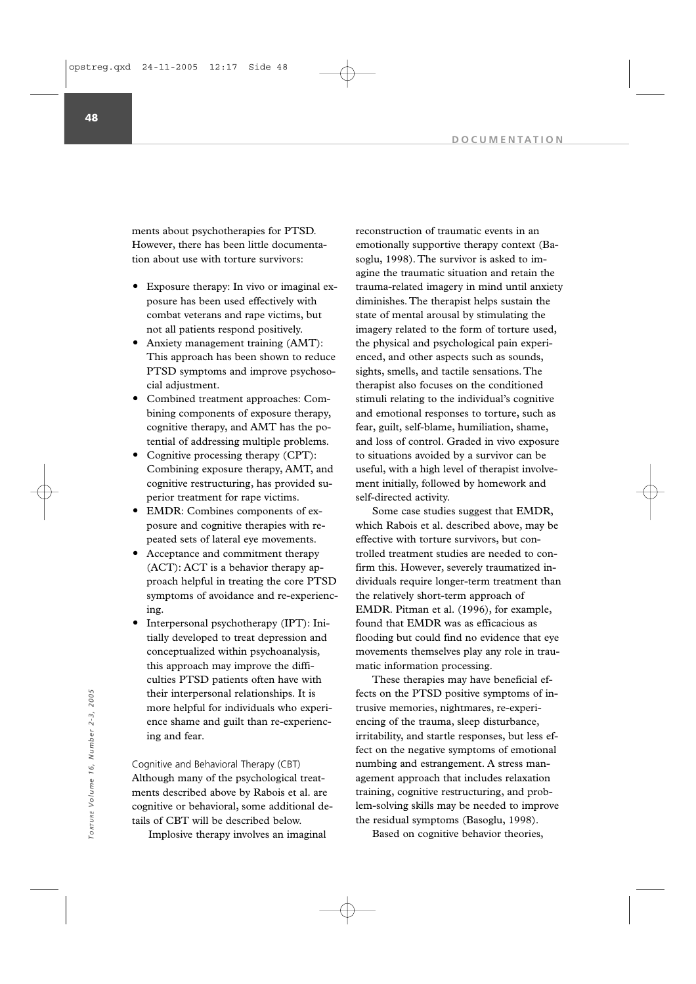ments about psychotherapies for PTSD. However, there has been little documentation about use with torture survivors:

- Exposure therapy: In vivo or imaginal exposure has been used effectively with combat veterans and rape victims, but not all patients respond positively.
- Anxiety management training (AMT): This approach has been shown to reduce PTSD symptoms and improve psychosocial adjustment.
- Combined treatment approaches: Combining components of exposure therapy, cognitive therapy, and AMT has the potential of addressing multiple problems.
- Cognitive processing therapy (CPT): Combining exposure therapy, AMT, and cognitive restructuring, has provided superior treatment for rape victims.
- EMDR: Combines components of exposure and cognitive therapies with repeated sets of lateral eye movements.
- Acceptance and commitment therapy (ACT): ACT is a behavior therapy approach helpful in treating the core PTSD symptoms of avoidance and re-experiencing.
- Interpersonal psychotherapy (IPT): Initially developed to treat depression and conceptualized within psychoanalysis, this approach may improve the difficulties PTSD patients often have with their interpersonal relationships. It is more helpful for individuals who experience shame and guilt than re-experiencing and fear.

Cognitive and Behavioral Therapy (CBT) Although many of the psychological treatments described above by Rabois et al. are cognitive or behavioral, some additional details of CBT will be described below.

Implosive therapy involves an imaginal

reconstruction of traumatic events in an emotionally supportive therapy context (Basoglu, 1998). The survivor is asked to imagine the traumatic situation and retain the trauma-related imagery in mind until anxiety diminishes. The therapist helps sustain the state of mental arousal by stimulating the imagery related to the form of torture used, the physical and psychological pain experienced, and other aspects such as sounds, sights, smells, and tactile sensations. The therapist also focuses on the conditioned stimuli relating to the individual's cognitive and emotional responses to torture, such as fear, guilt, self-blame, humiliation, shame, and loss of control. Graded in vivo exposure to situations avoided by a survivor can be useful, with a high level of therapist involvement initially, followed by homework and self-directed activity.

Some case studies suggest that EMDR, which Rabois et al. described above, may be effective with torture survivors, but controlled treatment studies are needed to confirm this. However, severely traumatized individuals require longer-term treatment than the relatively short-term approach of EMDR. Pitman et al. (1996), for example, found that EMDR was as efficacious as flooding but could find no evidence that eye movements themselves play any role in traumatic information processing.

These therapies may have beneficial effects on the PTSD positive symptoms of intrusive memories, nightmares, re-experiencing of the trauma, sleep disturbance, irritability, and startle responses, but less effect on the negative symptoms of emotional numbing and estrangement. A stress management approach that includes relaxation training, cognitive restructuring, and problem-solving skills may be needed to improve the residual symptoms (Basoglu, 1998). Their interpersonal relationships. It is<br>
their interpersonal relationships. It is<br>
theoretic control control control common common control control control common common control control contribuility, and startle responses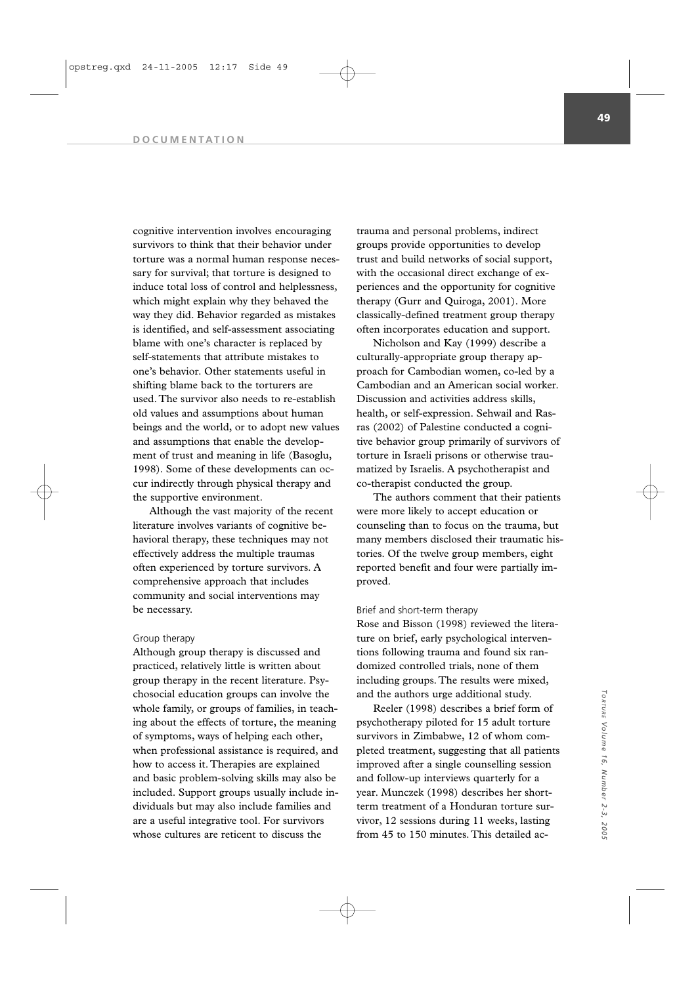#### **DOCUMENTATION**

cognitive intervention involves encouraging survivors to think that their behavior under torture was a normal human response necessary for survival; that torture is designed to induce total loss of control and helplessness, which might explain why they behaved the way they did. Behavior regarded as mistakes is identified, and self-assessment associating blame with one's character is replaced by self-statements that attribute mistakes to one's behavior. Other statements useful in shifting blame back to the torturers are used. The survivor also needs to re-establish old values and assumptions about human beings and the world, or to adopt new values and assumptions that enable the development of trust and meaning in life (Basoglu, 1998). Some of these developments can occur indirectly through physical therapy and the supportive environment.

Although the vast majority of the recent literature involves variants of cognitive behavioral therapy, these techniques may not effectively address the multiple traumas often experienced by torture survivors. A comprehensive approach that includes community and social interventions may be necessary.

## Group therapy

Although group therapy is discussed and practiced, relatively little is written about group therapy in the recent literature. Psychosocial education groups can involve the whole family, or groups of families, in teaching about the effects of torture, the meaning of symptoms, ways of helping each other, when professional assistance is required, and how to access it. Therapies are explained and basic problem-solving skills may also be included. Support groups usually include individuals but may also include families and are a useful integrative tool. For survivors whose cultures are reticent to discuss the

trauma and personal problems, indirect groups provide opportunities to develop trust and build networks of social support, with the occasional direct exchange of experiences and the opportunity for cognitive therapy (Gurr and Quiroga, 2001). More classically-defined treatment group therapy often incorporates education and support.

Nicholson and Kay (1999) describe a culturally-appropriate group therapy approach for Cambodian women, co-led by a Cambodian and an American social worker. Discussion and activities address skills, health, or self-expression. Sehwail and Rasras (2002) of Palestine conducted a cognitive behavior group primarily of survivors of torture in Israeli prisons or otherwise traumatized by Israelis. A psychotherapist and co-therapist conducted the group.

The authors comment that their patients were more likely to accept education or counseling than to focus on the trauma, but many members disclosed their traumatic histories. Of the twelve group members, eight reported benefit and four were partially improved.

## Brief and short-term therapy

Rose and Bisson (1998) reviewed the literature on brief, early psychological interventions following trauma and found six randomized controlled trials, none of them including groups. The results were mixed, and the authors urge additional study.

Reeler (1998) describes a brief form of psychotherapy piloted for 15 adult torture survivors in Zimbabwe, 12 of whom completed treatment, suggesting that all patients improved after a single counselling session and follow-up interviews quarterly for a year. Munczek (1998) describes her shortterm treatment of a Honduran torture survivor, 12 sessions during 11 weeks, lasting from 45 to 150 minutes. This detailed ac-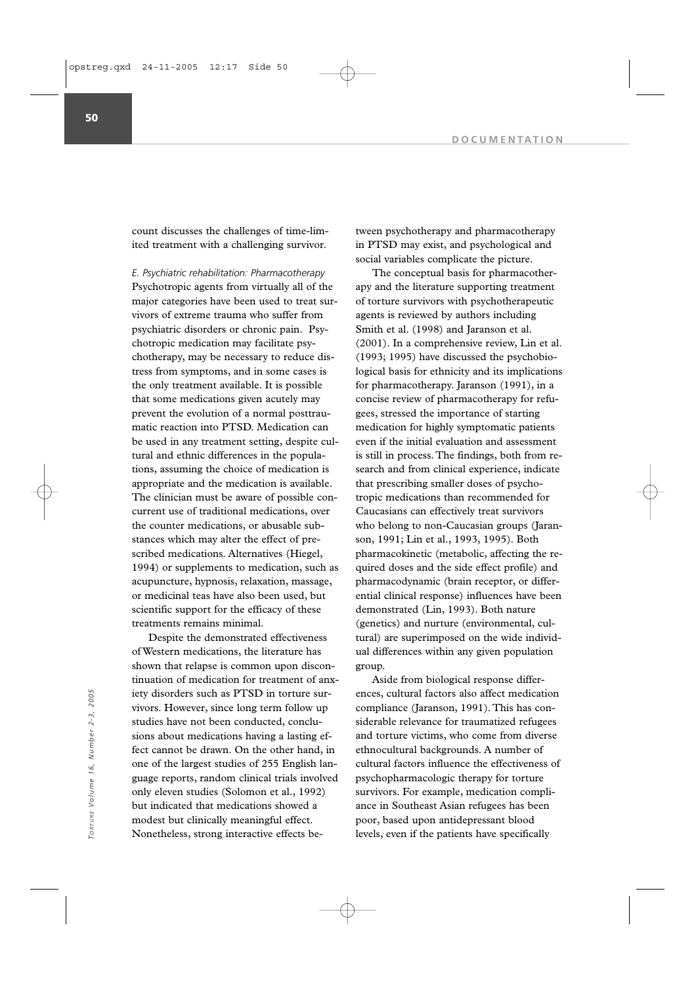count discusses the challenges of time-limited treatment with a challenging survivor.

*E. Psychiatric rehabilitation: Pharmacotherapy*  Psychotropic agents from virtually all of the major categories have been used to treat survivors of extreme trauma who suffer from psychiatric disorders or chronic pain. Psychotropic medication may facilitate psychotherapy, may be necessary to reduce distress from symptoms, and in some cases is the only treatment available. It is possible that some medications given acutely may prevent the evolution of a normal posttraumatic reaction into PTSD. Medication can be used in any treatment setting, despite cultural and ethnic differences in the populations, assuming the choice of medication is appropriate and the medication is available. The clinician must be aware of possible concurrent use of traditional medications, over the counter medications, or abusable substances which may alter the effect of prescribed medications. Alternatives (Hiegel, 1994) or supplements to medication, such as acupuncture, hypnosis, relaxation, massage, or medicinal teas have also been used, but scientific support for the efficacy of these treatments remains minimal.

Despite the demonstrated effectiveness of Western medications, the literature has shown that relapse is common upon discontinuation of medication for treatment of anxiety disorders such as PTSD in torture survivors. However, since long term follow up studies have not been conducted, conclusions about medications having a lasting effect cannot be drawn. On the other hand, in one of the largest studies of 255 English language reports, random clinical trials involved only eleven studies (Solomon et al., 1992) but indicated that medications showed a modest but clinically meaningful effect. Nonetheless, strong interactive effects belety disorders such as PTSD in torture sur-<br>
vivors. However, since long term follow up<br>
studies have not been conducted, conclu-<br>
since  $\frac{1}{2}$ <br>  $\frac{1}{2}$ <br>  $\frac{1}{2}$ <br>  $\frac{1}{2}$ <br>  $\frac{1}{2}$ <br>  $\frac{1}{2}$ <br>  $\frac{1}{2}$ <br>  $\frac{1}{2}$ 

tween psychotherapy and pharmacotherapy in PTSD may exist, and psychological and social variables complicate the picture.

The conceptual basis for pharmacotherapy and the literature supporting treatment of torture survivors with psychotherapeutic agents is reviewed by authors including Smith et al. (1998) and Jaranson et al. (2001). In a comprehensive review, Lin et al. (1993; 1995) have discussed the psychobiological basis for ethnicity and its implications for pharmacotherapy. Jaranson (1991), in a concise review of pharmacotherapy for refugees, stressed the importance of starting medication for highly symptomatic patients even if the initial evaluation and assessment is still in process. The findings, both from research and from clinical experience, indicate that prescribing smaller doses of psychotropic medications than recommended for Caucasians can effectively treat survivors who belong to non-Caucasian groups (Jaranson, 1991; Lin et al., 1993, 1995). Both pharmacokinetic (metabolic, affecting the required doses and the side effect profile) and pharmacodynamic (brain receptor, or differential clinical response) influences have been demonstrated (Lin, 1993). Both nature (genetics) and nurture (environmental, cultural) are superimposed on the wide individual differences within any given population group.

Aside from biological response differences, cultural factors also affect medication compliance (Jaranson, 1991). This has considerable relevance for traumatized refugees and torture victims, who come from diverse ethnocultural backgrounds. A number of cultural factors influence the effectiveness of psychopharmacologic therapy for torture survivors. For example, medication compliance in Southeast Asian refugees has been poor, based upon antidepressant blood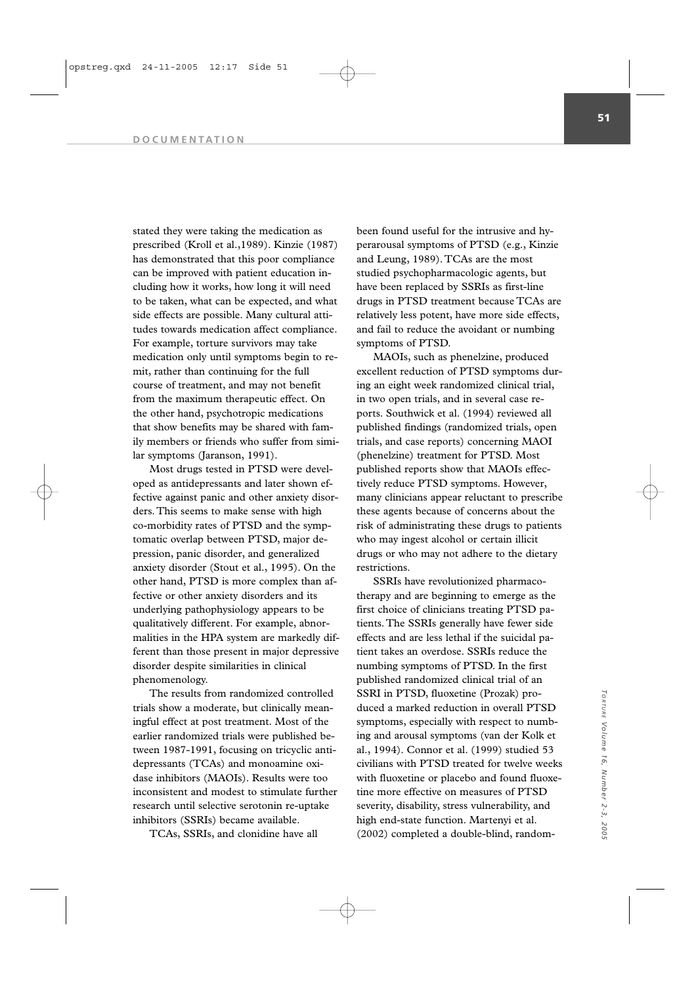#### **DOCUMENTATION**

stated they were taking the medication as prescribed (Kroll et al.,1989). Kinzie (1987) has demonstrated that this poor compliance can be improved with patient education including how it works, how long it will need to be taken, what can be expected, and what side effects are possible. Many cultural attitudes towards medication affect compliance. For example, torture survivors may take medication only until symptoms begin to remit, rather than continuing for the full course of treatment, and may not benefit from the maximum therapeutic effect. On the other hand, psychotropic medications that show benefits may be shared with family members or friends who suffer from similar symptoms (Jaranson, 1991).

Most drugs tested in PTSD were developed as antidepressants and later shown effective against panic and other anxiety disorders. This seems to make sense with high co-morbidity rates of PTSD and the symptomatic overlap between PTSD, major depression, panic disorder, and generalized anxiety disorder (Stout et al., 1995). On the other hand, PTSD is more complex than affective or other anxiety disorders and its underlying pathophysiology appears to be qualitatively different. For example, abnormalities in the HPA system are markedly different than those present in major depressive disorder despite similarities in clinical phenomenology.

The results from randomized controlled trials show a moderate, but clinically meaningful effect at post treatment. Most of the earlier randomized trials were published between 1987-1991, focusing on tricyclic antidepressants (TCAs) and monoamine oxidase inhibitors (MAOIs). Results were too inconsistent and modest to stimulate further research until selective serotonin re-uptake inhibitors (SSRIs) became available.

TCAs, SSRIs, and clonidine have all

been found useful for the intrusive and hyperarousal symptoms of PTSD (e.g., Kinzie and Leung, 1989). TCAs are the most studied psychopharmacologic agents, but have been replaced by SSRIs as first-line drugs in PTSD treatment because TCAs are relatively less potent, have more side effects, and fail to reduce the avoidant or numbing symptoms of PTSD.

MAOIs, such as phenelzine, produced excellent reduction of PTSD symptoms during an eight week randomized clinical trial, in two open trials, and in several case reports. Southwick et al. (1994) reviewed all published findings (randomized trials, open trials, and case reports) concerning MAOI (phenelzine) treatment for PTSD. Most published reports show that MAOIs effectively reduce PTSD symptoms. However, many clinicians appear reluctant to prescribe these agents because of concerns about the risk of administrating these drugs to patients who may ingest alcohol or certain illicit drugs or who may not adhere to the dietary restrictions.

SSRIs have revolutionized pharmacotherapy and are beginning to emerge as the first choice of clinicians treating PTSD patients. The SSRIs generally have fewer side effects and are less lethal if the suicidal patient takes an overdose. SSRIs reduce the numbing symptoms of PTSD. In the first published randomized clinical trial of an SSRI in PTSD, fluoxetine (Prozak) produced a marked reduction in overall PTSD symptoms, especially with respect to numbing and arousal symptoms (van der Kolk et al., 1994). Connor et al. (1999) studied 53 civilians with PTSD treated for twelve weeks with fluoxetine or placebo and found fluoxetine more effective on measures of PTSD severity, disability, stress vulnerability, and high end-state function. Martenyi et al. (2002) completed a double-blind, random-

*TORTURE*

Torrure Volume

*Volume 16, Number 2-3, 2005*

16, Number 2-3,

, 2005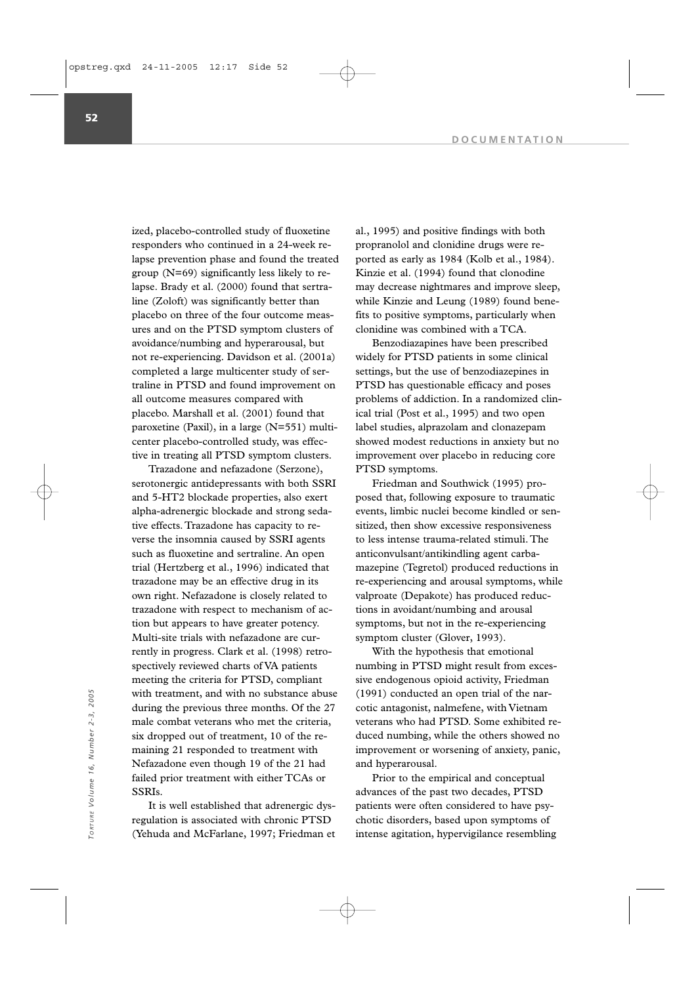ized, placebo-controlled study of fluoxetine responders who continued in a 24-week relapse prevention phase and found the treated group (N=69) significantly less likely to relapse. Brady et al. (2000) found that sertraline (Zoloft) was significantly better than placebo on three of the four outcome measures and on the PTSD symptom clusters of avoidance/numbing and hyperarousal, but not re-experiencing. Davidson et al. (2001a) completed a large multicenter study of sertraline in PTSD and found improvement on all outcome measures compared with placebo. Marshall et al. (2001) found that paroxetine (Paxil), in a large (N=551) multicenter placebo-controlled study, was effective in treating all PTSD symptom clusters.

Trazadone and nefazadone (Serzone), serotonergic antidepressants with both SSRI and 5-HT2 blockade properties, also exert alpha-adrenergic blockade and strong sedative effects. Trazadone has capacity to reverse the insomnia caused by SSRI agents such as fluoxetine and sertraline. An open trial (Hertzberg et al., 1996) indicated that trazadone may be an effective drug in its own right. Nefazadone is closely related to trazadone with respect to mechanism of action but appears to have greater potency. Multi-site trials with nefazadone are currently in progress. Clark et al. (1998) retrospectively reviewed charts of VA patients meeting the criteria for PTSD, compliant with treatment, and with no substance abuse during the previous three months. Of the 27 male combat veterans who met the criteria, six dropped out of treatment, 10 of the remaining 21 responded to treatment with Nefazadone even though 19 of the 21 had failed prior treatment with either TCAs or SSRIs.

It is well established that adrenergic dysregulation is associated with chronic PTSD (Yehuda and McFarlane, 1997; Friedman et al., 1995) and positive findings with both propranolol and clonidine drugs were reported as early as 1984 (Kolb et al., 1984). Kinzie et al. (1994) found that clonodine may decrease nightmares and improve sleep, while Kinzie and Leung (1989) found benefits to positive symptoms, particularly when clonidine was combined with a TCA.

Benzodiazapines have been prescribed widely for PTSD patients in some clinical settings, but the use of benzodiazepines in PTSD has questionable efficacy and poses problems of addiction. In a randomized clinical trial (Post et al., 1995) and two open label studies, alprazolam and clonazepam showed modest reductions in anxiety but no improvement over placebo in reducing core PTSD symptoms.

Friedman and Southwick (1995) proposed that, following exposure to traumatic events, limbic nuclei become kindled or sensitized, then show excessive responsiveness to less intense trauma-related stimuli. The anticonvulsant/antikindling agent carbamazepine (Tegretol) produced reductions in re-experiencing and arousal symptoms, while valproate (Depakote) has produced reductions in avoidant/numbing and arousal symptoms, but not in the re-experiencing symptom cluster (Glover, 1993).

With the hypothesis that emotional numbing in PTSD might result from excessive endogenous opioid activity, Friedman (1991) conducted an open trial of the narcotic antagonist, nalmefene, with Vietnam veterans who had PTSD. Some exhibited reduced numbing, while the others showed no improvement or worsening of anxiety, panic, and hyperarousal.

Prior to the empirical and conceptual advances of the past two decades, PTSD patients were often considered to have psychotic disorders, based upon symptoms of intense agitation, hypervigilance resembling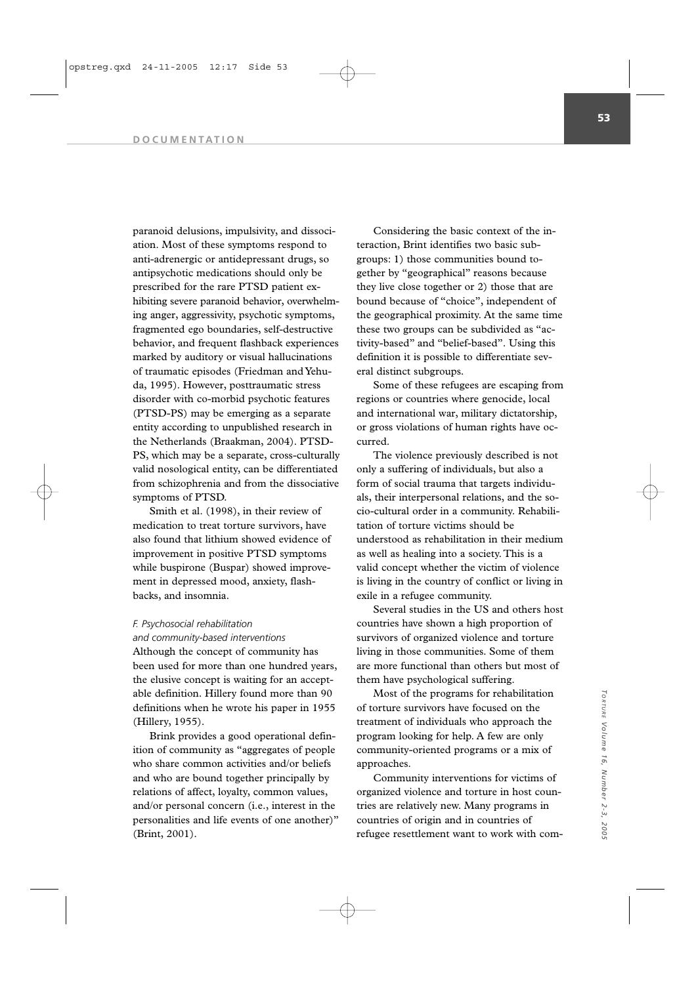#### **DOCUMENTATION**

paranoid delusions, impulsivity, and dissociation. Most of these symptoms respond to anti-adrenergic or antidepressant drugs, so antipsychotic medications should only be prescribed for the rare PTSD patient exhibiting severe paranoid behavior, overwhelming anger, aggressivity, psychotic symptoms, fragmented ego boundaries, self-destructive behavior, and frequent flashback experiences marked by auditory or visual hallucinations of traumatic episodes (Friedman and Yehuda, 1995). However, posttraumatic stress disorder with co-morbid psychotic features (PTSD-PS) may be emerging as a separate entity according to unpublished research in the Netherlands (Braakman, 2004). PTSD-PS, which may be a separate, cross-culturally valid nosological entity, can be differentiated from schizophrenia and from the dissociative symptoms of PTSD.

Smith et al. (1998), in their review of medication to treat torture survivors, have also found that lithium showed evidence of improvement in positive PTSD symptoms while buspirone (Buspar) showed improvement in depressed mood, anxiety, flashbacks, and insomnia.

# *F. Psychosocial rehabilitation*

# *and community-based interventions*

Although the concept of community has been used for more than one hundred years, the elusive concept is waiting for an acceptable definition. Hillery found more than 90 definitions when he wrote his paper in 1955 (Hillery, 1955).

Brink provides a good operational definition of community as "aggregates of people who share common activities and/or beliefs and who are bound together principally by relations of affect, loyalty, common values, and/or personal concern (i.e., interest in the personalities and life events of one another)" (Brint, 2001).

Considering the basic context of the interaction, Brint identifies two basic subgroups: 1) those communities bound together by "geographical" reasons because they live close together or 2) those that are bound because of "choice", independent of the geographical proximity. At the same time these two groups can be subdivided as "activity-based" and "belief-based". Using this definition it is possible to differentiate several distinct subgroups.

Some of these refugees are escaping from regions or countries where genocide, local and international war, military dictatorship, or gross violations of human rights have occurred.

The violence previously described is not only a suffering of individuals, but also a form of social trauma that targets individuals, their interpersonal relations, and the socio-cultural order in a community. Rehabilitation of torture victims should be understood as rehabilitation in their medium as well as healing into a society. This is a valid concept whether the victim of violence is living in the country of conflict or living in exile in a refugee community.

Several studies in the US and others host countries have shown a high proportion of survivors of organized violence and torture living in those communities. Some of them are more functional than others but most of them have psychological suffering.

Most of the programs for rehabilitation of torture survivors have focused on the treatment of individuals who approach the program looking for help. A few are only community-oriented programs or a mix of approaches.

Community interventions for victims of organized violence and torture in host countries are relatively new. Many programs in countries of origin and in countries of refugee resettlement want to work with com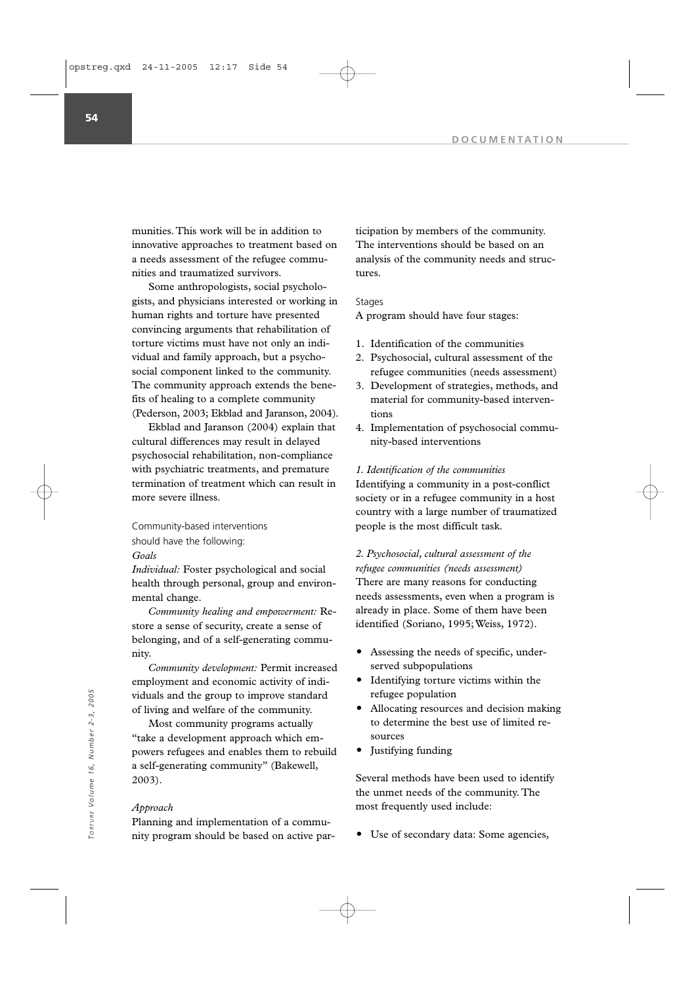munities. This work will be in addition to innovative approaches to treatment based on a needs assessment of the refugee communities and traumatized survivors.

Some anthropologists, social psychologists, and physicians interested or working in human rights and torture have presented convincing arguments that rehabilitation of torture victims must have not only an individual and family approach, but a psychosocial component linked to the community. The community approach extends the benefits of healing to a complete community (Pederson, 2003; Ekblad and Jaranson, 2004).

Ekblad and Jaranson (2004) explain that cultural differences may result in delayed psychosocial rehabilitation, non-compliance with psychiatric treatments, and premature termination of treatment which can result in more severe illness.

Community-based interventions

should have the following:

*Goals*

*Individual:* Foster psychological and social health through personal, group and environmental change.

*Community healing and empowerment:* Restore a sense of security, create a sense of belonging, and of a self-generating community.

*Community development:* Permit increased employment and economic activity of individuals and the group to improve standard of living and welfare of the community.

Most community programs actually "take a development approach which empowers refugees and enables them to rebuild a self-generating community" (Bakewell, 2003). viduals and the group to improve standard<br>
of living and welfare of the community.<br>
Most community programs actually<br>
to determine the best use of limited re-<br>
take a development approach which em-<br>
powers refugees and ena

### *Approach*

Planning and implementation of a community program should be based on active participation by members of the community. The interventions should be based on an analysis of the community needs and structures.

### Stages

A program should have four stages:

- 1. Identification of the communities
- 2. Psychosocial, cultural assessment of the refugee communities (needs assessment)
- 3. Development of strategies, methods, and material for community-based interventions
- 4. Implementation of psychosocial community-based interventions

### *1. Identification of the communities*

Identifying a community in a post-conflict society or in a refugee community in a host country with a large number of traumatized people is the most difficult task.

*2. Psychosocial, cultural assessment of the refugee communities (needs assessment)* There are many reasons for conducting needs assessments, even when a program is already in place. Some of them have been identified (Soriano, 1995; Weiss, 1972).

- Assessing the needs of specific, underserved subpopulations
- Identifying torture victims within the refugee population
- Allocating resources and decision making to determine the best use of limited resources
- Justifying funding

Several methods have been used to identify the unmet needs of the community. The most frequently used include: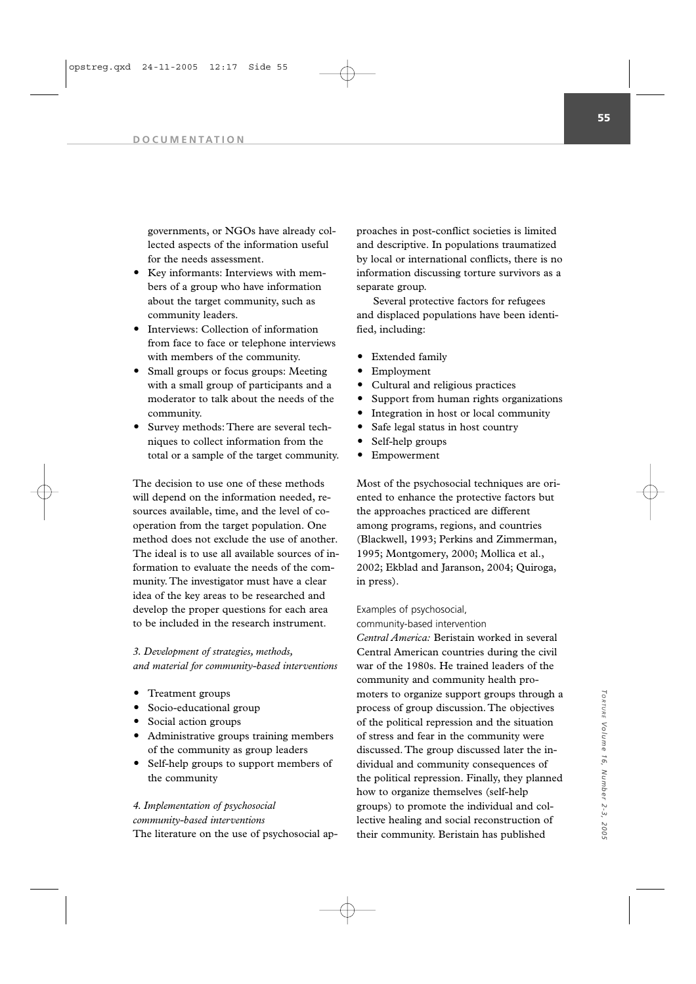governments, or NGOs have already collected aspects of the information useful for the needs assessment.

- Key informants: Interviews with members of a group who have information about the target community, such as community leaders.
- Interviews: Collection of information from face to face or telephone interviews with members of the community.
- Small groups or focus groups: Meeting with a small group of participants and a moderator to talk about the needs of the community.
- Survey methods: There are several techniques to collect information from the total or a sample of the target community.

The decision to use one of these methods will depend on the information needed, resources available, time, and the level of cooperation from the target population. One method does not exclude the use of another. The ideal is to use all available sources of information to evaluate the needs of the community. The investigator must have a clear idea of the key areas to be researched and develop the proper questions for each area to be included in the research instrument.

## *3. Development of strategies, methods, and material for community-based interventions*

- Treatment groups
- Socio-educational group
- Social action groups
- Administrative groups training members of the community as group leaders
- Self-help groups to support members of the community

## *4. Implementation of psychosocial*

## *community-based interventions*

The literature on the use of psychosocial ap-

proaches in post-conflict societies is limited and descriptive. In populations traumatized by local or international conflicts, there is no information discussing torture survivors as a separate group.

Several protective factors for refugees and displaced populations have been identified, including:

- Extended family
- Employment
- Cultural and religious practices
- Support from human rights organizations
- Integration in host or local community
- Safe legal status in host country
- Self-help groups
- Empowerment

Most of the psychosocial techniques are oriented to enhance the protective factors but the approaches practiced are different among programs, regions, and countries (Blackwell, 1993; Perkins and Zimmerman, 1995; Montgomery, 2000; Mollica et al., 2002; Ekblad and Jaranson, 2004; Quiroga, in press).

### Examples of psychosocial,

## community-based intervention

*Central America:* Beristain worked in several Central American countries during the civil war of the 1980s. He trained leaders of the community and community health promoters to organize support groups through a process of group discussion. The objectives of the political repression and the situation of stress and fear in the community were discussed. The group discussed later the individual and community consequences of the political repression. Finally, they planned how to organize themselves (self-help groups) to promote the individual and collective healing and social reconstruction of their community. Beristain has published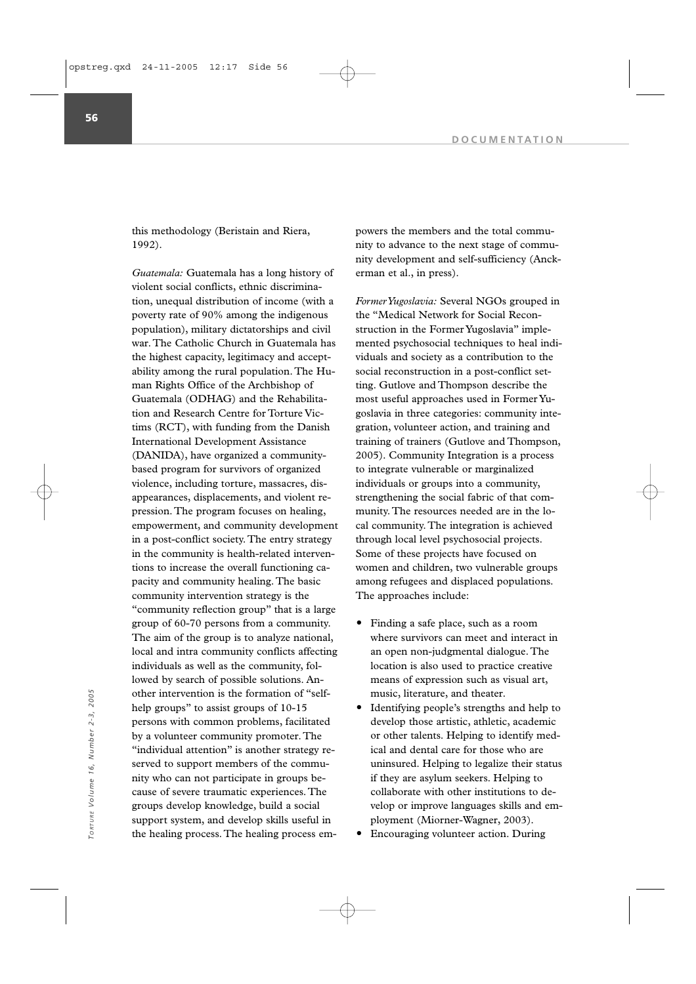this methodology (Beristain and Riera, 1992).

*Guatemala:* Guatemala has a long history of violent social conflicts, ethnic discrimination, unequal distribution of income (with a poverty rate of 90% among the indigenous population), military dictatorships and civil war. The Catholic Church in Guatemala has the highest capacity, legitimacy and acceptability among the rural population. The Human Rights Office of the Archbishop of Guatemala (ODHAG) and the Rehabilitation and Research Centre for Torture Victims (RCT), with funding from the Danish International Development Assistance (DANIDA), have organized a communitybased program for survivors of organized violence, including torture, massacres, disappearances, displacements, and violent repression. The program focuses on healing, empowerment, and community development in a post-conflict society. The entry strategy in the community is health-related interventions to increase the overall functioning capacity and community healing. The basic community intervention strategy is the "community reflection group" that is a large group of 60-70 persons from a community. The aim of the group is to analyze national, local and intra community conflicts affecting individuals as well as the community, followed by search of possible solutions. Another intervention is the formation of "selfhelp groups" to assist groups of 10-15 persons with common problems, facilitated by a volunteer community promoter. The "individual attention" is another strategy reserved to support members of the community who can not participate in groups because of severe traumatic experiences. The groups develop knowledge, build a social support system, and develop skills useful in the healing process. The healing process empowers the members and the total community to advance to the next stage of community development and self-sufficiency (Anckerman et al., in press).

*Former Yugoslavia:* Several NGOs grouped in the "Medical Network for Social Reconstruction in the Former Yugoslavia" implemented psychosocial techniques to heal individuals and society as a contribution to the social reconstruction in a post-conflict setting. Gutlove and Thompson describe the most useful approaches used in Former Yugoslavia in three categories: community integration, volunteer action, and training and training of trainers (Gutlove and Thompson, 2005). Community Integration is a process to integrate vulnerable or marginalized individuals or groups into a community, strengthening the social fabric of that community. The resources needed are in the local community. The integration is achieved through local level psychosocial projects. Some of these projects have focused on women and children, two vulnerable groups among refugees and displaced populations. The approaches include:

- Finding a safe place, such as a room where survivors can meet and interact in an open non-judgmental dialogue. The location is also used to practice creative means of expression such as visual art, music, literature, and theater.
- Identifying people's strengths and help to develop those artistic, athletic, academic or other talents. Helping to identify medical and dental care for those who are uninsured. Helping to legalize their status if they are asylum seekers. Helping to collaborate with other institutions to develop or improve languages skills and employment (Miorner-Wagner, 2003).
- Encouraging volunteer action. During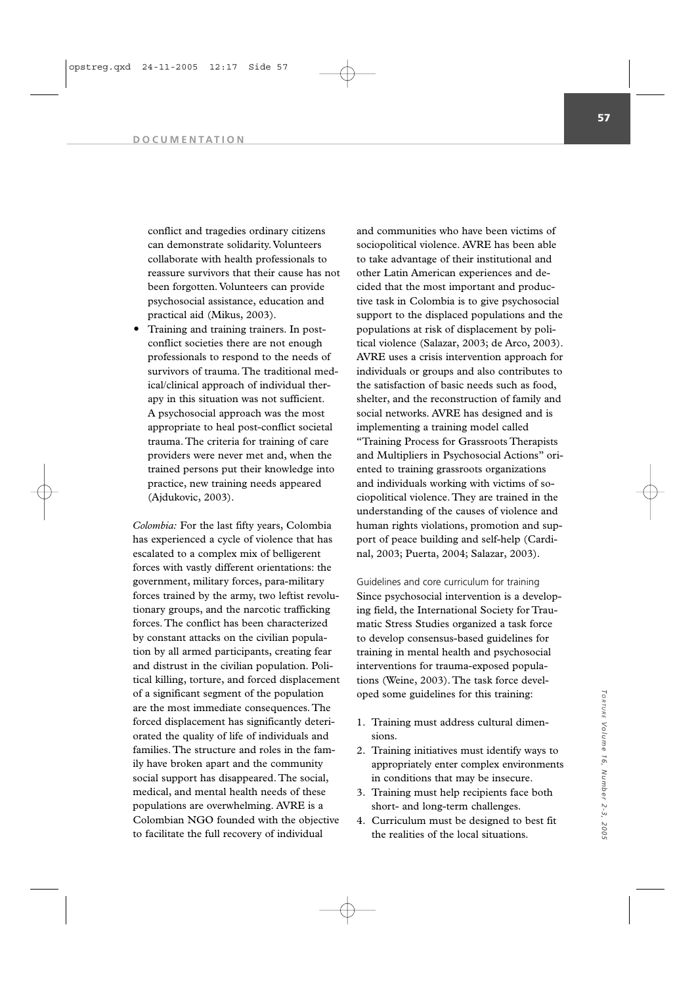conflict and tragedies ordinary citizens can demonstrate solidarity. Volunteers collaborate with health professionals to reassure survivors that their cause has not been forgotten. Volunteers can provide psychosocial assistance, education and practical aid (Mikus, 2003).

 Training and training trainers. In postconflict societies there are not enough professionals to respond to the needs of survivors of trauma. The traditional medical/clinical approach of individual therapy in this situation was not sufficient. A psychosocial approach was the most appropriate to heal post-conflict societal trauma. The criteria for training of care providers were never met and, when the trained persons put their knowledge into practice, new training needs appeared (Ajdukovic, 2003).

*Colombia:* For the last fifty years, Colombia has experienced a cycle of violence that has escalated to a complex mix of belligerent forces with vastly different orientations: the government, military forces, para-military forces trained by the army, two leftist revolutionary groups, and the narcotic trafficking forces. The conflict has been characterized by constant attacks on the civilian population by all armed participants, creating fear and distrust in the civilian population. Political killing, torture, and forced displacement of a significant segment of the population are the most immediate consequences. The forced displacement has significantly deteriorated the quality of life of individuals and families. The structure and roles in the family have broken apart and the community social support has disappeared. The social, medical, and mental health needs of these populations are overwhelming. AVRE is a Colombian NGO founded with the objective to facilitate the full recovery of individual

and communities who have been victims of sociopolitical violence. AVRE has been able to take advantage of their institutional and other Latin American experiences and decided that the most important and productive task in Colombia is to give psychosocial support to the displaced populations and the populations at risk of displacement by political violence (Salazar, 2003; de Arco, 2003). AVRE uses a crisis intervention approach for individuals or groups and also contributes to the satisfaction of basic needs such as food, shelter, and the reconstruction of family and social networks. AVRE has designed and is implementing a training model called

"Training Process for Grassroots Therapists and Multipliers in Psychosocial Actions" oriented to training grassroots organizations and individuals working with victims of sociopolitical violence. They are trained in the understanding of the causes of violence and human rights violations, promotion and support of peace building and self-help (Cardinal, 2003; Puerta, 2004; Salazar, 2003).

Guidelines and core curriculum for training Since psychosocial intervention is a developing field, the International Society for Traumatic Stress Studies organized a task force to develop consensus-based guidelines for training in mental health and psychosocial interventions for trauma-exposed populations (Weine, 2003). The task force developed some guidelines for this training:

- 1. Training must address cultural dimensions.
- 2. Training initiatives must identify ways to appropriately enter complex environments in conditions that may be insecure.
- 3. Training must help recipients face both short- and long-term challenges.
- 4. Curriculum must be designed to best fit the realities of the local situations.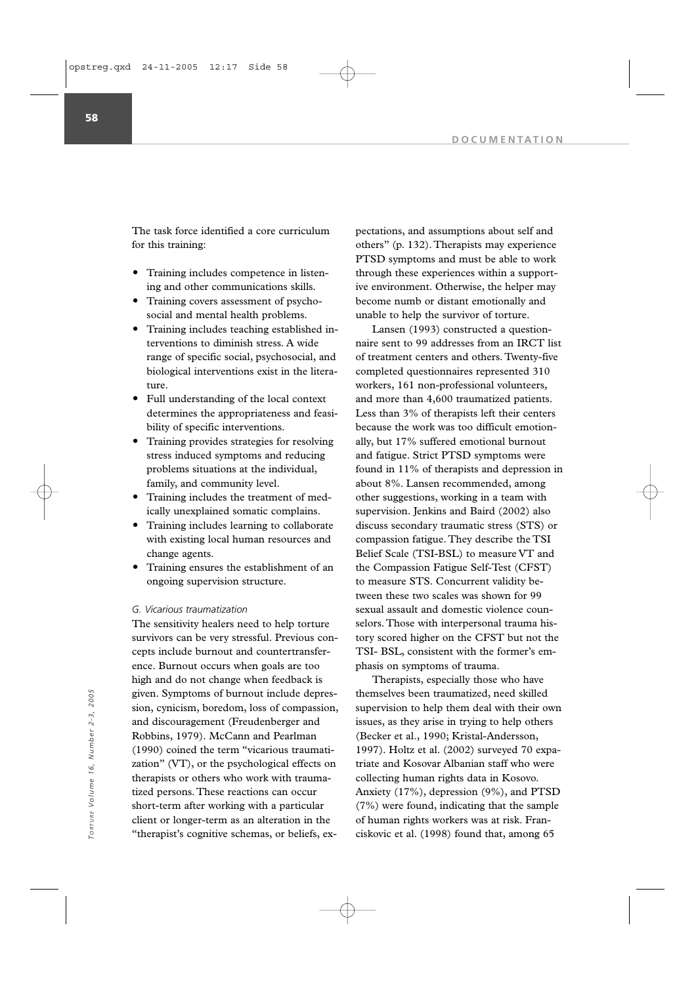The task force identified a core curriculum for this training:

- Training includes competence in listening and other communications skills.
- Training covers assessment of psychosocial and mental health problems.
- Training includes teaching established interventions to diminish stress. A wide range of specific social, psychosocial, and biological interventions exist in the literature.
- Full understanding of the local context determines the appropriateness and feasibility of specific interventions.
- Training provides strategies for resolving stress induced symptoms and reducing problems situations at the individual, family, and community level.
- Training includes the treatment of medically unexplained somatic complains.
- Training includes learning to collaborate with existing local human resources and change agents.
- Training ensures the establishment of an ongoing supervision structure.

#### *G. Vicarious traumatization*

The sensitivity healers need to help torture survivors can be very stressful. Previous concepts include burnout and countertransference. Burnout occurs when goals are too high and do not change when feedback is given. Symptoms of burnout include depression, cynicism, boredom, loss of compassion, and discouragement (Freudenberger and Robbins, 1979). McCann and Pearlman (1990) coined the term "vicarious traumatization" (VT), or the psychological effects on therapists or others who work with traumatized persons. These reactions can occur short-term after working with a particular client or longer-term as an alteration in the "therapist's cognitive schemas, or beliefs, expectations, and assumptions about self and others" (p. 132). Therapists may experience PTSD symptoms and must be able to work through these experiences within a supportive environment. Otherwise, the helper may become numb or distant emotionally and unable to help the survivor of torture.

Lansen (1993) constructed a questionnaire sent to 99 addresses from an IRCT list of treatment centers and others. Twenty-five completed questionnaires represented 310 workers, 161 non-professional volunteers, and more than 4,600 traumatized patients. Less than 3% of therapists left their centers because the work was too difficult emotionally, but 17% suffered emotional burnout and fatigue. Strict PTSD symptoms were found in 11% of therapists and depression in about 8%. Lansen recommended, among other suggestions, working in a team with supervision. Jenkins and Baird (2002) also discuss secondary traumatic stress (STS) or compassion fatigue. They describe the TSI Belief Scale (TSI-BSL) to measure VT and the Compassion Fatigue Self-Test (CFST) to measure STS. Concurrent validity between these two scales was shown for 99 sexual assault and domestic violence counselors. Those with interpersonal trauma history scored higher on the CFST but not the TSI- BSL, consistent with the former's emphasis on symptoms of trauma.

Therapists, especially those who have themselves been traumatized, need skilled supervision to help them deal with their own issues, as they arise in trying to help others (Becker et al., 1990; Kristal-Andersson, 1997). Holtz et al. (2002) surveyed 70 expatriate and Kosovar Albanian staff who were collecting human rights data in Kosovo. Anxiety (17%), depression (9%), and PTSD (7%) were found, indicating that the sample of human rights workers was at risk. Franciskovic et al. (1998) found that, among 65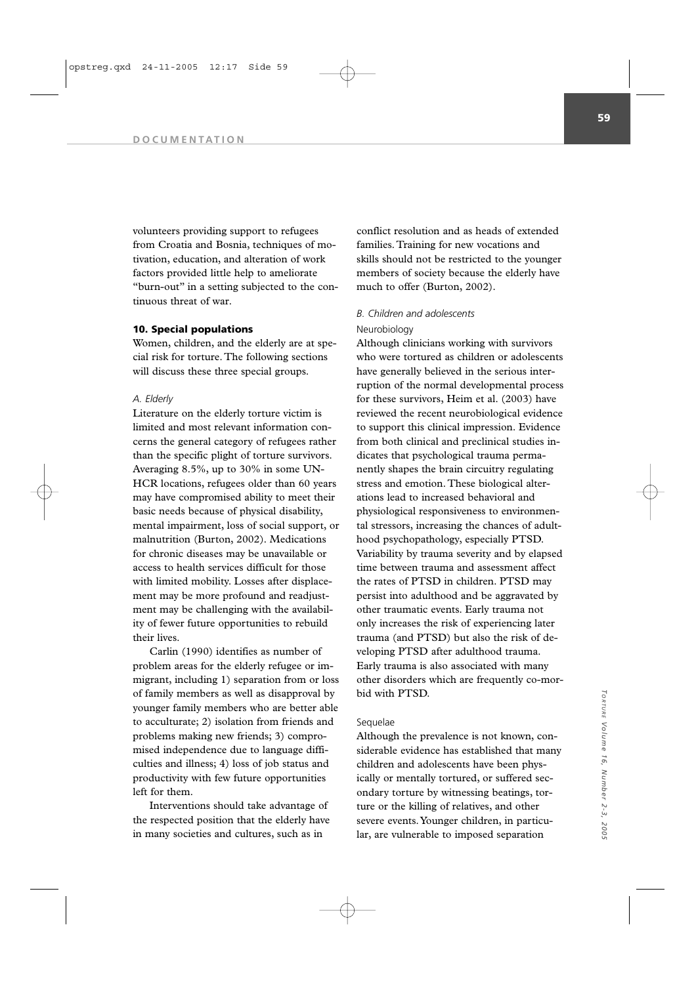volunteers providing support to refugees from Croatia and Bosnia, techniques of motivation, education, and alteration of work factors provided little help to ameliorate "burn-out" in a setting subjected to the continuous threat of war.

### **10. Special populations**

Women, children, and the elderly are at special risk for torture. The following sections will discuss these three special groups.

### *A. Elderly*

Literature on the elderly torture victim is limited and most relevant information concerns the general category of refugees rather than the specific plight of torture survivors. Averaging 8.5%, up to 30% in some UN-HCR locations, refugees older than 60 years may have compromised ability to meet their basic needs because of physical disability, mental impairment, loss of social support, or malnutrition (Burton, 2002). Medications for chronic diseases may be unavailable or access to health services difficult for those with limited mobility. Losses after displacement may be more profound and readjustment may be challenging with the availability of fewer future opportunities to rebuild their lives.

Carlin (1990) identifies as number of problem areas for the elderly refugee or immigrant, including 1) separation from or loss of family members as well as disapproval by younger family members who are better able to acculturate; 2) isolation from friends and problems making new friends; 3) compromised independence due to language difficulties and illness; 4) loss of job status and productivity with few future opportunities left for them.

Interventions should take advantage of the respected position that the elderly have in many societies and cultures, such as in

conflict resolution and as heads of extended families. Training for new vocations and skills should not be restricted to the younger members of society because the elderly have much to offer (Burton, 2002).

# *B. Children and adolescents*

# Neurobiology

Although clinicians working with survivors who were tortured as children or adolescents have generally believed in the serious interruption of the normal developmental process for these survivors, Heim et al. (2003) have reviewed the recent neurobiological evidence to support this clinical impression. Evidence from both clinical and preclinical studies indicates that psychological trauma permanently shapes the brain circuitry regulating stress and emotion. These biological alterations lead to increased behavioral and physiological responsiveness to environmental stressors, increasing the chances of adulthood psychopathology, especially PTSD. Variability by trauma severity and by elapsed time between trauma and assessment affect the rates of PTSD in children. PTSD may persist into adulthood and be aggravated by other traumatic events. Early trauma not only increases the risk of experiencing later trauma (and PTSD) but also the risk of developing PTSD after adulthood trauma. Early trauma is also associated with many other disorders which are frequently co-morbid with PTSD.

## Sequelae

Although the prevalence is not known, considerable evidence has established that many children and adolescents have been physically or mentally tortured, or suffered secondary torture by witnessing beatings, torture or the killing of relatives, and other severe events.Younger children, in particular, are vulnerable to imposed separation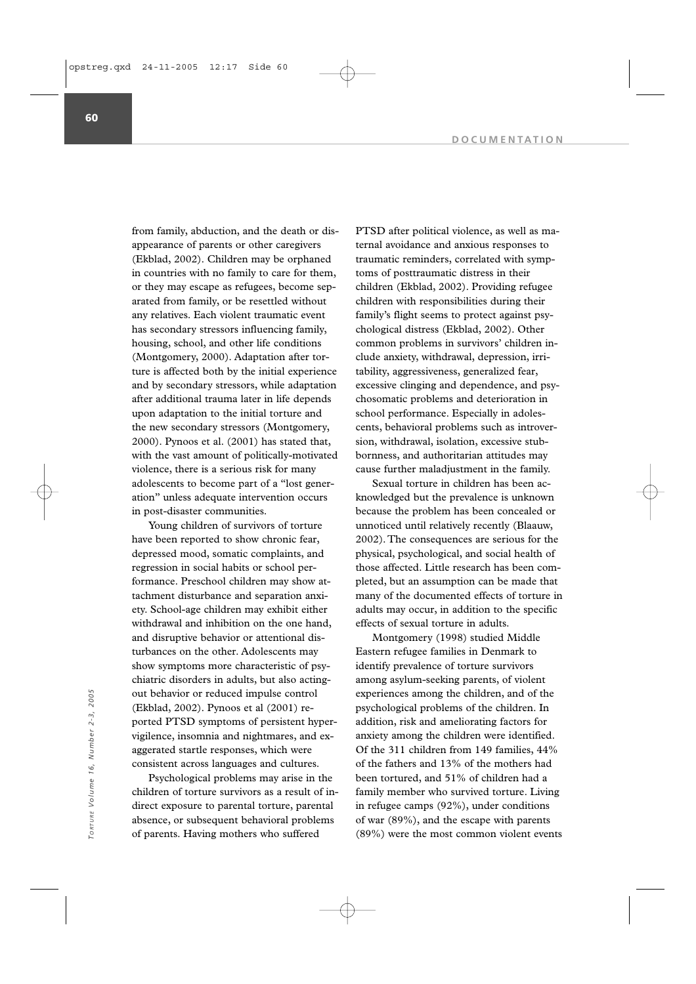from family, abduction, and the death or disappearance of parents or other caregivers (Ekblad, 2002). Children may be orphaned in countries with no family to care for them, or they may escape as refugees, become separated from family, or be resettled without any relatives. Each violent traumatic event has secondary stressors influencing family, housing, school, and other life conditions (Montgomery, 2000). Adaptation after torture is affected both by the initial experience and by secondary stressors, while adaptation after additional trauma later in life depends upon adaptation to the initial torture and the new secondary stressors (Montgomery, 2000). Pynoos et al. (2001) has stated that, with the vast amount of politically-motivated violence, there is a serious risk for many adolescents to become part of a "lost generation" unless adequate intervention occurs in post-disaster communities.

Young children of survivors of torture have been reported to show chronic fear, depressed mood, somatic complaints, and regression in social habits or school performance. Preschool children may show attachment disturbance and separation anxiety. School-age children may exhibit either withdrawal and inhibition on the one hand, and disruptive behavior or attentional disturbances on the other. Adolescents may show symptoms more characteristic of psychiatric disorders in adults, but also actingout behavior or reduced impulse control (Ekblad, 2002). Pynoos et al (2001) reported PTSD symptoms of persistent hypervigilence, insomnia and nightmares, and exaggerated startle responses, which were consistent across languages and cultures.

Psychological problems may arise in the children of torture survivors as a result of indirect exposure to parental torture, parental absence, or subsequent behavioral problems of parents. Having mothers who suffered

PTSD after political violence, as well as maternal avoidance and anxious responses to traumatic reminders, correlated with symptoms of posttraumatic distress in their children (Ekblad, 2002). Providing refugee children with responsibilities during their family's flight seems to protect against psychological distress (Ekblad, 2002). Other common problems in survivors' children include anxiety, withdrawal, depression, irritability, aggressiveness, generalized fear, excessive clinging and dependence, and psychosomatic problems and deterioration in school performance. Especially in adolescents, behavioral problems such as introversion, withdrawal, isolation, excessive stubbornness, and authoritarian attitudes may cause further maladjustment in the family.

Sexual torture in children has been acknowledged but the prevalence is unknown because the problem has been concealed or unnoticed until relatively recently (Blaauw, 2002). The consequences are serious for the physical, psychological, and social health of those affected. Little research has been completed, but an assumption can be made that many of the documented effects of torture in adults may occur, in addition to the specific effects of sexual torture in adults.

Montgomery (1998) studied Middle Eastern refugee families in Denmark to identify prevalence of torture survivors among asylum-seeking parents, of violent experiences among the children, and of the psychological problems of the children. In addition, risk and ameliorating factors for anxiety among the children were identified. Of the 311 children from 149 families, 44% of the fathers and 13% of the mothers had been tortured, and 51% of children had a family member who survived torture. Living in refugee camps (92%), under conditions of war (89%), and the escape with parents out behavior or reduced impulse control<br>
(Ekblad, 2002). Pynoos et al (2001) re-<br>
ported PTSD symptoms of persistent hyper-<br>
addition, risk and ameliorating factors for<br>
vigilence, insomnia and nightmares, and ex-<br>
argerat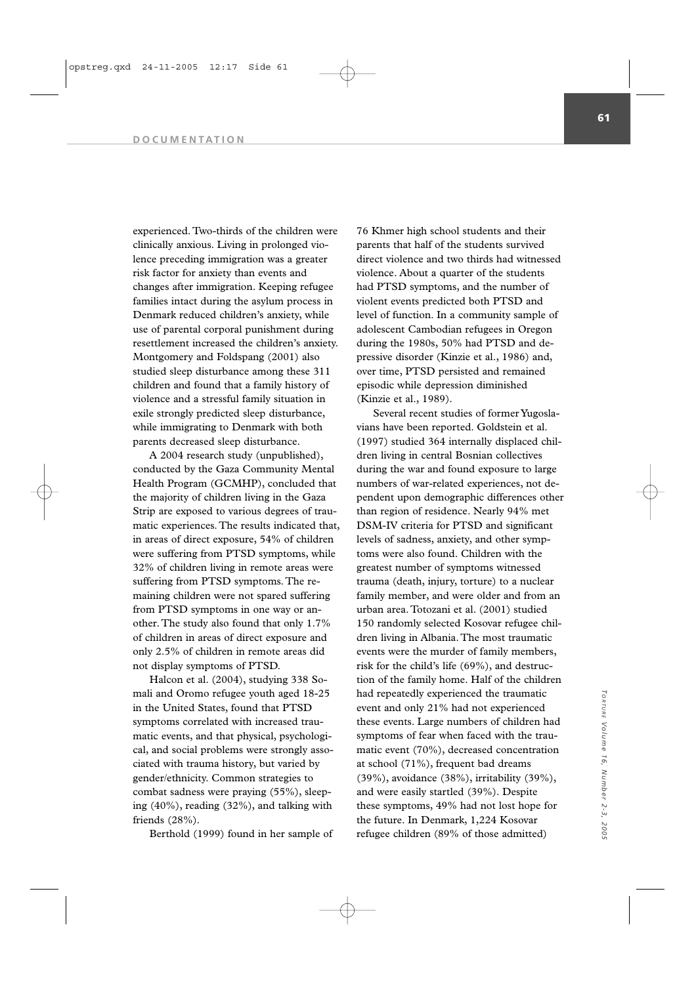#### **DOCUMENTATION**

experienced. Two-thirds of the children were clinically anxious. Living in prolonged violence preceding immigration was a greater risk factor for anxiety than events and changes after immigration. Keeping refugee families intact during the asylum process in Denmark reduced children's anxiety, while use of parental corporal punishment during resettlement increased the children's anxiety. Montgomery and Foldspang (2001) also studied sleep disturbance among these 311 children and found that a family history of violence and a stressful family situation in exile strongly predicted sleep disturbance, while immigrating to Denmark with both parents decreased sleep disturbance.

A 2004 research study (unpublished), conducted by the Gaza Community Mental Health Program (GCMHP), concluded that the majority of children living in the Gaza Strip are exposed to various degrees of traumatic experiences. The results indicated that, in areas of direct exposure, 54% of children were suffering from PTSD symptoms, while 32% of children living in remote areas were suffering from PTSD symptoms. The remaining children were not spared suffering from PTSD symptoms in one way or another. The study also found that only 1.7% of children in areas of direct exposure and only 2.5% of children in remote areas did not display symptoms of PTSD.

Halcon et al. (2004), studying 338 Somali and Oromo refugee youth aged 18-25 in the United States, found that PTSD symptoms correlated with increased traumatic events, and that physical, psychological, and social problems were strongly associated with trauma history, but varied by gender/ethnicity. Common strategies to combat sadness were praying (55%), sleeping (40%), reading (32%), and talking with friends (28%).

Berthold (1999) found in her sample of

76 Khmer high school students and their parents that half of the students survived direct violence and two thirds had witnessed violence. About a quarter of the students had PTSD symptoms, and the number of violent events predicted both PTSD and level of function. In a community sample of adolescent Cambodian refugees in Oregon during the 1980s, 50% had PTSD and depressive disorder (Kinzie et al., 1986) and, over time, PTSD persisted and remained episodic while depression diminished (Kinzie et al., 1989).

Several recent studies of former Yugoslavians have been reported. Goldstein et al. (1997) studied 364 internally displaced children living in central Bosnian collectives during the war and found exposure to large numbers of war-related experiences, not dependent upon demographic differences other than region of residence. Nearly 94% met DSM-IV criteria for PTSD and significant levels of sadness, anxiety, and other symptoms were also found. Children with the greatest number of symptoms witnessed trauma (death, injury, torture) to a nuclear family member, and were older and from an urban area. Totozani et al. (2001) studied 150 randomly selected Kosovar refugee children living in Albania. The most traumatic events were the murder of family members, risk for the child's life (69%), and destruction of the family home. Half of the children had repeatedly experienced the traumatic event and only 21% had not experienced these events. Large numbers of children had symptoms of fear when faced with the traumatic event (70%), decreased concentration at school (71%), frequent bad dreams (39%), avoidance (38%), irritability (39%), and were easily startled (39%). Despite these symptoms, 49% had not lost hope for the future. In Denmark, 1,224 Kosovar refugee children (89% of those admitted)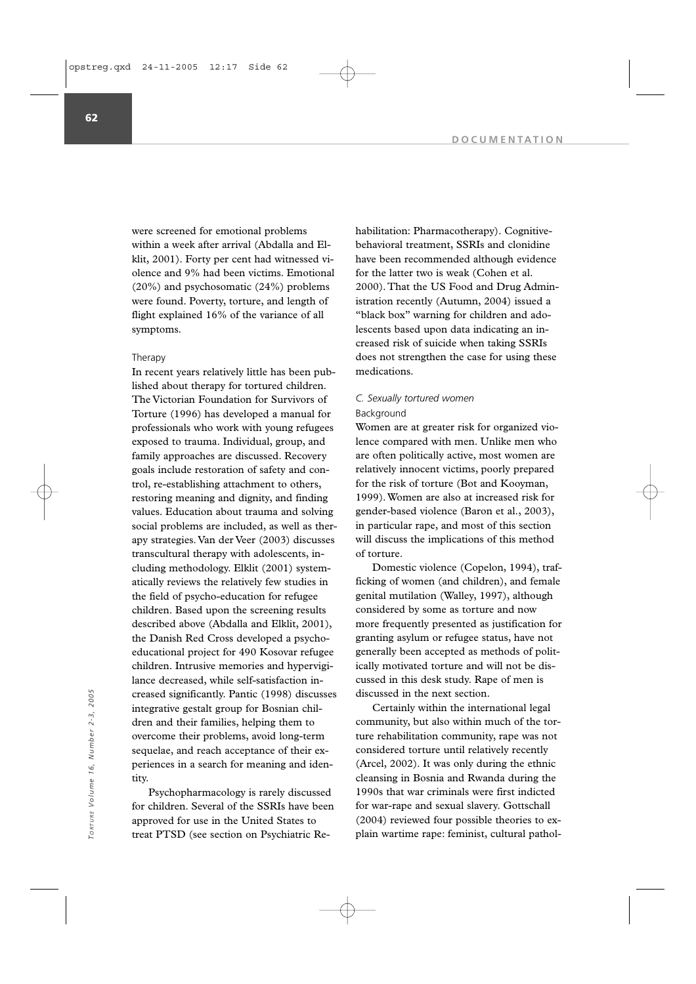were screened for emotional problems within a week after arrival (Abdalla and Elklit, 2001). Forty per cent had witnessed violence and 9% had been victims. Emotional (20%) and psychosomatic (24%) problems were found. Poverty, torture, and length of flight explained 16% of the variance of all symptoms.

## Therapy

In recent years relatively little has been published about therapy for tortured children. The Victorian Foundation for Survivors of Torture (1996) has developed a manual for professionals who work with young refugees exposed to trauma. Individual, group, and family approaches are discussed. Recovery goals include restoration of safety and control, re-establishing attachment to others, restoring meaning and dignity, and finding values. Education about trauma and solving social problems are included, as well as therapy strategies. Van der Veer (2003) discusses transcultural therapy with adolescents, including methodology. Elklit (2001) systematically reviews the relatively few studies in the field of psycho-education for refugee children. Based upon the screening results described above (Abdalla and Elklit, 2001), the Danish Red Cross developed a psychoeducational project for 490 Kosovar refugee children. Intrusive memories and hypervigilance decreased, while self-satisfaction increased significantly. Pantic (1998) discusses integrative gestalt group for Bosnian children and their families, helping them to overcome their problems, avoid long-term sequelae, and reach acceptance of their experiences in a search for meaning and identity.

Psychopharmacology is rarely discussed for children. Several of the SSRIs have been approved for use in the United States to treat PTSD (see section on Psychiatric Rehabilitation: Pharmacotherapy). Cognitivebehavioral treatment, SSRIs and clonidine have been recommended although evidence for the latter two is weak (Cohen et al. 2000). That the US Food and Drug Administration recently (Autumn, 2004) issued a "black box" warning for children and adolescents based upon data indicating an increased risk of suicide when taking SSRIs does not strengthen the case for using these medications.

# *C. Sexually tortured women*

# Background

Women are at greater risk for organized violence compared with men. Unlike men who are often politically active, most women are relatively innocent victims, poorly prepared for the risk of torture (Bot and Kooyman, 1999). Women are also at increased risk for gender-based violence (Baron et al., 2003), in particular rape, and most of this section will discuss the implications of this method of torture.

Domestic violence (Copelon, 1994), trafficking of women (and children), and female genital mutilation (Walley, 1997), although considered by some as torture and now more frequently presented as justification for granting asylum or refugee status, have not generally been accepted as methods of politically motivated torture and will not be discussed in this desk study. Rape of men is discussed in the next section.

Certainly within the international legal community, but also within much of the torture rehabilitation community, rape was not considered torture until relatively recently (Arcel, 2002). It was only during the ethnic cleansing in Bosnia and Rwanda during the 1990s that war criminals were first indicted for war-rape and sexual slavery. Gottschall (2004) reviewed four possible theories to ex-The creased significantly. Pantic (1998) discusses<br>
integrative gestalt group for Bosnian chil-<br>
dren and their families, helping them to<br>
community, but also within much of the tor-<br>
evercome their problems, avoid long-te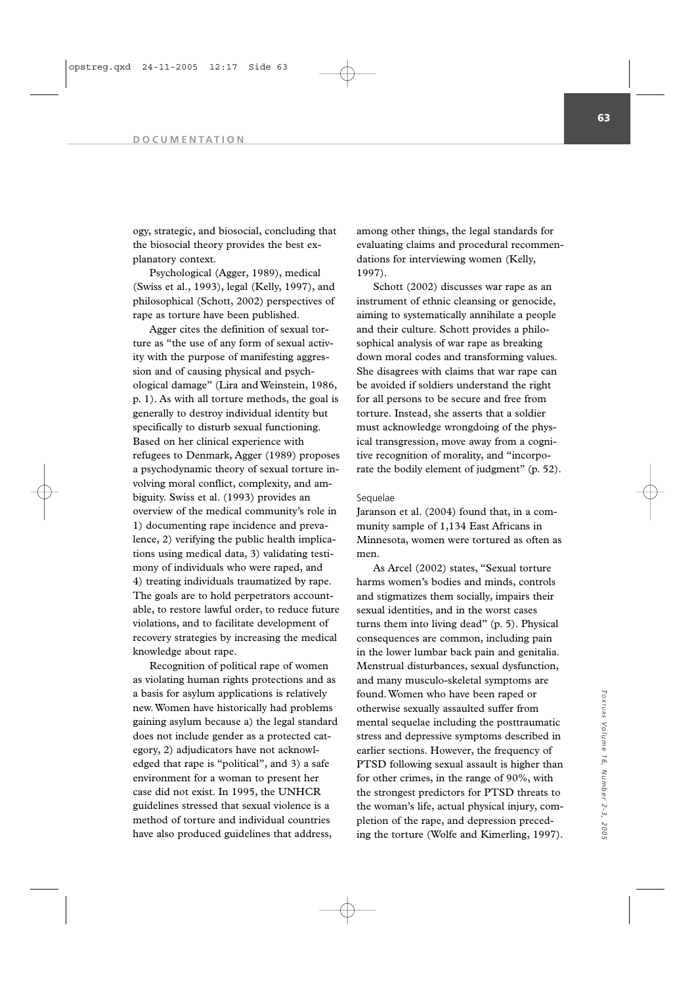ogy, strategic, and biosocial, concluding that the biosocial theory provides the best explanatory context.

Psychological (Agger, 1989), medical (Swiss et al., 1993), legal (Kelly, 1997), and philosophical (Schott, 2002) perspectives of rape as torture have been published.

Agger cites the definition of sexual torture as "the use of any form of sexual activity with the purpose of manifesting aggression and of causing physical and psychological damage" (Lira and Weinstein, 1986, p. 1). As with all torture methods, the goal is generally to destroy individual identity but specifically to disturb sexual functioning. Based on her clinical experience with refugees to Denmark, Agger (1989) proposes a psychodynamic theory of sexual torture involving moral conflict, complexity, and ambiguity. Swiss et al. (1993) provides an overview of the medical community's role in 1) documenting rape incidence and prevalence, 2) verifying the public health implications using medical data, 3) validating testimony of individuals who were raped, and 4) treating individuals traumatized by rape. The goals are to hold perpetrators accountable, to restore lawful order, to reduce future violations, and to facilitate development of recovery strategies by increasing the medical knowledge about rape.

Recognition of political rape of women as violating human rights protections and as a basis for asylum applications is relatively new. Women have historically had problems gaining asylum because a) the legal standard does not include gender as a protected category, 2) adjudicators have not acknowledged that rape is "political", and 3) a safe environment for a woman to present her case did not exist. In 1995, the UNHCR guidelines stressed that sexual violence is a method of torture and individual countries have also produced guidelines that address,

among other things, the legal standards for evaluating claims and procedural recommendations for interviewing women (Kelly, 1997).

Schott (2002) discusses war rape as an instrument of ethnic cleansing or genocide, aiming to systematically annihilate a people and their culture. Schott provides a philosophical analysis of war rape as breaking down moral codes and transforming values. She disagrees with claims that war rape can be avoided if soldiers understand the right for all persons to be secure and free from torture. Instead, she asserts that a soldier must acknowledge wrongdoing of the physical transgression, move away from a cognitive recognition of morality, and "incorporate the bodily element of judgment" (p. 52).

### Sequelae

Jaranson et al. (2004) found that, in a community sample of 1,134 East Africans in Minnesota, women were tortured as often as men.

As Arcel (2002) states, "Sexual torture harms women's bodies and minds, controls and stigmatizes them socially, impairs their sexual identities, and in the worst cases turns them into living dead" (p. 5). Physical consequences are common, including pain in the lower lumbar back pain and genitalia. Menstrual disturbances, sexual dysfunction, and many musculo-skeletal symptoms are found. Women who have been raped or otherwise sexually assaulted suffer from mental sequelae including the posttraumatic stress and depressive symptoms described in earlier sections. However, the frequency of PTSD following sexual assault is higher than for other crimes, in the range of 90%, with the strongest predictors for PTSD threats to the woman's life, actual physical injury, completion of the rape, and depression preceding the torture (Wolfe and Kimerling, 1997).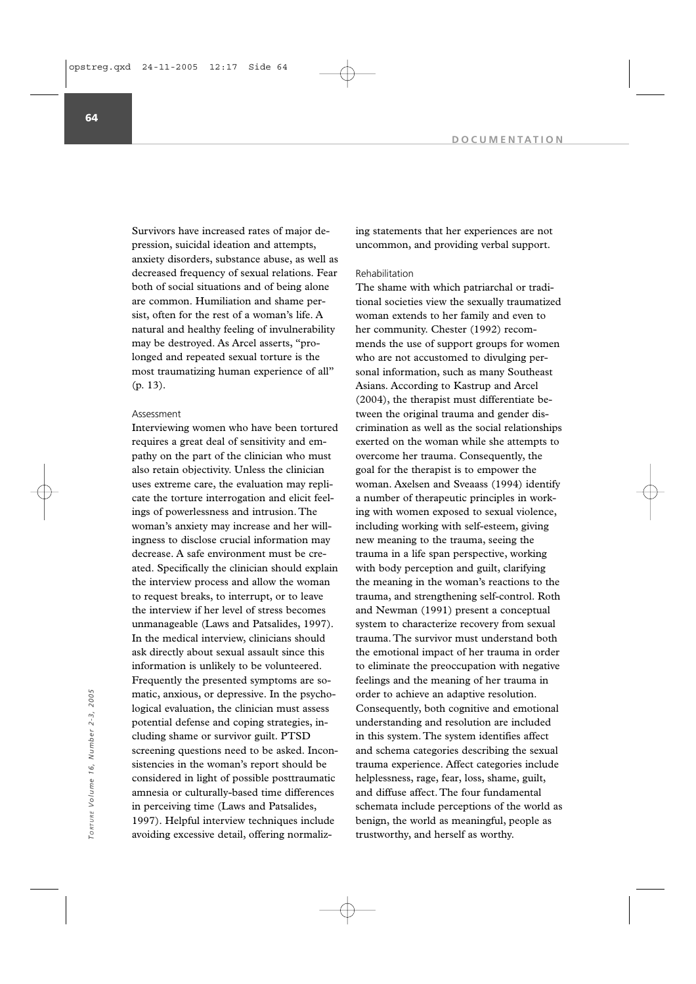Survivors have increased rates of major depression, suicidal ideation and attempts, anxiety disorders, substance abuse, as well as decreased frequency of sexual relations. Fear both of social situations and of being alone are common. Humiliation and shame persist, often for the rest of a woman's life. A natural and healthy feeling of invulnerability may be destroyed. As Arcel asserts, "prolonged and repeated sexual torture is the most traumatizing human experience of all" (p. 13).

## Assessment

Interviewing women who have been tortured requires a great deal of sensitivity and empathy on the part of the clinician who must also retain objectivity. Unless the clinician uses extreme care, the evaluation may replicate the torture interrogation and elicit feelings of powerlessness and intrusion. The woman's anxiety may increase and her willingness to disclose crucial information may decrease. A safe environment must be created. Specifically the clinician should explain the interview process and allow the woman to request breaks, to interrupt, or to leave the interview if her level of stress becomes unmanageable (Laws and Patsalides, 1997). In the medical interview, clinicians should ask directly about sexual assault since this information is unlikely to be volunteered. Frequently the presented symptoms are somatic, anxious, or depressive. In the psychological evaluation, the clinician must assess potential defense and coping strategies, including shame or survivor guilt. PTSD screening questions need to be asked. Inconsistencies in the woman's report should be considered in light of possible posttraumatic amnesia or culturally-based time differences in perceiving time (Laws and Patsalides, 1997). Helpful interview techniques include avoiding excessive detail, offering normalizmatic, anxious, or depressive. In the psycho-<br>
logical evaluation, the clinician must assess<br>
to consequently, both cognitive and<br>
potential defense and coping strategies, in-<br>
cluding shame or survivor guilt. PTSD<br>
in thi

ing statements that her experiences are not uncommon, and providing verbal support.

## Rehabilitation

The shame with which patriarchal or traditional societies view the sexually traumatized woman extends to her family and even to her community. Chester (1992) recommends the use of support groups for women who are not accustomed to divulging personal information, such as many Southeast Asians. According to Kastrup and Arcel (2004), the therapist must differentiate between the original trauma and gender discrimination as well as the social relationships exerted on the woman while she attempts to overcome her trauma. Consequently, the goal for the therapist is to empower the woman. Axelsen and Sveaass (1994) identify a number of therapeutic principles in working with women exposed to sexual violence, including working with self-esteem, giving new meaning to the trauma, seeing the trauma in a life span perspective, working with body perception and guilt, clarifying the meaning in the woman's reactions to the trauma, and strengthening self-control. Roth and Newman (1991) present a conceptual system to characterize recovery from sexual trauma. The survivor must understand both the emotional impact of her trauma in order to eliminate the preoccupation with negative feelings and the meaning of her trauma in order to achieve an adaptive resolution. Consequently, both cognitive and emotional understanding and resolution are included in this system. The system identifies affect and schema categories describing the sexual trauma experience. Affect categories include helplessness, rage, fear, loss, shame, guilt, and diffuse affect. The four fundamental schemata include perceptions of the world as benign, the world as meaningful, people as

**64**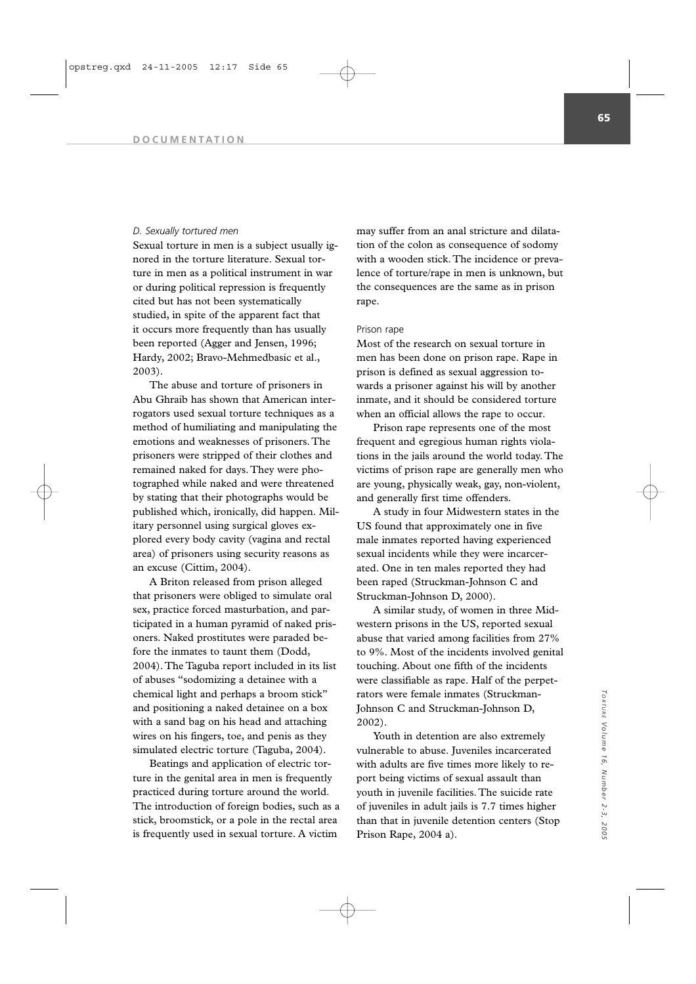### *D. Sexually tortured men*

Sexual torture in men is a subject usually ignored in the torture literature. Sexual torture in men as a political instrument in war or during political repression is frequently cited but has not been systematically studied, in spite of the apparent fact that it occurs more frequently than has usually been reported (Agger and Jensen, 1996; Hardy, 2002; Bravo-Mehmedbasic et al., 2003).

The abuse and torture of prisoners in Abu Ghraib has shown that American interrogators used sexual torture techniques as a method of humiliating and manipulating the emotions and weaknesses of prisoners. The prisoners were stripped of their clothes and remained naked for days. They were photographed while naked and were threatened by stating that their photographs would be published which, ironically, did happen. Military personnel using surgical gloves explored every body cavity (vagina and rectal area) of prisoners using security reasons as an excuse (Cittim, 2004).

A Briton released from prison alleged that prisoners were obliged to simulate oral sex, practice forced masturbation, and participated in a human pyramid of naked prisoners. Naked prostitutes were paraded before the inmates to taunt them (Dodd, 2004). The Taguba report included in its list of abuses "sodomizing a detainee with a chemical light and perhaps a broom stick" and positioning a naked detainee on a box with a sand bag on his head and attaching wires on his fingers, toe, and penis as they simulated electric torture (Taguba, 2004).

Beatings and application of electric torture in the genital area in men is frequently practiced during torture around the world. The introduction of foreign bodies, such as a stick, broomstick, or a pole in the rectal area is frequently used in sexual torture. A victim

may suffer from an anal stricture and dilatation of the colon as consequence of sodomy with a wooden stick. The incidence or prevalence of torture/rape in men is unknown, but the consequences are the same as in prison rape.

## Prison rape

Most of the research on sexual torture in men has been done on prison rape. Rape in prison is defined as sexual aggression towards a prisoner against his will by another inmate, and it should be considered torture when an official allows the rape to occur.

Prison rape represents one of the most frequent and egregious human rights violations in the jails around the world today. The victims of prison rape are generally men who are young, physically weak, gay, non-violent, and generally first time offenders.

A study in four Midwestern states in the US found that approximately one in five male inmates reported having experienced sexual incidents while they were incarcerated. One in ten males reported they had been raped (Struckman-Johnson C and Struckman-Johnson D, 2000).

A similar study, of women in three Midwestern prisons in the US, reported sexual abuse that varied among facilities from 27% to 9%. Most of the incidents involved genital touching. About one fifth of the incidents were classifiable as rape. Half of the perpetrators were female inmates (Struckman-Johnson C and Struckman-Johnson D, 2002).

Youth in detention are also extremely vulnerable to abuse. Juveniles incarcerated with adults are five times more likely to report being victims of sexual assault than youth in juvenile facilities. The suicide rate of juveniles in adult jails is 7.7 times higher than that in juvenile detention centers (Stop Prison Rape, 2004 a).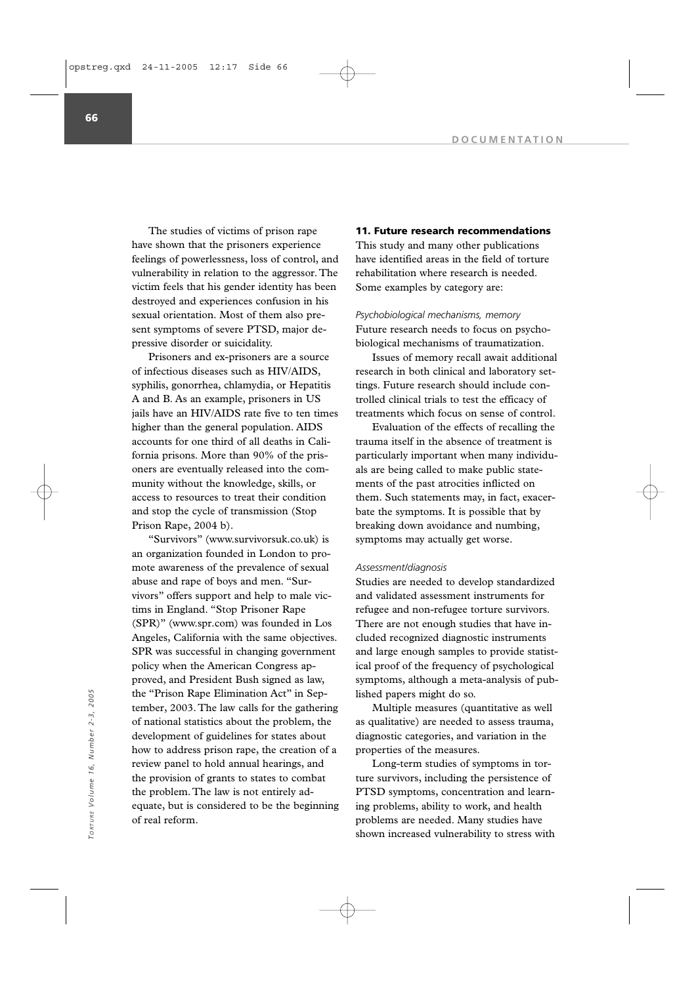The studies of victims of prison rape have shown that the prisoners experience feelings of powerlessness, loss of control, and vulnerability in relation to the aggressor. The victim feels that his gender identity has been destroyed and experiences confusion in his sexual orientation. Most of them also present symptoms of severe PTSD, major depressive disorder or suicidality.

Prisoners and ex-prisoners are a source of infectious diseases such as HIV/AIDS, syphilis, gonorrhea, chlamydia, or Hepatitis A and B. As an example, prisoners in US jails have an HIV/AIDS rate five to ten times higher than the general population. AIDS accounts for one third of all deaths in California prisons. More than 90% of the prisoners are eventually released into the community without the knowledge, skills, or access to resources to treat their condition and stop the cycle of transmission (Stop Prison Rape, 2004 b).

"Survivors" (www.survivorsuk.co.uk) is an organization founded in London to promote awareness of the prevalence of sexual abuse and rape of boys and men. "Survivors" offers support and help to male victims in England. "Stop Prisoner Rape (SPR)" (www.spr.com) was founded in Los Angeles, California with the same objectives. SPR was successful in changing government policy when the American Congress approved, and President Bush signed as law, the "Prison Rape Elimination Act" in September, 2003. The law calls for the gathering of national statistics about the problem, the development of guidelines for states about how to address prison rape, the creation of a review panel to hold annual hearings, and the provision of grants to states to combat the problem. The law is not entirely adequate, but is considered to be the beginning of real reform.

### **11. Future research recommendations**

This study and many other publications have identified areas in the field of torture rehabilitation where research is needed. Some examples by category are:

*Psychobiological mechanisms, memory* Future research needs to focus on psychobiological mechanisms of traumatization.

Issues of memory recall await additional research in both clinical and laboratory settings. Future research should include controlled clinical trials to test the efficacy of treatments which focus on sense of control.

Evaluation of the effects of recalling the trauma itself in the absence of treatment is particularly important when many individuals are being called to make public statements of the past atrocities inflicted on them. Such statements may, in fact, exacerbate the symptoms. It is possible that by breaking down avoidance and numbing, symptoms may actually get worse.

### *Assessment/diagnosis*

Studies are needed to develop standardized and validated assessment instruments for refugee and non-refugee torture survivors. There are not enough studies that have included recognized diagnostic instruments and large enough samples to provide statistical proof of the frequency of psychological symptoms, although a meta-analysis of published papers might do so.

Multiple measures (quantitative as well as qualitative) are needed to assess trauma, diagnostic categories, and variation in the properties of the measures.

Long-term studies of symptoms in torture survivors, including the persistence of PTSD symptoms, concentration and learning problems, ability to work, and health problems are needed. Many studies have shown increased vulnerability to stress with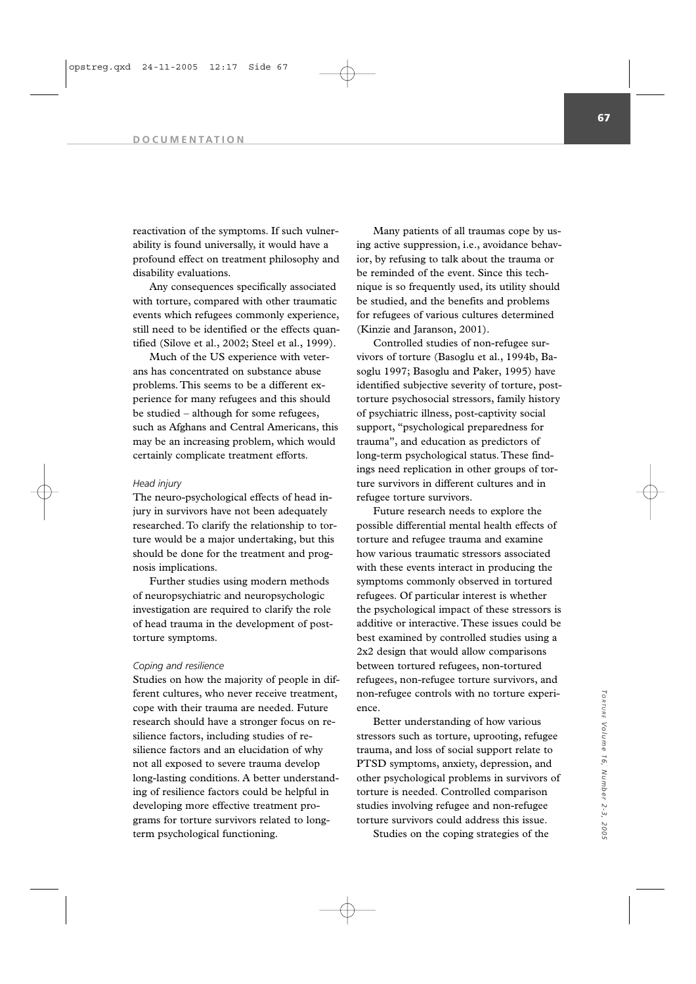reactivation of the symptoms. If such vulnerability is found universally, it would have a profound effect on treatment philosophy and disability evaluations.

Any consequences specifically associated with torture, compared with other traumatic events which refugees commonly experience, still need to be identified or the effects quantified (Silove et al., 2002; Steel et al., 1999).

Much of the US experience with veterans has concentrated on substance abuse problems. This seems to be a different experience for many refugees and this should be studied – although for some refugees, such as Afghans and Central Americans, this may be an increasing problem, which would certainly complicate treatment efforts.

### *Head injury*

The neuro-psychological effects of head injury in survivors have not been adequately researched. To clarify the relationship to torture would be a major undertaking, but this should be done for the treatment and prognosis implications.

Further studies using modern methods of neuropsychiatric and neuropsychologic investigation are required to clarify the role of head trauma in the development of posttorture symptoms.

### *Coping and resilience*

Studies on how the majority of people in different cultures, who never receive treatment, cope with their trauma are needed. Future research should have a stronger focus on resilience factors, including studies of resilience factors and an elucidation of why not all exposed to severe trauma develop long-lasting conditions. A better understanding of resilience factors could be helpful in developing more effective treatment programs for torture survivors related to longterm psychological functioning.

Many patients of all traumas cope by using active suppression, i.e., avoidance behavior, by refusing to talk about the trauma or be reminded of the event. Since this technique is so frequently used, its utility should be studied, and the benefits and problems for refugees of various cultures determined (Kinzie and Jaranson, 2001).

Controlled studies of non-refugee survivors of torture (Basoglu et al., 1994b, Basoglu 1997; Basoglu and Paker, 1995) have identified subjective severity of torture, posttorture psychosocial stressors, family history of psychiatric illness, post-captivity social support, "psychological preparedness for trauma", and education as predictors of long-term psychological status. These findings need replication in other groups of torture survivors in different cultures and in refugee torture survivors.

Future research needs to explore the possible differential mental health effects of torture and refugee trauma and examine how various traumatic stressors associated with these events interact in producing the symptoms commonly observed in tortured refugees. Of particular interest is whether the psychological impact of these stressors is additive or interactive. These issues could be best examined by controlled studies using a 2x2 design that would allow comparisons between tortured refugees, non-tortured refugees, non-refugee torture survivors, and non-refugee controls with no torture experience.

Better understanding of how various stressors such as torture, uprooting, refugee trauma, and loss of social support relate to PTSD symptoms, anxiety, depression, and other psychological problems in survivors of torture is needed. Controlled comparison studies involving refugee and non-refugee torture survivors could address this issue. Studies on the coping strategies of the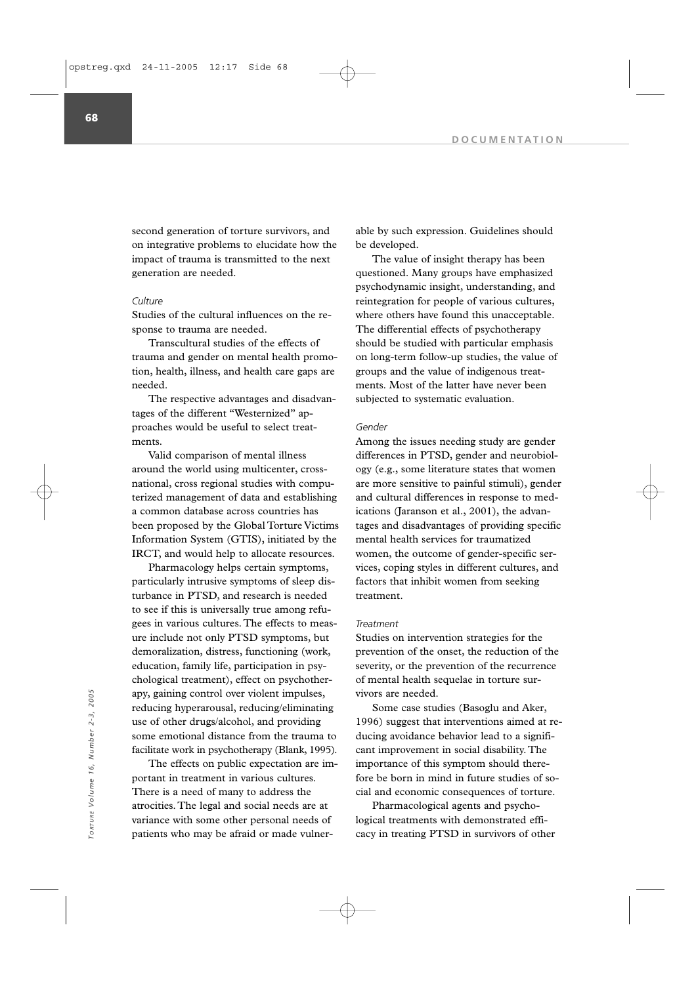second generation of torture survivors, and on integrative problems to elucidate how the impact of trauma is transmitted to the next generation are needed.

## *Culture*

Studies of the cultural influences on the response to trauma are needed.

Transcultural studies of the effects of trauma and gender on mental health promotion, health, illness, and health care gaps are needed.

The respective advantages and disadvantages of the different "Westernized" approaches would be useful to select treatments.

Valid comparison of mental illness around the world using multicenter, crossnational, cross regional studies with computerized management of data and establishing a common database across countries has been proposed by the Global Torture Victims Information System (GTIS), initiated by the IRCT, and would help to allocate resources.

Pharmacology helps certain symptoms, particularly intrusive symptoms of sleep disturbance in PTSD, and research is needed to see if this is universally true among refugees in various cultures. The effects to measure include not only PTSD symptoms, but demoralization, distress, functioning (work, education, family life, participation in psychological treatment), effect on psychotherapy, gaining control over violent impulses, reducing hyperarousal, reducing/eliminating use of other drugs/alcohol, and providing some emotional distance from the trauma to facilitate work in psychotherapy (Blank, 1995).

The effects on public expectation are important in treatment in various cultures. There is a need of many to address the atrocities. The legal and social needs are at variance with some other personal needs of patients who may be afraid or made vulnerable by such expression. Guidelines should be developed.

The value of insight therapy has been questioned. Many groups have emphasized psychodynamic insight, understanding, and reintegration for people of various cultures, where others have found this unacceptable. The differential effects of psychotherapy should be studied with particular emphasis on long-term follow-up studies, the value of groups and the value of indigenous treatments. Most of the latter have never been subjected to systematic evaluation.

## *Gender*

Among the issues needing study are gender differences in PTSD, gender and neurobiology (e.g., some literature states that women are more sensitive to painful stimuli), gender and cultural differences in response to medications (Jaranson et al., 2001), the advantages and disadvantages of providing specific mental health services for traumatized women, the outcome of gender-specific services, coping styles in different cultures, and factors that inhibit women from seeking treatment.

### *Treatment*

Studies on intervention strategies for the prevention of the onset, the reduction of the severity, or the prevention of the recurrence of mental health sequelae in torture survivors are needed.

Some case studies (Basoglu and Aker, 1996) suggest that interventions aimed at reducing avoidance behavior lead to a significant improvement in social disability. The importance of this symptom should therefore be born in mind in future studies of social and economic consequences of torture. apy, gaining control over violent impulses,<br>
reducing hyperarousal, reducing/eliminating<br>
use of other drugs/alcohol, and providing<br>
some case studies (Basoglu and Aker,<br>
the survivors of other drugs/alcohol, and providing

Pharmacological agents and psychological treatments with demonstrated effi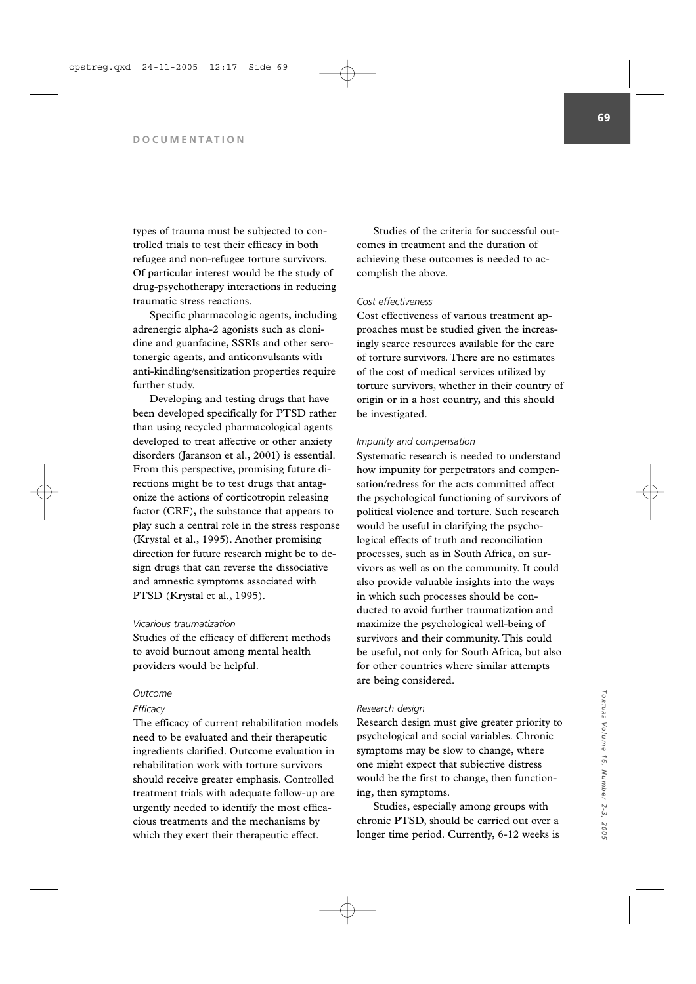types of trauma must be subjected to controlled trials to test their efficacy in both refugee and non-refugee torture survivors. Of particular interest would be the study of drug-psychotherapy interactions in reducing traumatic stress reactions.

Specific pharmacologic agents, including adrenergic alpha-2 agonists such as clonidine and guanfacine, SSRIs and other serotonergic agents, and anticonvulsants with anti-kindling/sensitization properties require further study.

Developing and testing drugs that have been developed specifically for PTSD rather than using recycled pharmacological agents developed to treat affective or other anxiety disorders (Jaranson et al., 2001) is essential. From this perspective, promising future directions might be to test drugs that antagonize the actions of corticotropin releasing factor (CRF), the substance that appears to play such a central role in the stress response (Krystal et al., 1995). Another promising direction for future research might be to design drugs that can reverse the dissociative and amnestic symptoms associated with PTSD (Krystal et al., 1995).

#### *Vicarious traumatization*

Studies of the efficacy of different methods to avoid burnout among mental health providers would be helpful.

### *Outcome*

### *Efficacy*

The efficacy of current rehabilitation models need to be evaluated and their therapeutic ingredients clarified. Outcome evaluation in rehabilitation work with torture survivors should receive greater emphasis. Controlled treatment trials with adequate follow-up are urgently needed to identify the most efficacious treatments and the mechanisms by which they exert their therapeutic effect.

Studies of the criteria for successful outcomes in treatment and the duration of achieving these outcomes is needed to accomplish the above.

## *Cost effectiveness*

Cost effectiveness of various treatment approaches must be studied given the increasingly scarce resources available for the care of torture survivors. There are no estimates of the cost of medical services utilized by torture survivors, whether in their country of origin or in a host country, and this should be investigated.

### *Impunity and compensation*

Systematic research is needed to understand how impunity for perpetrators and compensation/redress for the acts committed affect the psychological functioning of survivors of political violence and torture. Such research would be useful in clarifying the psychological effects of truth and reconciliation processes, such as in South Africa, on survivors as well as on the community. It could also provide valuable insights into the ways in which such processes should be conducted to avoid further traumatization and maximize the psychological well-being of survivors and their community. This could be useful, not only for South Africa, but also for other countries where similar attempts are being considered.

## *Research design*

Research design must give greater priority to psychological and social variables. Chronic symptoms may be slow to change, where one might expect that subjective distress would be the first to change, then functioning, then symptoms.

Studies, especially among groups with chronic PTSD, should be carried out over a longer time period. Currently, 6-12 weeks is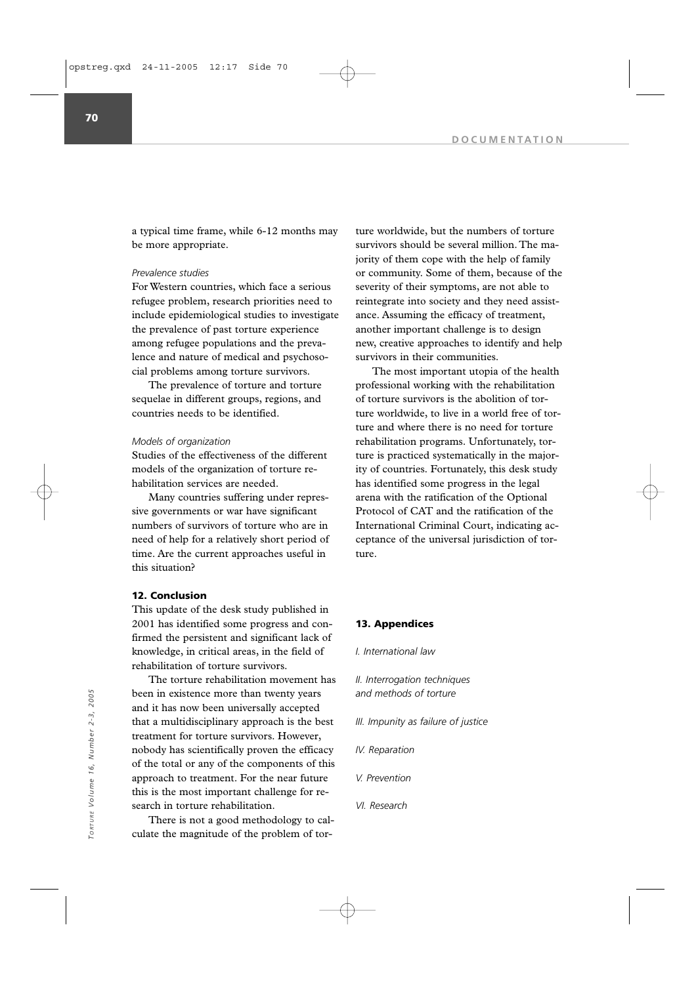a typical time frame, while 6-12 months may be more appropriate.

## *Prevalence studies*

For Western countries, which face a serious refugee problem, research priorities need to include epidemiological studies to investigate the prevalence of past torture experience among refugee populations and the prevalence and nature of medical and psychosocial problems among torture survivors.

The prevalence of torture and torture sequelae in different groups, regions, and countries needs to be identified.

## *Models of organization*

Studies of the effectiveness of the different models of the organization of torture rehabilitation services are needed.

Many countries suffering under repressive governments or war have significant numbers of survivors of torture who are in need of help for a relatively short period of time. Are the current approaches useful in this situation?

### **12. Conclusion**

This update of the desk study published in 2001 has identified some progress and confirmed the persistent and significant lack of knowledge, in critical areas, in the field of rehabilitation of torture survivors.

The torture rehabilitation movement has been in existence more than twenty years and it has now been universally accepted that a multidisciplinary approach is the best treatment for torture survivors. However, nobody has scientifically proven the efficacy of the total or any of the components of this approach to treatment. For the near future this is the most important challenge for research in torture rehabilitation.

There is not a good methodology to calculate the magnitude of the problem of torture worldwide, but the numbers of torture survivors should be several million. The majority of them cope with the help of family or community. Some of them, because of the severity of their symptoms, are not able to reintegrate into society and they need assistance. Assuming the efficacy of treatment, another important challenge is to design new, creative approaches to identify and help survivors in their communities.

The most important utopia of the health professional working with the rehabilitation of torture survivors is the abolition of torture worldwide, to live in a world free of torture and where there is no need for torture rehabilitation programs. Unfortunately, torture is practiced systematically in the majority of countries. Fortunately, this desk study has identified some progress in the legal arena with the ratification of the Optional Protocol of CAT and the ratification of the International Criminal Court, indicating acceptance of the universal jurisdiction of torture.

## **13. Appendices**

#### *I. International law*

- *II. Interrogation techniques and methods of torture*
- *III. Impunity as failure of justice*
- *IV. Reparation*
- *V. Prevention*
- *VI. Research*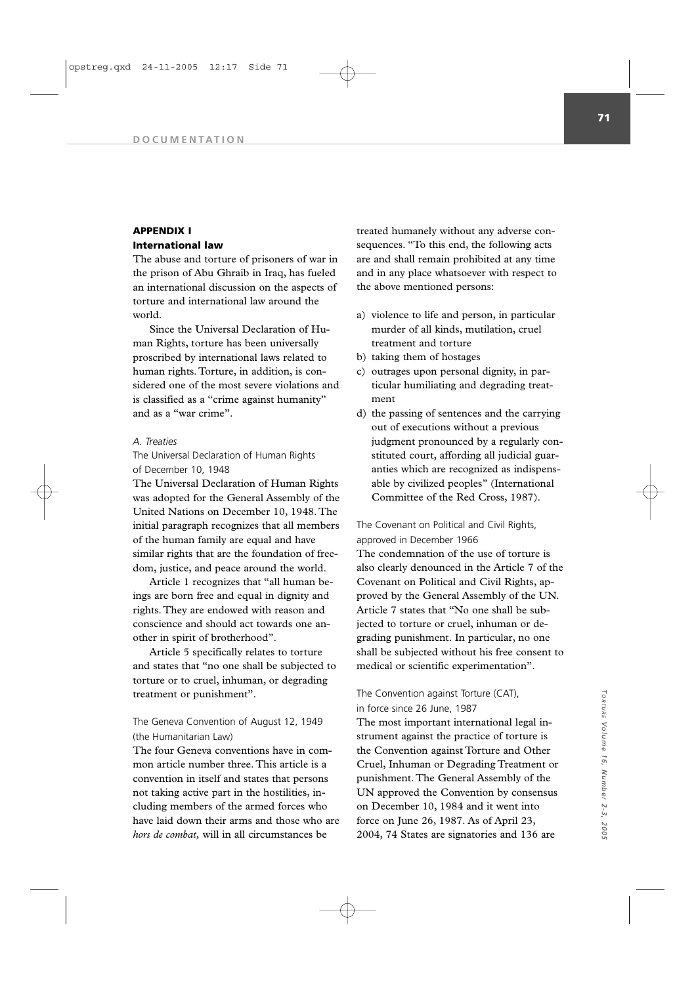## **APPENDIX I International law**

The abuse and torture of prisoners of war in the prison of Abu Ghraib in Iraq, has fueled an international discussion on the aspects of torture and international law around the world.

Since the Universal Declaration of Human Rights, torture has been universally proscribed by international laws related to human rights. Torture, in addition, is considered one of the most severe violations and is classified as a "crime against humanity" and as a "war crime".

### *A. Treaties*

The Universal Declaration of Human Rights of December 10, 1948

The Universal Declaration of Human Rights was adopted for the General Assembly of the United Nations on December 10, 1948. The initial paragraph recognizes that all members of the human family are equal and have similar rights that are the foundation of freedom, justice, and peace around the world.

Article 1 recognizes that "all human beings are born free and equal in dignity and rights. They are endowed with reason and conscience and should act towards one another in spirit of brotherhood".

Article 5 specifically relates to torture and states that "no one shall be subjected to torture or to cruel, inhuman, or degrading treatment or punishment".

# The Geneva Convention of August 12, 1949 (the Humanitarian Law)

The four Geneva conventions have in common article number three. This article is a convention in itself and states that persons not taking active part in the hostilities, including members of the armed forces who have laid down their arms and those who are *hors de combat,* will in all circumstances be

treated humanely without any adverse consequences. "To this end, the following acts are and shall remain prohibited at any time and in any place whatsoever with respect to the above mentioned persons:

- a) violence to life and person, in particular murder of all kinds, mutilation, cruel treatment and torture
- b) taking them of hostages
- c) outrages upon personal dignity, in particular humiliating and degrading treatment
- d) the passing of sentences and the carrying out of executions without a previous judgment pronounced by a regularly constituted court, affording all judicial guaranties which are recognized as indispensable by civilized peoples" (International Committee of the Red Cross, 1987).

The Covenant on Political and Civil Rights, approved in December 1966

The condemnation of the use of torture is also clearly denounced in the Article 7 of the Covenant on Political and Civil Rights, approved by the General Assembly of the UN. Article 7 states that "No one shall be subjected to torture or cruel, inhuman or degrading punishment. In particular, no one shall be subjected without his free consent to medical or scientific experimentation".

## The Convention against Torture (CAT), in force since 26 June, 1987

The most important international legal instrument against the practice of torture is the Convention against Torture and Other Cruel, Inhuman or Degrading Treatment or punishment. The General Assembly of the UN approved the Convention by consensus on December 10, 1984 and it went into force on June 26, 1987. As of April 23, 2004, 74 States are signatories and 136 are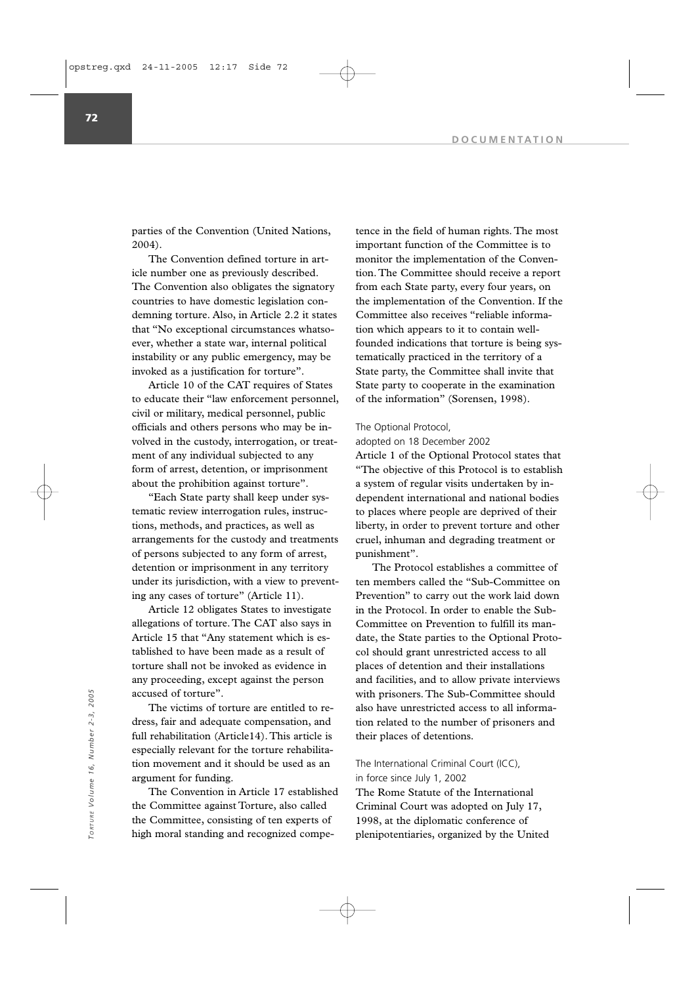parties of the Convention (United Nations, 2004).

The Convention defined torture in article number one as previously described. The Convention also obligates the signatory countries to have domestic legislation condemning torture. Also, in Article 2.2 it states that "No exceptional circumstances whatsoever, whether a state war, internal political instability or any public emergency, may be invoked as a justification for torture".

Article 10 of the CAT requires of States to educate their "law enforcement personnel, civil or military, medical personnel, public officials and others persons who may be involved in the custody, interrogation, or treatment of any individual subjected to any form of arrest, detention, or imprisonment about the prohibition against torture".

"Each State party shall keep under systematic review interrogation rules, instructions, methods, and practices, as well as arrangements for the custody and treatments of persons subjected to any form of arrest, detention or imprisonment in any territory under its jurisdiction, with a view to preventing any cases of torture" (Article 11).

Article 12 obligates States to investigate allegations of torture. The CAT also says in Article 15 that "Any statement which is established to have been made as a result of torture shall not be invoked as evidence in any proceeding, except against the person accused of torture".

The victims of torture are entitled to redress, fair and adequate compensation, and full rehabilitation (Article14). This article is especially relevant for the torture rehabilitation movement and it should be used as an argument for funding.

The Convention in Article 17 established the Committee against Torture, also called the Committee, consisting of ten experts of high moral standing and recognized competence in the field of human rights. The most important function of the Committee is to monitor the implementation of the Convention. The Committee should receive a report from each State party, every four years, on the implementation of the Convention. If the Committee also receives "reliable information which appears to it to contain wellfounded indications that torture is being systematically practiced in the territory of a State party, the Committee shall invite that State party to cooperate in the examination of the information" (Sorensen, 1998).

## The Optional Protocol,

### adopted on 18 December 2002

Article 1 of the Optional Protocol states that "The objective of this Protocol is to establish a system of regular visits undertaken by independent international and national bodies to places where people are deprived of their liberty, in order to prevent torture and other cruel, inhuman and degrading treatment or punishment".

The Protocol establishes a committee of ten members called the "Sub-Committee on Prevention" to carry out the work laid down in the Protocol. In order to enable the Sub-Committee on Prevention to fulfill its mandate, the State parties to the Optional Protocol should grant unrestricted access to all places of detention and their installations and facilities, and to allow private interviews with prisoners. The Sub-Committee should also have unrestricted access to all information related to the number of prisoners and their places of detentions.

The International Criminal Court (ICC), in force since July 1, 2002 The Rome Statute of the International

Criminal Court was adopted on July 17, 1998, at the diplomatic conference of plenipotentiaries, organized by the United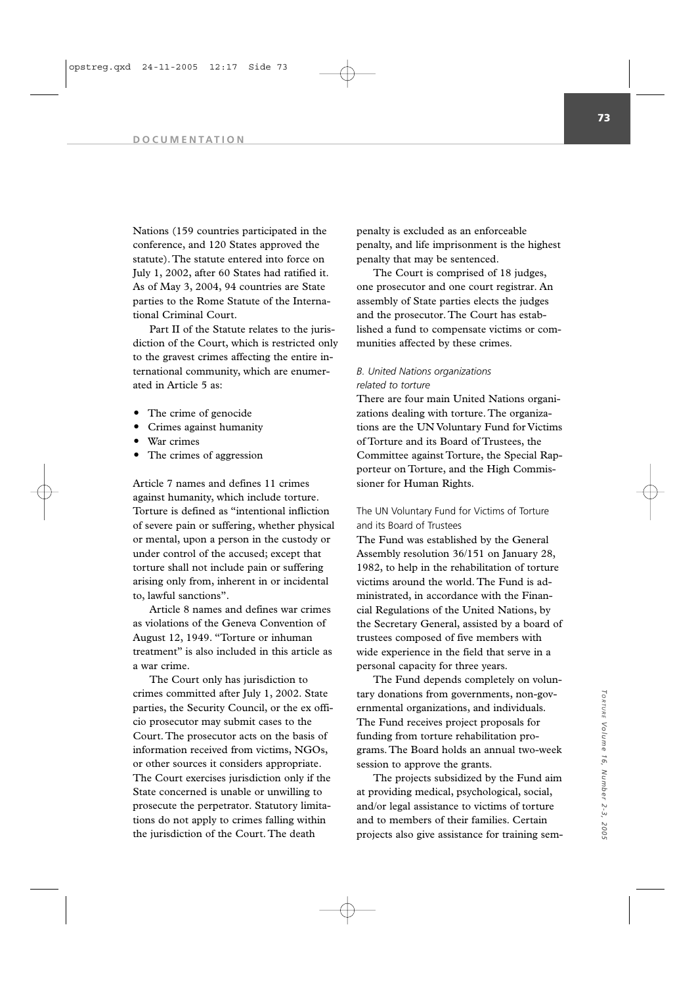Nations (159 countries participated in the conference, and 120 States approved the statute). The statute entered into force on July 1, 2002, after 60 States had ratified it. As of May 3, 2004, 94 countries are State parties to the Rome Statute of the International Criminal Court.

Part II of the Statute relates to the jurisdiction of the Court, which is restricted only to the gravest crimes affecting the entire international community, which are enumerated in Article 5 as:

- The crime of genocide
- Crimes against humanity
- War crimes
- The crimes of aggression

Article 7 names and defines 11 crimes against humanity, which include torture. Torture is defined as "intentional infliction of severe pain or suffering, whether physical or mental, upon a person in the custody or under control of the accused; except that torture shall not include pain or suffering arising only from, inherent in or incidental to, lawful sanctions".

Article 8 names and defines war crimes as violations of the Geneva Convention of August 12, 1949. "Torture or inhuman treatment" is also included in this article as a war crime.

The Court only has jurisdiction to crimes committed after July 1, 2002. State parties, the Security Council, or the ex officio prosecutor may submit cases to the Court. The prosecutor acts on the basis of information received from victims, NGOs, or other sources it considers appropriate. The Court exercises jurisdiction only if the State concerned is unable or unwilling to prosecute the perpetrator. Statutory limitations do not apply to crimes falling within the jurisdiction of the Court. The death

penalty is excluded as an enforceable penalty, and life imprisonment is the highest penalty that may be sentenced.

The Court is comprised of 18 judges, one prosecutor and one court registrar. An assembly of State parties elects the judges and the prosecutor. The Court has established a fund to compensate victims or communities affected by these crimes.

# *B. United Nations organizations related to torture*

There are four main United Nations organizations dealing with torture. The organizations are the UN Voluntary Fund for Victims of Torture and its Board of Trustees, the Committee against Torture, the Special Rapporteur on Torture, and the High Commissioner for Human Rights.

# The UN Voluntary Fund for Victims of Torture and its Board of Trustees

The Fund was established by the General Assembly resolution 36/151 on January 28, 1982, to help in the rehabilitation of torture victims around the world. The Fund is administrated, in accordance with the Financial Regulations of the United Nations, by the Secretary General, assisted by a board of trustees composed of five members with wide experience in the field that serve in a personal capacity for three years.

The Fund depends completely on voluntary donations from governments, non-governmental organizations, and individuals. The Fund receives project proposals for funding from torture rehabilitation programs. The Board holds an annual two-week session to approve the grants.

The projects subsidized by the Fund aim at providing medical, psychological, social, and/or legal assistance to victims of torture and to members of their families. Certain projects also give assistance for training sem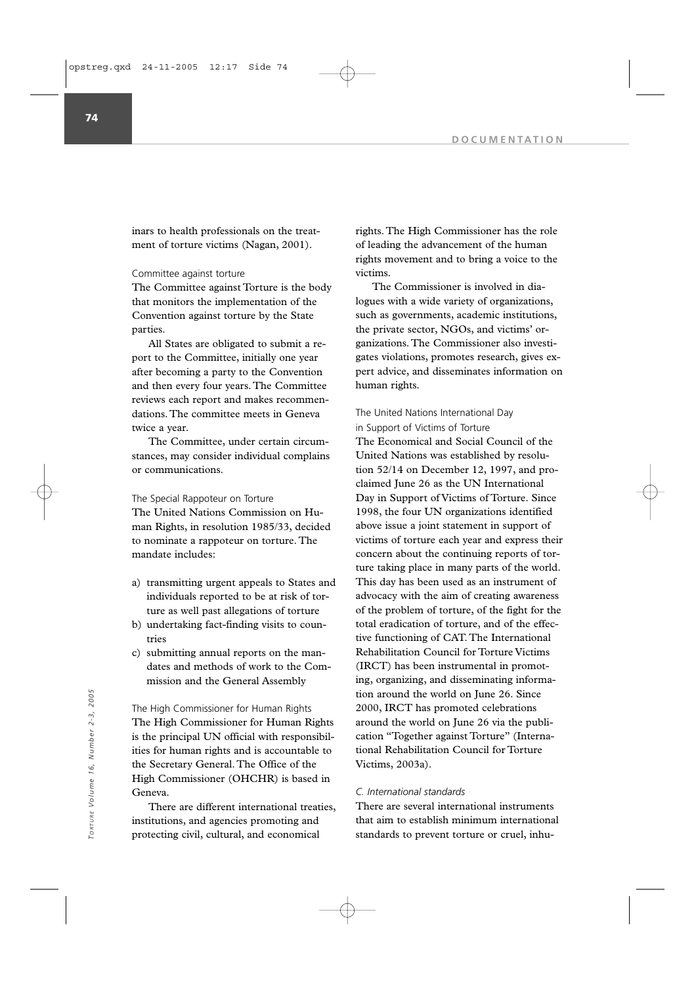inars to health professionals on the treatment of torture victims (Nagan, 2001).

Committee against torture

The Committee against Torture is the body that monitors the implementation of the Convention against torture by the State parties.

All States are obligated to submit a report to the Committee, initially one year after becoming a party to the Convention and then every four years. The Committee reviews each report and makes recommendations. The committee meets in Geneva twice a year.

The Committee, under certain circumstances, may consider individual complains or communications.

The Special Rappoteur on Torture The United Nations Commission on Human Rights, in resolution 1985/33, decided to nominate a rappoteur on torture. The mandate includes:

- a) transmitting urgent appeals to States and individuals reported to be at risk of torture as well past allegations of torture
- b) undertaking fact-finding visits to countries
- c) submitting annual reports on the mandates and methods of work to the Commission and the General Assembly

The High Commissioner for Human Rights The High Commissioner for Human Rights is the principal UN official with responsibilities for human rights and is accountable to the Secretary General. The Office of the High Commissioner (OHCHR) is based in Geneva. The High Commissioner for Human Rights<br>
The High Commissioner for Human Rights<br>
The High Commissioner for Human Rights<br>
is the principal UN official with responsibil-<br>
is the principal UN official with responsibil-<br>
is the

There are different international treaties, institutions, and agencies promoting and protecting civil, cultural, and economical

rights. The High Commissioner has the role of leading the advancement of the human rights movement and to bring a voice to the victims.

The Commissioner is involved in dialogues with a wide variety of organizations, such as governments, academic institutions, the private sector, NGOs, and victims' organizations. The Commissioner also investigates violations, promotes research, gives expert advice, and disseminates information on human rights.

## The United Nations International Day in Support of Victims of Torture

The Economical and Social Council of the United Nations was established by resolution 52/14 on December 12, 1997, and proclaimed June 26 as the UN International Day in Support of Victims of Torture. Since 1998, the four UN organizations identified above issue a joint statement in support of victims of torture each year and express their concern about the continuing reports of torture taking place in many parts of the world. This day has been used as an instrument of advocacy with the aim of creating awareness of the problem of torture, of the fight for the total eradication of torture, and of the effective functioning of CAT. The International Rehabilitation Council for Torture Victims (IRCT) has been instrumental in promoting, organizing, and disseminating information around the world on June 26. Since 2000, IRCT has promoted celebrations around the world on June 26 via the publication "Together against Torture" (International Rehabilitation Council for Torture Victims, 2003a).

# *C. International standards*

There are several international instruments that aim to establish minimum international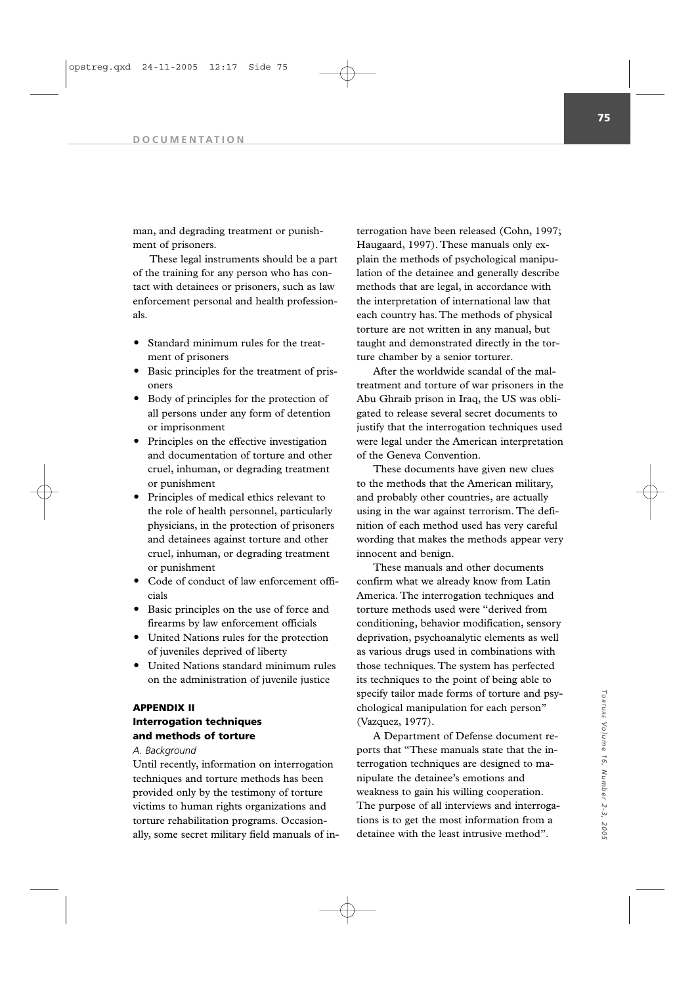man, and degrading treatment or punishment of prisoners.

These legal instruments should be a part of the training for any person who has contact with detainees or prisoners, such as law enforcement personal and health professionals.

- Standard minimum rules for the treatment of prisoners
- Basic principles for the treatment of prisoners
- Body of principles for the protection of all persons under any form of detention or imprisonment
- Principles on the effective investigation and documentation of torture and other cruel, inhuman, or degrading treatment or punishment
- Principles of medical ethics relevant to the role of health personnel, particularly physicians, in the protection of prisoners and detainees against torture and other cruel, inhuman, or degrading treatment or punishment
- Code of conduct of law enforcement officials
- Basic principles on the use of force and firearms by law enforcement officials
- United Nations rules for the protection of juveniles deprived of liberty
- United Nations standard minimum rules on the administration of juvenile justice

# **APPENDIX II Interrogation techniques and methods of torture**

*A. Background*

Until recently, information on interrogation techniques and torture methods has been provided only by the testimony of torture victims to human rights organizations and torture rehabilitation programs. Occasionally, some secret military field manuals of in-

terrogation have been released (Cohn, 1997; Haugaard, 1997). These manuals only explain the methods of psychological manipulation of the detainee and generally describe methods that are legal, in accordance with the interpretation of international law that each country has. The methods of physical torture are not written in any manual, but taught and demonstrated directly in the torture chamber by a senior torturer.

After the worldwide scandal of the maltreatment and torture of war prisoners in the Abu Ghraib prison in Iraq, the US was obligated to release several secret documents to justify that the interrogation techniques used were legal under the American interpretation of the Geneva Convention.

These documents have given new clues to the methods that the American military, and probably other countries, are actually using in the war against terrorism. The definition of each method used has very careful wording that makes the methods appear very innocent and benign.

These manuals and other documents confirm what we already know from Latin America. The interrogation techniques and torture methods used were "derived from conditioning, behavior modification, sensory deprivation, psychoanalytic elements as well as various drugs used in combinations with those techniques. The system has perfected its techniques to the point of being able to specify tailor made forms of torture and psychological manipulation for each person" (Vazquez, 1977).

A Department of Defense document reports that "These manuals state that the interrogation techniques are designed to manipulate the detainee's emotions and weakness to gain his willing cooperation. The purpose of all interviews and interrogations is to get the most information from a detainee with the least intrusive method".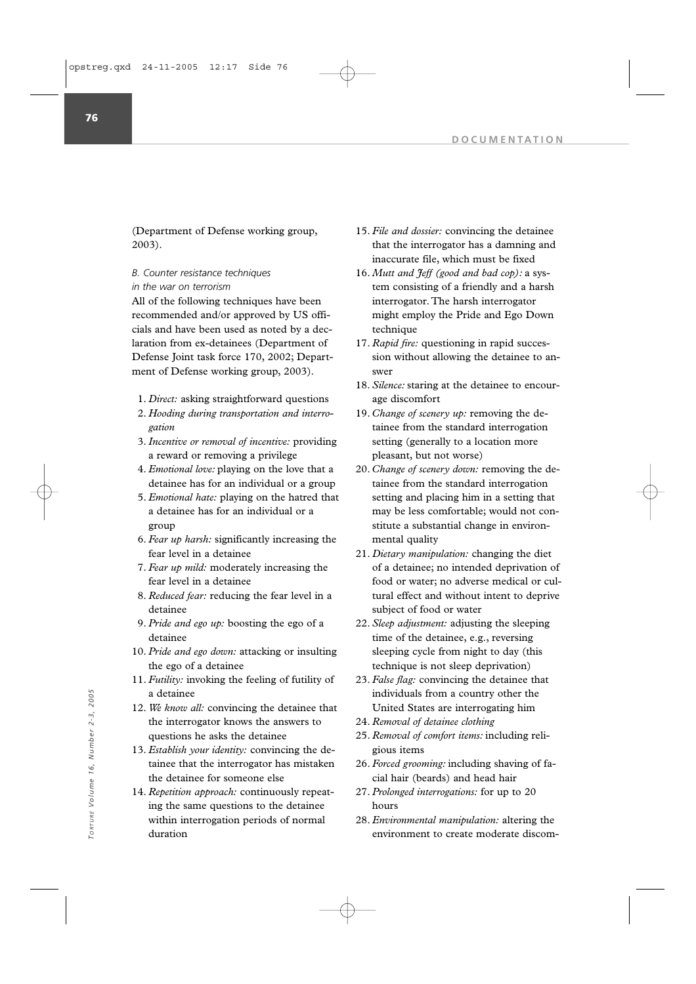(Department of Defense working group, 2003).

*B. Counter resistance techniques in the war on terrorism*

All of the following techniques have been recommended and/or approved by US officials and have been used as noted by a declaration from ex-detainees (Department of Defense Joint task force 170, 2002; Department of Defense working group, 2003).

- 1. *Direct:* asking straightforward questions
- 2. *Hooding during transportation and interrogation*
- 3.*Incentive or removal of incentive:* providing a reward or removing a privilege
- 4. *Emotional love:* playing on the love that a detainee has for an individual or a group
- 5. *Emotional hate:* playing on the hatred that a detainee has for an individual or a group
- 6. *Fear up harsh:* significantly increasing the fear level in a detainee
- 7. *Fear up mild:* moderately increasing the fear level in a detainee
- 8. *Reduced fear:* reducing the fear level in a detainee
- 9. *Pride and ego up:* boosting the ego of a detainee
- 10. *Pride and ego down:* attacking or insulting the ego of a detainee
- 11. *Futility:* invoking the feeling of futility of a detainee
- 12. *We know all:* convincing the detainee that the interrogator knows the answers to questions he asks the detainee
- 13. *Establish your identity:* convincing the detainee that the interrogator has mistaken the detainee for someone else
- 14. *Repetition approach:* continuously repeating the same questions to the detainee within interrogation periods of normal duration environment to create moderate discom-<br>
and the interrogator knows the answers to<br>
the interrogator knows the answers to<br>
the interrogator knows the answers to<br>  $\frac{1}{2}$ <br>  $\frac{1}{2}$ <br>  $\frac{1}{2}$ <br>  $\frac{1}{2}$ <br>  $\frac{1}{2}$ <br>  $\frac{1}{$
- 15. *File and dossier:* convincing the detainee that the interrogator has a damning and inaccurate file, which must be fixed
- 16. *Mutt and Jeff (good and bad cop):* a system consisting of a friendly and a harsh interrogator. The harsh interrogator might employ the Pride and Ego Down technique
- 17. *Rapid fire:* questioning in rapid succession without allowing the detainee to answer
- 18. *Silence:* staring at the detainee to encourage discomfort
- 19. *Change of scenery up:* removing the detainee from the standard interrogation setting (generally to a location more pleasant, but not worse)
- 20. *Change of scenery down:* removing the detainee from the standard interrogation setting and placing him in a setting that may be less comfortable; would not constitute a substantial change in environmental quality
- 21. *Dietary manipulation:* changing the diet of a detainee; no intended deprivation of food or water; no adverse medical or cultural effect and without intent to deprive subject of food or water
- 22. *Sleep adjustment:* adjusting the sleeping time of the detainee, e.g., reversing sleeping cycle from night to day (this technique is not sleep deprivation)
- 23. *False flag:* convincing the detainee that individuals from a country other the United States are interrogating him
- 24. *Removal of detainee clothing*
- 25. *Removal of comfort items:* including religious items
- 26. *Forced grooming:* including shaving of facial hair (beards) and head hair
- 27. *Prolonged interrogations:* for up to 20 hours
- 28. *Environmental manipulation:* altering the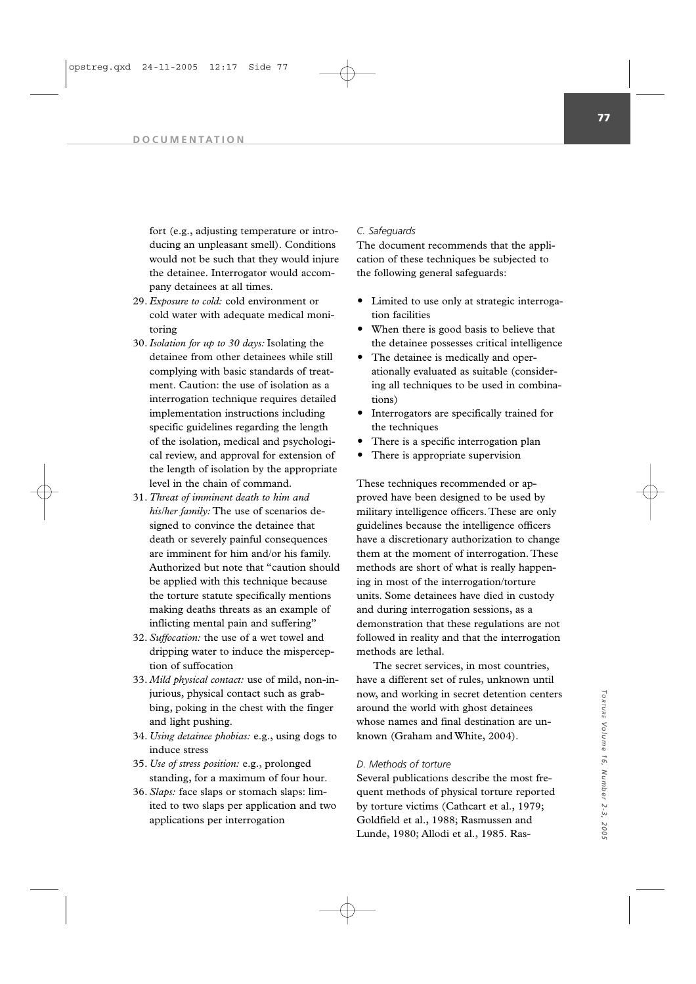fort (e.g., adjusting temperature or introducing an unpleasant smell). Conditions would not be such that they would injure the detainee. Interrogator would accompany detainees at all times.

- 29. *Exposure to cold:* cold environment or cold water with adequate medical monitoring
- 30.*Isolation for up to 30 days:* Isolating the detainee from other detainees while still complying with basic standards of treatment. Caution: the use of isolation as a interrogation technique requires detailed implementation instructions including specific guidelines regarding the length of the isolation, medical and psychological review, and approval for extension of the length of isolation by the appropriate level in the chain of command.
- 31. *Threat of imminent death to him and his/her family:* The use of scenarios designed to convince the detainee that death or severely painful consequences are imminent for him and/or his family. Authorized but note that "caution should be applied with this technique because the torture statute specifically mentions making deaths threats as an example of inflicting mental pain and suffering"
- 32. *Suffocation:* the use of a wet towel and dripping water to induce the misperception of suffocation
- 33. *Mild physical contact:* use of mild, non-injurious, physical contact such as grabbing, poking in the chest with the finger and light pushing.
- 34. *Using detainee phobias:* e.g., using dogs to induce stress
- 35. *Use of stress position:* e.g., prolonged standing, for a maximum of four hour.
- 36. *Slaps:* face slaps or stomach slaps: limited to two slaps per application and two applications per interrogation

### *C. Safeguards*

The document recommends that the application of these techniques be subjected to the following general safeguards:

- Limited to use only at strategic interrogation facilities
- When there is good basis to believe that the detainee possesses critical intelligence
- The detainee is medically and operationally evaluated as suitable (considering all techniques to be used in combinations)
- Interrogators are specifically trained for the techniques
- There is a specific interrogation plan
- There is appropriate supervision

These techniques recommended or approved have been designed to be used by military intelligence officers. These are only guidelines because the intelligence officers have a discretionary authorization to change them at the moment of interrogation. These methods are short of what is really happening in most of the interrogation/torture units. Some detainees have died in custody and during interrogation sessions, as a demonstration that these regulations are not followed in reality and that the interrogation methods are lethal.

The secret services, in most countries, have a different set of rules, unknown until now, and working in secret detention centers around the world with ghost detainees whose names and final destination are unknown (Graham and White, 2004).

### *D. Methods of torture*

Several publications describe the most frequent methods of physical torture reported by torture victims (Cathcart et al., 1979; Goldfield et al., 1988; Rasmussen and Lunde, 1980; Allodi et al., 1985. Ras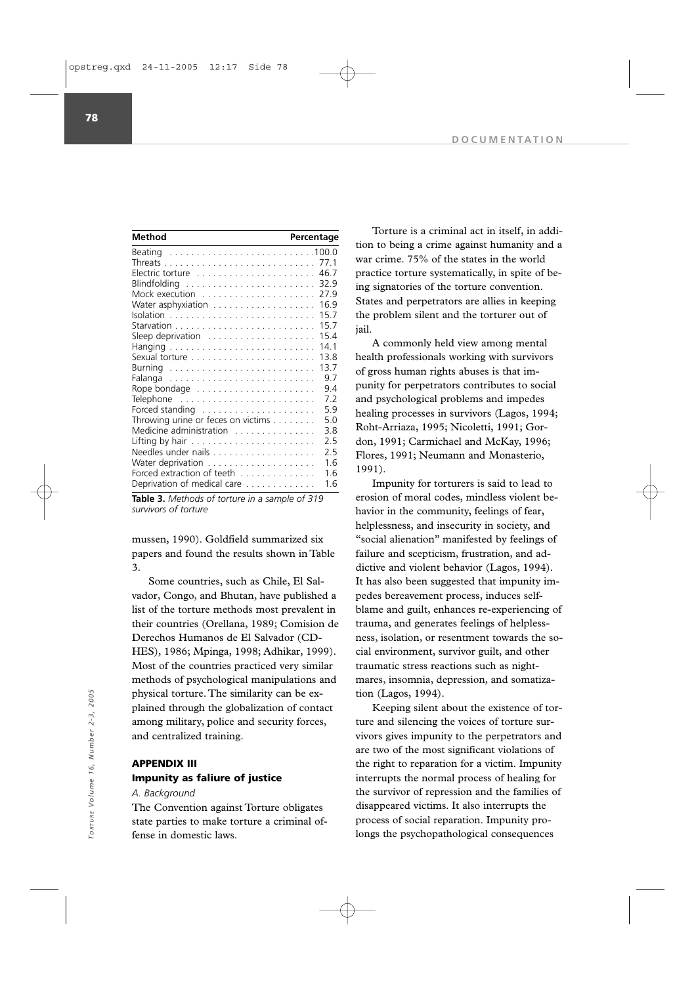**78**

| Method                                                             | Percentage |      |
|--------------------------------------------------------------------|------------|------|
|                                                                    |            |      |
|                                                                    |            | 77.1 |
| Electric torture                                                   |            | 46.7 |
| Blindfolding                                                       |            | 32.9 |
| Mock execution                                                     |            | 27.9 |
| Water asphyxiation                                                 |            | 16.9 |
|                                                                    |            | 15.7 |
|                                                                    |            | 15.7 |
| Sleep deprivation                                                  |            | 15.4 |
|                                                                    |            | 14.1 |
|                                                                    |            | 13.8 |
|                                                                    |            | 13.7 |
| Falanga                                                            |            | 9.7  |
| Rope bondage $\dots\dots\dots\dots\dots\dots\dots\dots\dots$       |            | 94   |
| $\mathsf{Telephone}$                                               |            | 7.2  |
| Forced standing                                                    |            | 5.9  |
| Throwing urine or feces on victims                                 |            | 5.0  |
| Medicine administration                                            |            | 38   |
| Lifting by hair $\ldots \ldots \ldots \ldots \ldots \ldots \ldots$ |            | 2.5  |
|                                                                    |            | 2.5  |
|                                                                    |            | 1.6  |
| Forced extraction of teeth                                         |            | 16   |
| Deprivation of medical care                                        |            | 1.6  |

**Table 3.** *Methods of torture in a sample of 319 survivors of torture*

mussen, 1990). Goldfield summarized six papers and found the results shown in Table 3.

Some countries, such as Chile, El Salvador, Congo, and Bhutan, have published a list of the torture methods most prevalent in their countries (Orellana, 1989; Comision de Derechos Humanos de El Salvador (CD-HES), 1986; Mpinga, 1998; Adhikar, 1999). Most of the countries practiced very similar methods of psychological manipulations and physical torture. The similarity can be explained through the globalization of contact among military, police and security forces, and centralized training.

### **APPENDIX III**

# **Impunity as faliure of justice**

*A. Background*

The Convention against Torture obligates state parties to make torture a criminal offense in domestic laws.

Torture is a criminal act in itself, in addition to being a crime against humanity and a war crime. 75% of the states in the world practice torture systematically, in spite of being signatories of the torture convention. States and perpetrators are allies in keeping the problem silent and the torturer out of jail.

A commonly held view among mental health professionals working with survivors of gross human rights abuses is that impunity for perpetrators contributes to social and psychological problems and impedes healing processes in survivors (Lagos, 1994; Roht-Arriaza, 1995; Nicoletti, 1991; Gordon, 1991; Carmichael and McKay, 1996; Flores, 1991; Neumann and Monasterio, 1991).

Impunity for torturers is said to lead to erosion of moral codes, mindless violent behavior in the community, feelings of fear, helplessness, and insecurity in society, and "social alienation" manifested by feelings of failure and scepticism, frustration, and addictive and violent behavior (Lagos, 1994). It has also been suggested that impunity impedes bereavement process, induces selfblame and guilt, enhances re-experiencing of trauma, and generates feelings of helplessness, isolation, or resentment towards the social environment, survivor guilt, and other traumatic stress reactions such as nightmares, insomnia, depression, and somatization (Lagos, 1994).

Keeping silent about the existence of torture and silencing the voices of torture survivors gives impunity to the perpetrators and are two of the most significant violations of the right to reparation for a victim. Impunity interrupts the normal process of healing for the survivor of repression and the families of disappeared victims. It also interrupts the process of social reparation. Impunity prophysical torture. The similarity can be ex-<br>
plained through the globalization of contact<br>
and centralized training.<br>  $\frac{1}{2}$ <br>  $\frac{1}{2}$ <br>  $\frac{1}{2}$ <br>  $\frac{1}{2}$ <br> **APPENDIX III**<br> **IMPURINERE AL Background**<br>  $\frac{1}{2}$ <br>  $\frac{1$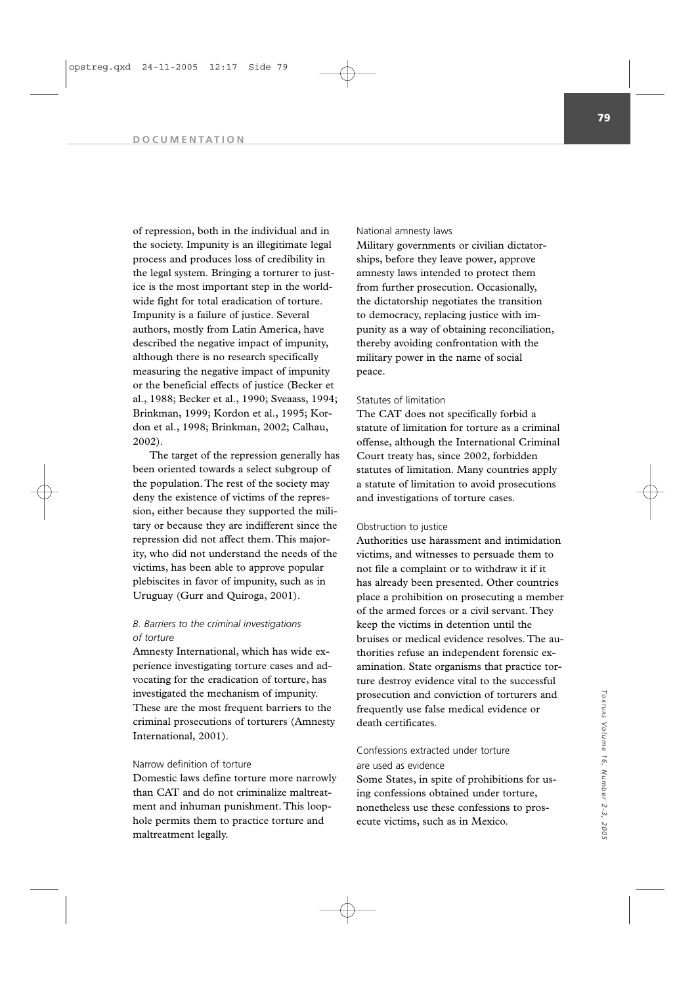#### **DOCUMENTATION**

of repression, both in the individual and in the society. Impunity is an illegitimate legal process and produces loss of credibility in the legal system. Bringing a torturer to justice is the most important step in the worldwide fight for total eradication of torture. Impunity is a failure of justice. Several authors, mostly from Latin America, have described the negative impact of impunity, although there is no research specifically measuring the negative impact of impunity or the beneficial effects of justice (Becker et al., 1988; Becker et al., 1990; Sveaass, 1994; Brinkman, 1999; Kordon et al., 1995; Kordon et al., 1998; Brinkman, 2002; Calhau, 2002).

The target of the repression generally has been oriented towards a select subgroup of the population. The rest of the society may deny the existence of victims of the repression, either because they supported the military or because they are indifferent since the repression did not affect them. This majority, who did not understand the needs of the victims, has been able to approve popular plebiscites in favor of impunity, such as in Uruguay (Gurr and Quiroga, 2001).

# *B. Barriers to the criminal investigations of torture*

Amnesty International, which has wide experience investigating torture cases and advocating for the eradication of torture, has investigated the mechanism of impunity. These are the most frequent barriers to the criminal prosecutions of torturers (Amnesty International, 2001).

### Narrow definition of torture

Domestic laws define torture more narrowly than CAT and do not criminalize maltreatment and inhuman punishment. This loophole permits them to practice torture and maltreatment legally.

#### National amnesty laws

Military governments or civilian dictatorships, before they leave power, approve amnesty laws intended to protect them from further prosecution. Occasionally, the dictatorship negotiates the transition to democracy, replacing justice with impunity as a way of obtaining reconciliation, thereby avoiding confrontation with the military power in the name of social peace.

### Statutes of limitation

The CAT does not specifically forbid a statute of limitation for torture as a criminal offense, although the International Criminal Court treaty has, since 2002, forbidden statutes of limitation. Many countries apply a statute of limitation to avoid prosecutions and investigations of torture cases.

#### Obstruction to justice

Authorities use harassment and intimidation victims, and witnesses to persuade them to not file a complaint or to withdraw it if it has already been presented. Other countries place a prohibition on prosecuting a member of the armed forces or a civil servant. They keep the victims in detention until the bruises or medical evidence resolves. The authorities refuse an independent forensic examination. State organisms that practice torture destroy evidence vital to the successful prosecution and conviction of torturers and frequently use false medical evidence or death certificates.

# Confessions extracted under torture are used as evidence

Some States, in spite of prohibitions for using confessions obtained under torture, nonetheless use these confessions to prosecute victims, such as in Mexico.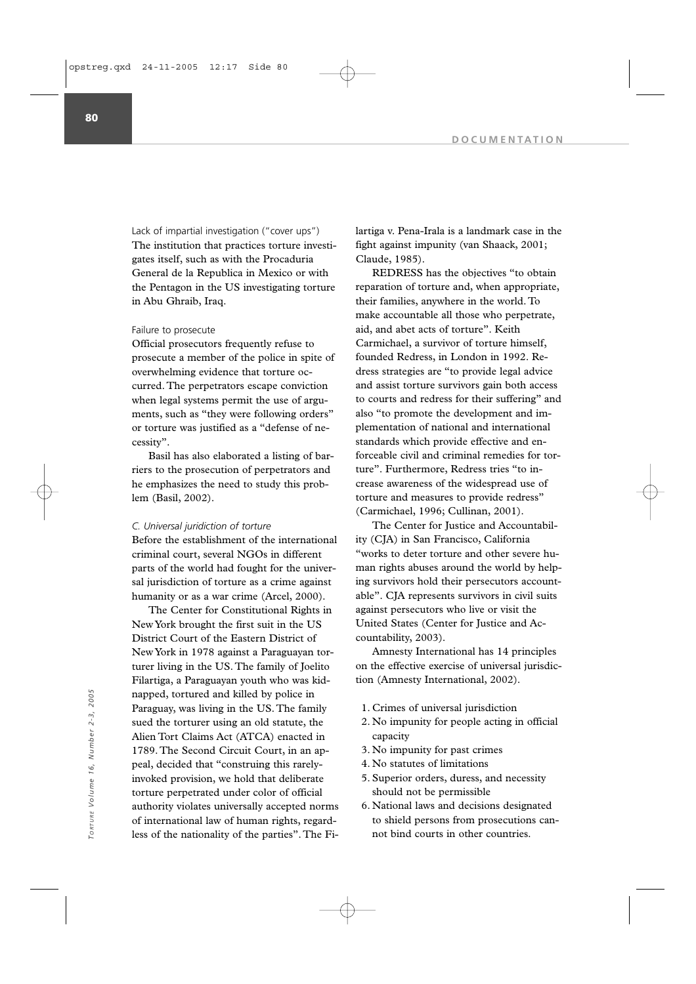Lack of impartial investigation ("cover ups") The institution that practices torture investigates itself, such as with the Procaduria General de la Republica in Mexico or with the Pentagon in the US investigating torture in Abu Ghraib, Iraq.

#### Failure to prosecute

Official prosecutors frequently refuse to prosecute a member of the police in spite of overwhelming evidence that torture occurred. The perpetrators escape conviction when legal systems permit the use of arguments, such as "they were following orders" or torture was justified as a "defense of necessity".

Basil has also elaborated a listing of barriers to the prosecution of perpetrators and he emphasizes the need to study this problem (Basil, 2002).

#### *C. Universal juridiction of torture*

Before the establishment of the international criminal court, several NGOs in different parts of the world had fought for the universal jurisdiction of torture as a crime against humanity or as a war crime (Arcel, 2000).

The Center for Constitutional Rights in New York brought the first suit in the US District Court of the Eastern District of New York in 1978 against a Paraguayan torturer living in the US. The family of Joelito Filartiga, a Paraguayan youth who was kidnapped, tortured and killed by police in Paraguay, was living in the US. The family sued the torturer using an old statute, the Alien Tort Claims Act (ATCA) enacted in 1789. The Second Circuit Court, in an appeal, decided that "construing this rarelyinvoked provision, we hold that deliberate torture perpetrated under color of official authority violates universally accepted norms of international law of human rights, regardless of the nationality of the parties". The Finapped, tortured and killed by police in<br>
Paraguay, was living in the US. The family<br>
sued the torturer using an old statute, the<br>
Alien Tort Claims Act (ATCA) enacted in<br>
1789. The Second Circuit Court, in an ap-<br>
peal, d

lartiga v. Pena-Irala is a landmark case in the fight against impunity (van Shaack, 2001; Claude, 1985).

REDRESS has the objectives "to obtain reparation of torture and, when appropriate, their families, anywhere in the world. To make accountable all those who perpetrate, aid, and abet acts of torture". Keith Carmichael, a survivor of torture himself, founded Redress, in London in 1992. Redress strategies are "to provide legal advice and assist torture survivors gain both access to courts and redress for their suffering" and also "to promote the development and implementation of national and international standards which provide effective and enforceable civil and criminal remedies for torture". Furthermore, Redress tries "to increase awareness of the widespread use of torture and measures to provide redress" (Carmichael, 1996; Cullinan, 2001).

The Center for Justice and Accountability (CJA) in San Francisco, California "works to deter torture and other severe human rights abuses around the world by helping survivors hold their persecutors accountable". CJA represents survivors in civil suits against persecutors who live or visit the United States (Center for Justice and Accountability, 2003).

Amnesty International has 14 principles on the effective exercise of universal jurisdiction (Amnesty International, 2002).

- 1. Crimes of universal jurisdiction
- 2. No impunity for people acting in official capacity
- 3. No impunity for past crimes
- 4. No statutes of limitations
- 5. Superior orders, duress, and necessity should not be permissible
- 6. National laws and decisions designated to shield persons from prosecutions can-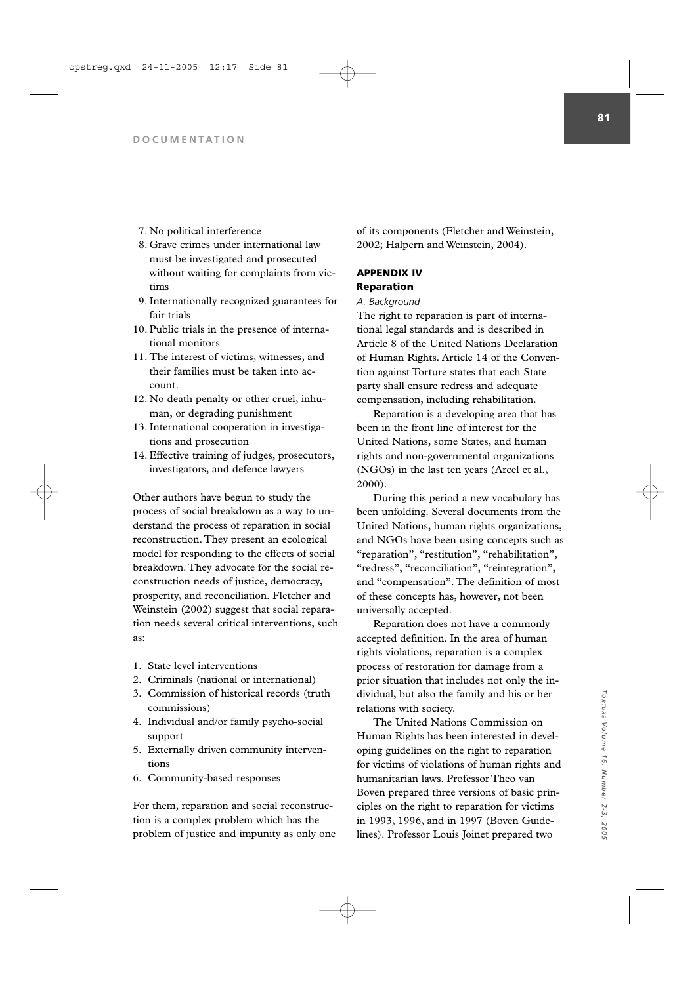- 7. No political interference
- 8. Grave crimes under international law must be investigated and prosecuted without waiting for complaints from victims
- 9. Internationally recognized guarantees for fair trials
- 10. Public trials in the presence of international monitors
- 11. The interest of victims, witnesses, and their families must be taken into account.
- 12. No death penalty or other cruel, inhuman, or degrading punishment
- 13. International cooperation in investigations and prosecution
- 14. Effective training of judges, prosecutors, investigators, and defence lawyers

Other authors have begun to study the process of social breakdown as a way to understand the process of reparation in social reconstruction. They present an ecological model for responding to the effects of social breakdown. They advocate for the social reconstruction needs of justice, democracy, prosperity, and reconciliation. Fletcher and Weinstein (2002) suggest that social reparation needs several critical interventions, such as:

- 1. State level interventions
- 2. Criminals (national or international)
- 3. Commission of historical records (truth commissions)
- 4. Individual and/or family psycho-social support
- 5. Externally driven community interventions
- 6. Community-based responses

For them, reparation and social reconstruction is a complex problem which has the problem of justice and impunity as only one of its components (Fletcher and Weinstein, 2002; Halpern and Weinstein, 2004).

# **APPENDIX IV**

## **Reparation** *A. Background*

The right to reparation is part of international legal standards and is described in Article 8 of the United Nations Declaration of Human Rights. Article 14 of the Convention against Torture states that each State party shall ensure redress and adequate compensation, including rehabilitation.

Reparation is a developing area that has been in the front line of interest for the United Nations, some States, and human rights and non-governmental organizations (NGOs) in the last ten years (Arcel et al., 2000).

During this period a new vocabulary has been unfolding. Several documents from the United Nations, human rights organizations, and NGOs have been using concepts such as "reparation", "restitution", "rehabilitation", "redress", "reconciliation", "reintegration", and "compensation". The definition of most of these concepts has, however, not been universally accepted.

Reparation does not have a commonly accepted definition. In the area of human rights violations, reparation is a complex process of restoration for damage from a prior situation that includes not only the individual, but also the family and his or her relations with society.

The United Nations Commission on Human Rights has been interested in developing guidelines on the right to reparation for victims of violations of human rights and humanitarian laws. Professor Theo van Boven prepared three versions of basic principles on the right to reparation for victims in 1993, 1996, and in 1997 (Boven Guidelines). Professor Louis Joinet prepared two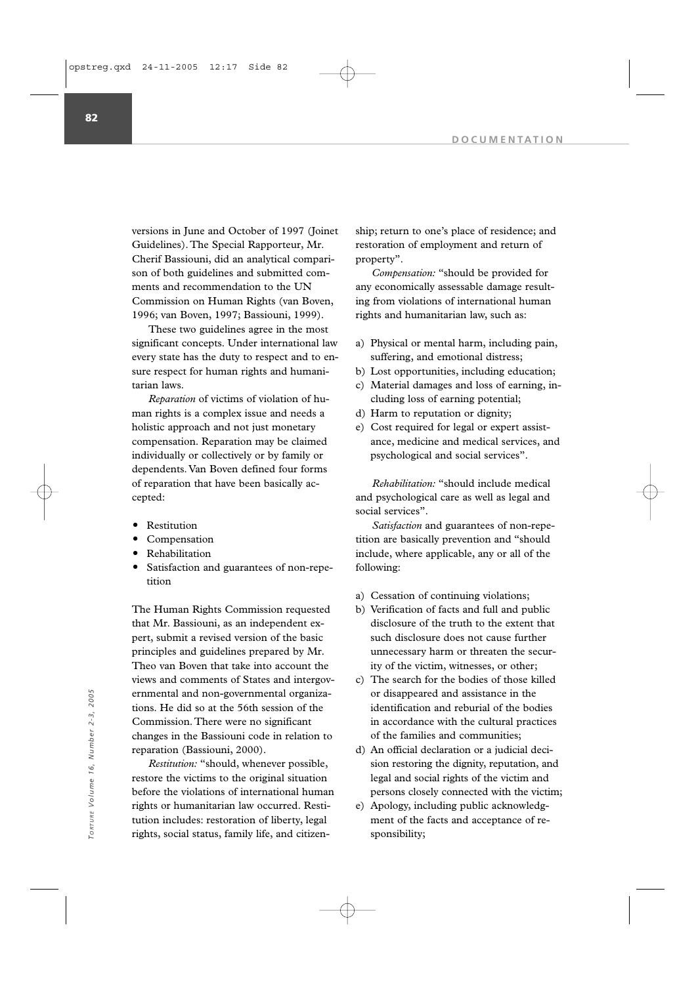versions in June and October of 1997 (Joinet Guidelines). The Special Rapporteur, Mr. Cherif Bassiouni, did an analytical comparison of both guidelines and submitted comments and recommendation to the UN Commission on Human Rights (van Boven, 1996; van Boven, 1997; Bassiouni, 1999).

These two guidelines agree in the most significant concepts. Under international law every state has the duty to respect and to ensure respect for human rights and humanitarian laws.

*Reparation* of victims of violation of human rights is a complex issue and needs a holistic approach and not just monetary compensation. Reparation may be claimed individually or collectively or by family or dependents. Van Boven defined four forms of reparation that have been basically accepted:

- Restitution
- Compensation
- Rehabilitation
- Satisfaction and guarantees of non-repetition

The Human Rights Commission requested that Mr. Bassiouni, as an independent expert, submit a revised version of the basic principles and guidelines prepared by Mr. Theo van Boven that take into account the views and comments of States and intergovernmental and non-governmental organizations. He did so at the 56th session of the Commission. There were no significant changes in the Bassiouni code in relation to reparation (Bassiouni, 2000).

*Restitution:* "should, whenever possible, restore the victims to the original situation before the violations of international human rights or humanitarian law occurred. Restitution includes: restoration of liberty, legal rights, social status, family life, and citizenernmental and non-governmental organiza-<br>
sponsibility;<br>  $T_{\text{R}}$ ,  $T_{\text{S}}$  and the Bassiouni code in relation to<br>
the famili<br>
reparation (Bassiouni, 2000).<br> *Restitution:* "should, whenever possible,<br>
restore the viciti

ship; return to one's place of residence; and restoration of employment and return of property".

*Compensation:* "should be provided for any economically assessable damage resulting from violations of international human rights and humanitarian law, such as:

- a) Physical or mental harm, including pain, suffering, and emotional distress;
- b) Lost opportunities, including education;
- c) Material damages and loss of earning, including loss of earning potential;
- d) Harm to reputation or dignity;
- e) Cost required for legal or expert assistance, medicine and medical services, and psychological and social services".

*Rehabilitation:* "should include medical and psychological care as well as legal and social services".

*Satisfaction* and guarantees of non-repetition are basically prevention and "should include, where applicable, any or all of the following:

- a) Cessation of continuing violations;
- b) Verification of facts and full and public disclosure of the truth to the extent that such disclosure does not cause further unnecessary harm or threaten the security of the victim, witnesses, or other;
- c) The search for the bodies of those killed or disappeared and assistance in the identification and reburial of the bodies in accordance with the cultural practices of the families and communities;
- d) An official declaration or a judicial decision restoring the dignity, reputation, and legal and social rights of the victim and persons closely connected with the victim;
- e) Apology, including public acknowledgment of the facts and acceptance of re-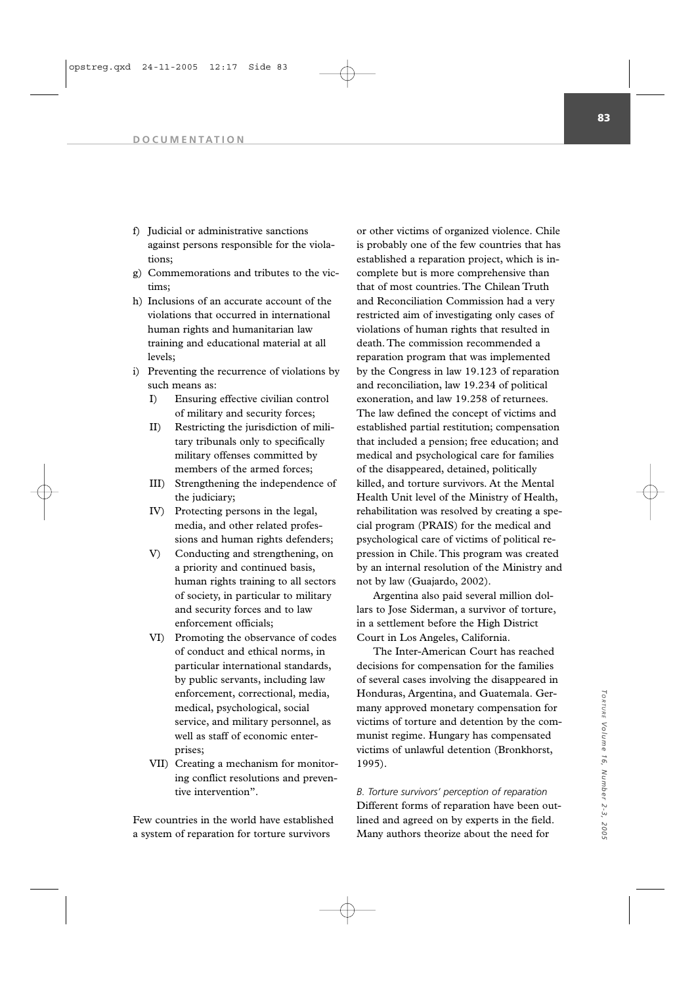**83**

#### **DOCUMENTATION**

- f) Judicial or administrative sanctions against persons responsible for the violations;
- g) Commemorations and tributes to the victims;
- h) Inclusions of an accurate account of the violations that occurred in international human rights and humanitarian law training and educational material at all levels;
- i) Preventing the recurrence of violations by such means as:
	- I) Ensuring effective civilian control of military and security forces;
	- II) Restricting the jurisdiction of military tribunals only to specifically military offenses committed by members of the armed forces;
	- III) Strengthening the independence of the judiciary;
	- IV) Protecting persons in the legal, media, and other related professions and human rights defenders;
	- V) Conducting and strengthening, on a priority and continued basis, human rights training to all sectors of society, in particular to military and security forces and to law enforcement officials;
	- VI) Promoting the observance of codes of conduct and ethical norms, in particular international standards, by public servants, including law enforcement, correctional, media, medical, psychological, social service, and military personnel, as well as staff of economic enterprises;
	- VII) Creating a mechanism for monitoring conflict resolutions and preventive intervention".

Few countries in the world have established a system of reparation for torture survivors

or other victims of organized violence. Chile is probably one of the few countries that has established a reparation project, which is incomplete but is more comprehensive than that of most countries. The Chilean Truth and Reconciliation Commission had a very restricted aim of investigating only cases of violations of human rights that resulted in death. The commission recommended a reparation program that was implemented by the Congress in law 19.123 of reparation and reconciliation, law 19.234 of political exoneration, and law 19.258 of returnees. The law defined the concept of victims and established partial restitution; compensation that included a pension; free education; and medical and psychological care for families of the disappeared, detained, politically killed, and torture survivors. At the Mental Health Unit level of the Ministry of Health, rehabilitation was resolved by creating a special program (PRAIS) for the medical and psychological care of victims of political repression in Chile. This program was created by an internal resolution of the Ministry and not by law (Guajardo, 2002).

Argentina also paid several million dollars to Jose Siderman, a survivor of torture, in a settlement before the High District Court in Los Angeles, California.

The Inter-American Court has reached decisions for compensation for the families of several cases involving the disappeared in Honduras, Argentina, and Guatemala. Germany approved monetary compensation for victims of torture and detention by the communist regime. Hungary has compensated victims of unlawful detention (Bronkhorst, 1995).

*B. Torture survivors' perception of reparation* Different forms of reparation have been outlined and agreed on by experts in the field. Many authors theorize about the need for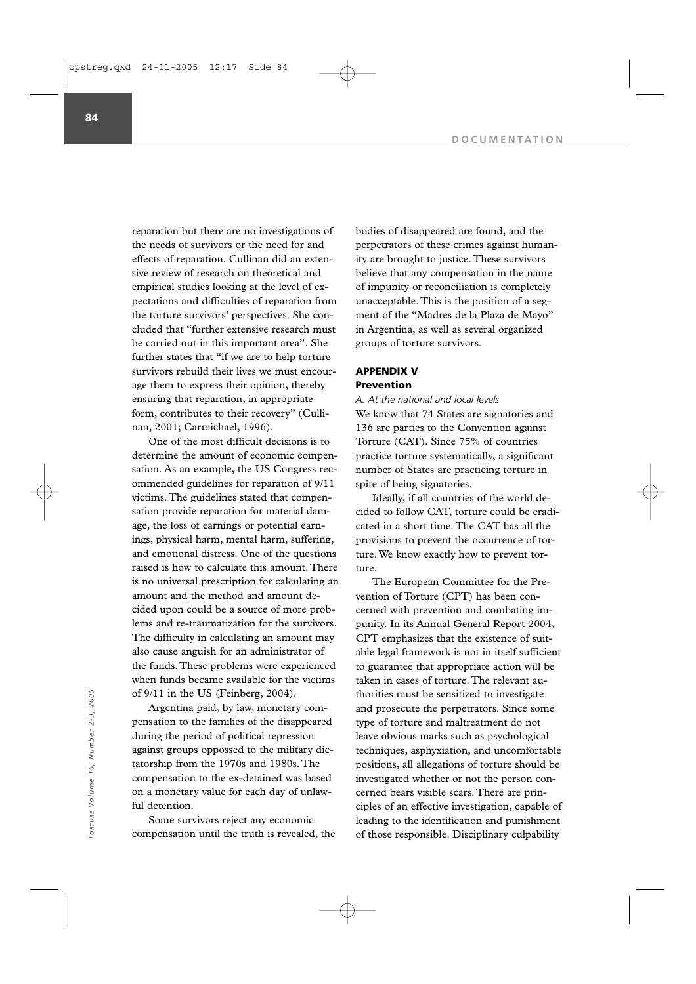**DOCUMENTATION**

reparation but there are no investigations of the needs of survivors or the need for and effects of reparation. Cullinan did an extensive review of research on theoretical and empirical studies looking at the level of expectations and difficulties of reparation from the torture survivors' perspectives. She concluded that "further extensive research must be carried out in this important area". She further states that "if we are to help torture survivors rebuild their lives we must encourage them to express their opinion, thereby ensuring that reparation, in appropriate form, contributes to their recovery" (Cullinan, 2001; Carmichael, 1996).

One of the most difficult decisions is to determine the amount of economic compensation. As an example, the US Congress recommended guidelines for reparation of 9/11 victims. The guidelines stated that compensation provide reparation for material damage, the loss of earnings or potential earnings, physical harm, mental harm, suffering, and emotional distress. One of the questions raised is how to calculate this amount. There is no universal prescription for calculating an amount and the method and amount decided upon could be a source of more problems and re-traumatization for the survivors. The difficulty in calculating an amount may also cause anguish for an administrator of the funds. These problems were experienced when funds became available for the victims of 9/11 in the US (Feinberg, 2004).

Argentina paid, by law, monetary compensation to the families of the disappeared during the period of political repression against groups oppossed to the military dictatorship from the 1970s and 1980s. The compensation to the ex-detained was based on a monetary value for each day of unlawful detention.

Some survivors reject any economic compensation until the truth is revealed, the bodies of disappeared are found, and the perpetrators of these crimes against humanity are brought to justice. These survivors believe that any compensation in the name of impunity or reconciliation is completely unacceptable. This is the position of a segment of the "Madres de la Plaza de Mayo" in Argentina, as well as several organized groups of torture survivors.

### **APPENDIX V Prevention**

### *A. At the national and local levels*

We know that 74 States are signatories and 136 are parties to the Convention against Torture (CAT). Since 75% of countries practice torture systematically, a significant number of States are practicing torture in spite of being signatories.

Ideally, if all countries of the world decided to follow CAT, torture could be eradicated in a short time. The CAT has all the provisions to prevent the occurrence of torture. We know exactly how to prevent torture.

The European Committee for the Prevention of Torture (CPT) has been concerned with prevention and combating impunity. In its Annual General Report 2004, CPT emphasizes that the existence of suitable legal framework is not in itself sufficient to guarantee that appropriate action will be taken in cases of torture. The relevant authorities must be sensitized to investigate and prosecute the perpetrators. Since some type of torture and maltreatment do not leave obvious marks such as psychological techniques, asphyxiation, and uncomfortable positions, all allegations of torture should be investigated whether or not the person concerned bears visible scars. There are principles of an effective investigation, capable of leading to the identification and punishment of those responsible. Disciplinary culpability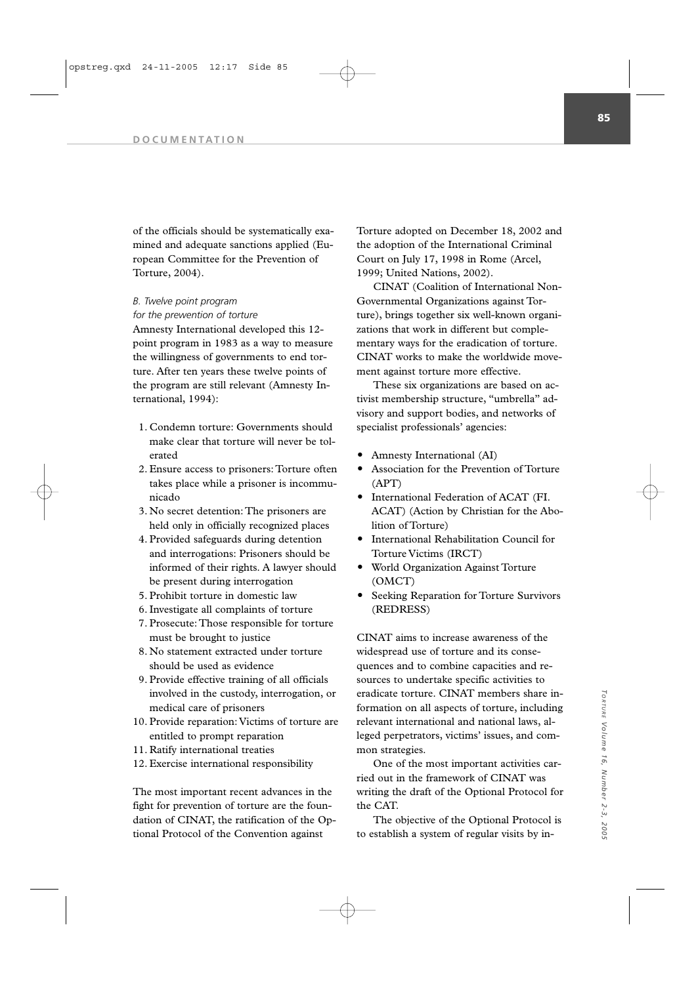of the officials should be systematically examined and adequate sanctions applied (European Committee for the Prevention of Torture, 2004).

### *B. Twelve point program*

*for the prewention of torture*  Amnesty International developed this 12 point program in 1983 as a way to measure the willingness of governments to end torture. After ten years these twelve points of the program are still relevant (Amnesty International, 1994):

- 1. Condemn torture: Governments should make clear that torture will never be tolerated
- 2. Ensure access to prisoners: Torture often takes place while a prisoner is incommunicado
- 3. No secret detention: The prisoners are held only in officially recognized places
- 4. Provided safeguards during detention and interrogations: Prisoners should be informed of their rights. A lawyer should be present during interrogation
- 5. Prohibit torture in domestic law
- 6. Investigate all complaints of torture
- 7. Prosecute: Those responsible for torture must be brought to justice
- 8. No statement extracted under torture should be used as evidence
- 9. Provide effective training of all officials involved in the custody, interrogation, or medical care of prisoners
- 10. Provide reparation: Victims of torture are entitled to prompt reparation
- 11. Ratify international treaties
- 12. Exercise international responsibility

The most important recent advances in the fight for prevention of torture are the foundation of CINAT, the ratification of the Optional Protocol of the Convention against

Torture adopted on December 18, 2002 and the adoption of the International Criminal Court on July 17, 1998 in Rome (Arcel, 1999; United Nations, 2002).

CINAT (Coalition of International Non-Governmental Organizations against Torture), brings together six well-known organizations that work in different but complementary ways for the eradication of torture. CINAT works to make the worldwide movement against torture more effective.

These six organizations are based on activist membership structure, "umbrella" advisory and support bodies, and networks of specialist professionals' agencies:

- Amnesty International (AI)
- Association for the Prevention of Torture (APT)
- International Federation of ACAT (FI. ACAT) (Action by Christian for the Abolition of Torture)
- International Rehabilitation Council for Torture Victims (IRCT)
- World Organization Against Torture (OMCT)
- Seeking Reparation for Torture Survivors (REDRESS)

CINAT aims to increase awareness of the widespread use of torture and its consequences and to combine capacities and resources to undertake specific activities to eradicate torture. CINAT members share information on all aspects of torture, including relevant international and national laws, alleged perpetrators, victims' issues, and common strategies.

One of the most important activities carried out in the framework of CINAT was writing the draft of the Optional Protocol for the CAT.

The objective of the Optional Protocol is to establish a system of regular visits by in-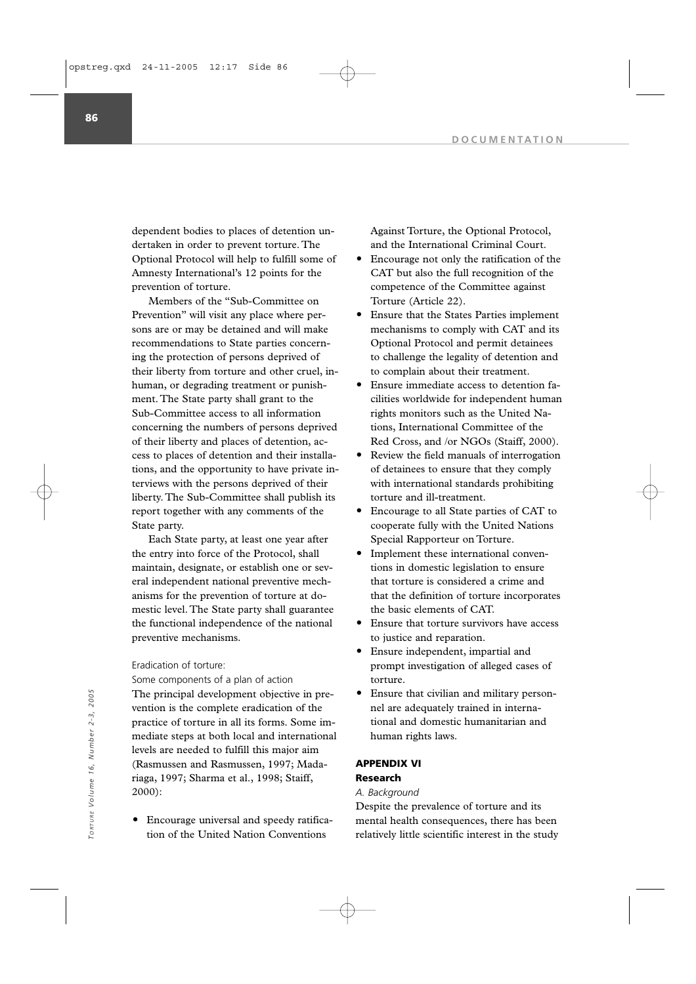dependent bodies to places of detention undertaken in order to prevent torture. The Optional Protocol will help to fulfill some of Amnesty International's 12 points for the prevention of torture.

Members of the "Sub-Committee on Prevention" will visit any place where persons are or may be detained and will make recommendations to State parties concerning the protection of persons deprived of their liberty from torture and other cruel, inhuman, or degrading treatment or punishment. The State party shall grant to the Sub-Committee access to all information concerning the numbers of persons deprived of their liberty and places of detention, access to places of detention and their installations, and the opportunity to have private interviews with the persons deprived of their liberty. The Sub-Committee shall publish its report together with any comments of the State party.

Each State party, at least one year after the entry into force of the Protocol, shall maintain, designate, or establish one or several independent national preventive mechanisms for the prevention of torture at domestic level. The State party shall guarantee the functional independence of the national preventive mechanisms.

#### Eradication of torture:

Some components of a plan of action The principal development objective in prevention is the complete eradication of the practice of torture in all its forms. Some immediate steps at both local and international levels are needed to fulfill this major aim (Rasmussen and Rasmussen, 1997; Madariaga, 1997; Sharma et al., 1998; Staiff, 2000):

 Encourage universal and speedy ratification of the United Nation Conventions

Against Torture, the Optional Protocol, and the International Criminal Court.

- Encourage not only the ratification of the CAT but also the full recognition of the competence of the Committee against Torture (Article 22).
- Ensure that the States Parties implement mechanisms to comply with CAT and its Optional Protocol and permit detainees to challenge the legality of detention and to complain about their treatment.
- Ensure immediate access to detention facilities worldwide for independent human rights monitors such as the United Nations, International Committee of the Red Cross, and /or NGOs (Staiff, 2000).
- Review the field manuals of interrogation of detainees to ensure that they comply with international standards prohibiting torture and ill-treatment.
- Encourage to all State parties of CAT to cooperate fully with the United Nations Special Rapporteur on Torture.
- Implement these international conventions in domestic legislation to ensure that torture is considered a crime and that the definition of torture incorporates the basic elements of CAT.
- Ensure that torture survivors have access to justice and reparation.
- Ensure independent, impartial and prompt investigation of alleged cases of torture.
- Ensure that civilian and military personnel are adequately trained in international and domestic humanitarian and human rights laws.

### **APPENDIX VI**

# **Research**

### *A. Background*

Despite the prevalence of torture and its mental health consequences, there has been relatively little scientific interest in the study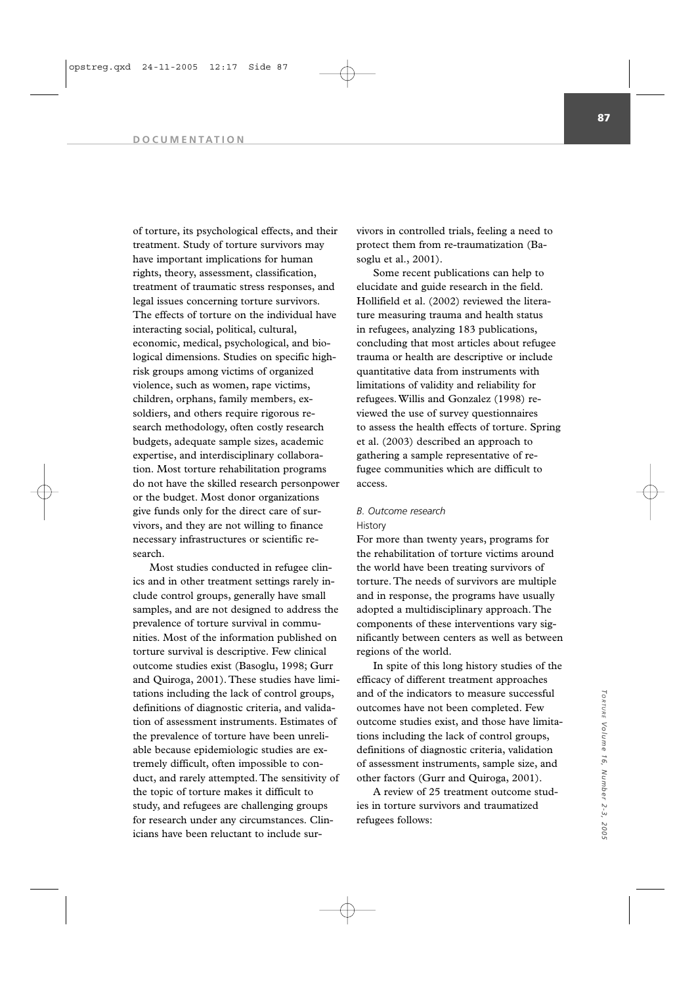#### **DOCUMENTATION**

of torture, its psychological effects, and their treatment. Study of torture survivors may have important implications for human rights, theory, assessment, classification, treatment of traumatic stress responses, and legal issues concerning torture survivors. The effects of torture on the individual have interacting social, political, cultural, economic, medical, psychological, and biological dimensions. Studies on specific highrisk groups among victims of organized violence, such as women, rape victims, children, orphans, family members, exsoldiers, and others require rigorous research methodology, often costly research budgets, adequate sample sizes, academic expertise, and interdisciplinary collaboration. Most torture rehabilitation programs do not have the skilled research personpower or the budget. Most donor organizations give funds only for the direct care of survivors, and they are not willing to finance necessary infrastructures or scientific research.

Most studies conducted in refugee clinics and in other treatment settings rarely include control groups, generally have small samples, and are not designed to address the prevalence of torture survival in communities. Most of the information published on torture survival is descriptive. Few clinical outcome studies exist (Basoglu, 1998; Gurr and Quiroga, 2001). These studies have limitations including the lack of control groups, definitions of diagnostic criteria, and validation of assessment instruments. Estimates of the prevalence of torture have been unreliable because epidemiologic studies are extremely difficult, often impossible to conduct, and rarely attempted. The sensitivity of the topic of torture makes it difficult to study, and refugees are challenging groups for research under any circumstances. Clinicians have been reluctant to include sur-

vivors in controlled trials, feeling a need to protect them from re-traumatization (Basoglu et al., 2001).

Some recent publications can help to elucidate and guide research in the field. Hollifield et al. (2002) reviewed the literature measuring trauma and health status in refugees, analyzing 183 publications, concluding that most articles about refugee trauma or health are descriptive or include quantitative data from instruments with limitations of validity and reliability for refugees. Willis and Gonzalez (1998) reviewed the use of survey questionnaires to assess the health effects of torture. Spring et al. (2003) described an approach to gathering a sample representative of refugee communities which are difficult to access.

### *B. Outcome research* **History**

For more than twenty years, programs for the rehabilitation of torture victims around the world have been treating survivors of torture. The needs of survivors are multiple and in response, the programs have usually adopted a multidisciplinary approach. The components of these interventions vary significantly between centers as well as between regions of the world.

In spite of this long history studies of the efficacy of different treatment approaches and of the indicators to measure successful outcomes have not been completed. Few outcome studies exist, and those have limitations including the lack of control groups, definitions of diagnostic criteria, validation of assessment instruments, sample size, and other factors (Gurr and Quiroga, 2001).

A review of 25 treatment outcome studies in torture survivors and traumatized refugees follows: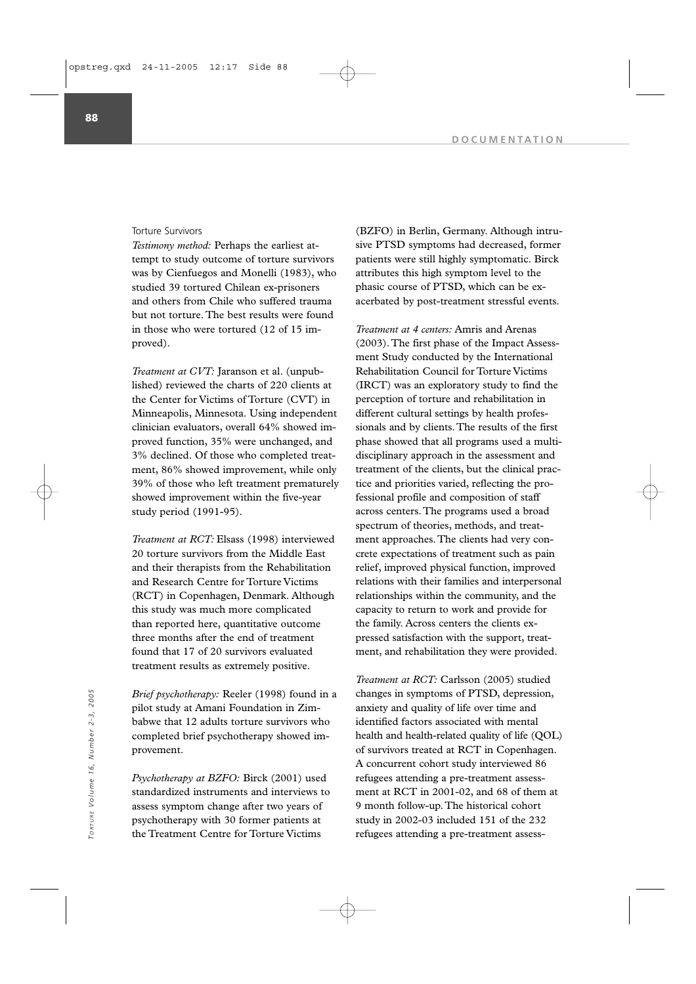#### Torture Survivors

*Testimony method:* Perhaps the earliest attempt to study outcome of torture survivors was by Cienfuegos and Monelli (1983), who studied 39 tortured Chilean ex-prisoners and others from Chile who suffered trauma but not torture. The best results were found in those who were tortured (12 of 15 improved).

*Treatment at CVT:* Jaranson et al. (unpublished) reviewed the charts of 220 clients at the Center for Victims of Torture (CVT) in Minneapolis, Minnesota. Using independent clinician evaluators, overall 64% showed improved function, 35% were unchanged, and 3% declined. Of those who completed treatment, 86% showed improvement, while only 39% of those who left treatment prematurely showed improvement within the five-year study period (1991-95).

*Treatment at RCT:* Elsass (1998) interviewed 20 torture survivors from the Middle East and their therapists from the Rehabilitation and Research Centre for Torture Victims (RCT) in Copenhagen, Denmark. Although this study was much more complicated than reported here, quantitative outcome three months after the end of treatment found that 17 of 20 survivors evaluated treatment results as extremely positive.

*Brief psychotherapy:* Reeler (1998) found in a pilot study at Amani Foundation in Zimbabwe that 12 adults torture survivors who completed brief psychotherapy showed improvement.

*Psychotherapy at BZFO:* Birck (2001) used standardized instruments and interviews to assess symptom change after two years of psychotherapy with 30 former patients at the Treatment Centre for Torture Victims

(BZFO) in Berlin, Germany. Although intrusive PTSD symptoms had decreased, former patients were still highly symptomatic. Birck attributes this high symptom level to the phasic course of PTSD, which can be exacerbated by post-treatment stressful events.

*Treatment at 4 centers:* Amris and Arenas (2003).The first phase of the Impact Assessment Study conducted by the International Rehabilitation Council for Torture Victims (IRCT) was an exploratory study to find the perception of torture and rehabilitation in different cultural settings by health professionals and by clients.The results of the first phase showed that all programs used a multidisciplinary approach in the assessment and treatment of the clients, but the clinical practice and priorities varied, reflecting the professional profile and composition of staff across centers.The programs used a broad spectrum of theories, methods, and treatment approaches.The clients had very concrete expectations of treatment such as pain relief, improved physical function, improved relations with their families and interpersonal relationships within the community, and the capacity to return to work and provide for the family. Across centers the clients expressed satisfaction with the support, treatment, and rehabilitation they were provided.

*Treatment at RCT:* Carlsson (2005) studied changes in symptoms of PTSD, depression, anxiety and quality of life over time and identified factors associated with mental health and health-related quality of life (QOL) of survivors treated at RCT in Copenhagen. A concurrent cohort study interviewed 86 refugees attending a pre-treatment assessment at RCT in 2001-02, and 68 of them at 9 month follow-up.The historical cohort study in 2002-03 included 151 of the 232 *Brief psychotherapy:* Reeler (1998) found in a<br>
pilot study at Amani Foundation in Zim-<br>
babwe that 12 adults torture survivors who<br>
dentified factors associated with mental<br>
completed brief psychotherapy showed im-<br>
prov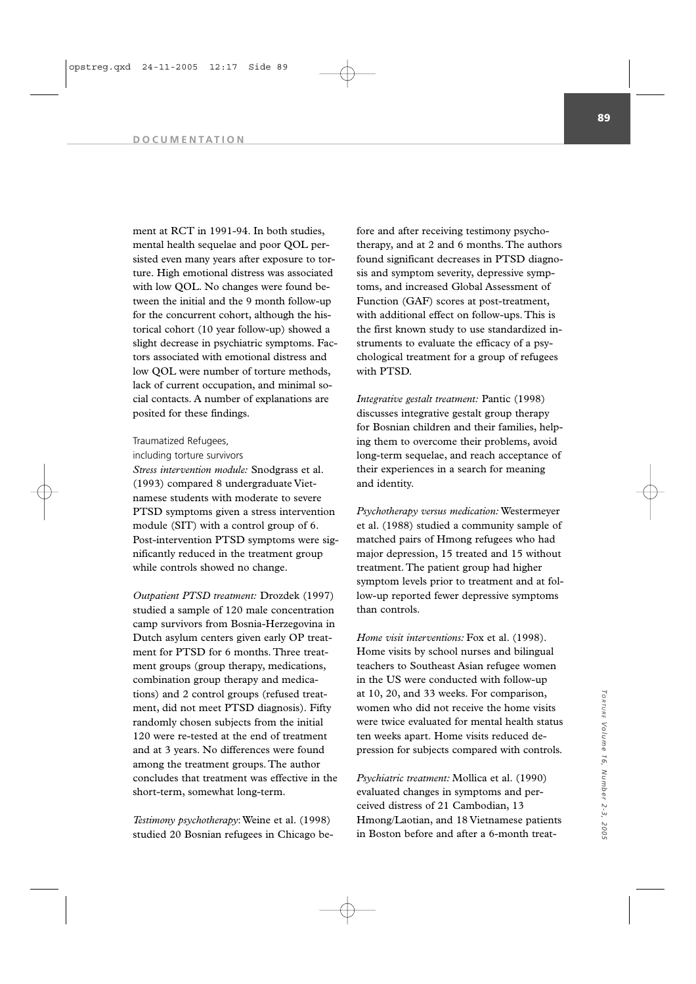#### **DOCUMENTATION**

ment at RCT in 1991-94. In both studies, mental health sequelae and poor QOL persisted even many years after exposure to torture. High emotional distress was associated with low QOL. No changes were found between the initial and the 9 month follow-up for the concurrent cohort, although the historical cohort (10 year follow-up) showed a slight decrease in psychiatric symptoms. Factors associated with emotional distress and low QOL were number of torture methods, lack of current occupation, and minimal social contacts. A number of explanations are posited for these findings.

### Traumatized Refugees,

including torture survivors

*Stress intervention module:* Snodgrass et al. (1993) compared 8 undergraduate Vietnamese students with moderate to severe PTSD symptoms given a stress intervention module (SIT) with a control group of 6. Post-intervention PTSD symptoms were significantly reduced in the treatment group while controls showed no change.

*Outpatient PTSD treatment:* Drozdek (1997) studied a sample of 120 male concentration camp survivors from Bosnia-Herzegovina in Dutch asylum centers given early OP treatment for PTSD for 6 months. Three treatment groups (group therapy, medications, combination group therapy and medications) and 2 control groups (refused treatment, did not meet PTSD diagnosis). Fifty randomly chosen subjects from the initial 120 were re-tested at the end of treatment and at 3 years. No differences were found among the treatment groups. The author concludes that treatment was effective in the short-term, somewhat long-term.

*Testimony psychotherapy*: Weine et al. (1998) studied 20 Bosnian refugees in Chicago before and after receiving testimony psychotherapy, and at 2 and 6 months. The authors found significant decreases in PTSD diagnosis and symptom severity, depressive symptoms, and increased Global Assessment of Function (GAF) scores at post-treatment, with additional effect on follow-ups. This is the first known study to use standardized instruments to evaluate the efficacy of a psychological treatment for a group of refugees with PTSD.

*Integrative gestalt treatment:* Pantic (1998) discusses integrative gestalt group therapy for Bosnian children and their families, helping them to overcome their problems, avoid long-term sequelae, and reach acceptance of their experiences in a search for meaning and identity.

*Psychotherapy versus medication:* Westermeyer et al. (1988) studied a community sample of matched pairs of Hmong refugees who had major depression, 15 treated and 15 without treatment. The patient group had higher symptom levels prior to treatment and at follow-up reported fewer depressive symptoms than controls.

*Home visit interventions:* Fox et al. (1998). Home visits by school nurses and bilingual teachers to Southeast Asian refugee women in the US were conducted with follow-up at 10, 20, and 33 weeks. For comparison, women who did not receive the home visits were twice evaluated for mental health status ten weeks apart. Home visits reduced depression for subjects compared with controls.

*Psychiatric treatment:* Mollica et al. (1990) evaluated changes in symptoms and perceived distress of 21 Cambodian, 13 Hmong/Laotian, and 18 Vietnamese patients in Boston before and after a 6-month treat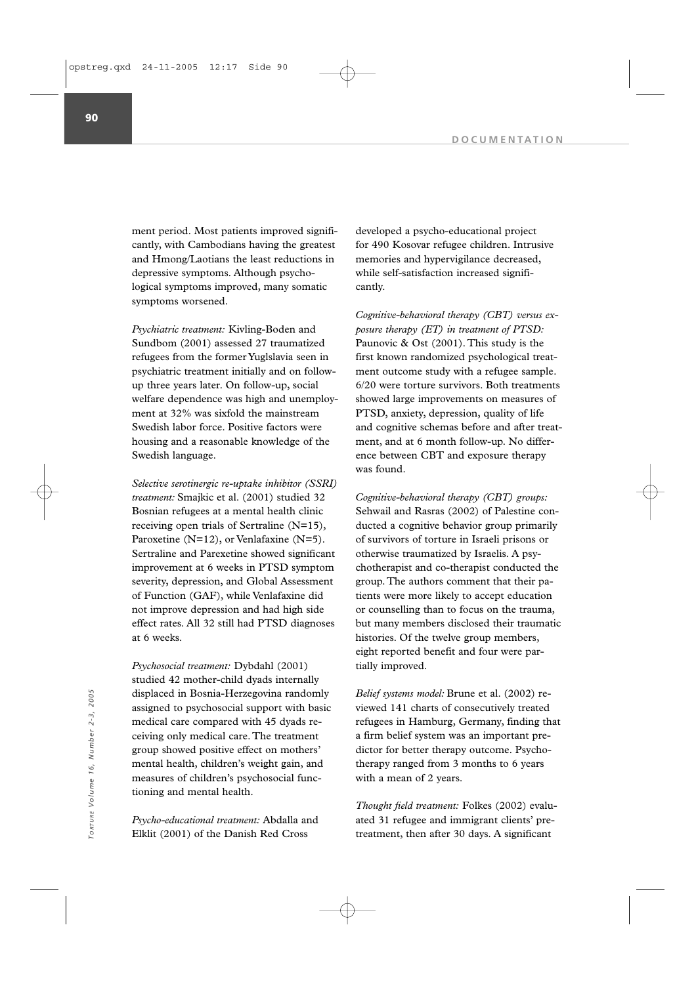ment period. Most patients improved significantly, with Cambodians having the greatest and Hmong/Laotians the least reductions in depressive symptoms. Although psychological symptoms improved, many somatic symptoms worsened.

*Psychiatric treatment:* Kivling-Boden and Sundbom (2001) assessed 27 traumatized refugees from the former Yuglslavia seen in psychiatric treatment initially and on followup three years later. On follow-up, social welfare dependence was high and unemployment at 32% was sixfold the mainstream Swedish labor force. Positive factors were housing and a reasonable knowledge of the Swedish language.

*Selective serotinergic re-uptake inhibitor (SSRI) treatment:* Smajkic et al. (2001) studied 32 Bosnian refugees at a mental health clinic receiving open trials of Sertraline (N=15), Paroxetine (N=12), or Venlafaxine (N=5). Sertraline and Parexetine showed significant improvement at 6 weeks in PTSD symptom severity, depression, and Global Assessment of Function (GAF), while Venlafaxine did not improve depression and had high side effect rates. All 32 still had PTSD diagnoses at 6 weeks.

*Psychosocial treatment:* Dybdahl (2001) studied 42 mother-child dyads internally displaced in Bosnia-Herzegovina randomly assigned to psychosocial support with basic medical care compared with 45 dyads receiving only medical care. The treatment group showed positive effect on mothers' mental health, children's weight gain, and measures of children's psychosocial functioning and mental health. displaced in Bosnia-Herzegovina randomly<br>
a signed to psychosocial support with basic wive d 141 charts of consecutively treated<br>
medical care compared with 45 dyads re-<br>
civing only medical care. The treatment<br>
group show

*Psycho-educational treatment:* Abdalla and Elklit (2001) of the Danish Red Cross

developed a psycho-educational project for 490 Kosovar refugee children. Intrusive memories and hypervigilance decreased, while self-satisfaction increased significantly.

*Cognitive-behavioral therapy (CBT) versus exposure therapy (ET) in treatment of PTSD:* Paunovic & Ost (2001). This study is the first known randomized psychological treatment outcome study with a refugee sample. 6/20 were torture survivors. Both treatments showed large improvements on measures of PTSD, anxiety, depression, quality of life and cognitive schemas before and after treatment, and at 6 month follow-up. No difference between CBT and exposure therapy was found.

*Cognitive-behavioral therapy (CBT) groups:* Sehwail and Rasras (2002) of Palestine conducted a cognitive behavior group primarily of survivors of torture in Israeli prisons or otherwise traumatized by Israelis. A psychotherapist and co-therapist conducted the group. The authors comment that their patients were more likely to accept education or counselling than to focus on the trauma, but many members disclosed their traumatic histories. Of the twelve group members, eight reported benefit and four were partially improved.

*Belief systems model:* Brune et al. (2002) reviewed 141 charts of consecutively treated refugees in Hamburg, Germany, finding that a firm belief system was an important predictor for better therapy outcome. Psychotherapy ranged from 3 months to 6 years with a mean of 2 years.

*Thought field treatment:* Folkes (2002) evaluated 31 refugee and immigrant clients' pre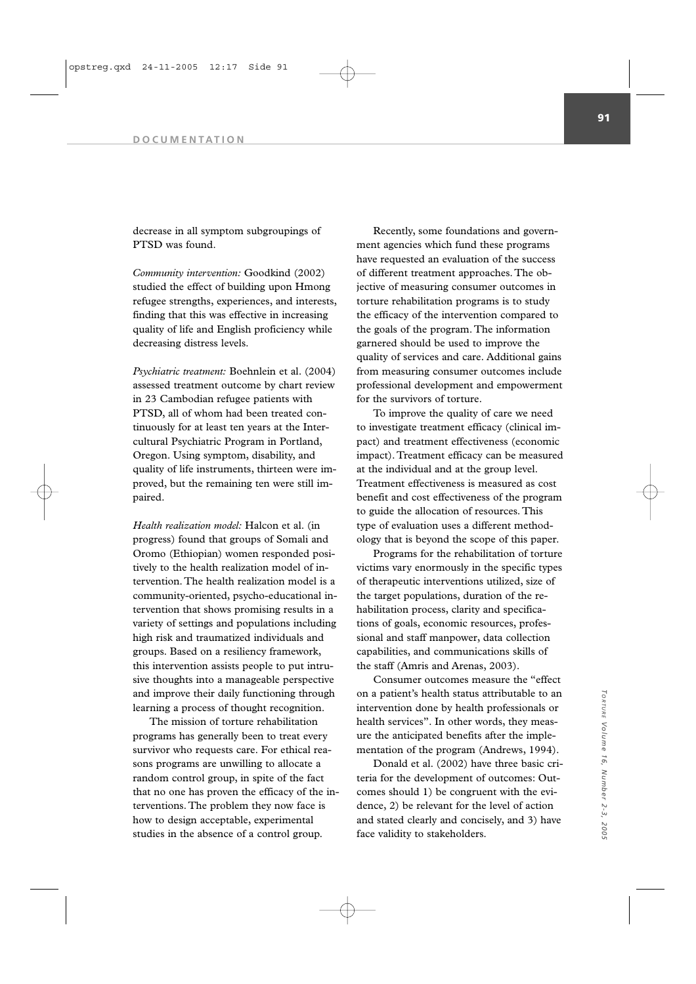decrease in all symptom subgroupings of PTSD was found.

*Community intervention:* Goodkind (2002) studied the effect of building upon Hmong refugee strengths, experiences, and interests, finding that this was effective in increasing quality of life and English proficiency while decreasing distress levels.

*Psychiatric treatment:* Boehnlein et al. (2004) assessed treatment outcome by chart review in 23 Cambodian refugee patients with PTSD, all of whom had been treated continuously for at least ten years at the Intercultural Psychiatric Program in Portland, Oregon. Using symptom, disability, and quality of life instruments, thirteen were improved, but the remaining ten were still impaired.

*Health realization model:* Halcon et al. (in progress) found that groups of Somali and Oromo (Ethiopian) women responded positively to the health realization model of intervention. The health realization model is a community-oriented, psycho-educational intervention that shows promising results in a variety of settings and populations including high risk and traumatized individuals and groups. Based on a resiliency framework, this intervention assists people to put intrusive thoughts into a manageable perspective and improve their daily functioning through learning a process of thought recognition.

The mission of torture rehabilitation programs has generally been to treat every survivor who requests care. For ethical reasons programs are unwilling to allocate a random control group, in spite of the fact that no one has proven the efficacy of the interventions. The problem they now face is how to design acceptable, experimental studies in the absence of a control group.

Recently, some foundations and government agencies which fund these programs have requested an evaluation of the success of different treatment approaches. The objective of measuring consumer outcomes in torture rehabilitation programs is to study the efficacy of the intervention compared to the goals of the program. The information garnered should be used to improve the quality of services and care. Additional gains from measuring consumer outcomes include professional development and empowerment for the survivors of torture.

To improve the quality of care we need to investigate treatment efficacy (clinical impact) and treatment effectiveness (economic impact). Treatment efficacy can be measured at the individual and at the group level. Treatment effectiveness is measured as cost benefit and cost effectiveness of the program to guide the allocation of resources. This type of evaluation uses a different methodology that is beyond the scope of this paper.

Programs for the rehabilitation of torture victims vary enormously in the specific types of therapeutic interventions utilized, size of the target populations, duration of the rehabilitation process, clarity and specifications of goals, economic resources, professional and staff manpower, data collection capabilities, and communications skills of the staff (Amris and Arenas, 2003).

Consumer outcomes measure the "effect on a patient's health status attributable to an intervention done by health professionals or health services". In other words, they measure the anticipated benefits after the implementation of the program (Andrews, 1994).

Donald et al. (2002) have three basic criteria for the development of outcomes: Outcomes should 1) be congruent with the evidence, 2) be relevant for the level of action and stated clearly and concisely, and 3) have face validity to stakeholders.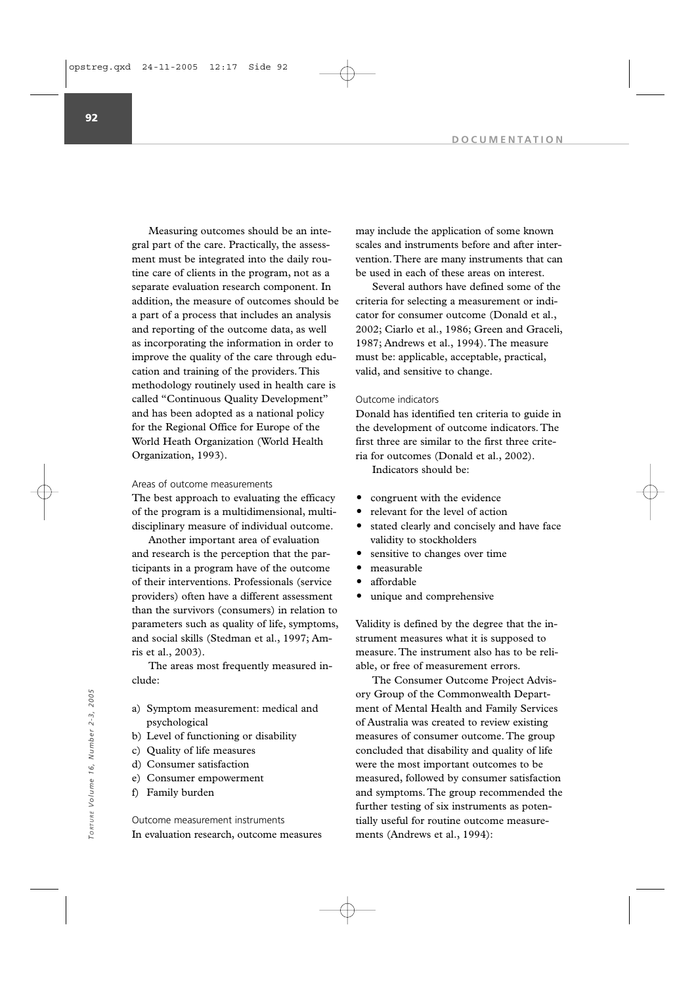Measuring outcomes should be an integral part of the care. Practically, the assessment must be integrated into the daily routine care of clients in the program, not as a separate evaluation research component. In addition, the measure of outcomes should be a part of a process that includes an analysis and reporting of the outcome data, as well as incorporating the information in order to improve the quality of the care through education and training of the providers. This methodology routinely used in health care is called "Continuous Quality Development" and has been adopted as a national policy for the Regional Office for Europe of the World Heath Organization (World Health Organization, 1993).

### Areas of outcome measurements

The best approach to evaluating the efficacy of the program is a multidimensional, multidisciplinary measure of individual outcome.

Another important area of evaluation and research is the perception that the participants in a program have of the outcome of their interventions. Professionals (service providers) often have a different assessment than the survivors (consumers) in relation to parameters such as quality of life, symptoms, and social skills (Stedman et al., 1997; Amris et al., 2003).

The areas most frequently measured include:

- a) Symptom measurement: medical and psychological
- b) Level of functioning or disability
- c) Quality of life measures
- d) Consumer satisfaction
- e) Consumer empowerment
- f) Family burden

Outcome measurement instruments In evaluation research, outcome measures may include the application of some known scales and instruments before and after intervention.There are many instruments that can be used in each of these areas on interest.

Several authors have defined some of the criteria for selecting a measurement or indicator for consumer outcome (Donald et al., 2002; Ciarlo et al., 1986; Green and Graceli, 1987; Andrews et al., 1994). The measure must be: applicable, acceptable, practical, valid, and sensitive to change.

#### Outcome indicators

Donald has identified ten criteria to guide in the development of outcome indicators. The first three are similar to the first three criteria for outcomes (Donald et al., 2002).

Indicators should be:

- congruent with the evidence
- relevant for the level of action
- stated clearly and concisely and have face validity to stockholders
- sensitive to changes over time
- measurable
- affordable
- unique and comprehensive

Validity is defined by the degree that the instrument measures what it is supposed to measure. The instrument also has to be reliable, or free of measurement errors.

The Consumer Outcome Project Advisory Group of the Commonwealth Department of Mental Health and Family Services of Australia was created to review existing measures of consumer outcome. The group concluded that disability and quality of life were the most important outcomes to be measured, followed by consumer satisfaction and symptoms. The group recommended the further testing of six instruments as potentially useful for routine outcome measurements (Andrews et al., 1994):<br>
Franch Mental Health and Franch Poster<br>
and Poster al., 1994):<br>
and O Consumer entispectation<br>
2-3, 2008<br>
2-4 O Quality of life measures<br>
4-4 O Consumer entists and the poster all that disabi

**92**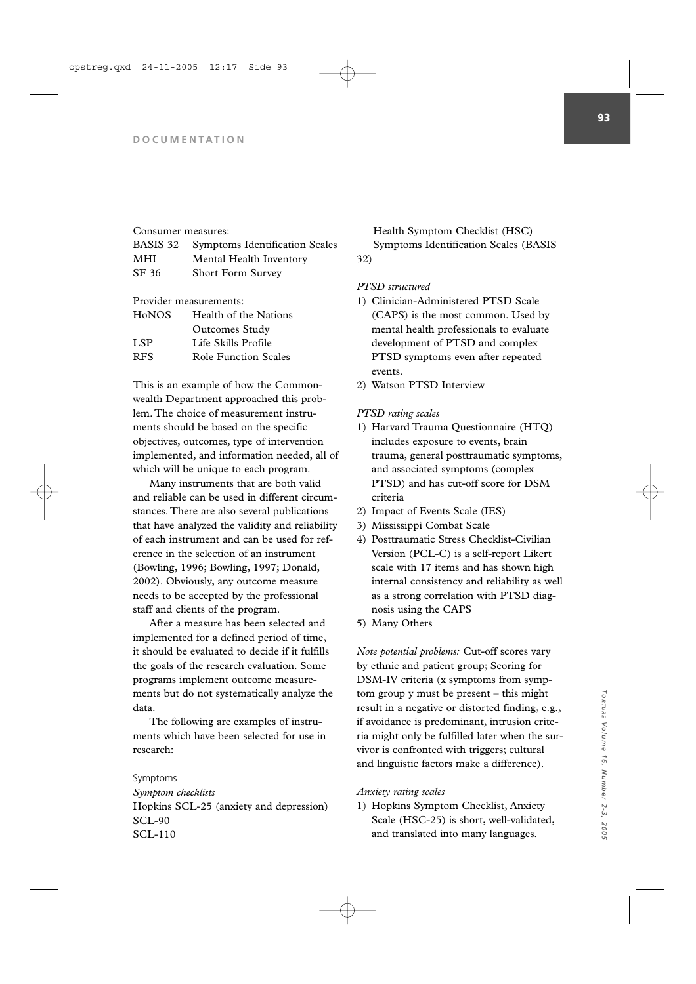#### Consumer measures:

|       | <b>BASIS 32</b> Symptoms Identification Scales |
|-------|------------------------------------------------|
| MHI   | Mental Health Inventory                        |
| SF 36 | <b>Short Form Survey</b>                       |

Provider measurements:

| HoNOS | Health of the Nations       |
|-------|-----------------------------|
|       | <b>Outcomes Study</b>       |
| LSP.  | Life Skills Profile         |
| RFS   | <b>Role Function Scales</b> |

This is an example of how the Commonwealth Department approached this problem. The choice of measurement instruments should be based on the specific objectives, outcomes, type of intervention implemented, and information needed, all of which will be unique to each program.

Many instruments that are both valid and reliable can be used in different circumstances. There are also several publications that have analyzed the validity and reliability of each instrument and can be used for reference in the selection of an instrument (Bowling, 1996; Bowling, 1997; Donald, 2002). Obviously, any outcome measure needs to be accepted by the professional staff and clients of the program.

After a measure has been selected and implemented for a defined period of time, it should be evaluated to decide if it fulfills the goals of the research evaluation. Some programs implement outcome measurements but do not systematically analyze the data.

The following are examples of instruments which have been selected for use in research:

## Symptoms

*Symptom checklists* Hopkins SCL-25 (anxiety and depression) SCL-90 SCL-110

Health Symptom Checklist (HSC) Symptoms Identification Scales (BASIS 32)

# *PTSD structured*

- 1) Clinician-Administered PTSD Scale (CAPS) is the most common. Used by mental health professionals to evaluate development of PTSD and complex PTSD symptoms even after repeated events.
- 2) Watson PTSD Interview

# *PTSD rating scales*

- 1) Harvard Trauma Questionnaire (HTQ) includes exposure to events, brain trauma, general posttraumatic symptoms, and associated symptoms (complex PTSD) and has cut-off score for DSM criteria
- 2) Impact of Events Scale (IES)
- 3) Mississippi Combat Scale
- 4) Posttraumatic Stress Checklist-Civilian Version (PCL-C) is a self-report Likert scale with 17 items and has shown high internal consistency and reliability as well as a strong correlation with PTSD diagnosis using the CAPS
- 5) Many Others

*Note potential problems:* Cut-off scores vary by ethnic and patient group; Scoring for DSM-IV criteria (x symptoms from symptom group y must be present – this might result in a negative or distorted finding, e.g., if avoidance is predominant, intrusion criteria might only be fulfilled later when the survivor is confronted with triggers; cultural and linguistic factors make a difference).

#### *Anxiety rating scales*

1) Hopkins Symptom Checklist, Anxiety Scale (HSC-25) is short, well-validated, and translated into many languages.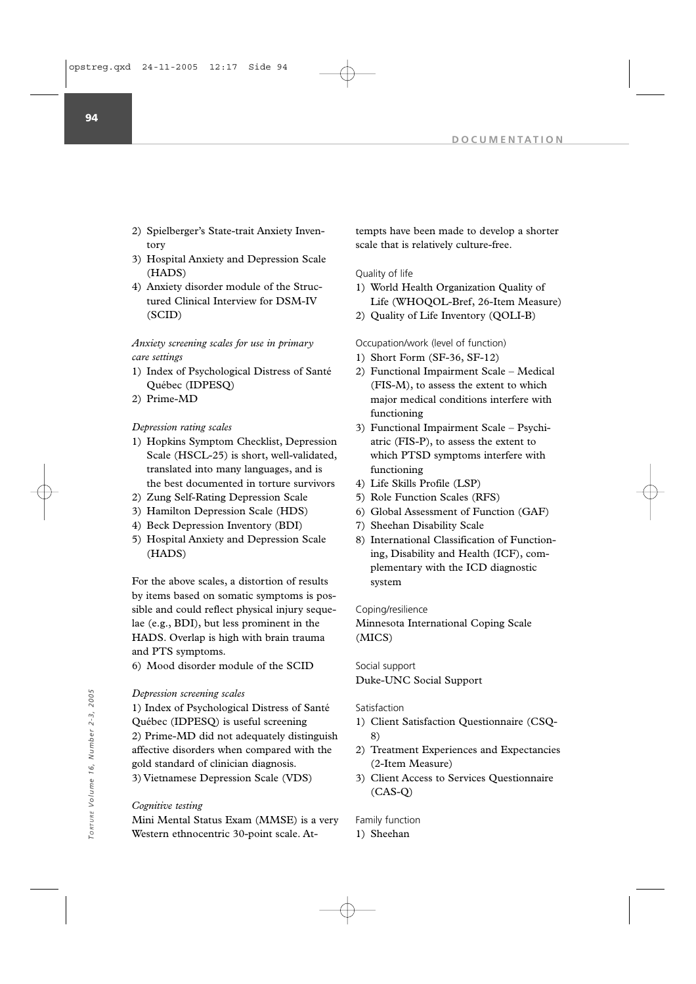- 2) Spielberger's State-trait Anxiety Inventory
- 3) Hospital Anxiety and Depression Scale (HADS)
- 4) Anxiety disorder module of the Structured Clinical Interview for DSM-IV (SCID)

*Anxiety screening scales for use in primary care settings*

- 1) Index of Psychological Distress of Santé Québec (IDPESQ)
- 2) Prime-MD

# *Depression rating scales*

- 1) Hopkins Symptom Checklist, Depression Scale (HSCL-25) is short, well-validated, translated into many languages, and is the best documented in torture survivors
- 2) Zung Self-Rating Depression Scale
- 3) Hamilton Depression Scale (HDS)
- 4) Beck Depression Inventory (BDI)
- 5) Hospital Anxiety and Depression Scale (HADS)

For the above scales, a distortion of results by items based on somatic symptoms is possible and could reflect physical injury sequelae (e.g., BDI), but less prominent in the HADS. Overlap is high with brain trauma and PTS symptoms.

6) Mood disorder module of the SCID

### *Depression screening scales*

1) Index of Psychological Distress of Santé Québec (IDPESQ) is useful screening 2) Prime-MD did not adequately distinguish affective disorders when compared with the gold standard of clinician diagnosis. 3) Vietnamese Depression Scale (VDS)

### *Cognitive testing*

Mini Mental Status Exam (MMSE) is a very Western ethnocentric 30-point scale. Attempts have been made to develop a shorter scale that is relatively culture-free.

### Quality of life

- 1) World Health Organization Quality of Life (WHOQOL-Bref, 26-Item Measure)
- 2) Quality of Life Inventory (QOLI-B)

### Occupation/work (level of function)

- 1) Short Form (SF-36, SF-12)
- 2) Functional Impairment Scale Medical (FIS-M), to assess the extent to which major medical conditions interfere with functioning
- 3) Functional Impairment Scale Psychiatric (FIS-P), to assess the extent to which PTSD symptoms interfere with functioning
- 4) Life Skills Profile (LSP)
- 5) Role Function Scales (RFS)
- 6) Global Assessment of Function (GAF)
- 7) Sheehan Disability Scale
- 8) International Classification of Functioning, Disability and Health (ICF), complementary with the ICD diagnostic system

#### Coping/resilience

Minnesota International Coping Scale (MICS)

# Social support Duke-UNC Social Support

- Satisfaction
- 1) Client Satisfaction Questionnaire (CSQ-8)
- 2) Treatment Experiences and Expectancies (2-Item Measure)
- 3) Client Access to Services Questionnaire (CAS-Q)

### Family function

1) Sheehan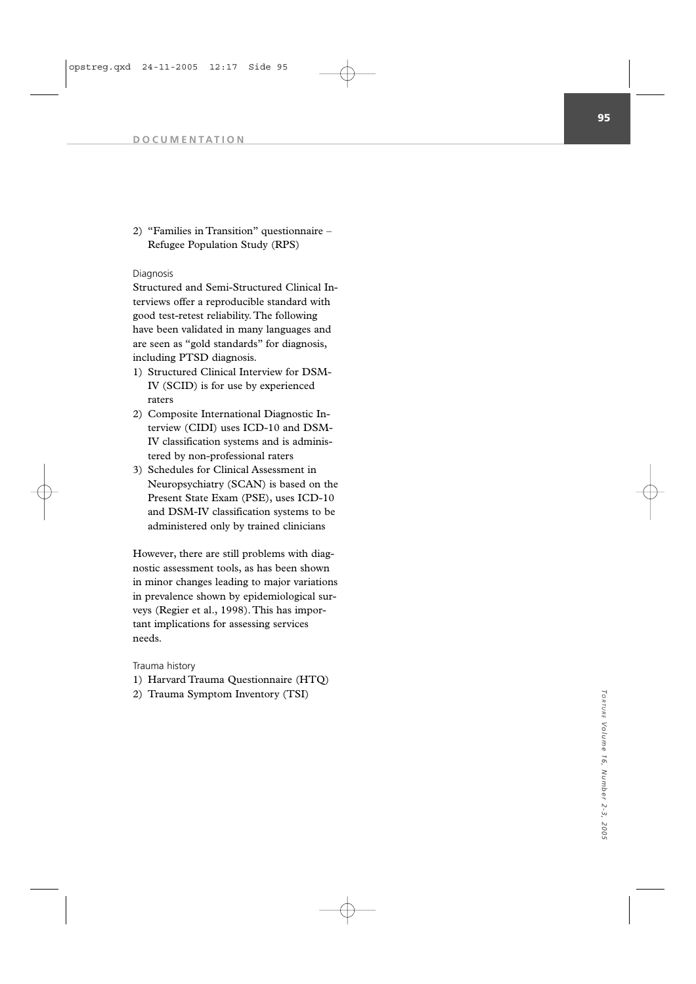2) "Families in Transition" questionnaire – Refugee Population Study (RPS)

# Diagnosis

Structured and Semi-Structured Clinical Interviews offer a reproducible standard with good test-retest reliability. The following have been validated in many languages and are seen as "gold standards" for diagnosis, including PTSD diagnosis.

- 1) Structured Clinical Interview for DSM-IV (SCID) is for use by experienced raters
- 2) Composite International Diagnostic Interview (CIDI) uses ICD-10 and DSM-IV classification systems and is administered by non-professional raters
- 3) Schedules for Clinical Assessment in Neuropsychiatry (SCAN) is based on the Present State Exam (PSE), uses ICD-10 and DSM-IV classification systems to be administered only by trained clinicians

However, there are still problems with diagnostic assessment tools, as has been shown in minor changes leading to major variations in prevalence shown by epidemiological surveys (Regier et al., 1998). This has important implications for assessing services needs.

# Trauma history

- 1) Harvard Trauma Questionnaire (HTQ)
- 2) Trauma Symptom Inventory (TSI)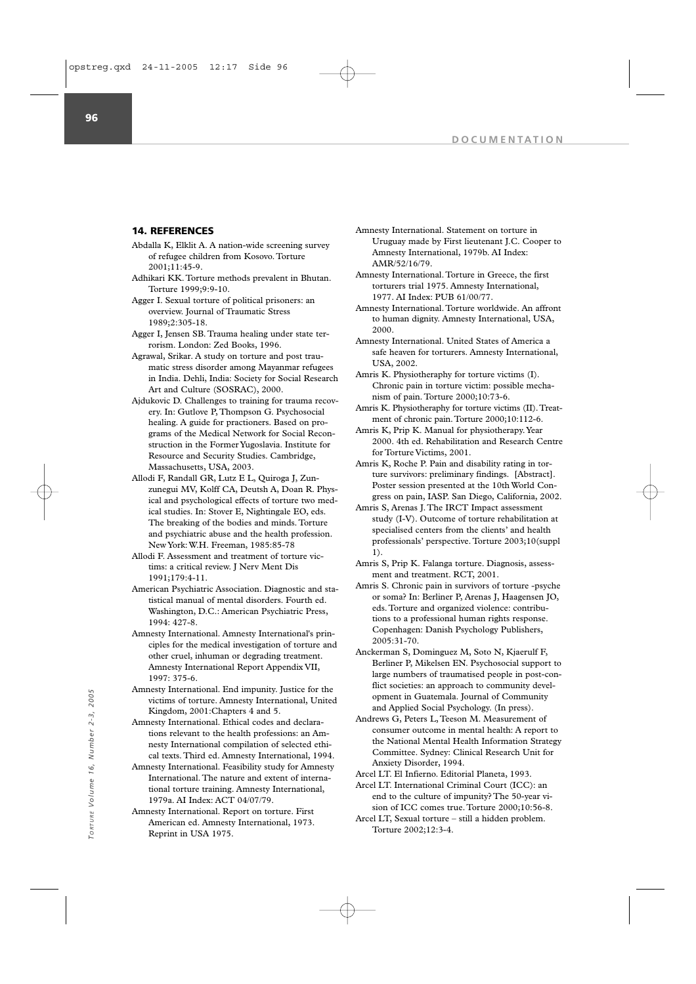### **14. REFERENCES**

- Abdalla K, Elklit A. A nation-wide screening survey of refugee children from Kosovo. Torture  $2001 \cdot 11 \cdot 45 - 9$
- Adhikari KK. Torture methods prevalent in Bhutan. Torture 1999;9:9-10.
- Agger I. Sexual torture of political prisoners: an overview. Journal of Traumatic Stress 1989;2:305-18.
- Agger I, Jensen SB. Trauma healing under state terrorism. London: Zed Books, 1996.
- Agrawal, Srikar. A study on torture and post traumatic stress disorder among Mayanmar refugees in India. Dehli, India: Society for Social Research Art and Culture (SOSRAC), 2000.
- Ajdukovic D. Challenges to training for trauma recovery. In: Gutlove P, Thompson G. Psychosocial healing. A guide for practioners. Based on programs of the Medical Network for Social Reconstruction in the Former Yugoslavia. Institute for Resource and Security Studies. Cambridge, Massachusetts, USA, 2003.
- Allodi F, Randall GR, Lutz E L, Quiroga J, Zunzunegui MV, Kolff CA, Deutsh A, Doan R. Physical and psychological effects of torture two medical studies. In: Stover E, Nightingale EO, eds. The breaking of the bodies and minds. Torture and psychiatric abuse and the health profession. New York: W.H. Freeman, 1985:85-78
- Allodi F. Assessment and treatment of torture victims: a critical review. J Nerv Ment Dis 1991;179:4-11.
- American Psychiatric Association. Diagnostic and statistical manual of mental disorders. Fourth ed. Washington, D.C.: American Psychiatric Press, 1994: 427-8.
- Amnesty International. Amnesty International's principles for the medical investigation of torture and other cruel, inhuman or degrading treatment. Amnesty International Report Appendix VII, 1997: 375-6.
- Amnesty International. End impunity. Justice for the victims of torture. Amnesty International, United Kingdom, 2001:Chapters 4 and 5.
- Amnesty International. Ethical codes and declarations relevant to the health professions: an Amnesty International compilation of selected ethical texts. Third ed. Amnesty International, 1994.
- Amnesty International. Feasibility study for Amnesty International. The nature and extent of international torture training. Amnesty International, 1979a. AI Index: ACT 04/07/79. The Hinder of Catternational. End informational, United<br>
in Schware, Amesty International, United<br>
Torture 2002;12:3-4.<br>
Amnesty International Celectors and declara-<br>
The consequent to the health professions: an Amnesty G,
	- Amnesty International. Report on torture. First American ed. Amnesty International, 1973. Reprint in USA 1975.
- Amnesty International. Statement on torture in Uruguay made by First lieutenant J.C. Cooper to Amnesty International, 1979b. AI Index: AMR/52/16/79.
- Amnesty International. Torture in Greece, the first torturers trial 1975. Amnesty International, 1977. AI Index: PUB 61/00/77.
- Amnesty International. Torture worldwide. An affront to human dignity. Amnesty International, USA, 2000.
- Amnesty International. United States of America a safe heaven for torturers. Amnesty International, USA, 2002.
- Amris K. Physiotheraphy for torture victims (I). Chronic pain in torture victim: possible mechanism of pain. Torture 2000;10:73-6.
- Amris K. Physiotheraphy for torture victims (II). Treatment of chronic pain.Torture 2000;10:112-6.
- Amris K, Prip K. Manual for physiotherapy.Year 2000. 4th ed. Rehabilitation and Research Centre for Torture Victims, 2001.
- Amris K, Roche P. Pain and disability rating in torture survivors: preliminary findings. [Abstract]. Poster session presented at the 10th World Congress on pain, IASP. San Diego, California, 2002.
- Amris S, Arenas J. The IRCT Impact assessment study (I-V). Outcome of torture rehabilitation at specialised centers from the clients' and health professionals' perspective. Torture 2003;10(suppl 1).
- Amris S, Prip K. Falanga torture. Diagnosis, assessment and treatment. RCT, 2001.
- Amris S. Chronic pain in survivors of torture -psyche or soma? In: Berliner P, Arenas J, Haagensen JO, eds. Torture and organized violence: contributions to a professional human rights response. Copenhagen: Danish Psychology Publishers, 2005:31-70.
- Anckerman S, Dominguez M, Soto N, Kjaerulf F, Berliner P, Mikelsen EN. Psychosocial support to large numbers of traumatised people in post-conflict societies: an approach to community development in Guatemala. Journal of Community and Applied Social Psychology. (In press).
- Andrews G, Peters L, Teeson M. Measurement of consumer outcome in mental health: A report to the National Mental Health Information Strategy Committee. Sydney: Clinical Research Unit for Anxiety Disorder, 1994.

Arcel LT. El Infierno. Editorial Planeta, 1993.

- Arcel LT. International Criminal Court (ICC): an end to the culture of impunity? The 50-year vision of ICC comes true. Torture 2000;10:56-8.
- Arcel LT, Sexual torture still a hidden problem.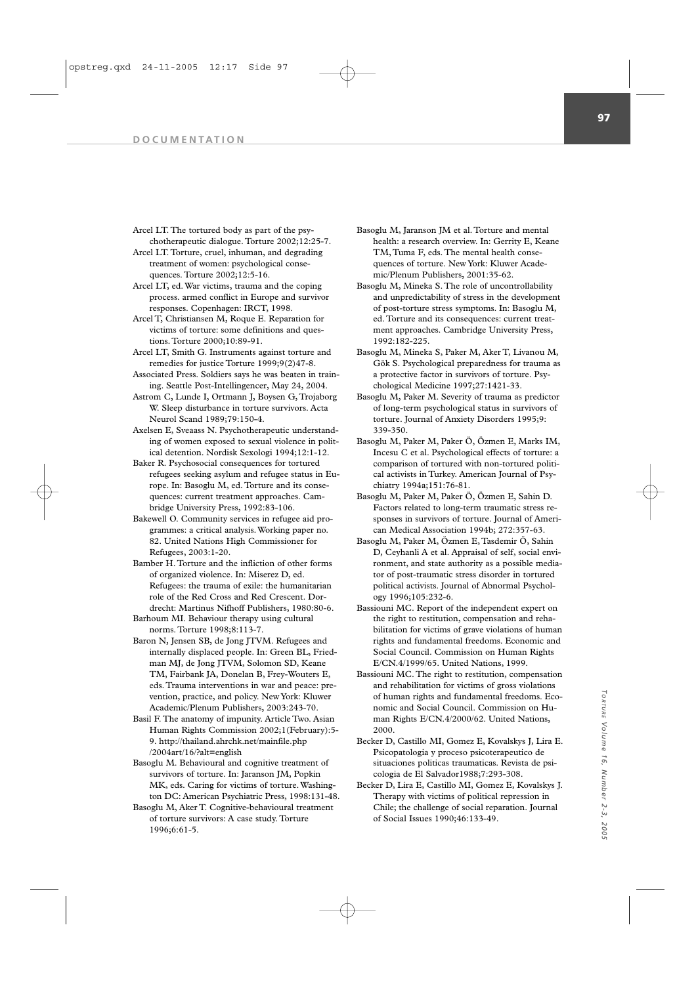Arcel LT. The tortured body as part of the psychotherapeutic dialogue. Torture 2002;12:25-7.

- Arcel LT. Torture, cruel, inhuman, and degrading treatment of women: psychological consequences. Torture 2002;12:5-16.
- Arcel LT, ed. War victims, trauma and the coping process. armed conflict in Europe and survivor responses. Copenhagen: IRCT, 1998.
- Arcel T, Christiansen M, Roque E. Reparation for victims of torture: some definitions and questions. Torture 2000;10:89-91.
- Arcel LT, Smith G. Instruments against torture and remedies for justice Torture 1999;9(2)47-8.
- Associated Press. Soldiers says he was beaten in training. Seattle Post-Intellingencer, May 24, 2004.
- Astrom C, Lunde I, Ortmann J, Boysen G, Trojaborg W. Sleep disturbance in torture survivors. Acta Neurol Scand 1989;79:150-4.
- Axelsen E, Sveaass N. Psychotherapeutic understanding of women exposed to sexual violence in political detention. Nordisk Sexologi 1994;12:1-12.
- Baker R. Psychosocial consequences for tortured refugees seeking asylum and refugee status in Europe. In: Basoglu M, ed. Torture and its consequences: current treatment approaches. Cambridge University Press, 1992:83-106.
- Bakewell O. Community services in refugee aid programmes: a critical analysis. Working paper no. 82. United Nations High Commissioner for Refugees, 2003:1-20.
- Bamber H. Torture and the infliction of other forms of organized violence. In: Miserez D, ed. Refugees: the trauma of exile: the humanitarian role of the Red Cross and Red Crescent. Dordrecht: Martinus Nifhoff Publishers, 1980:80-6.
- Barhoum MI. Behaviour therapy using cultural norms. Torture 1998;8:113-7.
- Baron N, Jensen SB, de Jong JTVM. Refugees and internally displaced people. In: Green BL, Friedman ML de Jong ITVM, Solomon SD, Keane TM, Fairbank JA, Donelan B, Frey-Wouters E, eds. Trauma interventions in war and peace: prevention, practice, and policy. New York: Kluwer Academic/Plenum Publishers, 2003:243-70.
- Basil F. The anatomy of impunity. Article Two. Asian Human Rights Commission 2002;1(February):5- 9. http://thailand.ahrchk.net/mainfile.php /2004art/16/?alt=english
- Basoglu M. Behavioural and cognitive treatment of survivors of torture. In: Jaranson JM, Popkin MK, eds. Caring for victims of torture. Washington DC: American Psychiatric Press, 1998:131-48.
- Basoglu M, Aker T. Cognitive-behavioural treatment of torture survivors: A case study. Torture 1996;6:61-5.
- Basoglu M, Jaranson JM et al. Torture and mental health: a research overview. In: Gerrity E, Keane TM, Tuma F, eds. The mental health consequences of torture. New York: Kluwer Academic/Plenum Publishers, 2001:35-62.
- Basoglu M, Mineka S. The role of uncontrollability and unpredictability of stress in the development of post-torture stress symptoms. In: Basoglu M, ed. Torture and its consequences: current treatment approaches. Cambridge University Press, 1992:182-225.
- Basoglu M, Mineka S, Paker M, Aker T, Livanou M, Gök S. Psychological preparedness for trauma as a protective factor in survivors of torture. Psychological Medicine 1997;27:1421-33.
- Basoglu M, Paker M. Severity of trauma as predictor of long-term psychological status in survivors of torture. Journal of Anxiety Disorders 1995;9: 339-350.
- Basoglu M, Paker M, Paker Ö, Özmen E, Marks IM, Incesu C et al. Psychological effects of torture: a comparison of tortured with non-tortured political activists in Turkey. American Journal of Psychiatry 1994a;151:76-81.
- Basoglu M, Paker M, Paker Ö, Özmen E, Sahin D. Factors related to long-term traumatic stress responses in survivors of torture. Journal of American Medical Association 1994b; 272:357-63.
- Basoglu M, Paker M, Özmen E, Tasdemir Ö, Sahin D, Ceyhanli A et al. Appraisal of self, social environment, and state authority as a possible mediator of post-traumatic stress disorder in tortured political activists. Journal of Abnormal Psychology 1996;105:232-6.
- Bassiouni MC. Report of the independent expert on the right to restitution, compensation and rehabilitation for victims of grave violations of human rights and fundamental freedoms. Economic and Social Council. Commission on Human Rights E/CN.4/1999/65. United Nations, 1999.
- Bassiouni MC. The right to restitution, compensation and rehabilitation for victims of gross violations of human rights and fundamental freedoms. Economic and Social Council. Commission on Human Rights E/CN.4/2000/62. United Nations, 2000.
- Becker D, Castillo MI, Gomez E, Kovalskys J, Lira E. Psicopatologia y proceso psicoterapeutico de situaciones politicas traumaticas. Revista de psicologia de El Salvador1988;7:293-308.
- Becker D, Lira E, Castillo MI, Gomez E, Kovalskys J. Therapy with victims of political repression in Chile; the challenge of social reparation. Journal of Social Issues 1990;46:133-49.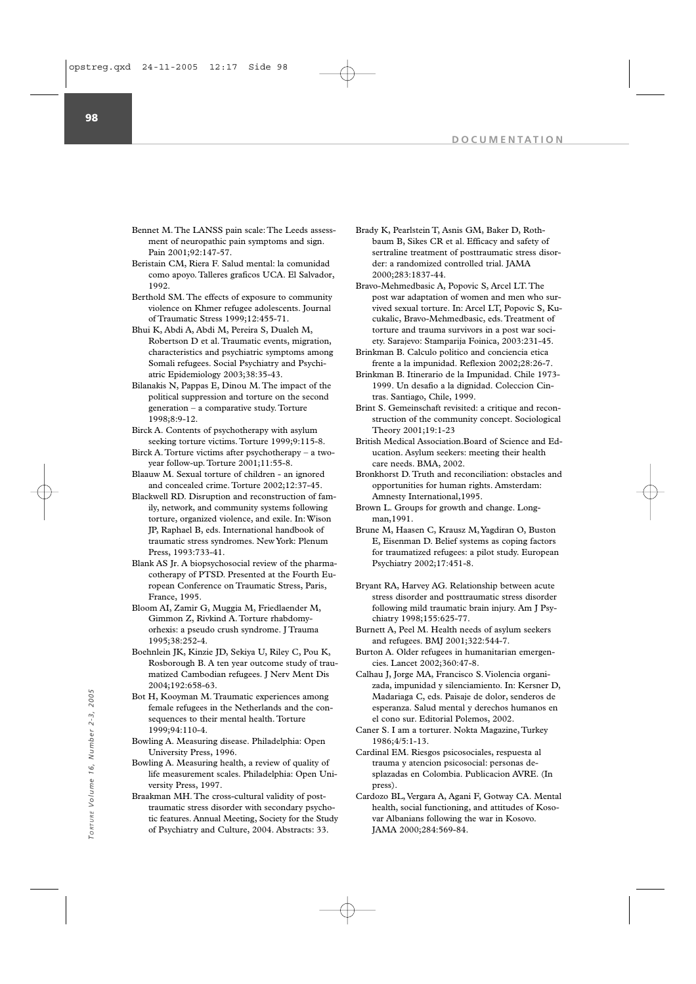- Bennet M. The LANSS pain scale: The Leeds assessment of neuropathic pain symptoms and sign. Pain 2001;92:147-57.
- Beristain CM, Riera F. Salud mental: la comunidad como apoyo. Talleres graficos UCA. El Salvador, 1992.
- Berthold SM. The effects of exposure to community violence on Khmer refugee adolescents. Journal of Traumatic Stress 1999;12:455-71.
- Bhui K, Abdi A, Abdi M, Pereira S, Dualeh M, Robertson D et al. Traumatic events, migration, characteristics and psychiatric symptoms among Somali refugees. Social Psychiatry and Psychiatric Epidemiology 2003;38:35-43.
- Bilanakis N, Pappas E, Dinou M. The impact of the political suppression and torture on the second generation – a comparative study. Torture 1998;8:9-12.
- Birck A. Contents of psychotherapy with asylum seeking torture victims. Torture 1999;9:115-8.
- Birck A. Torture victims after psychotherapy a twoyear follow-up. Torture 2001;11:55-8.
- Blaauw M. Sexual torture of children an ignored and concealed crime. Torture 2002;12:37-45.
- Blackwell RD. Disruption and reconstruction of family, network, and community systems following torture, organized violence, and exile. In: Wison JP, Raphael B, eds. International handbook of traumatic stress syndromes. New York: Plenum Press, 1993:733-41.
- Blank AS Jr. A biopsychosocial review of the pharmacotherapy of PTSD. Presented at the Fourth European Conference on Traumatic Stress, Paris, France, 1995.
- Bloom AI, Zamir G, Muggia M, Friedlaender M, Gimmon Z, Rivkind A. Torture rhabdomyorhexis: a pseudo crush syndrome. J Trauma 1995;38:252-4.
- Boehnlein JK, Kinzie JD, Sekiya U, Riley C, Pou K, Rosborough B. A ten year outcome study of traumatized Cambodian refugees. J Nerv Ment Dis 2004;192:658-63.
- Bot H, Kooyman M. Traumatic experiences among female refugees in the Netherlands and the consequences to their mental health. Torture 1999;94:110-4.
- Bowling A. Measuring disease. Philadelphia: Open University Press, 1996.
- Bowling A. Measuring health, a review of quality of life measurement scales. Philadelphia: Open University Press, 1997.
- Braakman MH. The cross-cultural validity of posttraumatic stress disorder with secondary psychotic features. Annual Meeting, Society for the Study of Psychiatry and Culture, 2004. Abstracts: 33. Bot H, Kooyman M. Traumatic experiences among<br>
female refugees in the Netherlands and the con-<br>
sequences to their mental health. Torture el cono sur. Editorial Pol<br>
1999;94:110-4.<br>
Bowling A. Measuring disease. Philadelph
- Brady K, Pearlstein T, Asnis GM, Baker D, Rothbaum B, Sikes CR et al. Efficacy and safety of sertraline treatment of posttraumatic stress disorder: a randomized controlled trial. JAMA 2000;283:1837-44.
- Bravo-Mehmedbasic A, Popovic S, Arcel LT. The post war adaptation of women and men who survived sexual torture. In: Arcel LT, Popovic S, Kucukalic, Bravo-Mehmedbasic, eds. Treatment of torture and trauma survivors in a post war society. Sarajevo: Stamparija Foinica, 2003:231-45.
- Brinkman B. Calculo politico and conciencia etica frente a la impunidad. Reflexion 2002;28:26-7.
- Brinkman B. Itinerario de la Impunidad. Chile 1973- 1999. Un desafio a la dignidad. Coleccion Cintras. Santiago, Chile, 1999.
- Brint S. Gemeinschaft revisited: a critique and reconstruction of the community concept. Sociological Theory 2001;19:1-23
- British Medical Association.Board of Science and Education. Asylum seekers: meeting their health care needs. BMA, 2002.
- Bronkhorst D. Truth and reconciliation: obstacles and opportunities for human rights. Amsterdam: Amnesty International,1995.
- Brown L. Groups for growth and change. Longman,1991.
- Brune M, Haasen C, Krausz M,Yagdiran O, Buston E, Eisenman D. Belief systems as coping factors for traumatized refugees: a pilot study. European Psychiatry 2002;17:451-8.
- Bryant RA, Harvey AG. Relationship between acute stress disorder and posttraumatic stress disorder following mild traumatic brain injury. Am J Psychiatry 1998;155:625-77.
- Burnett A, Peel M. Health needs of asylum seekers and refugees. BMJ 2001;322:544-7.
- Burton A. Older refugees in humanitarian emergencies. Lancet 2002;360:47-8.
- Calhau J, Jorge MA, Francisco S. Violencia organizada, impunidad y silenciamiento. In: Kersner D, Madariaga C, eds. Paisaje de dolor, senderos de esperanza. Salud mental y derechos humanos en el cono sur. Editorial Polemos, 2002.
- Caner S. I am a torturer. Nokta Magazine, Turkey 1986;4/5:1-13.
- Cardinal EM. Riesgos psicosociales, respuesta al trauma y atencion psicosocial: personas desplazadas en Colombia. Publicacion AVRE. (In press)
- Cardozo BL, Vergara A, Agani F, Gotway CA. Mental health, social functioning, and attitudes of Kosovar Albanians following the war in Kosovo.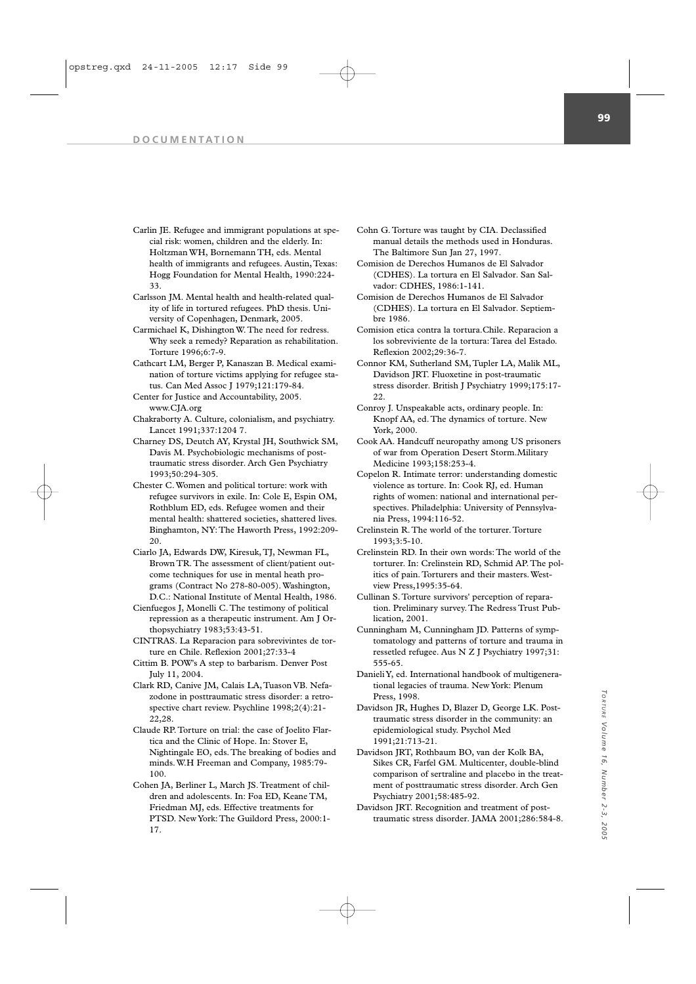- Carlin JE. Refugee and immigrant populations at special risk: women, children and the elderly. In: Holtzman WH, Bornemann TH, eds. Mental health of immigrants and refugees. Austin, Texas: Hogg Foundation for Mental Health, 1990:224- 33.
- Carlsson JM. Mental health and health-related quality of life in tortured refugees. PhD thesis. University of Copenhagen, Denmark, 2005.
- Carmichael K, Dishington W. The need for redress. Why seek a remedy? Reparation as rehabilitation. Torture 1996;6:7-9.
- Cathcart LM, Berger P, Kanaszan B. Medical examination of torture victims applying for refugee status. Can Med Assoc J 1979;121:179-84.
- Center for Justice and Accountability, 2005. www.CJA.org
- Chakraborty A. Culture, colonialism, and psychiatry. Lancet 1991;337:1204 7.
- Charney DS, Deutch AY, Krystal JH, Southwick SM, Davis M. Psychobiologic mechanisms of posttraumatic stress disorder. Arch Gen Psychiatry 1993;50:294-305.
- Chester C. Women and political torture: work with refugee survivors in exile. In: Cole E, Espin OM, Rothblum ED, eds. Refugee women and their mental health: shattered societies, shattered lives. Binghamton, NY: The Haworth Press, 1992:209- 20.
- Ciarlo JA, Edwards DW, Kiresuk, TJ, Newman FL, Brown TR. The assessment of client/patient outcome techniques for use in mental heath programs (Contract No 278-80-005). Washington, D.C.: National Institute of Mental Health, 1986.
- Cienfuegos J, Monelli C. The testimony of political repression as a therapeutic instrument. Am J Orthopsychiatry 1983;53:43-51.
- CINTRAS. La Reparacion para sobrevivintes de torture en Chile. Reflexion 2001;27:33-4
- Cittim B. POW's A step to barbarism. Denver Post July 11, 2004.
- Clark RD, Canive JM, Calais LA, Tuason VB. Nefazodone in posttraumatic stress disorder: a retrospective chart review. Psychline 1998;2(4):21- 22,28.
- Claude RP. Torture on trial: the case of Joelito Flartica and the Clinic of Hope. In: Stover E, Nightingale EO, eds. The breaking of bodies and minds. W.H Freeman and Company, 1985:79- 100.
- Cohen JA, Berliner L, March JS. Treatment of children and adolescents. In: Foa ED, Keane TM, Friedman MJ, eds. Effective treatments for PTSD. New York: The Guildord Press, 2000:1- 17.
- Cohn G. Torture was taught by CIA. Declassified manual details the methods used in Honduras. The Baltimore Sun Jan 27, 1997.
- Comision de Derechos Humanos de El Salvador (CDHES). La tortura en El Salvador. San Salvador: CDHES, 1986:1-141.
- Comision de Derechos Humanos de El Salvador (CDHES). La tortura en El Salvador. Septiembre 1986.
- Comision etica contra la tortura.Chile. Reparacion a los sobreviviente de la tortura: Tarea del Estado. Reflexion 2002;29:36-7.
- Connor KM, Sutherland SM, Tupler LA, Malik ML, Davidson JRT. Fluoxetine in post-traumatic stress disorder. British J Psychiatry 1999;175:17- 22.
- Conroy J. Unspeakable acts, ordinary people. In: Knopf AA, ed. The dynamics of torture. New York, 2000.
- Cook AA. Handcuff neuropathy among US prisoners of war from Operation Desert Storm.Military Medicine 1993;158:253-4.
- Copelon R. Intimate terror: understanding domestic violence as torture. In: Cook RJ, ed. Human rights of women: national and international perspectives. Philadelphia: University of Pennsylvania Press, 1994:116-52.
- Crelinstein R. The world of the torturer. Torture 1993;3:5-10.
- Crelinstein RD. In their own words: The world of the torturer. In: Crelinstein RD, Schmid AP. The politics of pain. Torturers and their masters. Westview Press,1995:35-64.
- Cullinan S. Torture survivors' perception of reparation. Preliminary survey. The Redress Trust Publication, 2001.
- Cunningham M, Cunningham JD. Patterns of symptomatology and patterns of torture and trauma in ressetled refugee. Aus N Z J Psychiatry 1997;31: 555-65.
- Danieli Y, ed. International handbook of multigenerational legacies of trauma. New York: Plenum Press, 1998.
- Davidson JR, Hughes D, Blazer D, George LK. Posttraumatic stress disorder in the community: an epidemiological study. Psychol Med 1991;21:713-21.
- Davidson JRT, Rothbaum BO, van der Kolk BA, Sikes CR, Farfel GM. Multicenter, double-blind comparison of sertraline and placebo in the treatment of posttraumatic stress disorder. Arch Gen Psychiatry 2001;58:485-92.
- Davidson JRT. Recognition and treatment of posttraumatic stress disorder. JAMA 2001;286:584-8.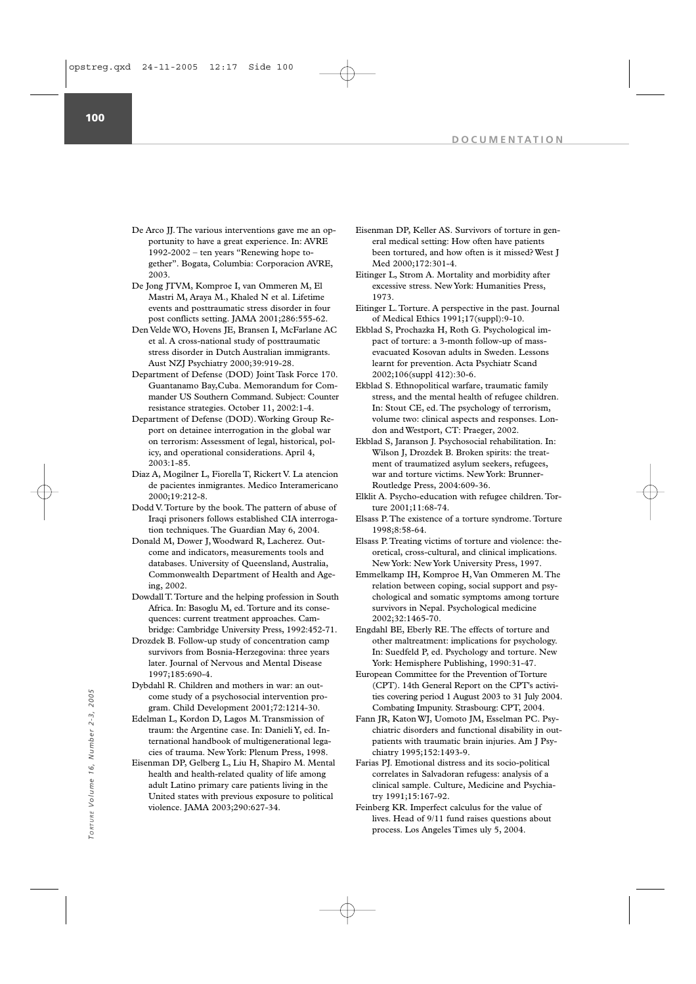**100**

- De Arco JJ. The various interventions gave me an opportunity to have a great experience. In: AVRE 1992-2002 – ten years "Renewing hope together". Bogata, Columbia: Corporacion AVRE, 2003.
- De Jong JTVM, Komproe I, van Ommeren M, El Mastri M, Araya M., Khaled N et al. Lifetime events and posttraumatic stress disorder in four post conflicts setting. JAMA 2001;286:555-62.
- Den Velde WO, Hovens JE, Bransen I, McFarlane AC et al. A cross-national study of posttraumatic stress disorder in Dutch Australian immigrants. Aust NZJ Psychiatry 2000;39:919-28.
- Department of Defense (DOD) Joint Task Force 170. Guantanamo Bay,Cuba. Memorandum for Commander US Southern Command. Subject: Counter resistance strategies. October 11, 2002:1-4.
- Department of Defense (DOD). Working Group Report on detainee interrogation in the global war on terrorism: Assessment of legal, historical, policy, and operational considerations. April 4, 2003:1-85.
- Diaz A, Mogilner L, Fiorella T, Rickert V. La atencion de pacientes inmigrantes. Medico Interamericano  $2000 \cdot 19 \cdot 212 - 8$
- Dodd V. Torture by the book. The pattern of abuse of Iraqi prisoners follows established CIA interrogation techniques. The Guardian May 6, 2004.
- Donald M, Dower J, Woodward R, Lacherez. Outcome and indicators, measurements tools and databases. University of Queensland, Australia, Commonwealth Department of Health and Ageing, 2002.
- Dowdall T.Torture and the helping profession in South Africa. In: Basoglu M, ed.Torture and its consequences: current treatment approaches. Cambridge: Cambridge University Press, 1992:452-71.
- Drozdek B. Follow-up study of concentration camp survivors from Bosnia-Herzegovina: three years later. Journal of Nervous and Mental Disease 1997;185:690-4.
- Dybdahl R. Children and mothers in war: an outcome study of a psychosocial intervention program. Child Development 2001;72:1214-30.
- Edelman L, Kordon D, Lagos M. Transmission of traum: the Argentine case. In: Danieli Y, ed. International handbook of multigenerational legacies of trauma. New York: Plenum Press, 1998.
- Eisenman DP, Gelberg L, Liu H, Shapiro M. Mental health and health-related quality of life among adult Latino primary care patients living in the United states with previous exposure to political violence. JAMA 2003;290:627-34. From study of a psychosocial intervention process. In: Danis 2003 to 31<br>
gram. Child Development 2001;72:1214-30.<br>
Teadelman L, Kordon D, Lagos M. Transmission of Fram JR, Katon WJ, Uomoto JM, Esselman<br>
transmission fram I
- Eisenman DP, Keller AS. Survivors of torture in general medical setting: How often have patients been tortured, and how often is it missed? West J Med 2000;172:301-4.
- Eitinger L, Strom A. Mortality and morbidity after excessive stress. New York: Humanities Press, 1973.
- Eitinger L. Torture. A perspective in the past. Journal of Medical Ethics 1991;17(suppl):9-10.
- Ekblad S, Prochazka H, Roth G. Psychological impact of torture: a 3-month follow-up of massevacuated Kosovan adults in Sweden. Lessons learnt for prevention. Acta Psychiatr Scand 2002;106(suppl 412):30-6.
- Ekblad S. Ethnopolitical warfare, traumatic family stress, and the mental health of refugee children. In: Stout CE, ed. The psychology of terrorism, volume two: clinical aspects and responses. London and Westport, CT: Praeger, 2002.
- Ekblad S, Jaranson J. Psychosocial rehabilitation. In: Wilson J, Drozdek B. Broken spirits: the treatment of traumatized asylum seekers, refugees, war and torture victims. New York: Brunner-Routledge Press, 2004:609-36.
- Elklit A. Psycho-education with refugee children. Torture 2001;11:68-74.
- Elsass P. The existence of a torture syndrome. Torture 1998;8:58-64.
- Elsass P. Treating victims of torture and violence: theoretical, cross-cultural, and clinical implications. New York: New York University Press, 1997.
- Emmelkamp IH, Komproe H, Van Ommeren M. The relation between coping, social support and psychological and somatic symptoms among torture survivors in Nepal. Psychological medicine 2002;32:1465-70.
- Engdahl BE, Eberly RE. The effects of torture and other maltreatment: implications for psychology. In: Suedfeld P, ed. Psychology and torture. New York: Hemisphere Publishing, 1990:31-47.
- European Committee for the Prevention of Torture (CPT). 14th General Report on the CPT's activities covering period 1 August 2003 to 31 July 2004. Combating Impunity. Strasbourg: CPT, 2004.
- Fann JR, Katon WJ, Uomoto JM, Esselman PC. Psychiatric disorders and functional disability in outpatients with traumatic brain injuries. Am J Psychiatry 1995;152:1493-9.
- Farias PJ. Emotional distress and its socio-political correlates in Salvadoran refugess: analysis of a clinical sample. Culture, Medicine and Psychiatry 1991;15:167-92.
- Feinberg KR. Imperfect calculus for the value of lives. Head of 9/11 fund raises questions about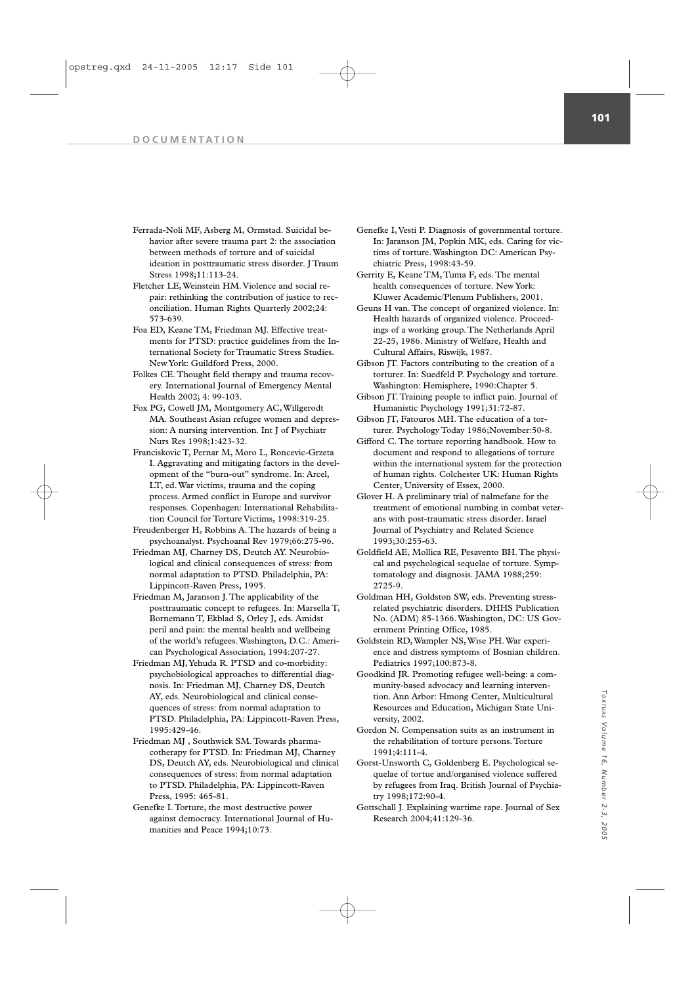- Ferrada-Noli MF, Asberg M, Ormstad. Suicidal behavior after severe trauma part 2: the association between methods of torture and of suicidal ideation in posttraumatic stress disorder. J Traum Stress 1998;11:113-24.
- Fletcher LE, Weinstein HM. Violence and social repair: rethinking the contribution of justice to reconciliation. Human Rights Quarterly 2002;24: 573-639.
- Foa ED, Keane TM, Friedman MJ. Effective treatments for PTSD: practice guidelines from the International Society for Traumatic Stress Studies. New York: Guildford Press, 2000.
- Folkes CE. Thought field therapy and trauma recovery. International Journal of Emergency Mental Health 2002; 4: 99-103.
- Fox PG, Cowell JM, Montgomery AC, Willgerodt MA. Southeast Asian refugee women and depression: A nursing intervention. Int J of Psychiatr Nurs Res 1998;1:423-32.
- Franciskovic T, Pernar M, Moro L, Roncevic-Grzeta I. Aggravating and mitigating factors in the development of the "burn-out" syndrome. In: Arcel, LT, ed. War victims, trauma and the coping process. Armed conflict in Europe and survivor responses. Copenhagen: International Rehabilitation Council for Torture Victims, 1998:319-25.
- Freudenberger H, Robbins A. The hazards of being a psychoanalyst. Psychoanal Rev 1979;66:275-96.
- Friedman MJ, Charney DS, Deutch AY. Neurobiological and clinical consequences of stress: from normal adaptation to PTSD. Philadelphia, PA: Lippincott-Raven Press, 1995.
- Friedman M, Jaranson J. The applicability of the posttraumatic concept to refugees. In: Marsella T, Bornemann T, Ekblad S, Orley J, eds. Amidst peril and pain: the mental health and wellbeing of the world's refugees. Washington, D.C.: American Psychological Association, 1994:207-27.
- Friedman MJ,Yehuda R. PTSD and co-morbidity: psychobiological approaches to differential diagnosis. In: Friedman MJ, Charney DS, Deutch AY, eds. Neurobiological and clinical consequences of stress: from normal adaptation to PTSD. Philadelphia, PA: Lippincott-Raven Press, 1995:429-46.
- Friedman MJ , Southwick SM. Towards pharmacotherapy for PTSD. In: Friedman MJ, Charney DS, Deutch AY, eds. Neurobiological and clinical consequences of stress: from normal adaptation to PTSD. Philadelphia, PA: Lippincott-Raven Press, 1995: 465-81.
- Genefke I. Torture, the most destructive power against democracy. International Journal of Humanities and Peace 1994;10:73.
- Genefke I, Vesti P. Diagnosis of governmental torture. In: Jaranson JM, Popkin MK, eds. Caring for victims of torture. Washington DC: American Psychiatric Press, 1998:43-59.
- Gerrity E, Keane TM, Tuma F, eds. The mental health consequences of torture. New York: Kluwer Academic/Plenum Publishers, 2001.
- Geuns H van. The concept of organized violence. In: Health hazards of organized violence. Proceedings of a working group. The Netherlands April 22-25, 1986. Ministry of Welfare, Health and Cultural Affairs, Riswijk, 1987.
- Gibson JT. Factors contributing to the creation of a torturer. In: Suedfeld P. Psychology and torture. Washington: Hemisphere, 1990:Chapter 5.
- Gibson JT. Training people to inflict pain. Journal of Humanistic Psychology 1991;31:72-87.
- Gibson JT, Fatouros MH. The education of a torturer. Psychology Today 1986;November:50-8.
- Gifford C. The torture reporting handbook. How to document and respond to allegations of torture within the international system for the protection of human rights. Colchester UK: Human Rights Center, University of Essex, 2000.
- Glover H. A preliminary trial of nalmefane for the treatment of emotional numbing in combat veterans with post-traumatic stress disorder. Israel Journal of Psychiatry and Related Science 1993;30:255-63.
- Goldfield AE, Mollica RE, Pesavento BH. The physical and psychological sequelae of torture. Symptomatology and diagnosis. JAMA 1988;259: 2725-9.
- Goldman HH, Goldston SW, eds. Preventing stressrelated psychiatric disorders. DHHS Publication No. (ADM) 85-1366. Washington, DC: US Government Printing Office, 1985.
- Goldstein RD, Wampler NS, Wise PH. War experience and distress symptoms of Bosnian children. Pediatrics 1997;100:873-8.
- Goodkind JR. Promoting refugee well-being: a community-based advocacy and learning intervention. Ann Arbor: Hmong Center, Multicultural Resources and Education, Michigan State University, 2002.
- Gordon N. Compensation suits as an instrument in the rehabilitation of torture persons. Torture 1991;4:111-4.
- Gorst-Unsworth C, Goldenberg E. Psychological sequelae of tortue and/organised violence suffered by refugees from Iraq. British Journal of Psychiatry 1998;172:90-4.
- Gottschall J. Explaining wartime rape. Journal of Sex Research 2004;41:129-36.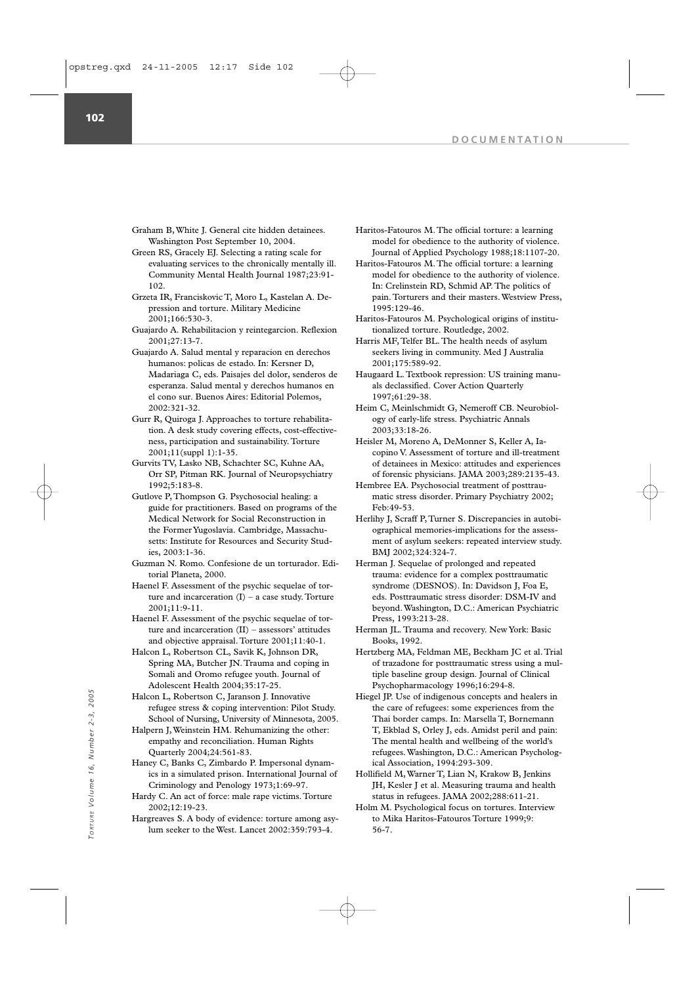**102**

- Graham B, White J. General cite hidden detainees. Washington Post September 10, 2004.
- Green RS, Gracely EJ. Selecting a rating scale for evaluating services to the chronically mentally ill. Community Mental Health Journal 1987;23:91- 102.
- Grzeta IR, Franciskovic T, Moro L, Kastelan A. Depression and torture. Military Medicine 2001;166:530-3.
- Guajardo A. Rehabilitacion y reintegarcion. Reflexion 2001;27:13-7.
- Guajardo A. Salud mental y reparacion en derechos humanos: policas de estado. In: Kersner D, Madariaga C, eds. Paisajes del dolor, senderos de esperanza. Salud mental y derechos humanos en el cono sur. Buenos Aires: Editorial Polemos, 2002:321-32.
- Gurr R, Quiroga J. Approaches to torture rehabilitation. A desk study covering effects, cost-effectiveness, participation and sustainability. Torture 2001;11(suppl 1):1-35.
- Gurvits TV, Lasko NB, Schachter SC, Kuhne AA, Orr SP, Pitman RK. Journal of Neuropsychiatry 1992;5:183-8.
- Gutlove P, Thompson G. Psychosocial healing: a guide for practitioners. Based on programs of the Medical Network for Social Reconstruction in the Former Yugoslavia. Cambridge, Massachusetts: Institute for Resources and Security Studies, 2003:1-36.
- Guzman N. Romo. Confesione de un torturador. Editorial Planeta, 2000.
- Haenel F. Assessment of the psychic sequelae of torture and incarceration  $(I)$  – a case study. Torture 2001;11:9-11.
- Haenel F. Assessment of the psychic sequelae of torture and incarceration (II) – assessors' attitudes and objective appraisal. Torture 2001;11:40-1.
- Halcon L, Robertson CL, Savik K, Johnson DR, Spring MA, Butcher IN. Trauma and coping in Somali and Oromo refugee youth. Journal of Adolescent Health 2004;35:17-25.
- Halcon L, Robertson C, Jaranson J. Innovative refugee stress & coping intervention: Pilot Study. School of Nursing, University of Minnesota, 2005.
- Halpern J, Weinstein HM. Rehumanizing the other: empathy and reconciliation. Human Rights Quarterly 2004;24:561-83.
- Haney C, Banks C, Zimbardo P. Impersonal dynamics in a simulated prison. International Journal of Criminology and Penology 1973;1:69-97. Halcon L, Robertson C, Jaranson J. Innovative<br>
The city of Mursing, University of Minnesota, 2005.<br>
Thai<br> *Volume 1,* Weinstein HM. Rehumanizing the other:<br> **T**, Ekenomathy and reconciliation. Human Rights<br>
The 1<br>
Quarterl
	- Hardy C. An act of force: male rape victims. Torture 2002;12:19-23.
	- Hargreaves S. A body of evidence: torture among asylum seeker to the West. Lancet 2002:359:793-4.
- Haritos-Fatouros M. The official torture: a learning model for obedience to the authority of violence. Journal of Applied Psychology 1988;18:1107-20.
- Haritos-Fatouros M. The official torture: a learning model for obedience to the authority of violence. In: Crelinstein RD, Schmid AP. The politics of pain. Torturers and their masters. Westview Press, 1995:129-46.
- Haritos-Fatouros M. Psychological origins of institutionalized torture. Routledge, 2002.
- Harris MF, Telfer BL. The health needs of asylum seekers living in community. Med J Australia 2001;175:589-92.
- Haugaard L. Textbook repression: US training manuals declassified. Cover Action Quarterly 1997;61:29-38.
- Heim C, Meinlschmidt G, Nemeroff CB. Neurobiology of early-life stress. Psychiatric Annals 2003;33:18-26.
- Heisler M, Moreno A, DeMonner S, Keller A, Iacopino V. Assessment of torture and ill-treatment of detainees in Mexico: attitudes and experiences of forensic physicians. JAMA 2003;289:2135-43.
- Hembree EA. Psychosocial treatment of posttraumatic stress disorder. Primary Psychiatry 2002; Feb:49-53.
- Herlihy J, Scraff P, Turner S. Discrepancies in autobiographical memories-implications for the assessment of asylum seekers: repeated interview study. BMJ 2002;324:324-7.
- Herman J. Sequelae of prolonged and repeated trauma: evidence for a complex posttraumatic syndrome (DESNOS). In: Davidson J, Foa E, eds. Posttraumatic stress disorder: DSM-IV and beyond. Washington, D.C.: American Psychiatric Press, 1993:213-28.
- Herman JL. Trauma and recovery. New York: Basic Books, 1992.
- Hertzberg MA, Feldman ME, Beckham JC et al. Trial of trazadone for posttraumatic stress using a multiple baseline group design. Journal of Clinical Psychopharmacology 1996;16:294-8.
- Hiegel JP. Use of indigenous concepts and healers in the care of refugees: some experiences from the Thai border camps. In: Marsella T, Bornemann T, Ekblad S, Orley J, eds. Amidst peril and pain: The mental health and wellbeing of the world's refugees. Washington, D.C.: American Psychological Association, 1994:293-309.
- Hollifield M, Warner T, Lian N, Krakow B, Jenkins JH, Kesler J et al. Measuring trauma and health status in refugees. JAMA 2002;288:611-21.
- Holm M. Psychological focus on tortures. Interview to Mika Haritos-Fatouros Torture 1999;9: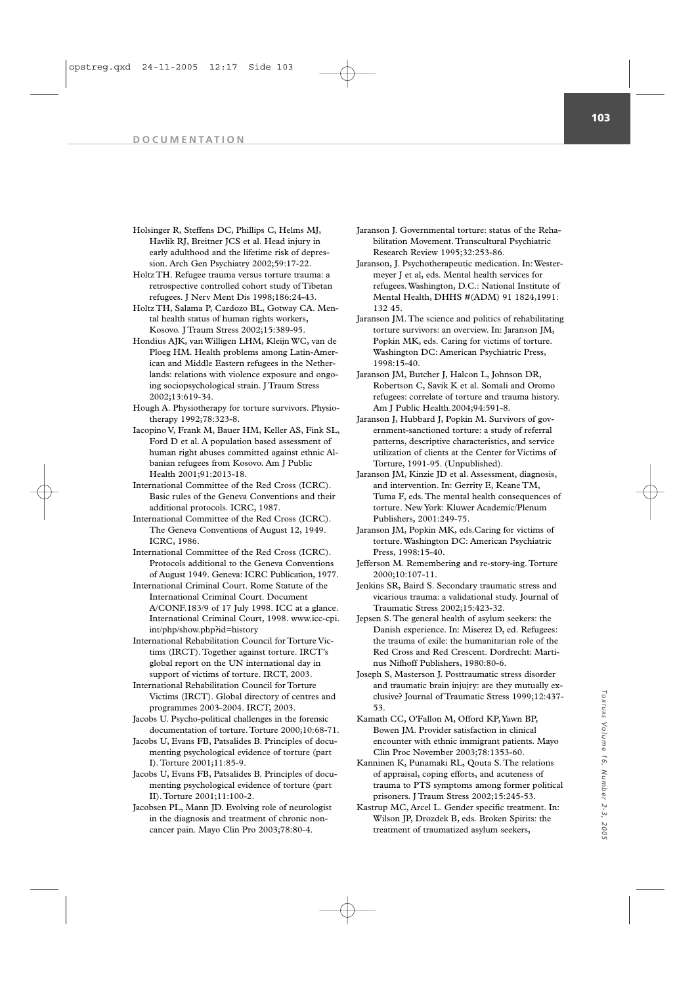- Holsinger R, Steffens DC, Phillips C, Helms MJ, Havlik RJ, Breitner JCS et al. Head injury in early adulthood and the lifetime risk of depression. Arch Gen Psychiatry 2002;59:17-22.
- Holtz TH. Refugee trauma versus torture trauma: a retrospective controlled cohort study of Tibetan refugees. J Nerv Ment Dis 1998;186:24-43.
- Holtz TH, Salama P, Cardozo BL, Gotway CA. Mental health status of human rights workers, Kosovo. J Traum Stress 2002;15:389-95.
- Hondius AJK, van Willigen LHM, Kleijn WC, van de Ploeg HM. Health problems among Latin-American and Middle Eastern refugees in the Netherlands: relations with violence exposure and ongoing sociopsychological strain. J Traum Stress 2002;13:619-34.
- Hough A. Physiotherapy for torture survivors. Physiotherapy 1992;78:323-8.
- Iacopino V, Frank M, Bauer HM, Keller AS, Fink SL, Ford D et al. A population based assessment of human right abuses committed against ethnic Albanian refugees from Kosovo. Am J Public Health 2001;91:2013-18.
- International Committee of the Red Cross (ICRC). Basic rules of the Geneva Conventions and their additional protocols. ICRC, 1987.
- International Committee of the Red Cross (ICRC). The Geneva Conventions of August 12, 1949. ICRC, 1986.
- International Committee of the Red Cross (ICRC). Protocols additional to the Geneva Conventions of August 1949. Geneva: ICRC Publication, 1977.
- International Criminal Court. Rome Statute of the International Criminal Court. Document A/CONF.183/9 of 17 July 1998. ICC at a glance. International Criminal Court, 1998. www.icc-cpi.
- int/php/show.php?id=history International Rehabilitation Council for Torture Victims (IRCT). Together against torture. IRCT's global report on the UN international day in support of victims of torture. IRCT, 2003.
- International Rehabilitation Council for Torture Victims (IRCT). Global directory of centres and programmes 2003-2004. IRCT, 2003.
- Jacobs U. Psycho-political challenges in the forensic documentation of torture.Torture 2000;10:68-71.
- Jacobs U, Evans FB, Patsalides B. Principles of documenting psychological evidence of torture (part I). Torture 2001;11:85-9.
- Jacobs U, Evans FB, Patsalides B. Principles of documenting psychological evidence of torture (part II). Torture 2001;11:100-2.
- Jacobsen PL, Mann JD. Evolving role of neurologist in the diagnosis and treatment of chronic noncancer pain. Mayo Clin Pro 2003;78:80-4.
- Jaranson J. Governmental torture: status of the Rehabilitation Movement. Transcultural Psychiatric Research Review 1995;32:253-86.
- Jaranson, J. Psychotherapeutic medication. In: Westermeyer J et al, eds. Mental health services for refugees. Washington, D.C.: National Institute of Mental Health, DHHS #(ADM) 91 1824,1991: 132 45.
- Jaranson JM. The science and politics of rehabilitating torture survivors: an overview. In: Jaranson JM, Popkin MK, eds. Caring for victims of torture. Washington DC: American Psychiatric Press, 1998:15-40.
- Jaranson JM, Butcher J, Halcon L, Johnson DR, Robertson C, Savik K et al. Somali and Oromo refugees: correlate of torture and trauma history. Am J Public Health.2004;94:591-8.
- Jaranson J, Hubbard J, Popkin M. Survivors of government-sanctioned torture: a study of referral patterns, descriptive characteristics, and service utilization of clients at the Center for Victims of Torture, 1991-95. (Unpublished).
- Jaranson JM, Kinzie JD et al. Assessment, diagnosis, and intervention. In: Gerrity E, Keane TM, Tuma F, eds. The mental health consequences of torture. New York: Kluwer Academic/Plenum Publishers, 2001:249-75.
- Jaranson JM, Popkin MK, eds.Caring for victims of torture. Washington DC: American Psychiatric Press, 1998:15-40.
- Jefferson M. Remembering and re-story-ing. Torture 2000;10:107-11.
- Jenkins SR, Baird S. Secondary traumatic stress and vicarious trauma: a validational study. Journal of Traumatic Stress 2002;15:423-32.
- Jepsen S. The general health of asylum seekers: the Danish experience. In: Miserez D, ed. Refugees: the trauma of exile: the humanitarian role of the Red Cross and Red Crescent. Dordrecht: Martinus Nifhoff Publishers, 1980:80-6.
- Joseph S, Masterson J. Posttraumatic stress disorder and traumatic brain injujry: are they mutually exclusive? Journal of Traumatic Stress 1999;12:437- 53.
- Kamath CC, O'Fallon M, Offord KP,Yawn BP, Bowen JM. Provider satisfaction in clinical encounter with ethnic immigrant patients. Mayo Clin Proc November 2003;78:1353-60.
- Kanninen K, Punamaki RL, Qouta S. The relations of appraisal, coping efforts, and acuteness of trauma to PTS symptoms among former political prisoners. J Traum Stress 2002;15:245-53.
- Kastrup MC, Arcel L. Gender specific treatment. In: Wilson JP, Drozdek B, eds. Broken Spirits: the treatment of traumatized asylum seekers,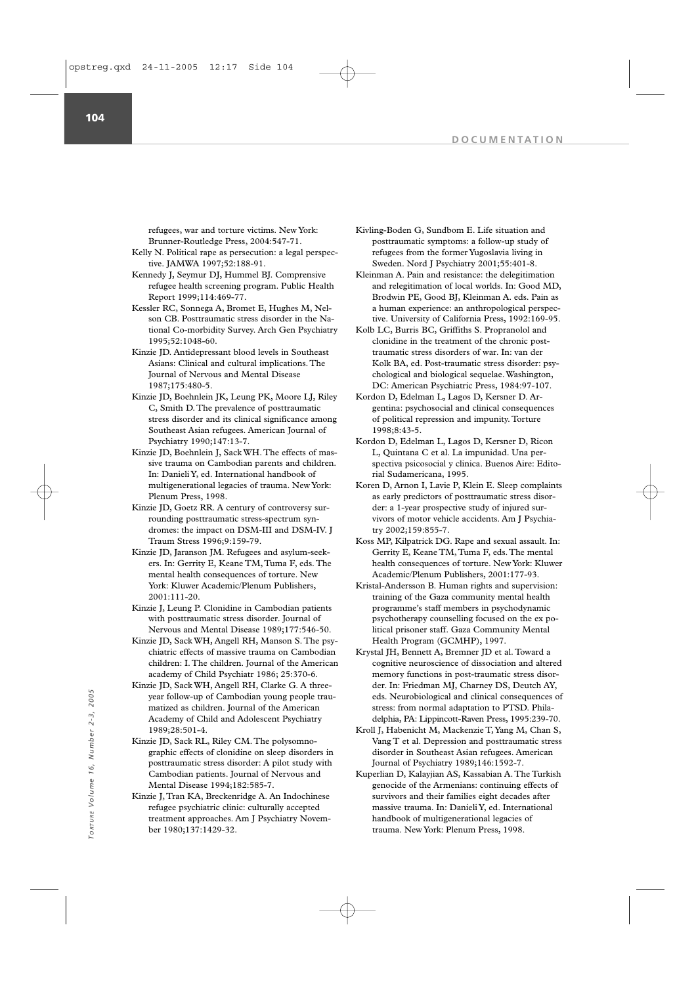refugees, war and torture victims. New York: Brunner-Routledge Press, 2004:547-71.

- Kelly N. Political rape as persecution: a legal perspective. JAMWA 1997;52:188-91.
- Kennedy J, Seymur DJ, Hummel BJ. Comprensive refugee health screening program. Public Health Report 1999;114:469-77.
- Kessler RC, Sonnega A, Bromet E, Hughes M, Nelson CB. Posttraumatic stress disorder in the National Co-morbidity Survey. Arch Gen Psychiatry 1995;52:1048-60.
- Kinzie JD. Antidepressant blood levels in Southeast Asians: Clinical and cultural implications. The Journal of Nervous and Mental Disease 1987;175:480-5.
- Kinzie JD, Boehnlein JK, Leung PK, Moore LJ, Riley C, Smith D. The prevalence of posttraumatic stress disorder and its clinical significance among Southeast Asian refugees. American Journal of Psychiatry 1990;147:13-7.
- Kinzie JD, Boehnlein J, Sack WH. The effects of massive trauma on Cambodian parents and children. In: Danieli Y, ed. International handbook of multigenerational legacies of trauma. New York: Plenum Press, 1998.
- Kinzie JD, Goetz RR. A century of controversy surrounding posttraumatic stress-spectrum syndromes: the impact on DSM-III and DSM-IV. J Traum Stress 1996;9:159-79.
- Kinzie JD, Jaranson JM. Refugees and asylum-seekers. In: Gerrity E, Keane TM, Tuma F, eds. The mental health consequences of torture. New York: Kluwer Academic/Plenum Publishers, 2001:111-20.
- Kinzie J, Leung P. Clonidine in Cambodian patients with posttraumatic stress disorder. Journal of Nervous and Mental Disease 1989;177:546-50.
- Kinzie JD, Sack WH, Angell RH, Manson S. The psychiatric effects of massive trauma on Cambodian children: I. The children. Journal of the American academy of Child Psychiatr 1986; 25:370-6.
- Kinzie JD, Sack WH, Angell RH, Clarke G. A threeyear follow-up of Cambodian young people traumatized as children. Journal of the American Academy of Child and Adolescent Psychiatry 1989;28:501-4.
- Kinzie JD, Sack RL, Riley CM. The polysomnographic effects of clonidine on sleep disorders in posttraumatic stress disorder: A pilot study with Cambodian patients. Journal of Nervous and Mental Disease 1994;182:585-7.
- Kinzie J, Tran KA, Breckenridge A. An Indochinese refugee psychiatric clinic: culturally accepted treatment approaches. Am J Psychiatry November 1980;137:1429-32.
- Kivling-Boden G, Sundbom E. Life situation and posttraumatic symptoms: a follow-up study of refugees from the former Yugoslavia living in Sweden. Nord J Psychiatry 2001;55:401-8.
- Kleinman A. Pain and resistance: the delegitimation and relegitimation of local worlds. In: Good MD, Brodwin PE, Good BJ, Kleinman A. eds. Pain as a human experience: an anthropological perspective. University of California Press, 1992:169-95.
- Kolb LC, Burris BC, Griffiths S. Propranolol and clonidine in the treatment of the chronic posttraumatic stress disorders of war. In: van der Kolk BA, ed. Post-traumatic stress disorder: psychological and biological sequelae. Washington, DC: American Psychiatric Press, 1984:97-107.
- Kordon D, Edelman L, Lagos D, Kersner D. Argentina: psychosocial and clinical consequences of political repression and impunity. Torture 1998;8:43-5.
- Kordon D, Edelman L, Lagos D, Kersner D, Ricon L, Quintana C et al. La impunidad. Una perspectiva psicosocial y clinica. Buenos Aire: Editorial Sudamericana, 1995.
- Koren D, Arnon I, Lavie P, Klein E. Sleep complaints as early predictors of posttraumatic stress disorder: a 1-year prospective study of injured survivors of motor vehicle accidents. Am J Psychiatry 2002;159:855-7.
- Koss MP, Kilpatrick DG. Rape and sexual assault. In: Gerrity E, Keane TM,Tuma F, eds.The mental health consequences of torture. New York: Kluwer Academic/Plenum Publishers, 2001:177-93.
- Kristal-Andersson B. Human rights and supervision: training of the Gaza community mental health programme's staff members in psychodynamic psychotherapy counselling focused on the ex political prisoner staff. Gaza Community Mental Health Program (GCMHP), 1997.
- Krystal JH, Bennett A, Bremner JD et al. Toward a cognitive neuroscience of dissociation and altered memory functions in post-traumatic stress disorder. In: Friedman MJ, Charney DS, Deutch AY, eds. Neurobiological and clinical consequences of stress: from normal adaptation to PTSD. Philadelphia, PA: Lippincott-Raven Press, 1995:239-70.
- Kroll J, Habenicht M, Mackenzie T,Yang M, Chan S, Vang T et al. Depression and posttraumatic stress disorder in Southeast Asian refugees. American Journal of Psychiatry 1989;146:1592-7.
- Kuperlian D, Kalayjian AS, Kassabian A. The Turkish genocide of the Armenians: continuing effects of survivors and their families eight decades after massive trauma. In: Danieli Y, ed. International handbook of multigenerational legacies of % year follow-up of Cambodian young people trauma.<br>
matized as children. Journal of the American<br>
Academy of Child and Adolescent Psychiatry<br>
1989:28:501-4.<br>
Xinzie JD, Sack RL, Riley CM. The polysom<br>
graphic effects of cl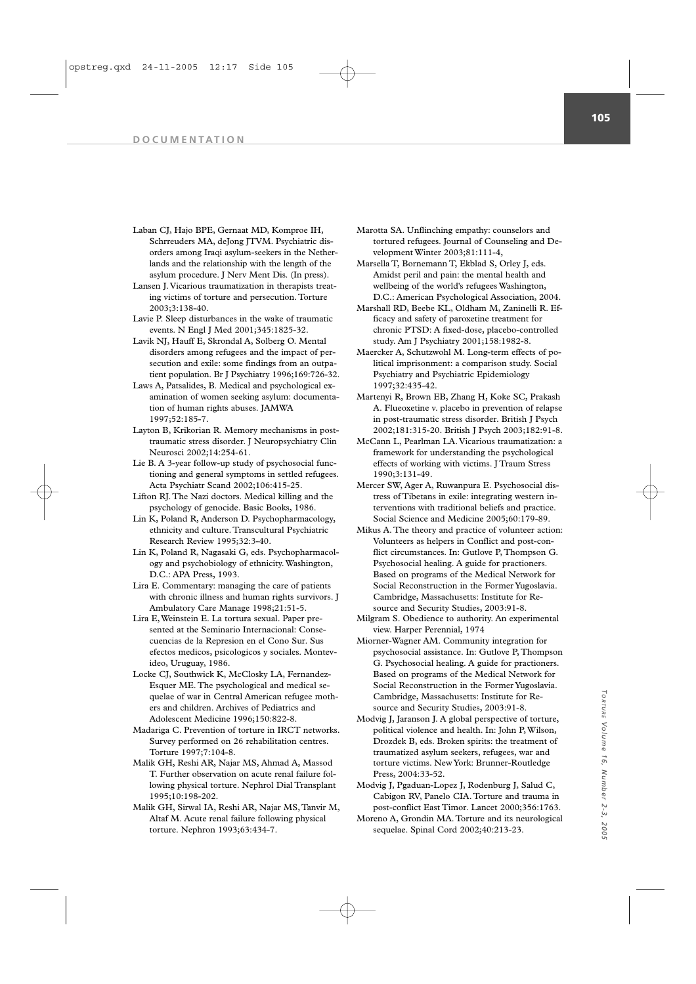Laban CJ, Hajo BPE, Gernaat MD, Komproe IH, Schrreuders MA, deJong JTVM. Psychiatric disorders among Iraqi asylum-seekers in the Netherlands and the relationship with the length of the asylum procedure. J Nerv Ment Dis. (In press).

Lansen J. Vicarious traumatization in therapists treating victims of torture and persecution. Torture 2003;3:138-40.

- Lavie P. Sleep disturbances in the wake of traumatic events. N Engl J Med 2001;345:1825-32.
- Lavik NJ, Hauff E, Skrondal A, Solberg O. Mental disorders among refugees and the impact of persecution and exile: some findings from an outpatient population. Br J Psychiatry 1996;169:726-32.
- Laws A, Patsalides, B. Medical and psychological examination of women seeking asylum: documentation of human rights abuses. JAMWA 1997;52:185-7.
- Layton B, Krikorian R. Memory mechanisms in posttraumatic stress disorder. J Neuropsychiatry Clin Neurosci 2002;14:254-61.
- Lie B. A 3-year follow-up study of psychosocial functioning and general symptoms in settled refugees. Acta Psychiatr Scand 2002;106:415-25.
- Lifton RJ. The Nazi doctors. Medical killing and the psychology of genocide. Basic Books, 1986.
- Lin K, Poland R, Anderson D. Psychopharmacology, ethnicity and culture. Transcultural Psychiatric Research Review 1995;32:3-40.
- Lin K, Poland R, Nagasaki G, eds. Psychopharmacology and psychobiology of ethnicity. Washington, D.C.: APA Press, 1993.
- Lira E. Commentary: managing the care of patients with chronic illness and human rights survivors. J Ambulatory Care Manage 1998;21:51-5.
- Lira E, Weinstein E. La tortura sexual. Paper presented at the Seminario Internacional: Consecuencias de la Represion en el Cono Sur. Sus efectos medicos, psicologicos y sociales. Montevideo, Uruguay, 1986.
- Locke CJ, Southwick K, McClosky LA, Fernandez-Esquer ME. The psychological and medical sequelae of war in Central American refugee mothers and children. Archives of Pediatrics and Adolescent Medicine 1996;150:822-8.
- Madariga C. Prevention of torture in IRCT networks. Survey performed on 26 rehabilitation centres. Torture 1997;7:104-8.
- Malik GH, Reshi AR, Najar MS, Ahmad A, Massod T. Further observation on acute renal failure following physical torture. Nephrol Dial Transplant 1995;10:198-202.
- Malik GH, Sirwal IA, Reshi AR, Najar MS, Tanvir M, Altaf M. Acute renal failure following physical torture. Nephron 1993;63:434-7.
- Marotta SA. Unflinching empathy: counselors and tortured refugees. Journal of Counseling and Development Winter 2003;81:111-4,
- Marsella T, Bornemann T, Ekblad S, Orley J, eds. Amidst peril and pain: the mental health and wellbeing of the world's refugees Washington, D.C.: American Psychological Association, 2004.
- Marshall RD, Beebe KL, Oldham M, Zaninelli R. Efficacy and safety of paroxetine treatment for chronic PTSD: A fixed-dose, placebo-controlled study. Am J Psychiatry 2001;158:1982-8.
- Maercker A, Schutzwohl M. Long-term effects of political imprisonment: a comparison study. Social Psychiatry and Psychiatric Epidemiology 1997;32:435-42.
- Martenyi R, Brown EB, Zhang H, Koke SC, Prakash A. Flueoxetine v. placebo in prevention of relapse in post-traumatic stress disorder. British J Psych 2002;181:315-20. British J Psych 2003;182:91-8.
- McCann L, Pearlman LA. Vicarious traumatization: a framework for understanding the psychological effects of working with victims. J Traum Stress 1990;3:131-49.
- Mercer SW, Ager A, Ruwanpura E. Psychosocial distress of Tibetans in exile: integrating western interventions with traditional beliefs and practice. Social Science and Medicine 2005;60:179-89.
- Mikus A. The theory and practice of volunteer action: Volunteers as helpers in Conflict and post-conflict circumstances. In: Gutlove P, Thompson G. Psychosocial healing. A guide for practioners. Based on programs of the Medical Network for Social Reconstruction in the Former Yugoslavia. Cambridge, Massachusetts: Institute for Resource and Security Studies, 2003:91-8.
- Milgram S. Obedience to authority. An experimental view. Harper Perennial, 1974
- Miorner-Wagner AM. Community integration for psychosocial assistance. In: Gutlove P, Thompson G. Psychosocial healing. A guide for practioners. Based on programs of the Medical Network for Social Reconstruction in the Former Yugoslavia. Cambridge, Massachusetts: Institute for Resource and Security Studies, 2003:91-8.
- Modvig J, Jaranson J. A global perspective of torture, political violence and health. In: John P, Wilson, Drozdek B, eds. Broken spirits: the treatment of traumatized asylum seekers, refugees, war and torture victims. New York: Brunner-Routledge Press, 2004:33-52.
- Modvig J, Pgaduan-Lopez J, Rodenburg J, Salud C, Cabigon RV, Panelo CIA. Torture and trauma in post-conflict East Timor. Lancet 2000;356:1763.
- Moreno A, Grondin MA. Torture and its neurological sequelae. Spinal Cord 2002;40:213-23.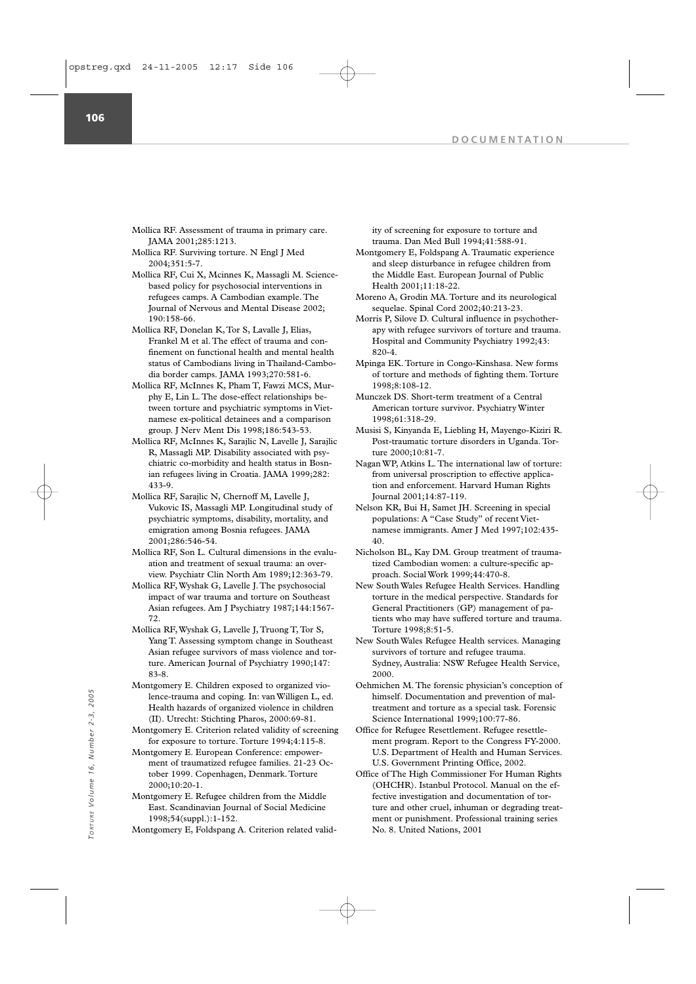Mollica RF. Assessment of trauma in primary care. JAMA 2001;285:1213.

Mollica RF. Surviving torture. N Engl J Med 2004;351:5-7.

Mollica RF, Cui X, Mcinnes K, Massagli M. Sciencebased policy for psychosocial interventions in refugees camps. A Cambodian example. The Journal of Nervous and Mental Disease 2002; 190:158-66.

Mollica RF, Donelan K, Tor S, Lavalle J, Elias, Frankel M et al. The effect of trauma and confinement on functional health and mental health status of Cambodians living in Thailand-Cambodia border camps. JAMA 1993;270:581-6.

Mollica RF, McInnes K, Pham T, Fawzi MCS, Murphy E, Lin L. The dose-effect relationships between torture and psychiatric symptoms in Vietnamese ex-political detainees and a comparison group. J Nerv Ment Dis 1998;186:543-53.

Mollica RF, McInnes K, Sarajlic N, Lavelle J, Sarajlic R, Massagli MP. Disability associated with psychiatric co-morbidity and health status in Bosnian refugees living in Croatia. JAMA 1999;282: 433-9.

Mollica RF, Sarajlic N, Chernoff M, Lavelle J, Vukovic IS, Massagli MP. Longitudinal study of psychiatric symptoms, disability, mortality, and emigration among Bosnia refugees. JAMA 2001;286:546-54.

Mollica RF, Son L. Cultural dimensions in the evaluation and treatment of sexual trauma: an overview. Psychiatr Clin North Am 1989;12:363-79.

Mollica RF, Wyshak G, Lavelle J. The psychosocial impact of war trauma and torture on Southeast Asian refugees. Am J Psychiatry 1987;144:1567- 72.

Mollica RF, Wyshak G, Lavelle J, Truong T, Tor S, Yang T. Assessing symptom change in Southeast Asian refugee survivors of mass violence and torture. American Journal of Psychiatry 1990;147: 83-8.

Montgomery E. Children exposed to organized violence-trauma and coping. In: van Willigen L, ed. Health hazards of organized violence in children (II). Utrecht: Stichting Pharos, 2000:69-81.

Montgomery E. Criterion related validity of screening for exposure to torture. Torture 1994;4:115-8.

Montgomery E. European Conference: empowerment of traumatized refugee families. 21-23 October 1999. Copenhagen, Denmark. Torture 2000;10:20-1. Fractions, 2000, 10:11-152.<br>
Montgomery E. Refugee his and Fraction elastic of organized violence in children<br>
The United Nations, 2000:69-81. Science International 1999;1<br>
Montgomery E. Criterion related validity of scree

Montgomery E. Refugee children from the Middle East. Scandinavian Journal of Social Medicine 1998;54(suppl.):1-152.

Montgomery E, Foldspang A. Criterion related valid-

ity of screening for exposure to torture and trauma. Dan Med Bull 1994;41:588-91.

- Montgomery E, Foldspang A. Traumatic experience and sleep disturbance in refugee children from the Middle East. European Journal of Public Health 2001;11:18-22.
- Moreno A, Grodin MA. Torture and its neurological sequelae. Spinal Cord 2002;40:213-23.
- Morris P, Silove D. Cultural influence in psychotherapy with refugee survivors of torture and trauma. Hospital and Community Psychiatry 1992;43: 820-4.
- Mpinga EK. Torture in Congo-Kinshasa. New forms of torture and methods of fighting them. Torture 1998;8:108-12.

Munczek DS. Short-term treatment of a Central American torture survivor. Psychiatry Winter 1998;61:318-29.

Musisi S, Kinyanda E, Liebling H, Mayengo-Kiziri R. Post-traumatic torture disorders in Uganda. Torture 2000;10:81-7.

Nagan WP, Atkins L. The international law of torture: from universal proscription to effective application and enforcement. Harvard Human Rights Journal 2001;14:87-119.

Nelson KR, Bui H, Samet JH. Screening in special populations: A "Case Study" of recent Vietnamese immigrants. Amer J Med 1997;102:435- 40.

Nicholson BL, Kay DM. Group treatment of traumatized Cambodian women: a culture-specific approach. Social Work 1999;44:470-8.

New South Wales Refugee Health Services. Handling torture in the medical perspective. Standards for General Practitioners (GP) management of patients who may have suffered torture and trauma. Torture 1998;8:51-5.

New South Wales Refugee Health services. Managing survivors of torture and refugee trauma. Sydney, Australia: NSW Refugee Health Service, 2000.

Oehmichen M. The forensic physician's conception of himself. Documentation and prevention of maltreatment and torture as a special task. Forensic Science International 1999;100:77-86.

- Office for Refugee Resettlement. Refugee resettlement program. Report to the Congress FY-2000. U.S. Department of Health and Human Services. U.S. Government Printing Office, 2002.
- Office of The High Commissioner For Human Rights (OHCHR). Istanbul Protocol. Manual on the effective investigation and documentation of torture and other cruel, inhuman or degrading treatment or punishment. Professional training series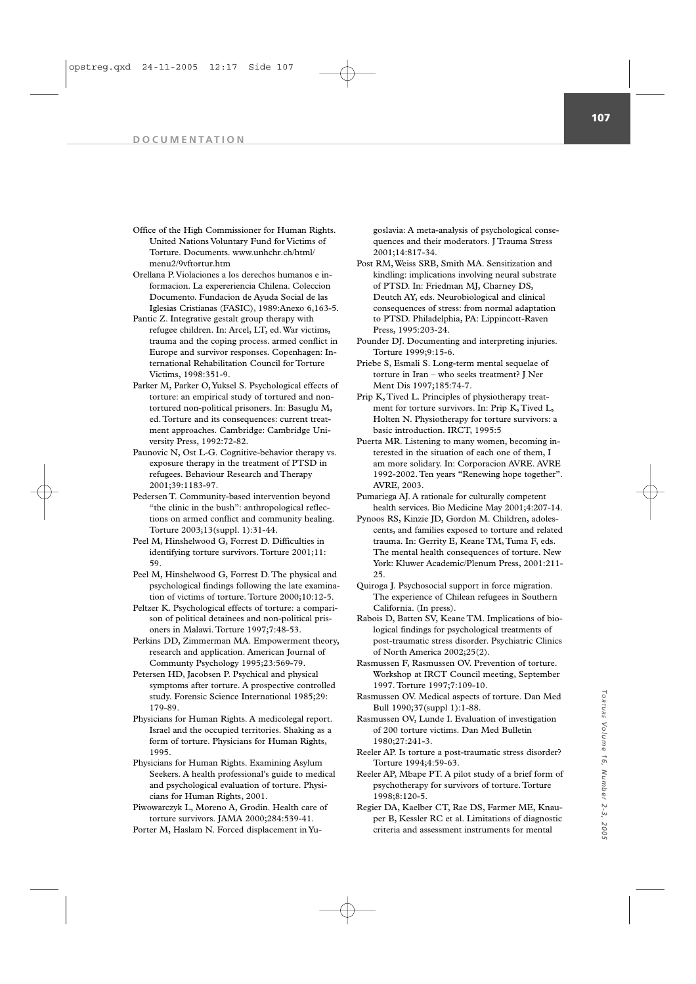- Office of the High Commissioner for Human Rights. United Nations Voluntary Fund for Victims of Torture. Documents. www.unhchr.ch/html/ menu2/9vftortur.htm
- Orellana P.Violaciones a los derechos humanos e informacion. La expereriencia Chilena. Coleccion Documento. Fundacion de Ayuda Social de las Iglesias Cristianas (FASIC), 1989:Anexo 6,163-5.
- Pantic Z. Integrative gestalt group therapy with refugee children. In: Arcel, LT, ed. War victims, trauma and the coping process. armed conflict in Europe and survivor responses. Copenhagen: International Rehabilitation Council for Torture Victims, 1998:351-9.
- Parker M, Parker O,Yuksel S. Psychological effects of torture: an empirical study of tortured and nontortured non-political prisoners. In: Basuglu M, ed. Torture and its consequences: current treatment approaches. Cambridge: Cambridge University Press, 1992:72-82.
- Paunovic N, Ost L-G. Cognitive-behavior therapy vs. exposure therapy in the treatment of PTSD in refugees. Behaviour Research and Therapy 2001;39:1183-97.
- Pedersen T. Community-based intervention beyond "the clinic in the bush": anthropological reflections on armed conflict and community healing. Torture 2003;13(suppl. 1):31-44.
- Peel M, Hinshelwood G, Forrest D. Difficulties in identifying torture survivors. Torture 2001;11:  $50$
- Peel M, Hinshelwood G, Forrest D. The physical and psychological findings following the late examination of victims of torture. Torture 2000;10:12-5.
- Peltzer K. Psychological effects of torture: a comparison of political detainees and non-political prisoners in Malawi. Torture 1997;7:48-53.
- Perkins DD, Zimmerman MA. Empowerment theory, research and application. American Journal of Communty Psychology 1995;23:569-79.
- Petersen HD, Jacobsen P. Psychical and physical symptoms after torture. A prospective controlled study. Forensic Science International 1985;29: 179-89.
- Physicians for Human Rights. A medicolegal report. Israel and the occupied territories. Shaking as a form of torture. Physicians for Human Rights, 1995.
- Physicians for Human Rights. Examining Asylum Seekers. A health professional's guide to medical and psychological evaluation of torture. Physicians for Human Rights, 2001.
- Piwowarczyk L, Moreno A, Grodin. Health care of torture survivors. JAMA 2000;284:539-41. Porter M, Haslam N. Forced displacement in Yu-

goslavia: A meta-analysis of psychological consequences and their moderators. J Trauma Stress 2001;14:817-34.

- Post RM, Weiss SRB, Smith MA. Sensitization and kindling: implications involving neural substrate of PTSD. In: Friedman MJ, Charney DS, Deutch AY, eds. Neurobiological and clinical consequences of stress: from normal adaptation to PTSD. Philadelphia, PA: Lippincott-Raven Press, 1995:203-24.
- Pounder DJ. Documenting and interpreting injuries. Torture 1999;9:15-6.
- Priebe S, Esmali S. Long-term mental sequelae of torture in Iran – who seeks treatment? J Ner Ment Dis 1997;185:74-7.
- Prip K, Tived L. Principles of physiotherapy treatment for torture survivors. In: Prip K, Tived L, Holten N. Physiotherapy for torture survivors: a basic introduction. IRCT, 1995:5
- Puerta MR. Listening to many women, becoming interested in the situation of each one of them, I am more solidary. In: Corporacion AVRE. AVRE 1992-2002. Ten years "Renewing hope together". AVRE, 2003.
- Pumariega AJ. A rationale for culturally competent health services. Bio Medicine May 2001;4:207-14.
- Pynoos RS, Kinzie ID, Gordon M. Children, adolescents, and families exposed to torture and related trauma. In: Gerrity E, Keane TM, Tuma F, eds. The mental health consequences of torture. New York: Kluwer Academic/Plenum Press, 2001:211- 25.
- Quiroga J. Psychosocial support in force migration. The experience of Chilean refugees in Southern California. (In press).
- Rabois D, Batten SV, Keane TM. Implications of biological findings for psychological treatments of post-traumatic stress disorder. Psychiatric Clinics of North America 2002;25(2).
- Rasmussen F, Rasmussen OV. Prevention of torture. Workshop at IRCT Council meeting, September 1997. Torture 1997;7:109-10.
- Rasmussen OV. Medical aspects of torture. Dan Med Bull 1990;37(suppl 1):1-88.
- Rasmussen OV, Lunde I. Evaluation of investigation of 200 torture victims. Dan Med Bulletin 1980;27:241-3.
- Reeler AP. Is torture a post-traumatic stress disorder? Torture 1994;4:59-63.
- Reeler AP, Mbape PT. A pilot study of a brief form of psychotherapy for survivors of torture. Torture 1998;8:120-5.
- Regier DA, Kaelber CT, Rae DS, Farmer ME, Knauper B, Kessler RC et al. Limitations of diagnostic criteria and assessment instruments for mental

*TORTURE*

*TORTURE Volume 16,* 

*Volume 16, Number 2-3, 2005*

Number 2-3, 2005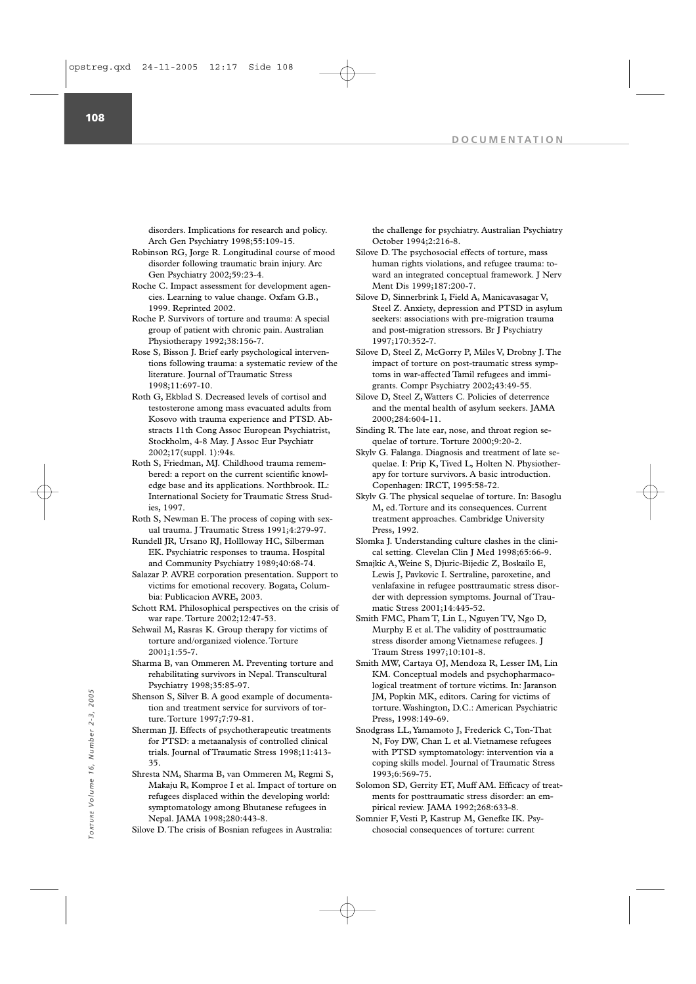disorders. Implications for research and policy. Arch Gen Psychiatry 1998;55:109-15.

- Robinson RG, Jorge R. Longitudinal course of mood disorder following traumatic brain injury. Arc Gen Psychiatry 2002;59:23-4.
- Roche C. Impact assessment for development agencies. Learning to value change. Oxfam G.B., 1999. Reprinted 2002.
- Roche P. Survivors of torture and trauma: A special group of patient with chronic pain. Australian Physiotherapy 1992;38:156-7.
- Rose S, Bisson J. Brief early psychological interventions following trauma: a systematic review of the literature. Journal of Traumatic Stress 1998;11:697-10.
- Roth G, Ekblad S. Decreased levels of cortisol and testosterone among mass evacuated adults from Kosovo with trauma experience and PTSD. Abstracts 11th Cong Assoc European Psychiatrist, Stockholm, 4-8 May. J Assoc Eur Psychiatr 2002;17(suppl. 1):94s.
- Roth S, Friedman, MJ. Childhood trauma remembered: a report on the current scientific knowledge base and its applications. Northbrook. IL: International Society for Traumatic Stress Studies, 1997.
- Roth S, Newman E. The process of coping with sexual trauma. J Traumatic Stress 1991;4:279-97.
- Rundell JR, Ursano RJ, Hollloway HC, Silberman EK. Psychiatric responses to trauma. Hospital and Community Psychiatry 1989;40:68-74.
- Salazar P. AVRE corporation presentation. Support to victims for emotional recovery. Bogata, Columbia: Publicacion AVRE, 2003.
- Schott RM. Philosophical perspectives on the crisis of war rape. Torture 2002;12:47-53.
- Sehwail M, Rasras K. Group therapy for victims of torture and/organized violence. Torture 2001;1:55-7.
- Sharma B, van Ommeren M. Preventing torture and rehabilitating survivors in Nepal. Transcultural Psychiatry 1998;35:85-97.
- Shenson S, Silver B. A good example of documentation and treatment service for survivors of torture. Torture 1997;7:79-81.
- Sherman JJ. Effects of psychotherapeutic treatments for PTSD: a metaanalysis of controlled clinical trials. Journal of Traumatic Stress 1998;11:413- 35.
- Shresta NM, Sharma B, van Ommeren M, Regmi S, Makaju R, Komproe I et al. Impact of torture on refugees displaced within the developing world: symptomatology among Bhutanese refugees in Nepal. JAMA 1998;280:443-8. Shenson S, Silver B. A good example of documenta-<br>
ton and treatment service for survivors of tor-<br>
torture. Washington, D.C.: American Psychoten<br>
<sup>2</sup><sub>C</sup> <sup>2</sup><sub>C</sub> Conserved incel (1997;7:79-81.<br>
Sherman JJ. Effects of psycho</sub>

Silove D. The crisis of Bosnian refugees in Australia:

the challenge for psychiatry. Australian Psychiatry October 1994;2:216-8.

- Silove D. The psychosocial effects of torture, mass human rights violations, and refugee trauma: toward an integrated conceptual framework. J Nerv Ment Dis 1999;187:200-7.
- Silove D, Sinnerbrink I, Field A, Manicavasagar V, Steel Z. Anxiety, depression and PTSD in asylum seekers: associations with pre-migration trauma and post-migration stressors. Br J Psychiatry 1997;170:352-7.
- Silove D, Steel Z, McGorry P, Miles V, Drobny J. The impact of torture on post-traumatic stress symptoms in war-affected Tamil refugees and immigrants. Compr Psychiatry 2002;43:49-55.
- Silove D, Steel Z, Watters C. Policies of deterrence and the mental health of asylum seekers. JAMA 2000;284:604-11.
- Sinding R. The late ear, nose, and throat region sequelae of torture. Torture 2000;9:20-2.
- Skylv G. Falanga. Diagnosis and treatment of late sequelae. I: Prip K, Tived L, Holten N. Physiotherapy for torture survivors. A basic introduction. Copenhagen: IRCT, 1995:58-72.
- Skylv G. The physical sequelae of torture. In: Basoglu M, ed. Torture and its consequences. Current treatment approaches. Cambridge University Press, 1992.
- Slomka J. Understanding culture clashes in the clinical setting. Clevelan Clin J Med 1998;65:66-9.
- Smajkic A, Weine S, Djuric-Bijedic Z, Boskailo E, Lewis J, Pavkovic I. Sertraline, paroxetine, and venlafaxine in refugee posttraumatic stress disorder with depression symptoms. Journal of Traumatic Stress 2001;14:445-52.
- Smith FMC, Pham T, Lin L, Nguyen TV, Ngo D, Murphy E et al. The validity of posttraumatic stress disorder among Vietnamese refugees. J Traum Stress 1997;10:101-8.
- Smith MW, Cartaya OJ, Mendoza R, Lesser IM, Lin KM. Conceptual models and psychopharmacological treatment of torture victims. In: Jaranson JM, Popkin MK, editors. Caring for victims of torture. Washington, D.C.: American Psychiatric Press, 1998:149-69.
- Snodgrass LL,Yamamoto J, Frederick C, Ton-That N, Foy DW, Chan L et al. Vietnamese refugees with PTSD symptomatology: intervention via a coping skills model. Journal of Traumatic Stress 1993;6:569-75.
- Solomon SD, Gerrity ET, Muff AM. Efficacy of treatments for posttraumatic stress disorder: an empirical review. JAMA 1992;268:633-8.
- Somnier F, Vesti P, Kastrup M, Genefke IK. Psy-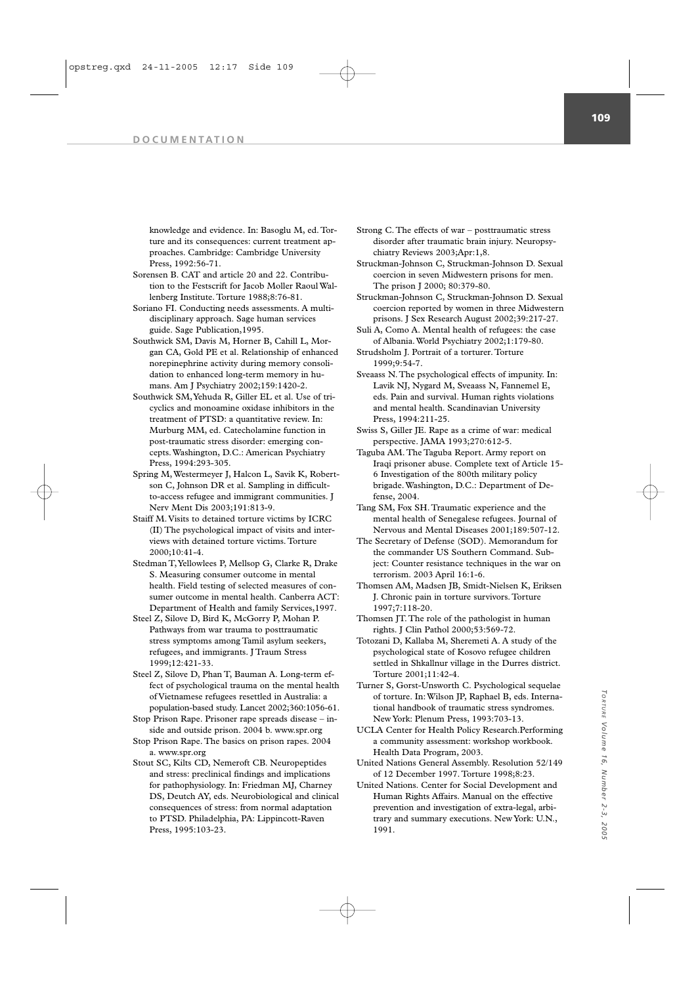knowledge and evidence. In: Basoglu M, ed. Torture and its consequences: current treatment approaches. Cambridge: Cambridge University Press, 1992:56-71.

- Sorensen B. CAT and article 20 and 22. Contribution to the Festscrift for Jacob Moller Raoul Wallenberg Institute. Torture 1988;8:76-81.
- Soriano FI. Conducting needs assessments. A multidisciplinary approach. Sage human services guide. Sage Publication,1995.
- Southwick SM, Davis M, Horner B, Cahill L, Morgan CA, Gold PE et al. Relationship of enhanced norepinephrine activity during memory consolidation to enhanced long-term memory in humans. Am J Psychiatry 2002;159:1420-2.
- Southwick SM,Yehuda R, Giller EL et al. Use of tricyclics and monoamine oxidase inhibitors in the treatment of PTSD: a quantitative review. In: Murburg MM, ed. Catecholamine function in post-traumatic stress disorder: emerging concepts. Washington, D.C.: American Psychiatry Press, 1994:293-305.
- Spring M, Westermeyer J, Halcon L, Savik K, Robertson C, Johnson DR et al. Sampling in difficultto-access refugee and immigrant communities. J Nerv Ment Dis 2003;191:813-9.
- Staiff M. Visits to detained torture victims by ICRC (II) The psychological impact of visits and interviews with detained torture victims. Torture 2000;10:41-4.
- Stedman T,Yellowlees P, Mellsop G, Clarke R, Drake S. Measuring consumer outcome in mental health. Field testing of selected measures of consumer outcome in mental health. Canberra ACT: Department of Health and family Services,1997.
- Steel Z, Silove D, Bird K, McGorry P, Mohan P. Pathways from war trauma to posttraumatic stress symptoms among Tamil asylum seekers, refugees, and immigrants. J Traum Stress 1999;12:421-33.
- Steel Z, Silove D, Phan T, Bauman A. Long-term effect of psychological trauma on the mental health of Vietnamese refugees resettled in Australia: a population-based study. Lancet 2002;360:1056-61.
- Stop Prison Rape. Prisoner rape spreads disease inside and outside prison. 2004 b. www.spr.org
- Stop Prison Rape. The basics on prison rapes. 2004 a. www.spr.org
- Stout SC, Kilts CD, Nemeroft CB. Neuropeptides and stress: preclinical findings and implications for pathophysiology. In: Friedman MJ, Charney DS, Deutch AY, eds. Neurobiological and clinical consequences of stress: from normal adaptation to PTSD. Philadelphia, PA: Lippincott-Raven Press, 1995:103-23.

Strong C. The effects of war – posttraumatic stress disorder after traumatic brain injury. Neuropsychiatry Reviews 2003;Apr:1,8.

- Struckman-Johnson C, Struckman-Johnson D. Sexual coercion in seven Midwestern prisons for men. The prison J 2000; 80:379-80.
- Struckman-Johnson C, Struckman-Johnson D. Sexual coercion reported by women in three Midwestern prisons. J Sex Research August 2002;39:217-27.
- Suli A, Como A. Mental health of refugees: the case of Albania. World Psychiatry 2002;1:179-80.
- Strudsholm J. Portrait of a torturer. Torture 1999;9:54-7.
- Sveaass N. The psychological effects of impunity. In: Lavik NJ, Nygard M, Sveaass N, Fannemel E, eds. Pain and survival. Human rights violations and mental health. Scandinavian University Press, 1994:211-25.
- Swiss S, Giller JE. Rape as a crime of war: medical perspective. JAMA 1993;270:612-5.
- Taguba AM. The Taguba Report. Army report on Iraqi prisoner abuse. Complete text of Article 15- 6 Investigation of the 800th military policy brigade. Washington, D.C.: Department of De $fence$ , 2004.
- Tang SM, Fox SH. Traumatic experience and the mental health of Senegalese refugees. Journal of Nervous and Mental Diseases 2001;189:507-12.
- The Secretary of Defense (SOD). Memorandum for the commander US Southern Command. Subject: Counter resistance techniques in the war on terrorism. 2003 April 16:1-6.
- Thomsen AM, Madsen JB, Smidt-Nielsen K, Eriksen J. Chronic pain in torture survivors. Torture 1997;7:118-20.
- Thomsen JT. The role of the pathologist in human rights. J Clin Pathol 2000;53:569-72.
- Totozani D, Kallaba M, Sheremeti A. A study of the psychological state of Kosovo refugee children settled in Shkallnur village in the Durres district. Torture 2001;11:42-4.
- Turner S, Gorst-Unsworth C. Psychological sequelae of torture. In: Wilson JP, Raphael B, eds. International handbook of traumatic stress syndromes. New York: Plenum Press, 1993:703-13.
- UCLA Center for Health Policy Research.Performing a community assessment: workshop workbook. Health Data Program, 2003.
- United Nations General Assembly. Resolution 52/149 of 12 December 1997. Torture 1998;8:23.
- United Nations. Center for Social Development and Human Rights Affairs. Manual on the effective prevention and investigation of extra-legal, arbitrary and summary executions. New York: U.N., 1991.

*TORTURE*

TORTURE

Volume

*Volume 16, Number 2-3, 2005*

Number 2-3, 2005

16,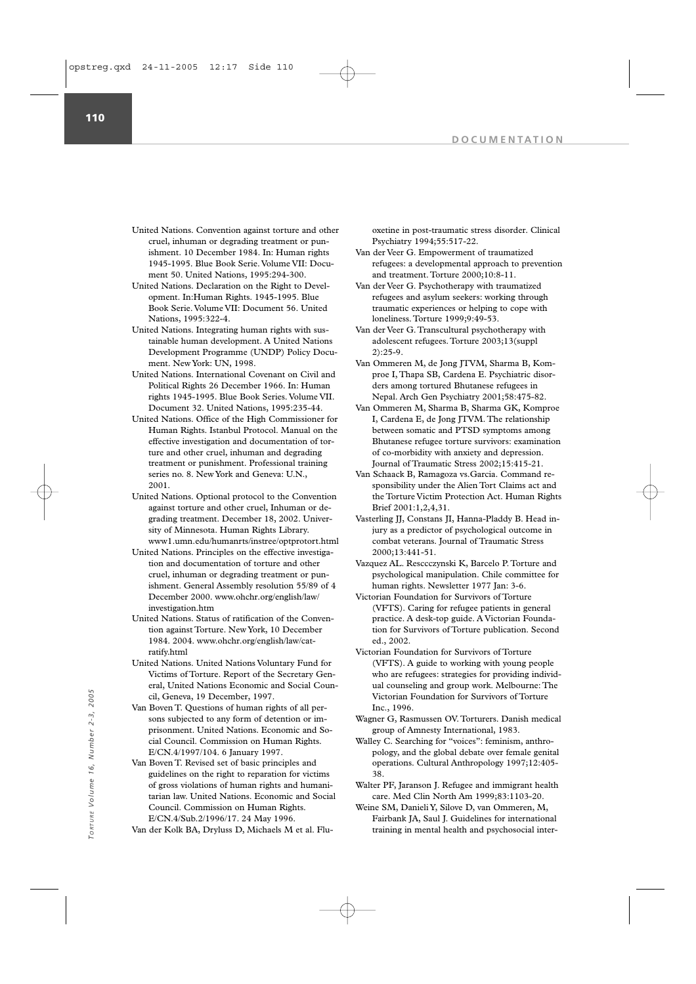**110**

- United Nations. Convention against torture and other cruel, inhuman or degrading treatment or punishment. 10 December 1984. In: Human rights 1945-1995. Blue Book Serie. Volume VII: Document 50. United Nations, 1995:294-300.
- United Nations. Declaration on the Right to Development. In:Human Rights. 1945-1995. Blue Book Serie. Volume VII: Document 56. United Nations, 1995:322-4.
- United Nations. Integrating human rights with sustainable human development. A United Nations Development Programme (UNDP) Policy Document. New York: UN, 1998.
- United Nations. International Covenant on Civil and Political Rights 26 December 1966. In: Human rights 1945-1995. Blue Book Series. Volume VII. Document 32. United Nations, 1995:235-44.
- United Nations. Office of the High Commissioner for Human Rights. Istanbul Protocol. Manual on the effective investigation and documentation of torture and other cruel, inhuman and degrading treatment or punishment. Professional training series no. 8. New York and Geneva: U.N., 2001.
- United Nations. Optional protocol to the Convention against torture and other cruel, Inhuman or degrading treatment. December 18, 2002. University of Minnesota. Human Rights Library. www1.umn.edu/humanrts/instree/optprotort.html
- United Nations. Principles on the effective investigation and documentation of torture and other cruel, inhuman or degrading treatment or punishment. General Assembly resolution 55/89 of 4 December 2000. www.ohchr.org/english/law/ investigation.htm
- United Nations. Status of ratification of the Convention against Torture. New York, 10 December 1984. 2004. www.ohchr.org/english/law/catratify.html
- United Nations. United Nations Voluntary Fund for Victims of Torture. Report of the Secretary General, United Nations Economic and Social Council, Geneva, 19 December, 1997.
- Van Boven T. Questions of human rights of all persons subjected to any form of detention or imprisonment. United Nations. Economic and Social Council. Commission on Human Rights. E/CN.4/1997/104. 6 January 1997.
- Van Boven T. Revised set of basic principles and guidelines on the right to reparation for victims of gross violations of human rights and humanitarian law. United Nations. Economic and Social Council. Commission on Human Rights. E/CN.4/Sub.2/1996/17. 24 May 1996. rail, Geneva, 19 December, 1997.<br>
Victorian Foundation for Survivors of Torture<br>
Van Boven T. Questions of human rights of all per-<br>
sons subjected to any form of detention or im-<br>  $\frac{1}{2}$ <br>  $\frac{1}{2}$ <br>
cal Council. Commis
	- Van der Kolk BA, Dryluss D, Michaels M et al. Flu-

oxetine in post-traumatic stress disorder. Clinical Psychiatry 1994;55:517-22.

- Van der Veer G. Empowerment of traumatized refugees: a developmental approach to prevention and treatment. Torture 2000;10:8-11.
- Van der Veer G. Psychotherapy with traumatized refugees and asylum seekers: working through traumatic experiences or helping to cope with loneliness. Torture 1999;9:49-53.
- Van der Veer G. Transcultural psychotherapy with adolescent refugees. Torture 2003;13(suppl 2):25-9.
- Van Ommeren M, de Jong JTVM, Sharma B, Komproe I, Thapa SB, Cardena E. Psychiatric disorders among tortured Bhutanese refugees in Nepal. Arch Gen Psychiatry 2001;58:475-82.
- Van Ommeren M, Sharma B, Sharma GK, Komproe I, Cardena E, de Jong JTVM. The relationship between somatic and PTSD symptoms among Bhutanese refugee torture survivors: examination of co-morbidity with anxiety and depression. Journal of Traumatic Stress 2002;15:415-21.
- Van Schaack B, Ramagoza vs.Garcia. Command responsibility under the Alien Tort Claims act and the Torture Victim Protection Act. Human Rights Brief 2001:1,2,4,31.
- Vasterling JJ, Constans JI, Hanna-Pladdy B. Head injury as a predictor of psychological outcome in combat veterans. Journal of Traumatic Stress 2000;13:441-51.
- Vazquez AL. Resccczynski K, Barcelo P. Torture and psychological manipulation. Chile committee for human rights. Newsletter 1977 Jan: 3-6.
- Victorian Foundation for Survivors of Torture (VFTS). Caring for refugee patients in general practice. A desk-top guide. A Victorian Foundation for Survivors of Torture publication. Second ed., 2002.
- Victorian Foundation for Survivors of Torture (VFTS). A guide to working with young people who are refugees: strategies for providing individual counseling and group work. Melbourne: The Victorian Foundation for Survivors of Torture Inc., 1996.
- Wagner G, Rasmussen OV. Torturers. Danish medical group of Amnesty International, 1983.
- Walley C. Searching for "voices": feminism, anthropology, and the global debate over female genital operations. Cultural Anthropology 1997;12:405- 38.
- Walter PF, Jaranson J. Refugee and immigrant health care. Med Clin North Am 1999;83:1103-20.
- Weine SM, Danieli Y, Silove D, van Ommeren, M, Fairbank JA, Saul J. Guidelines for international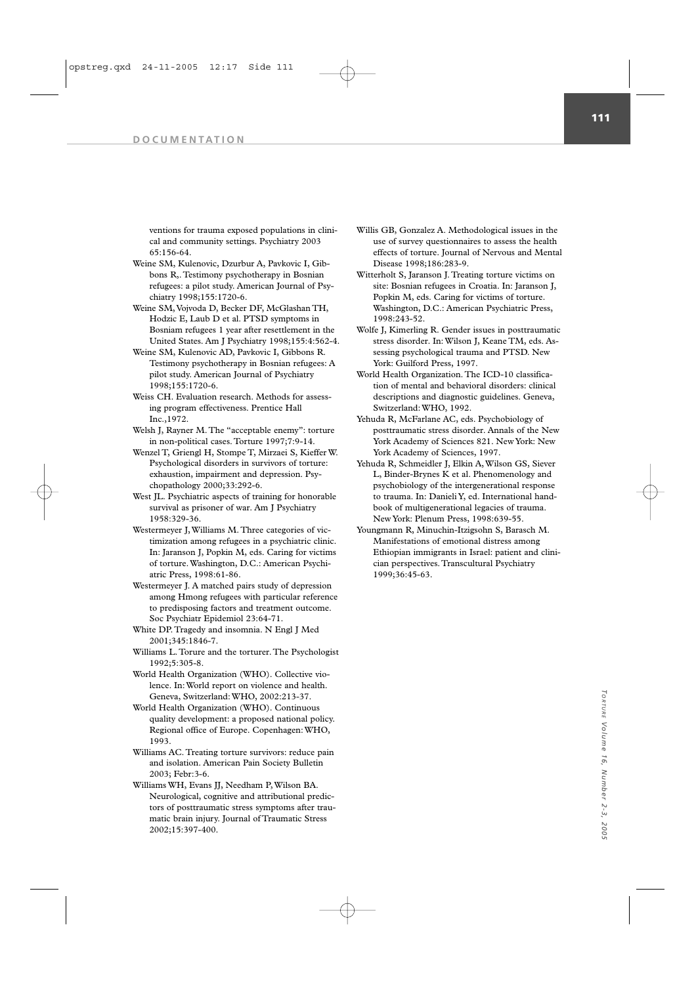ventions for trauma exposed populations in clinical and community settings. Psychiatry 2003 65:156-64.

- Weine SM, Kulenovic, Dzurbur A, Pavkovic I, Gibbons R,. Testimony psychotherapy in Bosnian refugees: a pilot study. American Journal of Psychiatry 1998;155:1720-6.
- Weine SM,Vojvoda D, Becker DF, McGlashan TH, Hodzic E, Laub D et al. PTSD symptoms in Bosniam refugees 1 year after resettlement in the United States. Am J Psychiatry 1998;155:4:562-4.
- Weine SM, Kulenovic AD, Pavkovic I, Gibbons R. Testimony psychotherapy in Bosnian refugees: A pilot study. American Journal of Psychiatry 1998;155:1720-6.
- Weiss CH. Evaluation research. Methods for assessing program effectiveness. Prentice Hall Inc.,1972.
- Welsh J, Rayner M. The "acceptable enemy": torture in non-political cases. Torture 1997;7:9-14.
- Wenzel T, Griengl H, Stompe T, Mirzaei S, Kieffer W. Psychological disorders in survivors of torture: exhaustion, impairment and depression. Psychopathology 2000;33:292-6.
- West JL. Psychiatric aspects of training for honorable survival as prisoner of war. Am J Psychiatry 1958:329-36.
- Westermeyer J, Williams M. Three categories of victimization among refugees in a psychiatric clinic. In: Jaranson J, Popkin M, eds. Caring for victims of torture. Washington, D.C.: American Psychiatric Press, 1998:61-86.
- Westermeyer J. A matched pairs study of depression among Hmong refugees with particular reference to predisposing factors and treatment outcome. Soc Psychiatr Epidemiol 23:64-71.
- White DP. Tragedy and insomnia. N Engl J Med 2001;345:1846-7.
- Williams L. Torure and the torturer. The Psychologist 1992;5:305-8.
- World Health Organization (WHO). Collective violence. In: World report on violence and health. Geneva, Switzerland: WHO, 2002:213-37.
- World Health Organization (WHO). Continuous quality development: a proposed national policy. Regional office of Europe. Copenhagen: WHO, 1993.
- Williams AC. Treating torture survivors: reduce pain and isolation. American Pain Society Bulletin 2003; Febr:3-6.
- Williams WH, Evans JJ, Needham P, Wilson BA. Neurological, cognitive and attributional predictors of posttraumatic stress symptoms after traumatic brain injury. Journal of Traumatic Stress 2002;15:397-400.
- Willis GB, Gonzalez A. Methodological issues in the use of survey questionnaires to assess the health effects of torture. Journal of Nervous and Mental Disease 1998;186:283-9.
- Witterholt S, Jaranson J. Treating torture victims on site: Bosnian refugees in Croatia. In: Jaranson J, Popkin M, eds. Caring for victims of torture. Washington, D.C.: American Psychiatric Press, 1998:243-52.
- Wolfe J, Kimerling R. Gender issues in posttraumatic stress disorder. In: Wilson J, Keane TM, eds. Assessing psychological trauma and PTSD. New York: Guilford Press, 1997.
- World Health Organization. The ICD-10 classification of mental and behavioral disorders: clinical descriptions and diagnostic guidelines. Geneva, Switzerland: WHO, 1992.
- Yehuda R, McFarlane AC, eds. Psychobiology of posttraumatic stress disorder. Annals of the New York Academy of Sciences 821. New York: New York Academy of Sciences, 1997.
- Yehuda R, Schmeidler J, Elkin A, Wilson GS, Siever L, Binder-Brynes K et al. Phenomenology and psychobiology of the intergenerational response to trauma. In: Danieli Y, ed. International handbook of multigenerational legacies of trauma. New York: Plenum Press, 1998:639-55.
- Youngmann R, Minuchin-Itzigsohn S, Barasch M. Manifestations of emotional distress among Ethiopian immigrants in Israel: patient and clinician perspectives. Transcultural Psychiatry 1999;36:45-63.